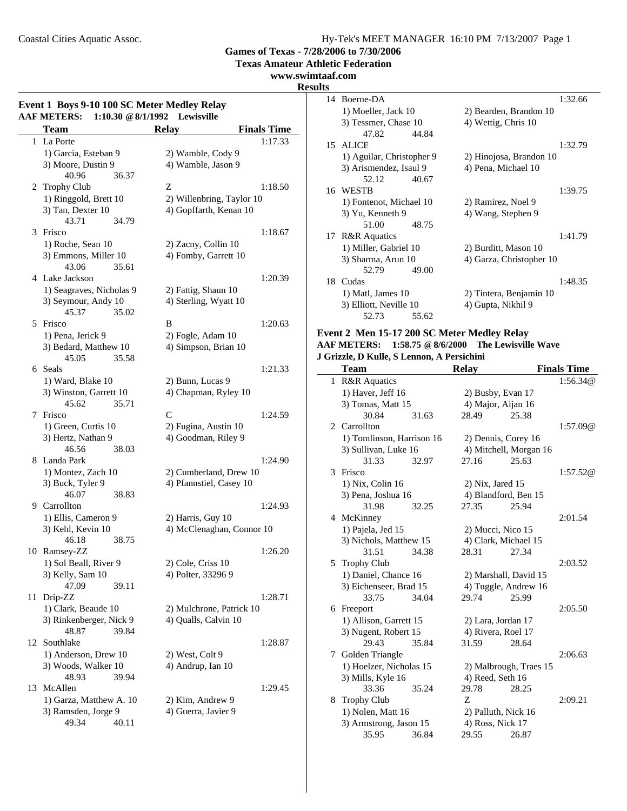L.

### Coastal Cities Aquatic Assoc. Hy-Tek's MEET MANAGER 16:10 PM 7/13/2007 Page 1

**Games of Texas - 7/28/2006 to 7/30/2006**

**Texas Amateur Athletic Federation**

#### **www.swimtaaf.com**

#### **Results**

 $\overline{\phantom{0}}$ 

### **Event 1 Boys 9-10 100 SC Meter Medley Relay AAF METERS: 1:10.30 @8/1/1992 Lewisville**

|    | AF METEKS:<br>1:10.30 $\%$ 0/1/1992 | <b>Lewisville</b>         |                    |
|----|-------------------------------------|---------------------------|--------------------|
|    | <b>Team</b>                         | <b>Relay</b>              | <b>Finals Time</b> |
|    | 1 La Porte                          |                           | 1:17.33            |
|    | 1) Garcia, Esteban 9                | 2) Wamble, Cody 9         |                    |
|    | 3) Moore, Dustin 9                  | 4) Wamble, Jason 9        |                    |
|    | 40.96<br>36.37                      |                           |                    |
|    | 2 Trophy Club                       | Ζ                         | 1:18.50            |
|    | 1) Ringgold, Brett 10               | 2) Willenbring, Taylor 10 |                    |
|    | 3) Tan, Dexter 10                   | 4) Gopffarth, Kenan 10    |                    |
|    | 43.71<br>34.79                      |                           |                    |
| 3  | Frisco                              |                           | 1:18.67            |
|    | 1) Roche, Sean 10                   | 2) Zacny, Collin 10       |                    |
|    | 3) Emmons, Miller 10                | 4) Fomby, Garrett 10      |                    |
|    | 43.06<br>35.61                      |                           |                    |
|    | 4 Lake Jackson                      |                           | 1:20.39            |
|    | 1) Seagraves, Nicholas 9            | 2) Fattig, Shaun 10       |                    |
|    | 3) Seymour, Andy 10                 | 4) Sterling, Wyatt 10     |                    |
|    | 45.37<br>35.02                      |                           |                    |
|    | 5 Frisco                            | B                         | 1:20.63            |
|    | 1) Pena, Jerick 9                   | 2) Fogle, Adam 10         |                    |
|    | 3) Bedard, Matthew 10               | 4) Simpson, Brian 10      |                    |
|    | 45.05<br>35.58                      |                           |                    |
|    | 6 Seals                             |                           | 1:21.33            |
|    | 1) Ward, Blake 10                   | 2) Bunn, Lucas 9          |                    |
|    | 3) Winston, Garrett 10              | 4) Chapman, Ryley 10      |                    |
|    | 35.71<br>45.62                      |                           |                    |
| 7  | Frisco                              | C                         | 1:24.59            |
|    | 1) Green, Curtis 10                 | 2) Fugina, Austin 10      |                    |
|    | 3) Hertz, Nathan 9                  | 4) Goodman, Riley 9       |                    |
|    | 46.56<br>38.03                      |                           |                    |
|    | 8 Landa Park                        |                           | 1:24.90            |
|    | 1) Montez, Zach 10                  | 2) Cumberland, Drew 10    |                    |
|    | 3) Buck, Tyler 9                    | 4) Pfannstiel, Casey 10   |                    |
|    | 46.07<br>38.83                      |                           |                    |
|    | 9 Carrollton                        |                           | 1:24.93            |
|    | 1) Ellis, Cameron 9                 | 2) Harris, Guy 10         |                    |
|    | 3) Kehl, Kevin 10                   | 4) McClenaghan, Connor 10 |                    |
|    | 46.18<br>38.75                      |                           |                    |
|    | 10 Ramsey-ZZ                        |                           | 1:26.20            |
|    | 1) Sol Beall, River 9               | 2) Cole, Criss 10         |                    |
|    | 3) Kelly, Sam 10                    | 4) Polter, 33296 9        |                    |
|    | 47.09<br>39.11                      |                           |                    |
| 11 | Drip-ZZ                             |                           | 1:28.71            |
|    | 1) Clark, Beaude 10                 | 2) Mulchrone, Patrick 10  |                    |
|    | 3) Rinkenberger, Nick 9             | 4) Qualls, Calvin 10      |                    |
|    | 48.87<br>39.84                      |                           |                    |
| 12 | Southlake                           |                           | 1:28.87            |
|    | 1) Anderson, Drew 10                | 2) West, Colt 9           |                    |
|    | 3) Woods, Walker 10                 | 4) Andrup, Ian 10         |                    |
|    | 48.93<br>39.94                      |                           |                    |
| 13 | McAllen                             |                           | 1:29.45            |
|    | 1) Garza, Matthew A. 10             | 2) Kim, Andrew 9          |                    |
|    | 3) Ramsden, Jorge 9<br>49.34        | 4) Guerra, Javier 9       |                    |
|    | 40.11                               |                           |                    |

|    | 14 Boerne-DA              | 1:32.66                  |
|----|---------------------------|--------------------------|
|    | 1) Moeller, Jack 10       | 2) Bearden, Brandon 10   |
|    | 3) Tessmer, Chase 10      | 4) Wettig, Chris 10      |
|    | 47.82<br>44.84            |                          |
|    | 15 ALICE                  | 1:32.79                  |
|    | 1) Aguilar, Christopher 9 | 2) Hinojosa, Brandon 10  |
|    | 3) Arismendez, Isaul 9    | 4) Pena, Michael 10      |
|    | 52.12<br>40.67            |                          |
|    | 16 WESTB                  | 1:39.75                  |
|    | 1) Fontenot, Michael 10   | 2) Ramirez, Noel 9       |
|    | 3) Yu, Kenneth 9          | 4) Wang, Stephen 9       |
|    | 51.00<br>48.75            |                          |
| 17 | <b>R&amp;R</b> Aquatics   | 1:41.79                  |
|    | 1) Miller, Gabriel 10     | 2) Burditt, Mason 10     |
|    | 3) Sharma, Arun 10        | 4) Garza, Christopher 10 |
|    | 52.79<br>49.00            |                          |
|    | 18 Cudas                  | 1:48.35                  |
|    | 1) Matl, James 10         | 2) Tintera, Benjamin 10  |
|    | 3) Elliott, Neville 10    | 4) Gupta, Nikhil 9       |
|    | 52.73<br>55.62            |                          |

### **Event 2 Men 15-17 200 SC Meter Medley Relay**

#### **AAF METERS: 1:58.75 @8/6/2000 The Lewisville Wave J Grizzle, D Kulle, S Lennon, A Persichini**

|              | <b>Team</b>               |       | <b>Relay</b>         |                        | <b>Finals Time</b> |
|--------------|---------------------------|-------|----------------------|------------------------|--------------------|
| $\mathbf{1}$ | <b>R&amp;R</b> Aquatics   |       |                      |                        | 1:56.34@           |
|              | 1) Haver, Jeff 16         |       | 2) Busby, Evan 17    |                        |                    |
|              | 3) Tomas, Matt 15         |       | 4) Major, Aijan 16   |                        |                    |
|              | 30.84                     | 31.63 | 28.49                | 25.38                  |                    |
|              | 2 Carrollton              |       |                      |                        | 1:57.09@           |
|              | 1) Tomlinson, Harrison 16 |       | 2) Dennis, Corey 16  |                        |                    |
|              | 3) Sullivan, Luke 16      |       |                      | 4) Mitchell, Morgan 16 |                    |
|              | 31.33                     | 32.97 | 27.16                | 25.63                  |                    |
| 3            | Frisco                    |       |                      |                        | 1:57.52@           |
|              | 1) Nix, Colin 16          |       | $2)$ Nix, Jared 15   |                        |                    |
|              | 3) Pena, Joshua 16        |       |                      | 4) Blandford, Ben 15   |                    |
|              | 31.98                     | 32.25 | 27.35                | 25.94                  |                    |
|              | 4 McKinney                |       |                      |                        | 2:01.54            |
|              | 1) Pajela, Jed 15         |       | 2) Mucci, Nico 15    |                        |                    |
|              | 3) Nichols, Matthew 15    |       | 4) Clark, Michael 15 |                        |                    |
|              | 31.51                     | 34.38 | 28.31                | 27.34                  |                    |
| 5            | <b>Trophy Club</b>        |       |                      |                        | 2:03.52            |
|              | 1) Daniel, Chance 16      |       |                      | 2) Marshall, David 15  |                    |
|              | 3) Eichenseer, Brad 15    |       |                      | 4) Tuggle, Andrew 16   |                    |
|              | 33.75                     | 34.04 | 29.74                | 25.99                  |                    |
| 6            | Freeport                  |       |                      |                        | 2:05.50            |
|              | 1) Allison, Garrett 15    |       | 2) Lara, Jordan 17   |                        |                    |
|              | 3) Nugent, Robert 15      |       | 4) Rivera, Roel 17   |                        |                    |
|              | 29.43                     | 35.84 | 31.59                | 28.64                  |                    |
| 7            | Golden Triangle           |       |                      |                        | 2:06.63            |
|              | 1) Hoelzer, Nicholas 15   |       |                      | 2) Malbrough, Traes 15 |                    |
|              | 3) Mills, Kyle 16         |       | 4) Reed, Seth 16     |                        |                    |
|              | 33.36                     | 35.24 | 29.78                | 28.25                  |                    |
| 8            | <b>Trophy Club</b>        |       | Z                    |                        | 2:09.21            |
|              | 1) Nolen, Matt 16         |       | 2) Palluth, Nick 16  |                        |                    |
|              | 3) Armstrong, Jason 15    |       | 4) Ross, Nick 17     |                        |                    |
|              | 35.95                     | 36.84 | 29.55                | 26.87                  |                    |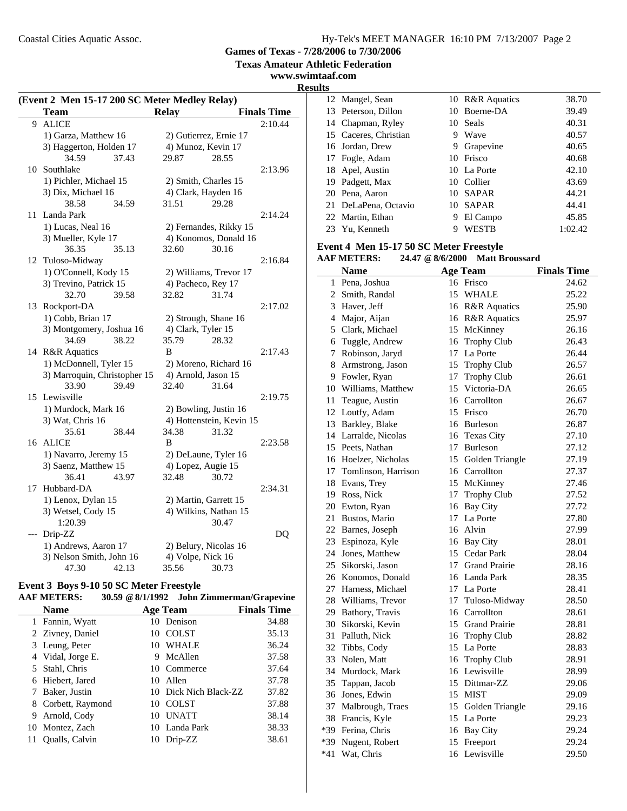**Texas Amateur Athletic Federation**

**www.swimtaaf.com**

**Results**

| (Event 2 Men 15-17 200 SC Meter Medley Relay) |                              |                          |                    |  |
|-----------------------------------------------|------------------------------|--------------------------|--------------------|--|
|                                               | <b>Team</b>                  | <b>Relay</b>             | <b>Finals Time</b> |  |
| 9                                             | <b>ALICE</b>                 |                          | 2:10.44            |  |
|                                               | 1) Garza, Matthew 16         | 2) Gutierrez, Ernie 17   |                    |  |
|                                               | 3) Haggerton, Holden 17      | 4) Munoz, Kevin 17       |                    |  |
|                                               | 34.59<br>37.43               | 28.55<br>29.87           |                    |  |
|                                               | 10 Southlake                 |                          | 2:13.96            |  |
|                                               | 1) Pichler, Michael 15       | 2) Smith, Charles 15     |                    |  |
|                                               | 3) Dix, Michael 16           | 4) Clark, Hayden 16      |                    |  |
|                                               | 34.59<br>38.58               | 31.51<br>29.28           |                    |  |
| 11                                            | Landa Park                   |                          | 2:14.24            |  |
|                                               | 1) Lucas, Neal 16            | 2) Fernandes, Rikky 15   |                    |  |
|                                               | 3) Mueller, Kyle 17          | 4) Konomos, Donald 16    |                    |  |
|                                               | 36.35<br>35.13               | 32.60<br>30.16           |                    |  |
|                                               | 12 Tuloso-Midway             |                          | 2:16.84            |  |
|                                               | 1) O'Connell, Kody 15        | 2) Williams, Trevor 17   |                    |  |
|                                               | 3) Trevino, Patrick 15       | 4) Pacheco, Rey 17       |                    |  |
|                                               | 32.70<br>39.58               | 32.82<br>31.74           |                    |  |
| 13                                            | Rockport-DA                  |                          | 2:17.02            |  |
|                                               | 1) Cobb, Brian 17            | 2) Strough, Shane 16     |                    |  |
|                                               | 3) Montgomery, Joshua 16     | 4) Clark, Tyler 15       |                    |  |
|                                               | 34.69<br>38.22               | 35.79<br>28.32           |                    |  |
|                                               | 14 R&R Aquatics              | B                        | 2:17.43            |  |
|                                               | 1) McDonnell, Tyler 15       | 2) Moreno, Richard 16    |                    |  |
|                                               | 3) Marroquin, Christopher 15 | 4) Arnold, Jason 15      |                    |  |
|                                               | 33.90<br>39.49               | 32.40<br>31.64           |                    |  |
| 15                                            | Lewisville                   |                          | 2:19.75            |  |
|                                               | 1) Murdock, Mark 16          | 2) Bowling, Justin 16    |                    |  |
|                                               | 3) Wat, Chris 16             | 4) Hottenstein, Kevin 15 |                    |  |
|                                               | 35.61<br>38.44               | 34.38<br>31.32           |                    |  |
| 16                                            | <b>ALICE</b>                 | B                        | 2:23.58            |  |
|                                               | 1) Navarro, Jeremy 15        | 2) DeLaune, Tyler 16     |                    |  |
|                                               | 3) Saenz, Matthew 15         | 4) Lopez, Augie 15       |                    |  |
|                                               | 36.41<br>43.97               | 32.48<br>30.72           |                    |  |
| 17                                            | Hubbard-DA                   |                          | 2:34.31            |  |
|                                               | 1) Lenox, Dylan 15           | 2) Martin, Garrett 15    |                    |  |
|                                               | 3) Wetsel, Cody 15           | 4) Wilkins, Nathan 15    |                    |  |
|                                               | 1:20.39                      | 30.47                    |                    |  |
| ---                                           | Drip-ZZ                      |                          | DQ                 |  |
|                                               | 1) Andrews, Aaron 17         | 2) Belury, Nicolas 16    |                    |  |
|                                               | 3) Nelson Smith, John 16     | 4) Volpe, Nick 16        |                    |  |
|                                               | 47.30<br>42.13               | 35.56<br>30.73           |                    |  |

### **Event 3 Boys 9-10 50 SC Meter Freestyle**

| <b>AAF METERS:</b> | 30.59 @ 8/1/1992 John Zimmerman/Grapevine |
|--------------------|-------------------------------------------|
|--------------------|-------------------------------------------|

|   | <b>Name</b>        |    | <b>Age Team</b>       | <b>Finals Time</b> |
|---|--------------------|----|-----------------------|--------------------|
|   | 1 Fannin, Wyatt    |    | 10 Denison            | 34.88              |
|   | 2 Zivney, Daniel   | 10 | <b>COLST</b>          | 35.13              |
|   | 3 Leung, Peter     |    | 10 WHALE              | 36.24              |
|   | 4 Vidal, Jorge E.  | 9  | McAllen               | 37.58              |
|   | 5 Stahl, Chris     |    | 10 Commerce           | 37.64              |
|   | 6 Hiebert, Jared   | 10 | Allen                 | 37.78              |
|   | Baker, Justin      |    | 10 Dick Nich Black-ZZ | 37.82              |
|   | 8 Corbett, Raymond | 10 | <b>COLST</b>          | 37.88              |
| 9 | Arnold, Cody       | 10 | <b>UNATT</b>          | 38.14              |
|   | 10 Montez, Zach    |    | 10 Landa Park         | 38.33              |
|   | Qualls, Calvin     | 10 | Drip-ZZ               | 38.61              |

| 12 Mangel, Sean       |    | 10 R&R Aquatics | 38.70   |
|-----------------------|----|-----------------|---------|
| 13 Peterson, Dillon   |    | 10 Boerne-DA    | 39.49   |
| 14 Chapman, Ryley     |    | 10 Seals        | 40.31   |
| 15 Caceres, Christian | 9  | Wave            | 40.57   |
| 16 Jordan, Drew       | 9  | Grapevine       | 40.65   |
| 17 Fogle, Adam        |    | 10 Frisco       | 40.68   |
| 18 Apel, Austin       |    | 10 La Porte     | 42.10   |
| 19 Padgett, Max       |    | 10 Collier      | 43.69   |
| 20 Pena, Aaron        |    | 10 SAPAR        | 44.21   |
| 21 DeLaPena, Octavio  | 10 | <b>SAPAR</b>    | 44.41   |
| 22 Martin, Ethan      | 9  | El Campo        | 45.85   |
| 23 Yu, Kenneth        | 9  | WESTB           | 1:02.42 |
|                       |    |                 |         |

### **Event 4 Men 15-17 50 SC Meter Freestyle**

| <b>AAF METERS:</b> |  |  | 24.47 @ 8/6/2000 Matt Broussard |
|--------------------|--|--|---------------------------------|
|--------------------|--|--|---------------------------------|

|       | <b>Name</b>            | <b>Age Team</b>    | <b>Finals Time</b> |
|-------|------------------------|--------------------|--------------------|
|       | 1 Pena, Joshua         | 16 Frisco          | 24.62              |
|       | 2 Smith, Randal        | 15 WHALE           | 25.22              |
|       | 3 Haver, Jeff          | 16 R&R Aquatics    | 25.90              |
|       | 4 Major, Aijan         | 16 R&R Aquatics    | 25.97              |
|       | 5 Clark, Michael       | 15 McKinney        | 26.16              |
|       | 6 Tuggle, Andrew       | 16 Trophy Club     | 26.43              |
| 7     | Robinson, Jaryd        | 17 La Porte        | 26.44              |
|       | 8 Armstrong, Jason     | 15 Trophy Club     | 26.57              |
|       | 9 Fowler, Ryan         | 17 Trophy Club     | 26.61              |
|       | 10 Williams, Matthew   | 15 Victoria-DA     | 26.65              |
|       | 11 Teague, Austin      | 16 Carrollton      | 26.67              |
|       | 12 Loutfy, Adam        | 15 Frisco          | 26.70              |
|       | 13 Barkley, Blake      | 16 Burleson        | 26.87              |
|       | 14 Larralde, Nicolas   | 16 Texas City      | 27.10              |
|       | 15 Peets, Nathan       | 17 Burleson        | 27.12              |
|       | 16 Hoelzer, Nicholas   | 15 Golden Triangle | 27.19              |
|       | 17 Tomlinson, Harrison | 16 Carrollton      | 27.37              |
|       | 18 Evans, Trey         | 15 McKinney        | 27.46              |
|       | 19 Ross, Nick          | 17 Trophy Club     | 27.52              |
|       | 20 Ewton, Ryan         | 16 Bay City        | 27.72              |
|       | 21 Bustos, Mario       | 17 La Porte        | 27.80              |
|       | 22 Barnes, Joseph      | 16 Alvin           | 27.99              |
|       | 23 Espinoza, Kyle      | 16 Bay City        | 28.01              |
|       | 24 Jones, Matthew      | 15 Cedar Park      | 28.04              |
|       | 25 Sikorski, Jason     | 17 Grand Prairie   | 28.16              |
|       | 26 Konomos, Donald     | 16 Landa Park      | 28.35              |
|       | 27 Harness, Michael    | 17 La Porte        | 28.41              |
|       | 28 Williams, Trevor    | 17 Tuloso-Midway   | 28.50              |
|       | 29 Bathory, Travis     | 16 Carrollton      | 28.61              |
|       | 30 Sikorski, Kevin     | 15 Grand Prairie   | 28.81              |
|       | 31 Palluth, Nick       | 16 Trophy Club     | 28.82              |
|       | 32 Tibbs, Cody         | 15 La Porte        | 28.83              |
| 33    | Nolen, Matt            | 16 Trophy Club     | 28.91              |
|       | 34 Murdock, Mark       | 16 Lewisville      | 28.99              |
|       | 35 Tappan, Jacob       | 15 Dittmar-ZZ      | 29.06              |
|       | 36 Jones, Edwin        | 15 MIST            | 29.09              |
|       | 37 Malbrough, Traes    | 15 Golden Triangle | 29.16              |
|       | 38 Francis, Kyle       | 15 La Porte        | 29.23              |
|       | *39 Ferina, Chris      | 16 Bay City        | 29.24              |
| $*39$ | Nugent, Robert         | 15 Freeport        | 29.24              |
| $*41$ | Wat, Chris             | 16 Lewisville      | 29.50              |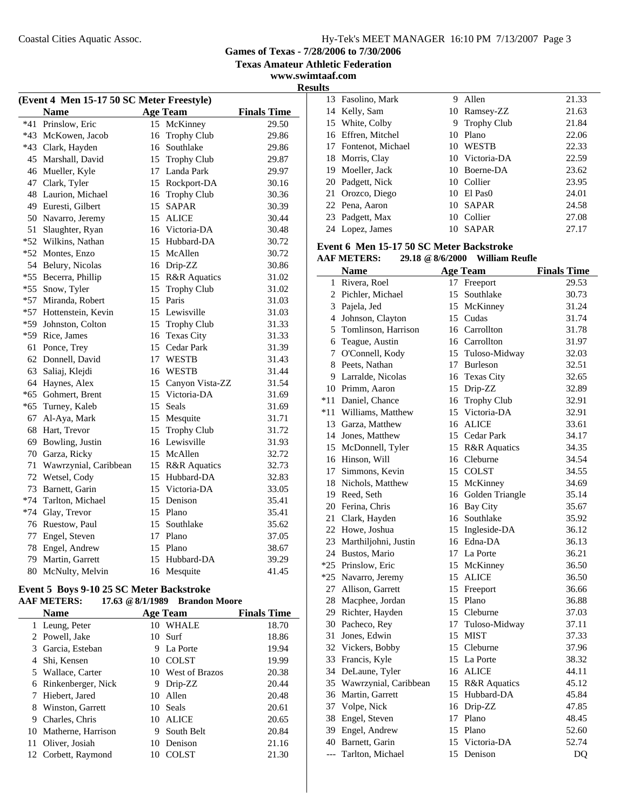**Texas Amateur Athletic Federation**

**www.swimtaaf.com Results**

| (Event 4 Men 15-17 50 SC Meter Freestyle) |                       |    |                    |                    |  |
|-------------------------------------------|-----------------------|----|--------------------|--------------------|--|
|                                           | <b>Name</b>           |    | <b>Age Team</b>    | <b>Finals Time</b> |  |
| *41                                       | Prinslow, Eric        |    | 15 McKinney        | 29.50              |  |
|                                           | *43 McKowen, Jacob    | 16 | <b>Trophy Club</b> | 29.86              |  |
|                                           | *43 Clark, Hayden     |    | 16 Southlake       | 29.86              |  |
| 45                                        | Marshall, David       |    | 15 Trophy Club     | 29.87              |  |
| 46                                        | Mueller, Kyle         |    | 17 Landa Park      | 29.97              |  |
| 47                                        | Clark, Tyler          |    | 15 Rockport-DA     | 30.16              |  |
| 48                                        | Laurion, Michael      |    | 16 Trophy Club     | 30.36              |  |
| 49                                        | Euresti, Gilbert      |    | 15 SAPAR           | 30.39              |  |
| 50                                        | Navarro, Jeremy       |    | 15 ALICE           | 30.44              |  |
| 51                                        | Slaughter, Ryan       |    | 16 Victoria-DA     | 30.48              |  |
| $*52$                                     | Wilkins, Nathan       |    | 15 Hubbard-DA      | 30.72              |  |
| $*52$                                     | Montes, Enzo          |    | 15 McAllen         | 30.72              |  |
| 54                                        | Belury, Nicolas       |    | 16 Drip-ZZ         | 30.86              |  |
| $*55$                                     | Becerra, Phillip      |    | 15 R&R Aquatics    | 31.02              |  |
| $*55$                                     | Snow, Tyler           |    | 15 Trophy Club     | 31.02              |  |
| $*57$                                     | Miranda, Robert       |    | 15 Paris           | 31.03              |  |
| $*57$                                     | Hottenstein, Kevin    |    | 15 Lewisville      | 31.03              |  |
| $*59$                                     | Johnston, Colton      |    | 15 Trophy Club     | 31.33              |  |
| $*59$                                     | Rice, James           |    | 16 Texas City      | 31.33              |  |
| 61                                        | Ponce, Trey           |    | 15 Cedar Park      | 31.39              |  |
| 62                                        | Donnell, David        |    | 17 WESTB           | 31.43              |  |
| 63                                        | Saliaj, Klejdi        |    | 16 WESTB           | 31.44              |  |
| 64                                        | Haynes, Alex          |    | 15 Canyon Vista-ZZ | 31.54              |  |
| $*65$                                     | Gohmert, Brent        |    | 15 Victoria-DA     | 31.69              |  |
| $*65$                                     | Turney, Kaleb         |    | 15 Seals           | 31.69              |  |
| 67                                        | Al-Aya, Mark          |    | 15 Mesquite        | 31.71              |  |
| 68                                        | Hart, Trevor          |    | 15 Trophy Club     | 31.72              |  |
| 69                                        | Bowling, Justin       |    | 16 Lewisville      | 31.93              |  |
|                                           | 70 Garza, Ricky       |    | 15 McAllen         | 32.72              |  |
| 71                                        | Wawrzynial, Caribbean |    | 15 R&R Aquatics    | 32.73              |  |
| 72                                        | Wetsel, Cody          |    | 15 Hubbard-DA      | 32.83              |  |
| 73                                        | Barnett, Garin        |    | 15 Victoria-DA     | 33.05              |  |
| $*74$                                     | Tarlton, Michael      |    | 15 Denison         | 35.41              |  |
|                                           | *74 Glay, Trevor      |    | 15 Plano           | 35.41              |  |
|                                           | 76 Ruestow, Paul      |    | 15 Southlake       | 35.62              |  |
| 77                                        | Engel, Steven         |    | 17 Plano           | 37.05              |  |
| 78                                        | Engel, Andrew         |    | 15 Plano           | 38.67              |  |
| 79                                        | Martin, Garrett       |    | 15 Hubbard-DA      | 39.29              |  |
| 80                                        | McNulty, Melvin       | 16 | Mesquite           | 41.45              |  |

### **Event 5 Boys 9-10 25 SC Meter Backstroke**

### **AAF METERS: 17.63 @8/1/1989 Brandon Moore**

|   | <b>Name</b>           |    | <b>Age Team</b>   | <b>Finals Time</b> |
|---|-----------------------|----|-------------------|--------------------|
|   | 1 Leung, Peter        | 10 | WHALE             | 18.70              |
|   | 2 Powell, Jake        |    | 10 Surf           | 18.86              |
|   | 3 Garcia, Esteban     | 9  | La Porte          | 19.94              |
|   | 4 Shi, Kensen         |    | 10 COLST          | 19.99              |
|   | 5 Wallace, Carter     |    | 10 West of Brazos | 20.38              |
|   | 6 Rinkenberger, Nick  | 9  | Drip-ZZ           | 20.44              |
|   | 7 Hiebert, Jared      | 10 | Allen             | 20.48              |
|   | 8 Winston, Garrett    |    | 10 Seals          | 20.61              |
| 9 | Charles, Chris        | 10 | <b>ALICE</b>      | 20.65              |
|   | 10 Matherne, Harrison | 9  | South Belt        | 20.84              |
|   | 11 Oliver, Josiah     | 10 | Denison           | 21.16              |
|   | 12 Corbett, Raymond   | 10 | <b>COLST</b>      | 21.30              |

|  | 13 Fasolino, Mark    | 9  | Allen          | 21.33 |
|--|----------------------|----|----------------|-------|
|  | 14 Kelly, Sam        |    | 10 Ramsey-ZZ   | 21.63 |
|  | 15 White, Colby      |    | 9 Trophy Club  | 21.84 |
|  | 16 Effren, Mitchel   |    | 10 Plano       | 22.06 |
|  | 17 Fontenot, Michael |    | 10 WESTB       | 22.33 |
|  | 18 Morris, Clay      |    | 10 Victoria-DA | 22.59 |
|  | 19 Moeller, Jack     |    | 10 Boerne-DA   | 23.62 |
|  | 20 Padgett, Nick     |    | 10 Collier     | 23.95 |
|  | 21 Orozco, Diego     |    | 10 El Pas0     | 24.01 |
|  | 22 Pena, Aaron       |    | 10 SAPAR       | 24.58 |
|  | 23 Padgett, Max      |    | 10 Collier     | 27.08 |
|  | 24 Lopez, James      | 10 | <b>SAPAR</b>   | 27.17 |
|  |                      |    |                |       |

### **Event 6 Men 15-17 50 SC Meter Backstroke**

# **AAF METERS: 29.18 @8/6/2000 William Reufle**

|    | <b>Name</b>              |    | <b>Age Team</b>    | <b>Finals Time</b> |
|----|--------------------------|----|--------------------|--------------------|
| 1  | Rivera, Roel             | 17 | Freeport           | 29.53              |
|    | 2 Pichler, Michael       | 15 | Southlake          | 30.73              |
|    | 3 Pajela, Jed            |    | 15 McKinney        | 31.24              |
|    | 4 Johnson, Clayton       |    | 15 Cudas           | 31.74              |
|    | 5 Tomlinson, Harrison    |    | 16 Carrollton      | 31.78              |
|    | 6 Teague, Austin         |    | 16 Carrollton      | 31.97              |
|    | 7 O'Connell, Kody        |    | 15 Tuloso-Midway   | 32.03              |
|    | 8 Peets, Nathan          |    | 17 Burleson        | 32.51              |
|    | 9 Larralde, Nicolas      |    | 16 Texas City      | 32.65              |
|    | 10 Primm, Aaron          | 15 | Drip-ZZ            | 32.89              |
|    | *11 Daniel, Chance       | 16 | <b>Trophy Club</b> | 32.91              |
|    | *11 Williams, Matthew    |    | 15 Victoria-DA     | 32.91              |
|    | 13 Garza, Matthew        |    | 16 ALICE           | 33.61              |
|    | 14 Jones, Matthew        |    | 15 Cedar Park      | 34.17              |
|    | 15 McDonnell, Tyler      | 15 | R&R Aquatics       | 34.35              |
|    | 16 Hinson, Will          | 16 | Cleburne           | 34.54              |
|    | 17 Simmons, Kevin        |    | 15 COLST           | 34.55              |
|    | 18 Nichols, Matthew      |    | 15 McKinney        | 34.69              |
|    | 19 Reed, Seth            |    | 16 Golden Triangle | 35.14              |
|    | 20 Ferina, Chris         | 16 | <b>Bay City</b>    | 35.67              |
|    | 21 Clark, Hayden         |    | 16 Southlake       | 35.92              |
|    | 22 Howe, Joshua          |    | 15 Ingleside-DA    | 36.12              |
|    | 23 Marthiljohni, Justin  |    | 16 Edna-DA         | 36.13              |
|    | 24 Bustos, Mario         |    | 17 La Porte        | 36.21              |
|    | *25 Prinslow, Eric       | 15 | McKinney           | 36.50              |
|    | *25 Navarro, Jeremy      |    | 15 ALICE           | 36.50              |
|    | 27 Allison, Garrett      |    | 15 Freeport        | 36.66              |
|    | 28 Macphee, Jordan       |    | 15 Plano           | 36.88              |
|    | 29 Richter, Hayden       | 15 | Cleburne           | 37.03              |
|    | 30 Pacheco, Rey          | 17 | Tuloso-Midway      | 37.11              |
| 31 | Jones, Edwin             | 15 | MIST               | 37.33              |
|    | 32 Vickers, Bobby        |    | 15 Cleburne        | 37.96              |
|    | 33 Francis, Kyle         |    | 15 La Porte        | 38.32              |
|    | 34 DeLaune, Tyler        |    | 16 ALICE           | 44.11              |
|    | 35 Wawrzynial, Caribbean |    | 15 R&R Aquatics    | 45.12              |
|    | 36 Martin, Garrett       |    | 15 Hubbard-DA      | 45.84              |
|    | 37 Volpe, Nick           |    | 16 Drip-ZZ         | 47.85              |
|    | 38 Engel, Steven         | 17 | Plano              | 48.45              |
|    | 39 Engel, Andrew         |    | 15 Plano           | 52.60              |
|    | 40 Barnett, Garin        |    | 15 Victoria-DA     | 52.74              |
|    | --- Tarlton, Michael     | 15 | Denison            | D <sub>O</sub>     |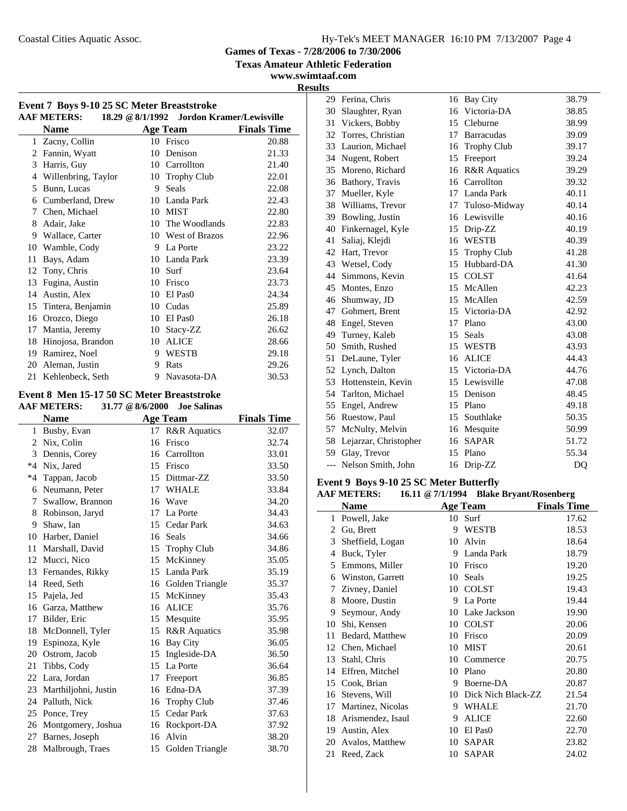**Texas Amateur Athletic Federation**

**www.swimtaaf.com**

| <b>AAF METERS:</b><br>18.29 @ 8/1/1992 Jordon Kramer/Lewisville |                     |    |                     |                    |  |
|-----------------------------------------------------------------|---------------------|----|---------------------|--------------------|--|
|                                                                 | <b>Name</b>         |    | <b>Age Team</b>     | <b>Finals Time</b> |  |
|                                                                 | 1 Zacny, Collin     |    | 10 Frisco           | 20.88              |  |
| 2                                                               | Fannin, Wyatt       | 10 | Denison             | 21.33              |  |
| 3                                                               | Harris, Guy         |    | 10 Carrollton       | 21.40              |  |
| $\overline{4}$                                                  | Willenbring, Taylor | 10 | <b>Trophy Club</b>  | 22.01              |  |
| 5                                                               | Bunn, Lucas         | 9  | <b>Seals</b>        | 22.08              |  |
| 6                                                               | Cumberland, Drew    |    | 10 Landa Park       | 22.43              |  |
| 7                                                               | Chen, Michael       |    | 10 MIST             | 22.80              |  |
| 8                                                               | Adair, Jake         |    | 10 The Woodlands    | 22.83              |  |
| 9                                                               | Wallace, Carter     |    | 10 West of Brazos   | 22.96              |  |
| 10                                                              | Wamble, Cody        | 9  | La Porte            | 23.22              |  |
| 11                                                              | Bays, Adam          |    | 10 Landa Park       | 23.39              |  |
| 12                                                              | Tony, Chris         | 10 | Surf                | 23.64              |  |
| 13                                                              | Fugina, Austin      | 10 | Frisco              | 23.73              |  |
| 14                                                              | Austin, Alex        | 10 | El Pas <sub>0</sub> | 24.34              |  |
| 15                                                              | Tintera, Benjamin   | 10 | Cudas               | 25.89              |  |
| 16                                                              | Orozco, Diego       | 10 | El Pas <sub>0</sub> | 26.18              |  |
| 17                                                              | Mantia, Jeremy      | 10 | Stacy-ZZ            | 26.62              |  |
| 18                                                              | Hinojosa, Brandon   | 10 | <b>ALICE</b>        | 28.66              |  |
| 19                                                              | Ramirez, Noel       | 9  | <b>WESTB</b>        | 29.18              |  |
| 20                                                              | Aleman, Justin      | 9  | Rats                | 29.26              |  |
| 21                                                              | Kehlenbeck, Seth    | 9  | Navasota-DA         | 30.53              |  |

### **Event 8 Men 15-17 50 SC Meter Breaststroke**

|              | 31.77 @ 8/6/2000<br><b>AAF METERS:</b><br><b>Joe Salinas</b> |                    |                         |       |  |  |  |
|--------------|--------------------------------------------------------------|--------------------|-------------------------|-------|--|--|--|
|              | <b>Name</b>                                                  | <b>Finals Time</b> |                         |       |  |  |  |
| $\mathbf{1}$ | Busby, Evan                                                  |                    | 17 R&R Aquatics         | 32.07 |  |  |  |
| 2            | Nix, Colin                                                   | 16                 | Frisco                  | 32.74 |  |  |  |
| 3            | Dennis, Corey                                                |                    | 16 Carrollton           | 33.01 |  |  |  |
| $*4$         | Nix, Jared                                                   | 15                 | Frisco                  | 33.50 |  |  |  |
| $*4$         | Tappan, Jacob                                                |                    | 15 Dittmar-ZZ           | 33.50 |  |  |  |
| 6            | Neumann, Peter                                               | 17                 | <b>WHALE</b>            | 33.84 |  |  |  |
| 7            | Swallow, Brannon                                             | 16                 | Wave                    | 34.20 |  |  |  |
| 8            | Robinson, Jaryd                                              | 17                 | La Porte                | 34.43 |  |  |  |
| 9            | Shaw, Ian                                                    |                    | 15 Cedar Park           | 34.63 |  |  |  |
| 10           | Harber, Daniel                                               | 16                 | Seals                   | 34.66 |  |  |  |
| 11           | Marshall, David                                              | 15                 | <b>Trophy Club</b>      | 34.86 |  |  |  |
| 12           | Mucci, Nico                                                  | 15                 | McKinney                | 35.05 |  |  |  |
| 13           | Fernandes, Rikky                                             |                    | 15 Landa Park           | 35.19 |  |  |  |
| 14           | Reed, Seth                                                   | 16                 | Golden Triangle         | 35.37 |  |  |  |
| 15           | Pajela, Jed                                                  | 15                 | McKinney                | 35.43 |  |  |  |
| 16           | Garza, Matthew                                               | 16                 | <b>ALICE</b>            | 35.76 |  |  |  |
| 17           | Bilder, Eric                                                 | 15                 | Mesquite                | 35.95 |  |  |  |
| 18           | McDonnell, Tyler                                             | 15                 | <b>R&amp;R</b> Aquatics | 35.98 |  |  |  |
| 19           | Espinoza, Kyle                                               | 16                 | <b>Bay City</b>         | 36.05 |  |  |  |
| 20           | Ostrom, Jacob                                                | 15                 | Ingleside-DA            | 36.50 |  |  |  |
| 21           | Tibbs, Cody                                                  | 15                 | La Porte                | 36.64 |  |  |  |
| 22           | Lara, Jordan                                                 | 17                 | Freeport                | 36.85 |  |  |  |
| 23           | Marthiljohni, Justin                                         | 16                 | Edna-DA                 | 37.39 |  |  |  |
| 24           | Palluth, Nick                                                | 16                 | <b>Trophy Club</b>      | 37.46 |  |  |  |
| 25           | Ponce, Trey                                                  | 15                 | Cedar Park              | 37.63 |  |  |  |
| 26           | Montgomery, Joshua                                           | 16                 | Rockport-DA             | 37.92 |  |  |  |
| 27           | Barnes, Joseph                                               | 16                 | Alvin                   | 38.20 |  |  |  |
| 28           | Malbrough, Traes                                             | 15                 | Golden Triangle         | 38.70 |  |  |  |
|              |                                                              |                    |                         |       |  |  |  |

|    | 29 Ferina, Chris         | 16 | <b>Bay City</b>         | 38.79          |
|----|--------------------------|----|-------------------------|----------------|
| 30 | Slaughter, Ryan          | 16 | Victoria-DA             | 38.85          |
| 31 | Vickers, Bobby           |    | 15 Cleburne             | 38.99          |
| 32 | Torres, Christian        | 17 | <b>Barracudas</b>       | 39.09          |
|    | 33 Laurion, Michael      |    | 16 Trophy Club          | 39.17          |
| 34 | Nugent, Robert           | 15 | Freeport                | 39.24          |
| 35 | Moreno, Richard          | 16 | <b>R&amp;R</b> Aquatics | 39.29          |
|    | 36 Bathory, Travis       |    | 16 Carrollton           | 39.32          |
| 37 | Mueller, Kyle            |    | 17 Landa Park           | 40.11          |
| 38 | Williams, Trevor         | 17 | Tuloso-Midway           | 40.14          |
| 39 | Bowling, Justin          |    | 16 Lewisville           | 40.16          |
|    | 40 Finkernagel, Kyle     |    | 15 Drip-ZZ              | 40.19          |
| 41 | Saliaj, Klejdi           | 16 | <b>WESTB</b>            | 40.39          |
| 42 | Hart, Trevor             |    | 15 Trophy Club          | 41.28          |
|    | 43 Wetsel, Cody          |    | 15 Hubbard-DA           | 41.30          |
| 44 | Simmons, Kevin           | 15 | <b>COLST</b>            | 41.64          |
|    | 45 Montes, Enzo          |    | 15 McAllen              | 42.23          |
|    | 46 Shumway, JD           |    | 15 McAllen              | 42.59          |
| 47 | Gohmert, Brent           |    | 15 Victoria-DA          | 42.92          |
|    | 48 Engel, Steven         |    | 17 Plano                | 43.00          |
| 49 | Turney, Kaleb            |    | 15 Seals                | 43.08          |
| 50 | Smith, Rushed            | 15 | <b>WESTB</b>            | 43.93          |
| 51 | DeLaune, Tyler           |    | 16 ALICE                | 44.43          |
|    | 52 Lynch, Dalton         |    | 15 Victoria-DA          | 44.76          |
| 53 | Hottenstein, Kevin       |    | 15 Lewisville           | 47.08          |
|    | 54 Tarlton, Michael      |    | 15 Denison              | 48.45          |
| 55 | Engel, Andrew            |    | 15 Plano                | 49.18          |
| 56 | Ruestow, Paul            | 15 | Southlake               | 50.35          |
| 57 | McNulty, Melvin          |    | 16 Mesquite             | 50.99          |
|    | 58 Lejarzar, Christopher | 16 | <b>SAPAR</b>            | 51.72          |
| 59 | Glay, Trevor             | 15 | Plano                   | 55.34          |
|    | --- Nelson Smith, John   | 16 | Drip-ZZ                 | D <sub>O</sub> |

### **Event 9 Boys 9-10 25 SC Meter Butterfly**

### **AAF METERS: 16.11 @7/1/1994 Blake Bryant/Rosenberg**

|    | Name              |    | <b>Age Team</b>     | <b>Finals Time</b> |
|----|-------------------|----|---------------------|--------------------|
| 1  | Powell, Jake      |    | 10 Surf             | 17.62              |
| 2  | Gu, Brett         | 9  | WESTB               | 18.53              |
| 3  | Sheffield, Logan  | 10 | Alvin               | 18.64              |
| 4  | Buck, Tyler       | 9  | Landa Park          | 18.79              |
| 5  | Emmons, Miller    | 10 | Frisco              | 19.20              |
| 6  | Winston, Garrett  | 10 | Seals               | 19.25              |
| 7  | Zivney, Daniel    | 10 | <b>COLST</b>        | 19.43              |
| 8  | Moore, Dustin     | 9  | La Porte            | 19.44              |
| 9  | Seymour, Andy     | 10 | Lake Jackson        | 19.90              |
| 10 | Shi, Kensen       | 10 | <b>COLST</b>        | 20.06              |
| 11 | Bedard, Matthew   | 10 | Frisco              | 20.09              |
| 12 | Chen, Michael     | 10 | <b>MIST</b>         | 20.61              |
| 13 | Stahl, Chris      | 10 | Commerce            | 20.75              |
| 14 | Effren, Mitchel   | 10 | Plano               | 20.80              |
| 15 | Cook, Brian       | 9  | Boerne-DA           | 20.87              |
| 16 | Stevens, Will     | 10 | Dick Nich Black-ZZ  | 21.54              |
| 17 | Martinez, Nicolas | 9  | <b>WHALE</b>        | 21.70              |
| 18 | Arismendez, Isaul | 9  | <b>ALICE</b>        | 22.60              |
| 19 | Austin, Alex      | 10 | El Pas <sub>0</sub> | 22.70              |
| 20 | Avalos, Matthew   | 10 | <b>SAPAR</b>        | 23.82              |
| 21 | Reed, Zack        | 10 | <b>SAPAR</b>        | 24.02              |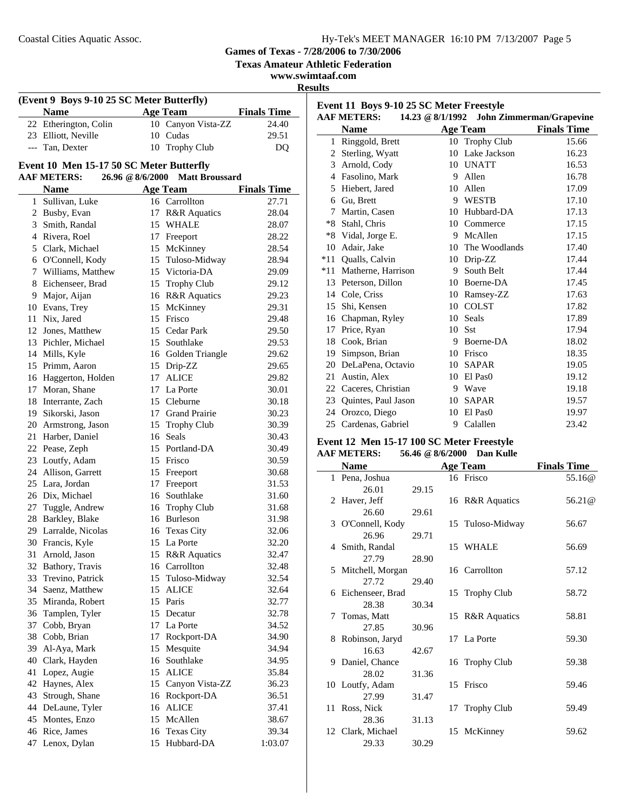**Texas Amateur Athletic Federation**

**www.swimtaaf.com**

**Results**

| (Event 9 Boys 9-10 25 SC Meter Butterfly) |                                          |                 |                                 |                    |  |
|-------------------------------------------|------------------------------------------|-----------------|---------------------------------|--------------------|--|
|                                           | <b>Name</b>                              | <b>Age Team</b> |                                 | <b>Finals Time</b> |  |
| 22                                        | Etherington, Colin                       |                 | 10 Canyon Vista-ZZ              | 24.40              |  |
|                                           | 23 Elliott, Neville                      |                 | 10 Cudas                        | 29.51              |  |
|                                           | --- Tan, Dexter                          | 10              | <b>Trophy Club</b>              | DQ                 |  |
|                                           | Event 10 Men 15-17 50 SC Meter Butterfly |                 |                                 |                    |  |
|                                           | <b>AAF METERS:</b>                       |                 | 26.96 @ 8/6/2000 Matt Broussard |                    |  |
|                                           | <b>Name</b>                              |                 | <b>Age Team</b>                 | <b>Finals Time</b> |  |
|                                           | 1 Sullivan, Luke                         |                 | 16 Carrollton                   | 27.71              |  |
|                                           | 2 Busby, Evan                            |                 | 17 R&R Aquatics                 | 28.04              |  |
|                                           | 3 Smith, Randal                          |                 | 15 WHALE                        | 28.07              |  |
|                                           | 4 Rivera, Roel                           |                 | 17 Freeport                     | 28.22              |  |
|                                           | 5 Clark, Michael                         |                 | 15 McKinney                     | 28.54              |  |
|                                           | 6 O'Connell, Kody                        |                 | 15 Tuloso-Midway                | 28.94              |  |
|                                           | 7 Williams, Matthew                      |                 | 15 Victoria-DA                  | 29.09              |  |
|                                           | 8 Eichenseer, Brad                       |                 | 15 Trophy Club                  | 29.12              |  |
|                                           | 9 Major, Aijan                           |                 | 16 R&R Aquatics                 | 29.23              |  |
|                                           | 10 Evans, Trey                           |                 | 15 McKinney                     | 29.31              |  |
|                                           | 11 Nix, Jared                            |                 | 15 Frisco                       | 29.48              |  |
|                                           | 12 Jones, Matthew                        |                 | 15 Cedar Park                   | 29.50              |  |
|                                           | 13 Pichler, Michael                      |                 | 15 Southlake                    | 29.53              |  |
|                                           | 14 Mills, Kyle                           |                 | 16 Golden Triangle              | 29.62              |  |
|                                           | 15 Primm, Aaron                          |                 | 15 Drip-ZZ                      | 29.65              |  |
|                                           | 16 Haggerton, Holden                     |                 | 17 ALICE                        | 29.82              |  |
|                                           | 17 Moran, Shane                          |                 | 17 La Porte                     | 30.01              |  |
|                                           | 18 Interrante, Zach                      |                 | 15 Cleburne                     | 30.18              |  |
|                                           | 19 Sikorski, Jason                       |                 | 17 Grand Prairie                | 30.23              |  |
|                                           | 20 Armstrong, Jason                      |                 | 15 Trophy Club                  | 30.39              |  |
|                                           | 21 Harber, Daniel                        |                 | 16 Seals                        | 30.43              |  |
|                                           | 22 Pease, Zeph                           |                 | 15 Portland-DA                  | 30.49              |  |
|                                           | 23 Loutfy, Adam                          |                 | 15 Frisco                       | 30.59              |  |
|                                           | 24 Allison, Garrett                      |                 | 15 Freeport                     | 30.68              |  |
|                                           | 25 Lara, Jordan                          |                 | 17 Freeport                     | 31.53              |  |
|                                           | 26 Dix, Michael                          |                 | 16 Southlake                    | 31.60              |  |
|                                           | 27 Tuggle, Andrew                        |                 | 16 Trophy Club                  | 31.68              |  |
|                                           | 28 Barkley, Blake                        |                 | 16 Burleson                     | 31.98              |  |
|                                           | 29 Larralde, Nicolas                     |                 | 16 Texas City                   | 32.06              |  |
|                                           | 30 Francis, Kyle                         |                 | 15 La Porte                     | 32.20              |  |
| 31                                        | Arnold, Jason                            | 15              | <b>R&amp;R</b> Aquatics         | 32.47              |  |
| 32                                        | Bathory, Travis                          | 16              | Carrollton                      | 32.48              |  |
| 33                                        | Trevino, Patrick                         | 15              | Tuloso-Midway                   | 32.54              |  |
| 34                                        | Saenz, Matthew                           | 15              | <b>ALICE</b>                    | 32.64              |  |
| 35                                        | Miranda, Robert                          |                 | 15 Paris                        | 32.77              |  |
| 36                                        | Tamplen, Tyler                           | 15              | Decatur                         | 32.78              |  |
| 37                                        | Cobb, Bryan                              | 17              | La Porte                        | 34.52              |  |
| 38                                        | Cobb, Brian                              | 17              | Rockport-DA                     | 34.90              |  |
| 39                                        | Al-Aya, Mark                             | 15              | Mesquite                        | 34.94              |  |
| 40                                        | Clark, Hayden                            | 16              | Southlake                       | 34.95              |  |
| 41                                        | Lopez, Augie                             | 15              | <b>ALICE</b>                    | 35.84              |  |
| 42                                        | Haynes, Alex                             | 15              | Canyon Vista-ZZ                 | 36.23              |  |
| 43                                        | Strough, Shane                           | 16              | Rockport-DA                     | 36.51              |  |
| 44                                        | DeLaune, Tyler                           | 16              | <b>ALICE</b>                    | 37.41              |  |
| 45                                        | Montes, Enzo                             | 15              | McAllen                         | 38.67              |  |
| 46                                        | Rice, James                              | 16              | <b>Texas City</b>               | 39.34              |  |
| 47                                        | Lenox, Dylan                             | 15              | Hubbard-DA                      | 1:03.07            |  |

| Event 11 Boys 9-10 25 SC Meter Freestyle |                        |                  |                     |                                 |  |  |
|------------------------------------------|------------------------|------------------|---------------------|---------------------------------|--|--|
|                                          | <b>AAF METERS:</b>     | 14.23 @ 8/1/1992 |                     | <b>John Zimmerman/Grapevine</b> |  |  |
|                                          | <b>Name</b>            |                  | <b>Age Team</b>     | <b>Finals Time</b>              |  |  |
| $\mathbf{1}$                             | Ringgold, Brett        |                  | 10 Trophy Club      | 15.66                           |  |  |
| 2                                        | Sterling, Wyatt        | 10               | Lake Jackson        | 16.23                           |  |  |
| 3                                        | Arnold, Cody           |                  | 10 UNATT            | 16.53                           |  |  |
| 4                                        | Fasolino, Mark         | 9                | Allen               | 16.78                           |  |  |
| 5                                        | Hiebert, Jared         | 10               | Allen               | 17.09                           |  |  |
| 6                                        | Gu, Brett              | 9                | WESTB               | 17.10                           |  |  |
| 7                                        | Martin, Casen          | 10               | Hubbard-DA          | 17.13                           |  |  |
| $*8$                                     | Stahl, Chris           | 10               | Commerce            | 17.15                           |  |  |
|                                          | *8 Vidal, Jorge E.     | 9                | McAllen             | 17.15                           |  |  |
|                                          | 10 Adair, Jake         |                  | 10 The Woodlands    | 17.40                           |  |  |
| $*11$                                    | <b>Oualls</b> , Calvin | 10               | Drip-ZZ             | 17.44                           |  |  |
| $*11$                                    | Matherne, Harrison     | 9                | South Belt          | 17.44                           |  |  |
| 13                                       | Peterson, Dillon       | 10               | Boerne-DA           | 17.45                           |  |  |
|                                          | 14 Cole, Criss         | 10               | Ramsey-ZZ           | 17.63                           |  |  |
|                                          | 15 Shi, Kensen         |                  | 10 COLST            | 17.82                           |  |  |
| 16                                       | Chapman, Ryley         | 10               | <b>Seals</b>        | 17.89                           |  |  |
| 17                                       | Price, Ryan            | 10               | <b>Sst</b>          | 17.94                           |  |  |
| 18                                       | Cook, Brian            | 9                | Boerne-DA           | 18.02                           |  |  |
| 19                                       | Simpson, Brian         | 10               | Frisco              | 18.35                           |  |  |
| 20                                       | DeLaPena, Octavio      | 10               | <b>SAPAR</b>        | 19.05                           |  |  |
| 21                                       | Austin, Alex           | 10               | El Pas <sub>0</sub> | 19.12                           |  |  |
|                                          | 22 Caceres, Christian  | 9                | Wave                | 19.18                           |  |  |
|                                          | 23 Ouintes, Paul Jason | 10               | <b>SAPAR</b>        | 19.57                           |  |  |
| 24                                       | Orozco, Diego          | 10               | El Pas <sub>0</sub> | 19.97                           |  |  |
|                                          | 25 Cardenas, Gabriel   | 9                | Calallen            | 23.42                           |  |  |

#### **Event 12 Men 15-17 100 SC Meter Freestyle AAF METERS: 56.46 @8/6/2000 Dan Kulle**

| AAF MEILING. |                    | $50.40 \times 0.02000$ Dan Kune |  |                  |                      |
|--------------|--------------------|---------------------------------|--|------------------|----------------------|
|              | <b>Name</b>        |                                 |  | <b>Age Team</b>  | <b>Finals Time</b>   |
|              | 1 Pena, Joshua     |                                 |  | 16 Frisco        | 55.16@               |
|              | 26.01              | 29.15                           |  |                  |                      |
|              | 2 Haver, Jeff      |                                 |  | 16 R&R Aquatics  | 56.21 <sup>(a)</sup> |
|              | 26.60              | 29.61                           |  |                  |                      |
|              | 3 O'Connell, Kody  |                                 |  | 15 Tuloso-Midway | 56.67                |
|              | 26.96              | 29.71                           |  |                  |                      |
|              | 4 Smith, Randal    |                                 |  | 15 WHALE         | 56.69                |
|              | 27.79              | 28.90                           |  |                  |                      |
|              | 5 Mitchell, Morgan |                                 |  | 16 Carrollton    | 57.12                |
|              | 27.72              | 29.40                           |  |                  |                      |
|              | 6 Eichenseer, Brad |                                 |  | 15 Trophy Club   | 58.72                |
|              | 28.38              | 30.34                           |  |                  |                      |
|              | 7 Tomas, Matt      |                                 |  | 15 R&R Aquatics  | 58.81                |
|              | 27.85              | 30.96                           |  |                  |                      |
|              | 8 Robinson, Jaryd  |                                 |  | 17 La Porte      | 59.30                |
|              | 16.63              | 42.67                           |  |                  |                      |
|              | 9 Daniel, Chance   |                                 |  | 16 Trophy Club   | 59.38                |
|              | 28.02              | 31.36                           |  |                  |                      |
|              | 10 Loutfy, Adam    |                                 |  | 15 Frisco        | 59.46                |
|              | 27.99              | 31.47                           |  |                  |                      |
|              | 11 Ross, Nick      |                                 |  | 17 Trophy Club   | 59.49                |
|              | 28.36              | 31.13                           |  |                  |                      |
|              | 12 Clark, Michael  |                                 |  | 15 McKinney      | 59.62                |
|              | 29.33              | 30.29                           |  |                  |                      |
|              |                    |                                 |  |                  |                      |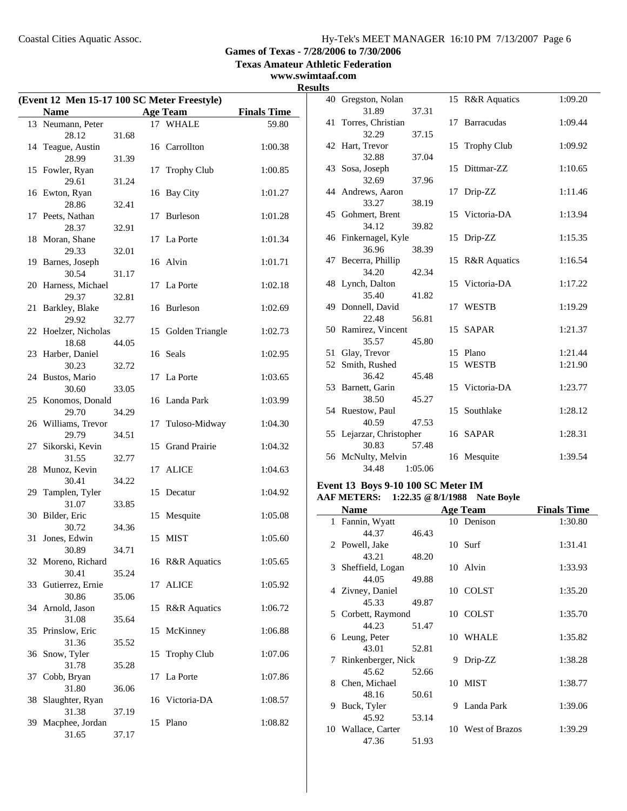**Texas Amateur Athletic Federation**

### **www.swimtaaf.com**

| (Event 12 Men 15-17 100 SC Meter Freestyle) |                               |       |    |                         |                    |  |
|---------------------------------------------|-------------------------------|-------|----|-------------------------|--------------------|--|
|                                             |                               |       |    | <b>Age Team</b>         |                    |  |
|                                             | Name                          |       |    |                         | <b>Finals Time</b> |  |
|                                             | 13 Neumann, Peter<br>28.12    | 31.68 |    | 17 WHALE                | 59.80              |  |
|                                             | 14 Teague, Austin<br>28.99    |       |    | 16 Carrollton           | 1:00.38            |  |
|                                             | 15 Fowler, Ryan               | 31.39 | 17 | <b>Trophy Club</b>      | 1:00.85            |  |
|                                             | 29.61<br>16 Ewton, Ryan       | 31.24 | 16 | <b>Bay City</b>         | 1:01.27            |  |
|                                             | 28.86<br>17 Peets, Nathan     | 32.41 | 17 | <b>Burleson</b>         | 1:01.28            |  |
|                                             | 28.37                         | 32.91 |    |                         |                    |  |
|                                             | 18 Moran, Shane<br>29.33      | 32.01 |    | 17 La Porte             | 1:01.34            |  |
|                                             | 19 Barnes, Joseph<br>30.54    | 31.17 |    | 16 Alvin                | 1:01.71            |  |
|                                             | 20 Harness, Michael<br>29.37  | 32.81 |    | 17 La Porte             | 1:02.18            |  |
| 21                                          | Barkley, Blake                |       |    | 16 Burleson             | 1:02.69            |  |
|                                             | 29.92<br>22 Hoelzer, Nicholas | 32.77 | 15 | Golden Triangle         | 1:02.73            |  |
|                                             | 18.68<br>23 Harber, Daniel    | 44.05 |    | 16 Seals                | 1:02.95            |  |
|                                             | 30.23<br>24 Bustos, Mario     | 32.72 | 17 | La Porte                | 1:03.65            |  |
|                                             | 30.60                         | 33.05 |    |                         |                    |  |
|                                             | 25 Konomos, Donald<br>29.70   | 34.29 |    | 16 Landa Park           | 1:03.99            |  |
|                                             | 26 Williams, Trevor<br>29.79  | 34.51 | 17 | Tuloso-Midway           | 1:04.30            |  |
| 27                                          | Sikorski, Kevin<br>31.55      | 32.77 | 15 | <b>Grand Prairie</b>    | 1:04.32            |  |
| 28                                          | Munoz, Kevin                  |       | 17 | ALICE                   | 1:04.63            |  |
| 29                                          | 30.41<br>Tamplen, Tyler       | 34.22 | 15 | Decatur                 | 1:04.92            |  |
|                                             | 31.07<br>30 Bilder, Eric      | 33.85 | 15 | Mesquite                | 1:05.08            |  |
| 31                                          | 30.72<br>Jones, Edwin         | 34.36 |    | 15 MIST                 | 1:05.60            |  |
|                                             | 30.89                         | 34.71 |    |                         |                    |  |
|                                             | 32 Moreno, Richard<br>30.41   | 35.24 |    | 16 R&R Aquatics         | 1:05.65            |  |
|                                             | 33 Gutierrez, Ernie<br>30.86  | 35.06 | 17 | <b>ALICE</b>            | 1:05.92            |  |
|                                             | 34 Arnold, Jason<br>31.08     | 35.64 | 15 | <b>R&amp;R</b> Aquatics | 1:06.72            |  |
|                                             | 35 Prinslow, Eric             |       | 15 | McKinney                | 1:06.88            |  |
| 36                                          | 31.36<br>Snow, Tyler          | 35.52 | 15 | <b>Trophy Club</b>      | 1:07.06            |  |
| 37                                          | 31.78<br>Cobb, Bryan          | 35.28 | 17 | La Porte                | 1:07.86            |  |
| 38                                          | 31.80<br>Slaughter, Ryan      | 36.06 |    | 16 Victoria-DA          | 1:08.57            |  |
| 39                                          | 31.38<br>Macphee, Jordan      | 37.19 |    | 15 Plano                | 1:08.82            |  |
|                                             | 31.65                         | 37.17 |    |                         |                    |  |

| 15 R&R Aquatics<br>40 Gregston, Nolan<br>31.89<br>37.31<br>41 Torres, Christian<br>17 Barracudas<br>32.29<br>37.15<br>42 Hart, Trevor<br>15 Trophy Club<br>32.88<br>37.04<br>43 Sosa, Joseph<br>Dittmar-ZZ<br>15<br>32.69<br>37.96<br>44 Andrews, Aaron<br>17 Drip-ZZ<br>33.27<br>38.19<br>45 Gohmert, Brent<br>15 Victoria-DA<br>34.12<br>39.82<br>46 Finkernagel, Kyle<br>1:15.35<br>15 Drip-ZZ<br>36.96<br>38.39<br>47 Becerra, Phillip<br>15 R&R Aquatics<br>1:16.54<br>42.34<br>34.20<br>48 Lynch, Dalton<br>15 Victoria-DA<br>1:17.22<br>35.40<br>41.82<br>49 Donnell, David<br>1:19.29<br>17 WESTB<br>22.48<br>56.81<br>50 Ramirez, Vincent<br>15 SAPAR<br>1:21.37<br>35.57<br>45.80<br>51 Glay, Trevor<br>1:21.44<br>15 Plano<br>52 Smith, Rushed<br>1:21.90<br>15<br>WESTB<br>36.42<br>45.48<br>15 Victoria-DA<br>53 Barnett, Garin<br>1:23.77<br>38.50<br>45.27<br>54 Ruestow, Paul<br>15 Southlake<br>1:28.12<br>40.59<br>47.53<br>55 Lejarzar, Christopher<br>16 SAPAR<br>1:28.31<br>30.83<br>57.48 | <b>Results</b> |  |  |         |
|-----------------------------------------------------------------------------------------------------------------------------------------------------------------------------------------------------------------------------------------------------------------------------------------------------------------------------------------------------------------------------------------------------------------------------------------------------------------------------------------------------------------------------------------------------------------------------------------------------------------------------------------------------------------------------------------------------------------------------------------------------------------------------------------------------------------------------------------------------------------------------------------------------------------------------------------------------------------------------------------------------------------|----------------|--|--|---------|
|                                                                                                                                                                                                                                                                                                                                                                                                                                                                                                                                                                                                                                                                                                                                                                                                                                                                                                                                                                                                                 |                |  |  | 1:09.20 |
|                                                                                                                                                                                                                                                                                                                                                                                                                                                                                                                                                                                                                                                                                                                                                                                                                                                                                                                                                                                                                 |                |  |  |         |
|                                                                                                                                                                                                                                                                                                                                                                                                                                                                                                                                                                                                                                                                                                                                                                                                                                                                                                                                                                                                                 |                |  |  | 1:09.44 |
|                                                                                                                                                                                                                                                                                                                                                                                                                                                                                                                                                                                                                                                                                                                                                                                                                                                                                                                                                                                                                 |                |  |  |         |
|                                                                                                                                                                                                                                                                                                                                                                                                                                                                                                                                                                                                                                                                                                                                                                                                                                                                                                                                                                                                                 |                |  |  | 1:09.92 |
|                                                                                                                                                                                                                                                                                                                                                                                                                                                                                                                                                                                                                                                                                                                                                                                                                                                                                                                                                                                                                 |                |  |  |         |
|                                                                                                                                                                                                                                                                                                                                                                                                                                                                                                                                                                                                                                                                                                                                                                                                                                                                                                                                                                                                                 |                |  |  | 1:10.65 |
|                                                                                                                                                                                                                                                                                                                                                                                                                                                                                                                                                                                                                                                                                                                                                                                                                                                                                                                                                                                                                 |                |  |  |         |
|                                                                                                                                                                                                                                                                                                                                                                                                                                                                                                                                                                                                                                                                                                                                                                                                                                                                                                                                                                                                                 |                |  |  | 1:11.46 |
|                                                                                                                                                                                                                                                                                                                                                                                                                                                                                                                                                                                                                                                                                                                                                                                                                                                                                                                                                                                                                 |                |  |  |         |
|                                                                                                                                                                                                                                                                                                                                                                                                                                                                                                                                                                                                                                                                                                                                                                                                                                                                                                                                                                                                                 |                |  |  | 1:13.94 |
|                                                                                                                                                                                                                                                                                                                                                                                                                                                                                                                                                                                                                                                                                                                                                                                                                                                                                                                                                                                                                 |                |  |  |         |
|                                                                                                                                                                                                                                                                                                                                                                                                                                                                                                                                                                                                                                                                                                                                                                                                                                                                                                                                                                                                                 |                |  |  |         |
|                                                                                                                                                                                                                                                                                                                                                                                                                                                                                                                                                                                                                                                                                                                                                                                                                                                                                                                                                                                                                 |                |  |  |         |
|                                                                                                                                                                                                                                                                                                                                                                                                                                                                                                                                                                                                                                                                                                                                                                                                                                                                                                                                                                                                                 |                |  |  |         |
|                                                                                                                                                                                                                                                                                                                                                                                                                                                                                                                                                                                                                                                                                                                                                                                                                                                                                                                                                                                                                 |                |  |  |         |
|                                                                                                                                                                                                                                                                                                                                                                                                                                                                                                                                                                                                                                                                                                                                                                                                                                                                                                                                                                                                                 |                |  |  |         |
|                                                                                                                                                                                                                                                                                                                                                                                                                                                                                                                                                                                                                                                                                                                                                                                                                                                                                                                                                                                                                 |                |  |  |         |
|                                                                                                                                                                                                                                                                                                                                                                                                                                                                                                                                                                                                                                                                                                                                                                                                                                                                                                                                                                                                                 |                |  |  |         |
|                                                                                                                                                                                                                                                                                                                                                                                                                                                                                                                                                                                                                                                                                                                                                                                                                                                                                                                                                                                                                 |                |  |  |         |
|                                                                                                                                                                                                                                                                                                                                                                                                                                                                                                                                                                                                                                                                                                                                                                                                                                                                                                                                                                                                                 |                |  |  |         |
|                                                                                                                                                                                                                                                                                                                                                                                                                                                                                                                                                                                                                                                                                                                                                                                                                                                                                                                                                                                                                 |                |  |  |         |
|                                                                                                                                                                                                                                                                                                                                                                                                                                                                                                                                                                                                                                                                                                                                                                                                                                                                                                                                                                                                                 |                |  |  |         |
|                                                                                                                                                                                                                                                                                                                                                                                                                                                                                                                                                                                                                                                                                                                                                                                                                                                                                                                                                                                                                 |                |  |  |         |
|                                                                                                                                                                                                                                                                                                                                                                                                                                                                                                                                                                                                                                                                                                                                                                                                                                                                                                                                                                                                                 |                |  |  |         |
|                                                                                                                                                                                                                                                                                                                                                                                                                                                                                                                                                                                                                                                                                                                                                                                                                                                                                                                                                                                                                 |                |  |  |         |
|                                                                                                                                                                                                                                                                                                                                                                                                                                                                                                                                                                                                                                                                                                                                                                                                                                                                                                                                                                                                                 |                |  |  |         |
|                                                                                                                                                                                                                                                                                                                                                                                                                                                                                                                                                                                                                                                                                                                                                                                                                                                                                                                                                                                                                 |                |  |  |         |
|                                                                                                                                                                                                                                                                                                                                                                                                                                                                                                                                                                                                                                                                                                                                                                                                                                                                                                                                                                                                                 |                |  |  |         |
|                                                                                                                                                                                                                                                                                                                                                                                                                                                                                                                                                                                                                                                                                                                                                                                                                                                                                                                                                                                                                 |                |  |  |         |
| 56 McNulty, Melvin<br>16 Mesquite                                                                                                                                                                                                                                                                                                                                                                                                                                                                                                                                                                                                                                                                                                                                                                                                                                                                                                                                                                               |                |  |  | 1:39.54 |
| 34.48<br>1:05.06                                                                                                                                                                                                                                                                                                                                                                                                                                                                                                                                                                                                                                                                                                                                                                                                                                                                                                                                                                                                |                |  |  |         |

### **Event 13 Boys 9-10 100 SC Meter IM**

```
AAF METERS: 1:22.35 @8/1/1988 Nate Boyle
```

|    | Name                 |       |   | <b>Age Team</b>   | <b>Finals Time</b> |
|----|----------------------|-------|---|-------------------|--------------------|
|    | 1 Fannin, Wyatt      |       |   | 10 Denison        | 1:30.80            |
|    | 44.37                | 46.43 |   |                   |                    |
|    | 2 Powell, Jake       |       |   | $10$ Surf         | 1:31.41            |
|    | 43.21                | 48.20 |   |                   |                    |
|    | 3 Sheffield, Logan   |       |   | 10 Alvin          | 1:33.93            |
|    | 44.05                | 49.88 |   |                   |                    |
|    | 4 Zivney, Daniel     |       |   | 10 COLST          | 1:35.20            |
|    | 45.33                | 49.87 |   |                   |                    |
|    | 5 Corbett, Raymond   |       |   | 10 COLST          | 1:35.70            |
|    | 44.23                | 51.47 |   |                   |                    |
|    | 6 Leung, Peter       |       |   | 10 WHALE          | 1:35.82            |
|    | 43.01                | 52.81 |   |                   |                    |
|    | 7 Rinkenberger, Nick |       | 9 | Drip-ZZ           | 1:38.28            |
|    | 45.62                | 52.66 |   |                   |                    |
|    | 8 Chen, Michael      |       |   | 10 MIST           | 1:38.77            |
|    | 48.16                | 50.61 |   |                   |                    |
| 9. | Buck, Tyler          |       | 9 | Landa Park        | 1:39.06            |
|    | 45.92                | 53.14 |   |                   |                    |
|    | 10 Wallace, Carter   |       |   | 10 West of Brazos | 1:39.29            |
|    | 47.36                | 51.93 |   |                   |                    |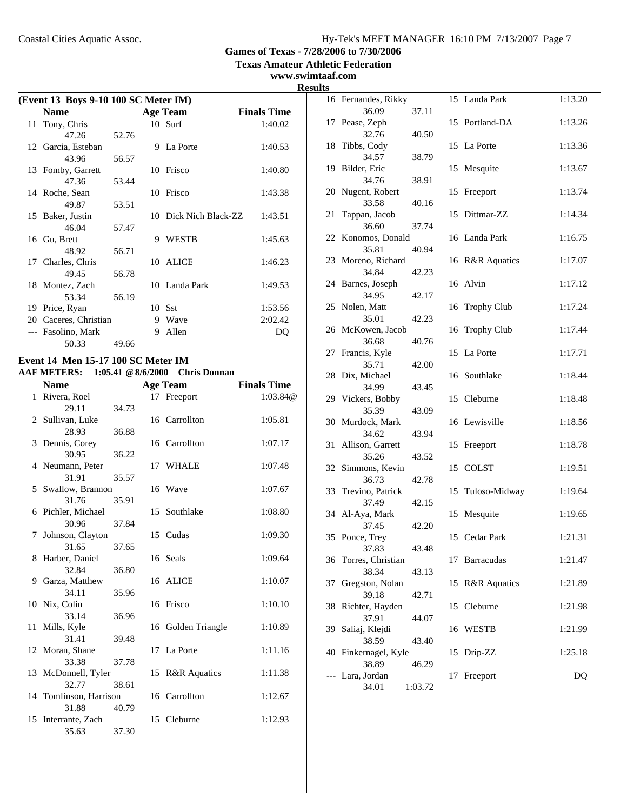**Texas Amateur Athletic Federation**

**www.swimtaaf.com**

|    | (Event 13 Boys 9-10 100 SC Meter IM) |       |   |                       |                    |  |
|----|--------------------------------------|-------|---|-----------------------|--------------------|--|
|    | <b>Name</b>                          |       |   | <b>Age Team</b>       | <b>Finals Time</b> |  |
|    | 11 Tony, Chris                       |       |   | $10$ Surf             | 1:40.02            |  |
|    | 47.26                                | 52.76 |   |                       |                    |  |
|    | 12 Garcia, Esteban                   |       | 9 | La Porte              | 1:40.53            |  |
|    | 43.96                                | 56.57 |   |                       |                    |  |
|    | 13 Fomby, Garrett                    |       |   | 10 Frisco             | 1:40.80            |  |
|    | 47.36                                | 53.44 |   |                       |                    |  |
|    | 14 Roche, Sean                       |       |   | 10 Frisco             | 1:43.38            |  |
|    | 49.87                                | 53.51 |   |                       |                    |  |
|    | 15 Baker, Justin                     |       |   | 10 Dick Nich Black-ZZ | 1:43.51            |  |
|    | 46.04                                | 57.47 |   |                       |                    |  |
|    | 16 Gu, Brett                         |       | 9 | WESTB                 | 1:45.63            |  |
|    | 48.92                                | 56.71 |   |                       |                    |  |
|    | 17 Charles, Chris                    |       |   | 10 ALICE              | 1:46.23            |  |
|    | 49.45                                | 56.78 |   |                       |                    |  |
|    | 18 Montez, Zach                      |       |   | 10 Landa Park         | 1:49.53            |  |
|    | 53.34                                | 56.19 |   |                       |                    |  |
| 19 | Price, Ryan                          |       |   | $10$ Sst              | 1:53.56            |  |
| 20 | Caceres, Christian                   |       | 9 | Wave                  | 2:02.42            |  |
|    | Fasolino, Mark                       |       | 9 | Allen                 | DO                 |  |
|    | 50.33                                | 49.66 |   |                       |                    |  |

### **Event 14 Men 15-17 100 SC Meter IM AAF METERS: 1:05.41 @8/6/2000 Chris Donnan**

|    | <b>Name</b>            |       | <b>Age Team</b>    | <b>Finals Time</b> |
|----|------------------------|-------|--------------------|--------------------|
|    | 1 Rivera, Roel         |       | 17 Freeport        | 1:03.84@           |
|    | 29.11                  | 34.73 |                    |                    |
|    | 2 Sullivan, Luke       |       | 16 Carrollton      | 1:05.81            |
|    | 28.93                  | 36.88 |                    |                    |
|    | 3 Dennis, Corey        |       | 16 Carrollton      | 1:07.17            |
|    | 30.95                  | 36.22 |                    |                    |
|    | 4 Neumann, Peter       |       | 17 WHALE           | 1:07.48            |
|    | 31.91                  | 35.57 |                    |                    |
|    | 5 Swallow, Brannon     |       | 16 Wave            | 1:07.67            |
|    | 31.76                  | 35.91 |                    |                    |
|    | 6 Pichler, Michael     |       | 15 Southlake       | 1:08.80            |
|    | 30.96                  | 37.84 |                    |                    |
| 7  | Johnson, Clayton       |       | 15 Cudas           | 1:09.30            |
|    | 31.65                  | 37.65 |                    |                    |
|    | 8 Harber, Daniel       |       | 16 Seals           | 1:09.64            |
|    | 32.84                  | 36.80 |                    |                    |
|    | 9 Garza, Matthew       |       | 16 ALICE           | 1:10.07            |
|    | 34.11                  | 35.96 |                    |                    |
|    | 10 Nix, Colin          |       | 16 Frisco          | 1:10.10            |
|    | 33.14                  | 36.96 |                    |                    |
|    | 11 Mills, Kyle         |       | 16 Golden Triangle | 1:10.89            |
|    | 31.41                  | 39.48 |                    |                    |
|    | 12 Moran, Shane        |       | 17 La Porte        | 1:11.16            |
|    | 33.38                  | 37.78 |                    |                    |
|    | 13 McDonnell, Tyler    |       | 15 R&R Aquatics    | 1:11.38            |
|    | 32.77                  | 38.61 |                    |                    |
|    | 14 Tomlinson, Harrison |       | 16 Carrollton      | 1:12.67            |
|    | 31.88                  | 40.79 |                    |                    |
| 15 | Interrante, Zach       |       | 15 Cleburne        | 1:12.93            |
|    | 35.63                  | 37.30 |                    |                    |

| <b>Results</b> |                               |         |    |                  |         |
|----------------|-------------------------------|---------|----|------------------|---------|
|                | 16 Fernandes, Rikky           |         |    | 15 Landa Park    | 1:13.20 |
|                | 36.09                         | 37.11   |    |                  |         |
|                | 17 Pease, Zeph                |         |    | 15 Portland-DA   | 1:13.26 |
|                | 32.76                         | 40.50   |    |                  |         |
|                | 18 Tibbs, Cody                |         |    | 15 La Porte      | 1:13.36 |
|                | 34.57                         | 38.79   |    |                  |         |
|                | 19 Bilder, Eric               |         |    | 15 Mesquite      | 1:13.67 |
|                | 34.76<br>20 Nugent, Robert    | 38.91   |    | 15 Freeport      | 1:13.74 |
|                | 33.58                         | 40.16   |    |                  |         |
|                | 21 Tappan, Jacob              |         |    | 15 Dittmar-ZZ    | 1:14.34 |
|                | 36.60                         | 37.74   |    |                  |         |
|                | 22 Konomos, Donald            |         |    | 16 Landa Park    | 1:16.75 |
|                | 35.81                         | 40.94   |    |                  |         |
|                | 23 Moreno, Richard            |         |    | 16 R&R Aquatics  | 1:17.07 |
|                | 34.84                         | 42.23   |    |                  |         |
|                | 24 Barnes, Joseph             |         |    | 16 Alvin         | 1:17.12 |
|                | 34.95                         | 42.17   |    |                  |         |
|                | 25 Nolen, Matt                |         |    | 16 Trophy Club   | 1:17.24 |
|                | 35.01<br>26 McKowen, Jacob    | 42.23   |    | 16 Trophy Club   | 1:17.44 |
|                | 36.68                         | 40.76   |    |                  |         |
|                | 27 Francis, Kyle              |         |    | 15 La Porte      | 1:17.71 |
|                | 35.71                         | 42.00   |    |                  |         |
|                | 28 Dix, Michael               |         |    | 16 Southlake     | 1:18.44 |
|                | 34.99                         | 43.45   |    |                  |         |
|                | 29 Vickers, Bobby             |         |    | 15 Cleburne      | 1:18.48 |
|                | 35.39                         | 43.09   |    |                  |         |
|                | 30 Murdock, Mark              |         |    | 16 Lewisville    | 1:18.56 |
|                | 34.62<br>31 Allison, Garrett  | 43.94   |    | 15 Freeport      | 1:18.78 |
|                | 35.26                         | 43.52   |    |                  |         |
|                | 32 Simmons, Kevin             |         |    | 15 COLST         | 1:19.51 |
|                | 36.73                         | 42.78   |    |                  |         |
|                | 33 Trevino, Patrick           |         |    | 15 Tuloso-Midway | 1:19.64 |
|                | 37.49                         | 42.15   |    |                  |         |
|                | 34 Al-Aya, Mark               |         |    | 15 Mesquite      | 1:19.65 |
|                | 37.45                         | 42.20   |    |                  |         |
|                | 35 Ponce, Trey                |         |    | 15 Cedar Park    | 1:21.31 |
|                | 37.83                         | 43.48   |    | 17 Barracudas    |         |
|                | 36 Torres, Christian<br>38.34 | 43.13   |    |                  | 1:21.47 |
| 37             | Gregston, Nolan               |         |    | 15 R&R Aquatics  | 1:21.89 |
|                | 39.18                         | 42.71   |    |                  |         |
|                | 38 Richter, Hayden            |         |    | 15 Cleburne      | 1:21.98 |
|                | 37.91                         | 44.07   |    |                  |         |
| 39             | Saliaj, Klejdi                |         |    | 16 WESTB         | 1:21.99 |
|                | 38.59                         | 43.40   |    |                  |         |
|                | 40 Finkernagel, Kyle          |         |    | 15 Drip-ZZ       | 1:25.18 |
|                | 38.89                         | 46.29   |    |                  |         |
|                | --- Lara, Jordan<br>34.01     |         | 17 | Freeport         | DQ      |
|                |                               | 1:03.72 |    |                  |         |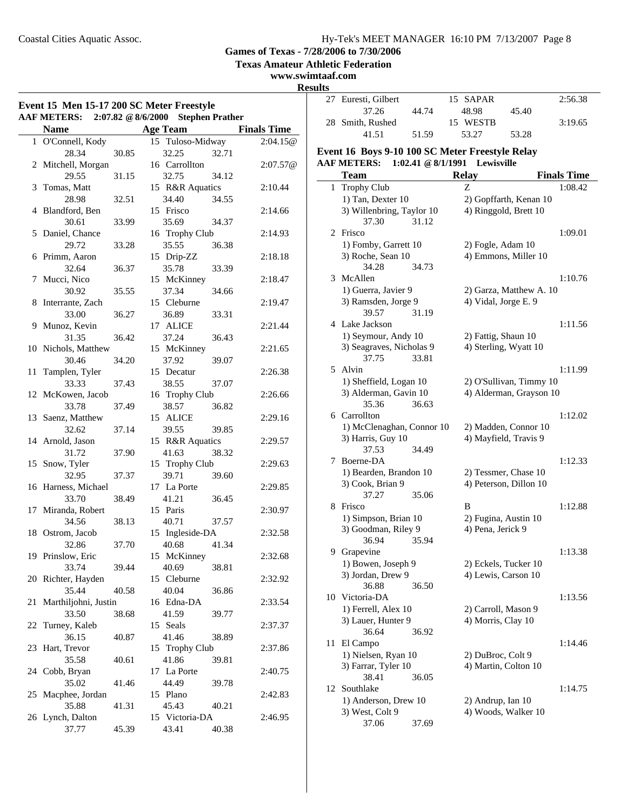**Texas Amateur Athletic Federation**

**www.swimtaaf.com**

**Results**<br>27

| Event 15 Men 15-17 200 SC Meter Freestyle<br>AAF METERS: 2:07.82 @ 8/6/2000 Stephen Prather |                              |       |                 |                      |       |                    |
|---------------------------------------------------------------------------------------------|------------------------------|-------|-----------------|----------------------|-------|--------------------|
|                                                                                             | <b>Name</b>                  |       | <b>Age Team</b> |                      |       | <b>Finals Time</b> |
|                                                                                             | 1 O'Connell, Kody            |       |                 | 15 Tuloso-Midway     |       | 2:04.15@           |
|                                                                                             | 28.34                        | 30.85 |                 | 32.25                | 32.71 |                    |
|                                                                                             | 2 Mitchell, Morgan           |       |                 | 16 Carrollton        |       | 2:07.57@           |
|                                                                                             | 29.55                        | 31.15 |                 | 32.75                | 34.12 |                    |
| 3                                                                                           | Tomas, Matt                  |       |                 | 15 R&R Aquatics      |       | 2:10.44            |
|                                                                                             | 28.98                        | 32.51 |                 | 34.40                | 34.55 |                    |
|                                                                                             | 4 Blandford, Ben             |       |                 | 15 Frisco            |       | 2:14.66            |
|                                                                                             | 30.61                        | 33.99 |                 | 35.69                | 34.37 |                    |
|                                                                                             | 5 Daniel, Chance             |       |                 | 16 Trophy Club       |       | 2:14.93            |
|                                                                                             | 29.72                        | 33.28 |                 | 35.55                | 36.38 |                    |
|                                                                                             | 6 Primm, Aaron               |       |                 | 15 Drip-ZZ           |       | 2:18.18            |
|                                                                                             | 32.64                        | 36.37 |                 | 35.78                | 33.39 |                    |
| 7                                                                                           | Mucci, Nico                  |       |                 | 15 McKinney          |       | 2:18.47            |
|                                                                                             | 30.92                        | 35.55 |                 | 37.34                | 34.66 |                    |
| 8                                                                                           | Interrante, Zach             |       |                 | 15 Cleburne          |       | 2:19.47            |
|                                                                                             | 33.00                        | 36.27 |                 | 36.89                | 33.31 |                    |
| 9                                                                                           | Munoz, Kevin                 |       |                 | 17 ALICE             |       | 2:21.44            |
|                                                                                             | 31.35                        | 36.42 |                 | 37.24                | 36.43 |                    |
|                                                                                             | 10 Nichols, Matthew          |       |                 | 15 McKinney          |       | 2:21.65            |
|                                                                                             | 30.46                        | 34.20 |                 | 37.92                | 39.07 |                    |
| 11                                                                                          | Tamplen, Tyler               |       |                 | 15 Decatur           |       | 2:26.38            |
|                                                                                             | 33.33                        | 37.43 |                 | 38.55                | 37.07 |                    |
|                                                                                             | 12 McKowen, Jacob            |       |                 | 16 Trophy Club       |       | 2:26.66            |
|                                                                                             | 33.78                        | 37.49 |                 | 38.57                | 36.82 |                    |
|                                                                                             | 13 Saenz, Matthew            |       |                 | 15 ALICE             |       | 2:29.16            |
|                                                                                             | 32.62                        | 37.14 |                 | 39.55                | 39.85 |                    |
|                                                                                             | 14 Arnold, Jason             |       |                 | 15 R&R Aquatics      |       | 2:29.57            |
|                                                                                             | 31.72                        | 37.90 |                 | 41.63                | 38.32 |                    |
|                                                                                             | 15 Snow, Tyler               |       |                 | 15 Trophy Club       |       | 2:29.63            |
|                                                                                             | 32.95                        | 37.37 |                 | 39.71<br>17 La Porte | 39.60 |                    |
|                                                                                             | 16 Harness, Michael<br>33.70 |       |                 |                      |       | 2:29.85            |
|                                                                                             |                              | 38.49 |                 | 41.21<br>15 Paris    | 36.45 |                    |
|                                                                                             | 17 Miranda, Robert<br>34.56  | 38.13 |                 | 40.71                | 37.57 | 2:30.97            |
|                                                                                             | 18 Ostrom, Jacob             |       |                 | 15 Ingleside-DA      |       | 2:32.58            |
|                                                                                             | 32.86                        | 37.70 |                 | 40.68                | 41.34 |                    |
|                                                                                             | 19 Prinslow, Eric            |       |                 | 15 McKinney          |       | 2:32.68            |
|                                                                                             | 33.74                        | 39.44 |                 | 40.69                | 38.81 |                    |
|                                                                                             | 20 Richter, Hayden           |       |                 | 15 Cleburne          |       | 2:32.92            |
|                                                                                             | 35.44                        | 40.58 |                 | 40.04                | 36.86 |                    |
| 21                                                                                          | Marthiljohni, Justin         |       |                 | 16 Edna-DA           |       | 2:33.54            |
|                                                                                             | 33.50                        | 38.68 |                 | 41.59                | 39.77 |                    |
| 22                                                                                          | Turney, Kaleb                |       |                 | 15 Seals             |       | 2:37.37            |
|                                                                                             | 36.15                        | 40.87 |                 | 41.46                | 38.89 |                    |
| 23                                                                                          | Hart, Trevor                 |       |                 | 15 Trophy Club       |       | 2:37.86            |
|                                                                                             | 35.58                        | 40.61 |                 | 41.86                | 39.81 |                    |
|                                                                                             | 24 Cobb, Bryan               |       |                 | 17 La Porte          |       | 2:40.75            |
|                                                                                             | 35.02                        | 41.46 |                 | 44.49                | 39.78 |                    |
|                                                                                             | 25 Macphee, Jordan           |       |                 | 15 Plano             |       | 2:42.83            |
|                                                                                             | 35.88                        | 41.31 |                 | 45.43                | 40.21 |                    |
|                                                                                             | 26 Lynch, Dalton             |       |                 | 15 Victoria-DA       |       | 2:46.95            |
|                                                                                             | 37.77                        | 45.39 |                 | 43.41                | 40.38 |                    |
|                                                                                             |                              |       |                 |                      |       |                    |

| 27 | Euresti, Gilbert                                |                    | 15 SAPAR             |                         | 2:56.38            |
|----|-------------------------------------------------|--------------------|----------------------|-------------------------|--------------------|
|    | 37.26                                           | 44.74              | 48.98                | 45.40                   |                    |
|    | 28 Smith, Rushed                                |                    | 15 WESTB             |                         | 3:19.65            |
|    | 41.51                                           | 51.59              | 53.27                | 53.28                   |                    |
|    | Event 16 Boys 9-10 100 SC Meter Freestyle Relay |                    |                      |                         |                    |
|    | <b>AAF METERS:</b>                              | 1:02.41 @ 8/1/1991 | Lewisville           |                         |                    |
|    | <b>Team</b>                                     |                    | <b>Relay</b>         |                         | <b>Finals Time</b> |
| 1  | <b>Trophy Club</b>                              |                    | Z                    |                         | 1:08.42            |
|    | 1) Tan, Dexter 10                               |                    |                      | 2) Gopffarth, Kenan 10  |                    |
|    | 3) Willenbring, Taylor 10                       |                    |                      | 4) Ringgold, Brett 10   |                    |
|    | 37.30                                           | 31.12              |                      |                         |                    |
| 2  | Frisco                                          |                    |                      |                         | 1:09.01            |
|    | 1) Fomby, Garrett 10                            |                    | 2) Fogle, Adam 10    |                         |                    |
|    | 3) Roche, Sean 10                               |                    |                      | 4) Emmons, Miller 10    |                    |
|    | 34.28                                           | 34.73              |                      |                         |                    |
| 3  | McAllen                                         |                    |                      |                         | 1:10.76            |
|    | 1) Guerra, Javier 9                             |                    |                      | 2) Garza, Matthew A. 10 |                    |
|    | 3) Ramsden, Jorge 9                             |                    | 4) Vidal, Jorge E. 9 |                         |                    |
|    | 39.57<br>4 Lake Jackson                         | 31.19              |                      |                         |                    |
|    |                                                 |                    |                      |                         | 1:11.56            |
|    | 1) Seymour, Andy 10<br>3) Seagraves, Nicholas 9 |                    | 2) Fattig, Shaun 10  | 4) Sterling, Wyatt 10   |                    |
|    | 37.75                                           | 33.81              |                      |                         |                    |
| 5  | Alvin                                           |                    |                      |                         | 1:11.99            |
|    | 1) Sheffield, Logan 10                          |                    |                      | 2) O'Sullivan, Timmy 10 |                    |
|    | 3) Alderman, Gavin 10                           |                    |                      | 4) Alderman, Grayson 10 |                    |
|    | 35.36                                           | 36.63              |                      |                         |                    |
|    | 6 Carrollton                                    |                    |                      |                         | 1:12.02            |
|    | 1) McClenaghan, Connor 10                       |                    |                      | 2) Madden, Connor 10    |                    |
|    | 3) Harris, Guy 10                               |                    |                      | 4) Mayfield, Travis 9   |                    |
|    | 37.53                                           | 34.49              |                      |                         |                    |
| 7  | Boerne-DA                                       |                    |                      |                         | 1:12.33            |
|    | 1) Bearden, Brandon 10                          |                    |                      | 2) Tessmer, Chase 10    |                    |
|    | 3) Cook, Brian 9                                |                    |                      | 4) Peterson, Dillon 10  |                    |
| 8  | 37.27<br>Frisco                                 | 35.06              | B                    |                         | 1:12.88            |
|    | 1) Simpson, Brian 10                            |                    | 2) Fugina, Austin 10 |                         |                    |
|    | 3) Goodman, Riley 9                             |                    | 4) Pena, Jerick 9    |                         |                    |
|    | 36.94                                           | 35.94              |                      |                         |                    |
|    | 9 Grapevine                                     |                    |                      |                         | 1:13.38            |
|    | 1) Bowen, Joseph 9                              |                    | 2) Eckels, Tucker 10 |                         |                    |
|    | 3) Jordan, Drew 9                               |                    | 4) Lewis, Carson 10  |                         |                    |
|    | 36.88                                           | 36.50              |                      |                         |                    |
|    | 10 Victoria-DA                                  |                    |                      |                         | 1:13.56            |
|    | 1) Ferrell, Alex 10                             |                    | 2) Carroll, Mason 9  |                         |                    |
|    | 3) Lauer, Hunter 9                              |                    | 4) Morris, Clay 10   |                         |                    |
|    | 36.64                                           | 36.92              |                      |                         |                    |
| 11 | El Campo                                        |                    |                      |                         | 1:14.46            |
|    | 1) Nielsen, Ryan 10                             |                    | 2) DuBroc, Colt 9    |                         |                    |
|    | 3) Farrar, Tyler 10<br>38.41                    | 36.05              | 4) Martin, Colton 10 |                         |                    |
| 12 | Southlake                                       |                    |                      |                         | 1:14.75            |
|    | 1) Anderson, Drew 10                            |                    | 2) Andrup, Ian 10    |                         |                    |
|    | 3) West, Colt 9                                 |                    |                      | 4) Woods, Walker 10     |                    |

37.06 37.69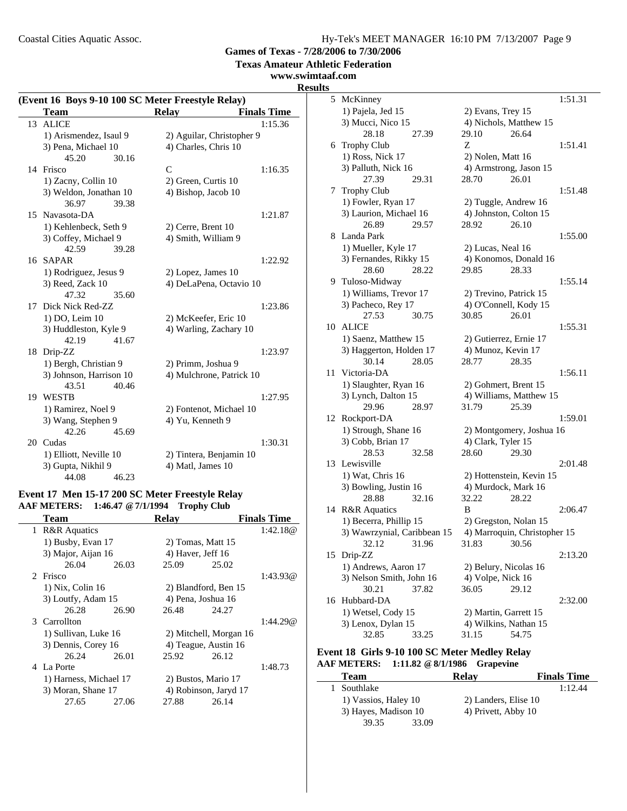Coastal Cities Aquatic Assoc.

**Games of Texas - 7/28/2006 to 7/30/2006**

**Texas Amateur Athletic Federation**

### **www.swimtaaf.com**

#### **Results**

|    | (Event 16 Boys 9-10 100 SC Meter Freestyle Relay) |                           |                    |  |  |  |
|----|---------------------------------------------------|---------------------------|--------------------|--|--|--|
|    | Team                                              | <b>Relay</b>              | <b>Finals Time</b> |  |  |  |
| 13 | <b>ALICE</b>                                      |                           | 1:15.36            |  |  |  |
|    | 1) Arismendez, Isaul 9                            | 2) Aguilar, Christopher 9 |                    |  |  |  |
|    | 3) Pena, Michael 10                               | 4) Charles, Chris 10      |                    |  |  |  |
|    | 45.20<br>30.16                                    |                           |                    |  |  |  |
|    | 14 Frisco                                         | $\mathcal{C}$             | 1:16.35            |  |  |  |
|    | 1) Zacny, Collin 10                               | 2) Green, Curtis 10       |                    |  |  |  |
|    | 3) Weldon, Jonathan 10                            | 4) Bishop, Jacob 10       |                    |  |  |  |
|    | 36.97<br>39.38                                    |                           |                    |  |  |  |
|    | 15 Navasota-DA                                    |                           | 1:21.87            |  |  |  |
|    | 1) Kehlenbeck, Seth 9                             | 2) Cerre, Brent 10        |                    |  |  |  |
|    | 3) Coffey, Michael 9                              | 4) Smith, William 9       |                    |  |  |  |
|    | 42.59<br>39.28                                    |                           |                    |  |  |  |
|    | 16 SAPAR                                          |                           | 1:22.92            |  |  |  |
|    | 1) Rodriguez, Jesus 9                             | 2) Lopez, James 10        |                    |  |  |  |
|    | 3) Reed, Zack 10                                  | 4) DeLaPena, Octavio 10   |                    |  |  |  |
|    | 47.32<br>35.60                                    |                           |                    |  |  |  |
| 17 | Dick Nick Red-ZZ                                  |                           | 1:23.86            |  |  |  |
|    | 1) DO, Leim 10                                    | 2) McKeefer, Eric 10      |                    |  |  |  |
|    | 3) Huddleston, Kyle 9                             | 4) Warling, Zachary 10    |                    |  |  |  |
|    | 42.19<br>41.67                                    |                           |                    |  |  |  |
| 18 | Drip-ZZ                                           |                           | 1:23.97            |  |  |  |
|    | 1) Bergh, Christian 9                             | 2) Primm, Joshua 9        |                    |  |  |  |
|    | 3) Johnson, Harrison 10                           | 4) Mulchrone, Patrick 10  |                    |  |  |  |
|    | 43.51<br>40.46                                    |                           |                    |  |  |  |
| 19 | WESTB                                             |                           | 1:27.95            |  |  |  |
|    | 1) Ramirez, Noel 9                                | 2) Fontenot, Michael 10   |                    |  |  |  |
|    | 3) Wang, Stephen 9                                | 4) Yu, Kenneth 9          |                    |  |  |  |
|    | 42.26<br>45.69                                    |                           |                    |  |  |  |
|    | 20 Cudas                                          |                           | 1:30.31            |  |  |  |
|    | 1) Elliott, Neville 10                            | 2) Tintera, Benjamin 10   |                    |  |  |  |
|    | 3) Gupta, Nikhil 9                                | 4) Matl, James 10         |                    |  |  |  |
|    | 44.08<br>46.23                                    |                           |                    |  |  |  |

#### **Event 17 Men 15-17 200 SC Meter Freestyle Relay AAF METERS: 1:46.47 @7/1/1994 Trophy Club**

|   | Team                    |       | <b>Relav</b>          |                        | <b>Finals Time</b> |
|---|-------------------------|-------|-----------------------|------------------------|--------------------|
| 1 | <b>R&amp;R</b> Aquatics |       |                       |                        | 1:42.18@           |
|   | 1) Busby, Evan 17       |       | 2) Tomas, Matt 15     |                        |                    |
|   | 3) Major, Aijan 16      |       | 4) Haver, Jeff $16$   |                        |                    |
|   | 26.04                   | 26.03 | 25.09                 | 25.02                  |                    |
|   | 2 Frisco                |       |                       |                        | 1:43.93@           |
|   | 1) Nix, Colin 16        |       | 2) Blandford, Ben 15  |                        |                    |
|   | 3) Loutfy, Adam 15      |       | 4) Pena, Joshua 16    |                        |                    |
|   | 26.28                   | 26.90 | 26.48                 | 24.27                  |                    |
|   | 3 Carrollton            |       |                       |                        | 1:44.29@           |
|   | 1) Sullivan, Luke 16    |       |                       | 2) Mitchell, Morgan 16 |                    |
|   | 3) Dennis, Corey 16     |       | 4) Teague, Austin 16  |                        |                    |
|   | 26.24                   | 26.01 | 25.92                 | 26.12                  |                    |
|   | 4 La Porte              |       |                       |                        | 1:48.73            |
|   | 1) Harness, Michael 17  |       | 2) Bustos, Mario 17   |                        |                    |
|   | 3) Moran, Shane 17      |       | 4) Robinson, Jaryd 17 |                        |                    |
|   | 27.65                   | 27.06 | 27.88                 | 26.14                  |                    |
|   |                         |       |                       |                        |                    |

| 5  | McKinney                    | 1:51.31                      |
|----|-----------------------------|------------------------------|
|    | 1) Pajela, Jed 15           | 2) Evans, Trey 15            |
|    | 3) Mucci, Nico 15           | 4) Nichols, Matthew 15       |
|    | 28.18<br>27.39              | 29.10<br>26.64               |
| 6  | <b>Trophy Club</b>          | 1:51.41<br>Ζ                 |
|    | 1) Ross, Nick 17            | 2) Nolen, Matt 16            |
|    | 3) Palluth, Nick 16         | 4) Armstrong, Jason 15       |
|    | 27.39<br>29.31              | 28.70<br>26.01               |
| 7  | Trophy Club                 | 1:51.48                      |
|    | 1) Fowler, Ryan 17          | 2) Tuggle, Andrew 16         |
|    | 3) Laurion, Michael 16      | 4) Johnston, Colton 15       |
|    | 26.89<br>29.57              | 26.10<br>28.92               |
| 8  | Landa Park                  | 1:55.00                      |
|    | 1) Mueller, Kyle 17         | 2) Lucas, Neal 16            |
|    | 3) Fernandes, Rikky 15      | 4) Konomos, Donald 16        |
|    | 28.60<br>28.22              | 28.33<br>29.85               |
|    | 9 Tuloso-Midway             | 1:55.14                      |
|    | 1) Williams, Trevor 17      | 2) Trevino, Patrick 15       |
|    | 3) Pacheco, Rey 17          | 4) O'Connell, Kody 15        |
|    | 30.75<br>27.53              | 30.85<br>26.01               |
| 10 | <b>ALICE</b>                | 1:55.31                      |
|    | 1) Saenz, Matthew 15        | 2) Gutierrez, Ernie 17       |
|    | 3) Haggerton, Holden 17     | 4) Munoz, Kevin 17           |
|    | 28.05<br>30.14              | 28.35<br>28.77               |
| 11 | Victoria-DA                 | 1:56.11                      |
|    | 1) Slaughter, Ryan 16       | 2) Gohmert, Brent 15         |
|    | 3) Lynch, Dalton 15         | 4) Williams, Matthew 15      |
|    | 29.96<br>28.97              | 25.39<br>31.79               |
| 12 | Rockport-DA                 | 1:59.01                      |
|    | 1) Strough, Shane 16        | 2) Montgomery, Joshua 16     |
|    | 3) Cobb, Brian 17           | 4) Clark, Tyler 15           |
|    | 28.53<br>32.58              | 28.60<br>29.30               |
| 13 | Lewisville                  | 2:01.48                      |
|    | 1) Wat, Chris 16            | 2) Hottenstein, Kevin 15     |
|    | 3) Bowling, Justin 16       | 4) Murdock, Mark 16          |
|    | 32.16<br>28.88              | 32.22<br>28.22               |
| 14 | <b>R&amp;R</b> Aquatics     | B<br>2:06.47                 |
|    | 1) Becerra, Phillip 15      | 2) Gregston, Nolan 15        |
|    | 3) Wawrzynial, Caribbean 15 | 4) Marroquin, Christopher 15 |
|    | 32.12<br>31.96              | 31.83<br>30.56               |
| 15 | Drip-ZZ                     | 2:13.20                      |
|    | 1) Andrews, Aaron 17        | 2) Belury, Nicolas 16        |
|    | 3) Nelson Smith, John 16    | 4) Volpe, Nick 16            |
|    | 30.21<br>37.82              | 36.05<br>29.12               |
| 16 | Hubbard-DA                  | 2:32.00                      |
|    | 1) Wetsel, Cody 15          | 2) Martin, Garrett 15        |
|    | 3) Lenox, Dylan 15          | 4) Wilkins, Nathan 15        |
|    | 32.85<br>33.25              | 54.75<br>31.15               |

#### **Event 18 Girls 9-10 100 SC Meter Medley Relay AAF METERS: 1:11.82 @8/1/1986 Grapevine**

| <b>Team</b>          | <b>Relav</b>         | <b>Finals Time</b> |
|----------------------|----------------------|--------------------|
| 1 Southlake          |                      | 1:12.44            |
| 1) Vassios, Haley 10 | 2) Landers, Elise 10 |                    |
| 3) Hayes, Madison 10 | 4) Privett, Abby 10  |                    |
| 39.35<br>33.09       |                      |                    |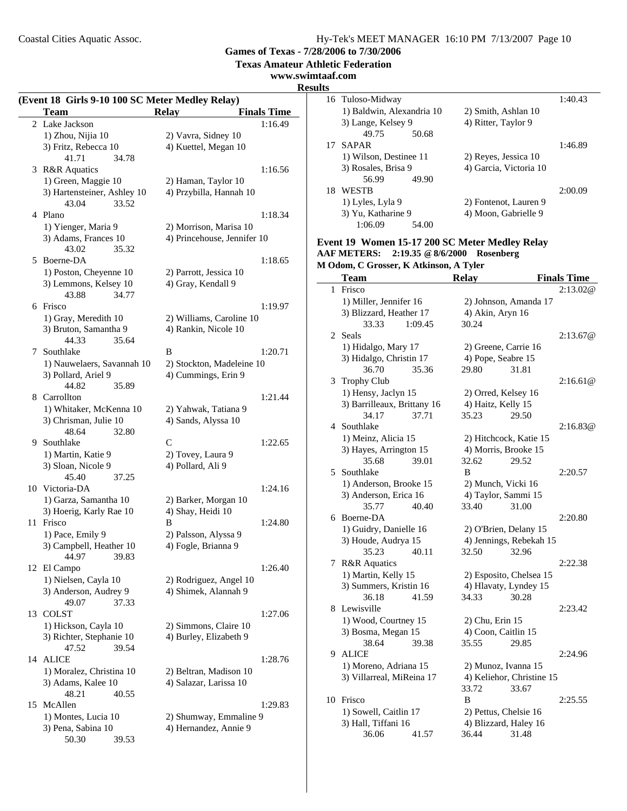**Texas Amateur Athletic Federation**

### **www.swimtaaf.com**

#### **Results**

| (Event 18 Girls 9-10 100 SC Meter Medley Relay) |                                         |                                    |  |  |  |
|-------------------------------------------------|-----------------------------------------|------------------------------------|--|--|--|
|                                                 | <b>Team</b>                             | <b>Relay</b><br><b>Finals Time</b> |  |  |  |
| $\overline{2}$                                  | Lake Jackson                            | 1:16.49                            |  |  |  |
|                                                 | 1) Zhou, Nijia 10                       | 2) Vavra, Sidney 10                |  |  |  |
|                                                 | 3) Fritz, Rebecca 10                    | 4) Kuettel, Megan 10               |  |  |  |
|                                                 | 41.71<br>34.78                          |                                    |  |  |  |
|                                                 | 3 R&R Aquatics                          | 1:16.56                            |  |  |  |
|                                                 | 1) Green, Maggie 10                     | 2) Haman, Taylor 10                |  |  |  |
|                                                 | 3) Hartensteiner, Ashley 10             | 4) Przybilla, Hannah 10            |  |  |  |
|                                                 | 43.04<br>33.52                          |                                    |  |  |  |
|                                                 | 4 Plano                                 | 1:18.34                            |  |  |  |
|                                                 | 1) Yienger, Maria 9                     | 2) Morrison, Marisa 10             |  |  |  |
|                                                 | 3) Adams, Frances 10                    | 4) Princehouse, Jennifer 10        |  |  |  |
|                                                 | 43.02<br>35.32                          |                                    |  |  |  |
|                                                 | 5 Boerne-DA                             | 1:18.65                            |  |  |  |
|                                                 | 1) Poston, Cheyenne 10                  | 2) Parrott, Jessica 10             |  |  |  |
|                                                 | 3) Lemmons, Kelsey 10                   | 4) Gray, Kendall 9                 |  |  |  |
|                                                 | 43.88<br>34.77                          |                                    |  |  |  |
|                                                 | 6 Frisco                                | 1:19.97                            |  |  |  |
|                                                 | 1) Gray, Meredith 10                    | 2) Williams, Caroline 10           |  |  |  |
|                                                 | 3) Bruton, Samantha 9                   | 4) Rankin, Nicole 10               |  |  |  |
|                                                 | 44.33<br>35.64                          |                                    |  |  |  |
| 7                                               | Southlake                               | B<br>1:20.71                       |  |  |  |
|                                                 | 1) Nauwelaers, Savannah 10              | 2) Stockton, Madeleine 10          |  |  |  |
|                                                 | 3) Pollard, Ariel 9                     | 4) Cummings, Erin 9                |  |  |  |
|                                                 | 44.82<br>35.89                          |                                    |  |  |  |
|                                                 | 8 Carrollton                            | 1:21.44                            |  |  |  |
|                                                 | 1) Whitaker, McKenna 10                 | 2) Yahwak, Tatiana 9               |  |  |  |
|                                                 | 3) Chrisman, Julie 10<br>48.64<br>32.80 | 4) Sands, Alyssa 10                |  |  |  |
|                                                 | 9 Southlake                             | C<br>1:22.65                       |  |  |  |
|                                                 | 1) Martin, Katie 9                      | 2) Tovey, Laura 9                  |  |  |  |
|                                                 | 3) Sloan, Nicole 9                      | 4) Pollard, Ali 9                  |  |  |  |
|                                                 | 45.40<br>37.25                          |                                    |  |  |  |
| 10                                              | Victoria-DA                             | 1:24.16                            |  |  |  |
|                                                 | 1) Garza, Samantha 10                   | 2) Barker, Morgan 10               |  |  |  |
|                                                 | 3) Hoerig, Karly Rae 10                 | 4) Shay, Heidi 10                  |  |  |  |
| 11                                              | Frisco                                  | B<br>1:24.80                       |  |  |  |
|                                                 | 1) Pace, Emily 9                        | 2) Palsson, Alyssa 9               |  |  |  |
|                                                 | 3) Campbell, Heather 10                 | 4) Fogle, Brianna 9                |  |  |  |
|                                                 | 44.97<br>39.83                          |                                    |  |  |  |
| 12                                              | El Campo                                | 1:26.40                            |  |  |  |
|                                                 | 1) Nielsen, Cayla 10                    | 2) Rodriguez, Angel 10             |  |  |  |
|                                                 | 3) Anderson, Audrey 9                   | 4) Shimek, Alannah 9               |  |  |  |
|                                                 | 49.07<br>37.33                          |                                    |  |  |  |
| 13                                              | <b>COLST</b>                            | 1:27.06                            |  |  |  |
|                                                 | 1) Hickson, Cayla 10                    | 2) Simmons, Claire 10              |  |  |  |
|                                                 | 3) Richter, Stephanie 10                | 4) Burley, Elizabeth 9             |  |  |  |
|                                                 | 47.52<br>39.54                          |                                    |  |  |  |
| 14                                              | <b>ALICE</b>                            | 1:28.76                            |  |  |  |
|                                                 | 1) Moralez, Christina 10                | 2) Beltran, Madison 10             |  |  |  |
|                                                 | 3) Adams, Kalee 10                      | 4) Salazar, Larissa 10             |  |  |  |
|                                                 | 48.21<br>40.55                          |                                    |  |  |  |
| 15                                              | McAllen                                 | 1:29.83                            |  |  |  |
|                                                 | 1) Montes, Lucia 10                     | 2) Shumway, Emmaline 9             |  |  |  |
|                                                 | 3) Pena, Sabina 10                      | 4) Hernandez, Annie 9              |  |  |  |
|                                                 | 50.30<br>39.53                          |                                    |  |  |  |

| S  |                           |                        |         |
|----|---------------------------|------------------------|---------|
|    | 16 Tuloso-Midway          |                        | 1:40.43 |
|    | 1) Baldwin, Alexandria 10 | 2) Smith, Ashlan 10    |         |
|    | 3) Lange, Kelsey 9        | 4) Ritter, Taylor 9    |         |
|    | 49.75<br>50.68            |                        |         |
| 17 | <b>SAPAR</b>              |                        | 1:46.89 |
|    | 1) Wilson, Destinee 11    | 2) Reyes, Jessica 10   |         |
|    | 3) Rosales, Brisa 9       | 4) Garcia, Victoria 10 |         |
|    | 49.90<br>56.99            |                        |         |
| 18 | WESTB                     |                        | 2:00.09 |
|    | 1) Lyles, Lyla 9          | 2) Fontenot, Lauren 9  |         |
|    | 3) Yu, Katharine 9        | 4) Moon, Gabrielle 9   |         |
|    | 1:06.09<br>54.00          |                        |         |

#### **Event 19 Women 15-17 200 SC Meter Medley Relay AAF METERS: 2:19.35 @8/6/2000 Rosenberg M Odom, C Grosser, K Atkinson, A Tyler**

|    | <b>Team</b>                 |         | <b>Relay</b>          |                           | <b>Finals Time</b> |
|----|-----------------------------|---------|-----------------------|---------------------------|--------------------|
| 1  | Frisco                      |         |                       |                           | 2:13.02@           |
|    | 1) Miller, Jennifer 16      |         |                       | 2) Johnson, Amanda 17     |                    |
|    | 3) Blizzard, Heather 17     |         | 4) Akin, Aryn 16      |                           |                    |
|    | 33.33                       | 1:09.45 | 30.24                 |                           |                    |
| 2  | Seals                       |         |                       |                           | 2:13.67@           |
|    | 1) Hidalgo, Mary 17         |         | 2) Greene, Carrie 16  |                           |                    |
|    | 3) Hidalgo, Christin 17     |         | 4) Pope, Seabre 15    |                           |                    |
|    | 36.70                       | 35.36   | 29.80                 | 31.81                     |                    |
| 3  | <b>Trophy Club</b>          |         |                       |                           | 2:16.61@           |
|    | 1) Hensy, Jaclyn 15         |         | 2) Orred, Kelsey 16   |                           |                    |
|    | 3) Barrilleaux, Brittany 16 |         | 4) Haitz, Kelly 15    |                           |                    |
|    | 34.17                       | 37.71   | 35.23                 | 29.50                     |                    |
| 4  | Southlake                   |         |                       |                           | 2:16.83@           |
|    | 1) Meinz, Alicia 15         |         |                       | 2) Hitchcock, Katie 15    |                    |
|    | 3) Hayes, Arrington 15      |         | 4) Morris, Brooke 15  |                           |                    |
|    | 35.68                       | 39.01   | 32.62                 | 29.52                     |                    |
| 5  | Southlake                   |         | B                     |                           | 2:20.57            |
|    | 1) Anderson, Brooke 15      |         | 2) Munch, Vicki 16    |                           |                    |
|    | 3) Anderson, Erica 16       |         | 4) Taylor, Sammi 15   |                           |                    |
|    | 35.77                       | 40.40   | 33.40                 | 31.00                     |                    |
| 6  | Boerne-DA                   |         |                       |                           | 2:20.80            |
|    | 1) Guidry, Danielle 16      |         |                       | 2) O'Brien, Delany 15     |                    |
|    | 3) Houde, Audrya 15         |         |                       | 4) Jennings, Rebekah 15   |                    |
|    | 35.23                       | 40.11   | 32.50                 | 32.96                     |                    |
| 7  | R&R Aquatics                |         |                       |                           | 2:22.38            |
|    | 1) Martin, Kelly 15         |         |                       | 2) Esposito, Chelsea 15   |                    |
|    | 3) Summers, Kristin 16      |         |                       | 4) Hlavaty, Lyndey 15     |                    |
|    | 36.18                       | 41.59   | 34.33                 | 30.28                     |                    |
| 8  | Lewisville                  |         |                       |                           | 2:23.42            |
|    | 1) Wood, Courtney 15        |         | 2) Chu, Erin 15       |                           |                    |
|    |                             |         |                       |                           |                    |
|    | 3) Bosma, Megan 15          |         | 4) Coon, Caitlin 15   |                           |                    |
|    | 38.64                       | 39.38   | 35.55                 | 29.85                     |                    |
| 9  | <b>ALICE</b>                |         |                       |                           | 2:24.96            |
|    | 1) Moreno, Adriana 15       |         | 2) Munoz, Ivanna 15   |                           |                    |
|    | 3) Villarreal, MiReina 17   |         |                       | 4) Keliehor, Christine 15 |                    |
|    |                             |         | 33.72                 | 33.67                     |                    |
| 10 | Frisco                      |         | B                     |                           | 2:25.55            |
|    | 1) Sowell, Caitlin 17       |         | 2) Pettus, Chelsie 16 |                           |                    |
|    | 3) Hall, Tiffani 16         |         |                       | 4) Blizzard, Haley 16     |                    |
|    | 36.06                       | 41.57   | 36.44                 | 31.48                     |                    |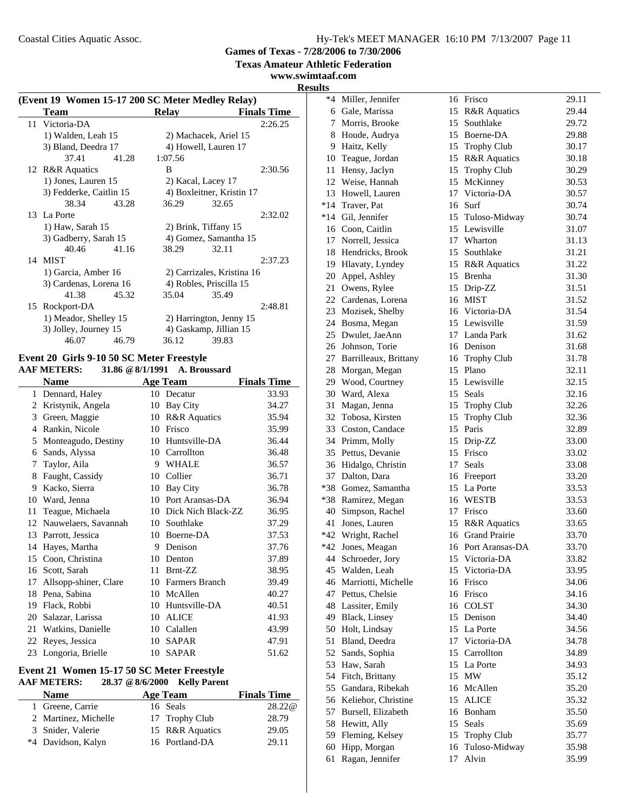**Texas Amateur Athletic Federation**

**www.swimtaaf.com**

**Results**

| (Event 19 Women 15-17 200 SC Meter Medley Relay) |       |              |                            |                    |  |
|--------------------------------------------------|-------|--------------|----------------------------|--------------------|--|
| Team                                             |       | <b>Relay</b> |                            | <b>Finals Time</b> |  |
| 11 Victoria-DA                                   |       |              |                            | 2:26.25            |  |
| 1) Walden, Leah 15                               |       |              | 2) Machacek, Ariel 15      |                    |  |
| 3) Bland, Deedra 17                              |       |              | 4) Howell, Lauren 17       |                    |  |
| 37.41                                            | 41.28 | 1:07.56      |                            |                    |  |
| 12 R&R Aquatics                                  |       | B            |                            | 2:30.56            |  |
| 1) Jones, Lauren 15                              |       |              | 2) Kacal, Lacey 17         |                    |  |
| 3) Fedderke, Caitlin 15                          |       |              | 4) Boxleitner, Kristin 17  |                    |  |
| 38.34                                            | 43.28 | 36.29        | 32.65                      |                    |  |
| 13 La Porte                                      |       |              |                            | 2:32.02            |  |
| 1) Haw, Sarah 15                                 |       |              | 2) Brink, Tiffany 15       |                    |  |
| 3) Gadberry, Sarah 15                            |       |              | 4) Gomez, Samantha 15      |                    |  |
| 40.46                                            | 41.16 | 38.29        | 32.11                      |                    |  |
| 14 MIST                                          |       |              |                            | 2:37.23            |  |
| 1) Garcia, Amber 16                              |       |              | 2) Carrizales, Kristina 16 |                    |  |
| 3) Cardenas, Lorena 16                           |       |              | 4) Robles, Priscilla 15    |                    |  |
| 41.38                                            | 45.32 | 35.04        | 35.49                      |                    |  |
| 15 Rockport-DA                                   |       |              |                            | 2:48.81            |  |
| 1) Meador, Shelley 15                            |       |              | 2) Harrington, Jenny 15    |                    |  |
| 3) Jolley, Journey 15                            |       |              | 4) Gaskamp, Jillian 15     |                    |  |
| 46.07                                            | 46.79 | 36.12        | 39.83                      |                    |  |

#### **Event 20 Girls 9-10 50 SC Meter Freestyle AAF METERS: 31.86 @8/1/1991 A. Broussard**

| <b>Name</b>           |    |                         | <b>Finals Time</b>                                              |
|-----------------------|----|-------------------------|-----------------------------------------------------------------|
| Dennard, Haley        |    |                         | 33.93                                                           |
| Kristynik, Angela     | 10 | Bay City                | 34.27                                                           |
| Green, Maggie         | 10 | <b>R&amp;R</b> Aquatics | 35.94                                                           |
| Rankin, Nicole        | 10 | Frisco                  | 35.99                                                           |
| Monteagudo, Destiny   | 10 | Huntsville-DA           | 36.44                                                           |
| Sands, Alyssa         | 10 | Carrollton              | 36.48                                                           |
| Taylor, Aila          | 9  | <b>WHALE</b>            | 36.57                                                           |
| Faught, Cassidy       | 10 | Collier                 | 36.71                                                           |
| Kacko, Sierra         | 10 | <b>Bay City</b>         | 36.78                                                           |
| Ward, Jenna           |    |                         | 36.94                                                           |
| Teague, Michaela      | 10 | Dick Nich Black-ZZ      | 36.95                                                           |
| Nauwelaers, Savannah  | 10 | Southlake               | 37.29                                                           |
| Parrott, Jessica      | 10 | Boerne-DA               | 37.53                                                           |
| Hayes, Martha         | 9  | Denison                 | 37.76                                                           |
| Coon, Christina       | 10 | Denton                  | 37.89                                                           |
| Scott, Sarah          | 11 | Brnt-ZZ                 | 38.95                                                           |
| Allsopp-shiner, Clare | 10 | Farmers Branch          | 39.49                                                           |
| Pena, Sabina          | 10 | McAllen                 | 40.27                                                           |
| Flack, Robbi          | 10 | Huntsville-DA           | 40.51                                                           |
| Salazar, Larissa      | 10 | <b>ALICE</b>            | 41.93                                                           |
| Watkins, Danielle     | 10 |                         | 43.99                                                           |
| Reyes, Jessica        | 10 | <b>SAPAR</b>            | 47.91                                                           |
| Longoria, Brielle     | 10 | <b>SAPAR</b>            | 51.62                                                           |
|                       |    |                         | <b>Age Team</b><br>10 Decatur<br>10 Port Aransas-DA<br>Calallen |

### **Event 21 Women 15-17 50 SC Meter Freestyle AAF METERS: 28.37 @8/6/2000 Kelly Parent**

| <b>Name</b>          | Age Team        | <b>Finals Time</b> |
|----------------------|-----------------|--------------------|
| 1 Greene, Carrie     | 16 Seals        | 28.22@             |
| 2 Martinez, Michelle | 17 Trophy Club  | 28.79              |
| 3 Snider, Valerie    | 15 R&R Aquatics | 29.05              |
| *4 Davidson, Kalyn   | 16 Portland-DA  | 29.11              |

| τs |                                        |    |                            |                |
|----|----------------------------------------|----|----------------------------|----------------|
|    | *4 Miller, Jennifer                    |    | 16 Frisco                  | 29.11          |
|    | 6 Gale, Marissa                        |    | 15 R&R Aquatics            | 29.44          |
|    | 7 Morris, Brooke                       |    | 15 Southlake               | 29.72          |
|    | 8 Houde, Audrya                        |    | 15 Boerne-DA               | 29.88          |
|    | 9 Haitz, Kelly                         |    | 15 Trophy Club             | 30.17          |
|    | 10 Teague, Jordan                      |    | 15 R&R Aquatics            | 30.18          |
|    | 11 Hensy, Jaclyn                       |    | 15 Trophy Club             | 30.29          |
|    | 12 Weise, Hannah                       | 15 | McKinney                   | 30.53          |
|    | 13 Howell, Lauren                      |    | 17 Victoria-DA             | 30.57          |
|    | *14 Traver, Pat                        |    | 16 Surf                    | 30.74          |
|    | *14 Gil, Jennifer                      |    | 15 Tuloso-Midway           | 30.74          |
|    | 16 Coon, Caitlin                       |    | 15 Lewisville              | 31.07          |
|    | 17 Norrell, Jessica                    |    | 17 Wharton                 | 31.13          |
|    | 18 Hendricks, Brook                    |    | 15 Southlake               | 31.21          |
|    | 19 Hlavaty, Lyndey                     |    | 15 R&R Aquatics            | 31.22          |
|    | 20 Appel, Ashley                       |    | 15 Brenha                  | 31.30          |
|    | 21 Owens, Rylee                        |    | 15 Drip-ZZ                 | 31.51          |
|    | 22 Cardenas, Lorena                    |    | 16 MIST                    | 31.52          |
|    | 23 Mozisek, Shelby                     |    | 16 Victoria-DA             | 31.54          |
|    | 24 Bosma, Megan                        |    | 15 Lewisville              | 31.59          |
|    | 25 Dwulet, JaeAnn                      |    | 17 Landa Park              | 31.62          |
|    | 26 Johnson, Torie                      |    | 16 Denison                 | 31.68          |
|    | 27 Barrilleaux, Brittany               |    | 16 Trophy Club             | 31.78          |
|    | 28 Morgan, Megan                       |    | 15 Plano                   | 32.11          |
|    | 29 Wood, Courtney                      |    | 15 Lewisville              | 32.15          |
|    | 30 Ward, Alexa                         |    | 15 Seals                   | 32.16          |
|    | 31 Magan, Jenna                        |    | 15 Trophy Club             | 32.26          |
|    | 32 Tobosa, Kirsten                     |    | 15 Trophy Club             | 32.36          |
|    | 33 Coston, Candace                     |    | 15 Paris                   | 32.89          |
|    | 34 Primm, Molly                        |    | 15 Drip-ZZ                 | 33.00          |
|    | 35 Pettus, Devanie                     |    | 15 Frisco                  | 33.02          |
|    | 36 Hidalgo, Christin                   |    | 17 Seals                   | 33.08          |
|    | 37 Dalton, Dara<br>*38 Gomez, Samantha |    | 16 Freeport<br>15 La Porte | 33.20          |
|    | *38 Ramirez, Megan                     |    | 16 WESTB                   | 33.53<br>33.53 |
|    | 40 Simpson, Rachel                     |    | 17 Frisco                  | 33.60          |
|    | 41 Jones, Lauren                       |    | 15 R&R Aquatics            | 33.65          |
|    | *42 Wright, Rachel                     |    | 16 Grand Prairie           | 33.70          |
|    | *42 Jones, Meagan                      |    | 16 Port Aransas-DA         | 33.70          |
|    | 44 Schroeder, Jory                     |    | 15 Victoria-DA             | 33.82          |
|    | 45 Walden, Leah                        |    | 15 Victoria-DA             | 33.95          |
|    | 46 Marriotti, Michelle                 |    | 16 Frisco                  | 34.06          |
|    | 47 Pettus, Chelsie                     |    | 16 Frisco                  | 34.16          |
|    | 48 Lassiter, Emily                     | 16 | <b>COLST</b>               | 34.30          |
|    | 49 Black, Linsey                       | 15 | Denison                    | 34.40          |
|    | 50 Holt, Lindsay                       |    | 15 La Porte                | 34.56          |
| 51 | Bland, Deedra                          |    | 17 Victoria-DA             | 34.78          |
|    | 52 Sands, Sophia                       | 15 | Carrollton                 | 34.89          |
|    | 53 Haw, Sarah                          |    | 15 La Porte                | 34.93          |
|    | 54 Fitch, Brittany                     | 15 | <b>MW</b>                  | 35.12          |
|    | 55 Gandara, Ribekah                    | 16 | McAllen                    | 35.20          |
|    | 56 Keliehor, Christine                 | 15 | <b>ALICE</b>               | 35.32          |
|    | 57 Bursell, Elizabeth                  |    | 16 Bonham                  | 35.50          |
|    | 58 Hewitt, Ally                        | 15 | Seals                      | 35.69          |
|    | 59 Fleming, Kelsey                     | 15 | <b>Trophy Club</b>         | 35.77          |
| 60 | Hipp, Morgan                           | 16 | Tuloso-Midway              | 35.98          |
| 61 | Ragan, Jennifer                        | 17 | Alvin                      | 35.99          |
|    |                                        |    |                            |                |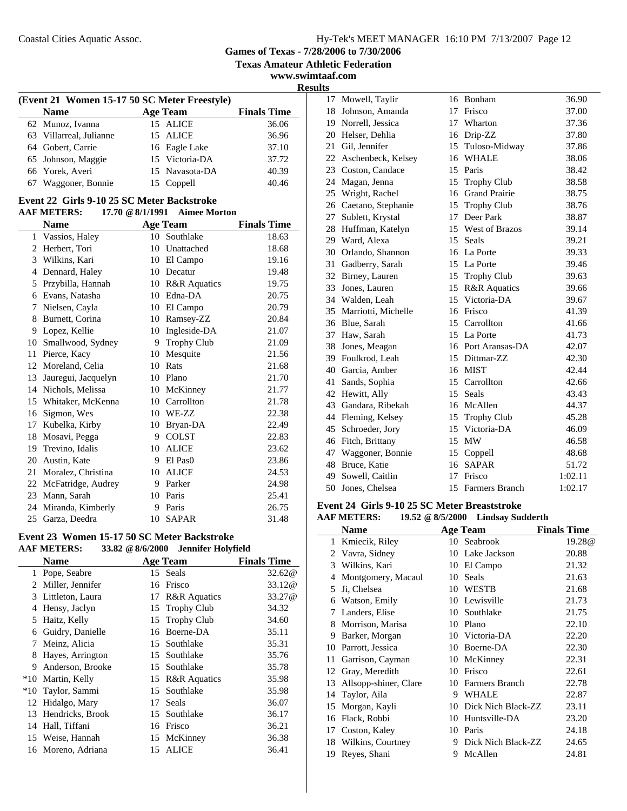**Texas Amateur Athletic Federation**

**www.swimtaaf.com Results**

J.

| (Event 21 Women 15-17 50 SC Meter Freestyle) |  |                |                    |  |  |
|----------------------------------------------|--|----------------|--------------------|--|--|
| <b>Name</b>                                  |  | Age Team       | <b>Finals Time</b> |  |  |
| 62 Munoz, Ivanna                             |  | 15 ALICE       | 36.06              |  |  |
| 63 Villarreal, Julianne                      |  | 15 ALICE       | 36.96              |  |  |
| 64 Gobert, Carrie                            |  | 16 Eagle Lake  | 37.10              |  |  |
| 65 Johnson, Maggie                           |  | 15 Victoria-DA | 37.72              |  |  |
| 66 Yorek, Averi                              |  | 15 Navasota-DA | 40.39              |  |  |
| Waggoner, Bonnie                             |  | 15 Coppell     | 40.46              |  |  |
|                                              |  |                |                    |  |  |

#### **Event 22 Girls 9-10 25 SC Meter Backstroke**<br>AAE METERS: 1770 @ 8/1/1991 Aimee Mo **AAF METERS: 17.70 @8/1/1991 Aimee Morton**

|              | AAF MEIEND.         |    | $17.70 \& 0/1/1991$ Allitec Morton |                    |
|--------------|---------------------|----|------------------------------------|--------------------|
|              | <b>Name</b>         |    | <b>Age Team</b>                    | <b>Finals Time</b> |
| $\mathbf{1}$ | Vassios, Haley      | 10 | Southlake                          | 18.63              |
| 2            | Herbert, Tori       | 10 | Unattached                         | 18.68              |
| 3            | Wilkins, Kari       | 10 | El Campo                           | 19.16              |
| 4            | Dennard, Haley      | 10 | Decatur                            | 19.48              |
| 5            | Przybilla, Hannah   | 10 | <b>R&amp;R</b> Aquatics            | 19.75              |
| 6            | Evans, Natasha      | 10 | Edna-DA                            | 20.75              |
| 7            | Nielsen, Cayla      | 10 | El Campo                           | 20.79              |
| 8            | Burnett, Corina     | 10 | Ramsey-ZZ                          | 20.84              |
| 9            | Lopez, Kellie       | 10 | Ingleside-DA                       | 21.07              |
| 10           | Smallwood, Sydney   | 9  | <b>Trophy Club</b>                 | 21.09              |
| 11           | Pierce, Kacy        | 10 | Mesquite                           | 21.56              |
| 12           | Moreland, Celia     | 10 | Rats                               | 21.68              |
| 13           | Jauregui, Jacquelyn | 10 | Plano                              | 21.70              |
| 14           | Nichols, Melissa    | 10 | McKinney                           | 21.77              |
| 15           | Whitaker, McKenna   | 10 | Carrollton                         | 21.78              |
| 16           | Sigmon, Wes         | 10 | WE-ZZ                              | 22.38              |
| 17           | Kubelka, Kirby      | 10 | Bryan-DA                           | 22.49              |
| 18           | Mosavi, Pegga       | 9  | <b>COLST</b>                       | 22.83              |
| 19           | Trevino, Idalis     | 10 | <b>ALICE</b>                       | 23.62              |
| 20           | Austin, Kate        | 9  | El Pas <sub>0</sub>                | 23.86              |
| 21           | Moralez, Christina  | 10 | <b>ALICE</b>                       | 24.53              |
| 22           | McFatridge, Audrey  | 9  | Parker                             | 24.98              |
| 23           | Mann, Sarah         | 10 | Paris                              | 25.41              |
| 24           | Miranda, Kimberly   | 9  | Paris                              | 26.75              |
| 25           | Garza, Deedra       | 10 | <b>SAPAR</b>                       | 31.48              |
|              |                     |    |                                    |                    |

#### **Event 23 Women 15-17 50 SC Meter Backstroke AAF METERS: 33.82 @8/6/2000 Jennifer Holyfield**

|       | <b>Name</b>         |    | <b>Age Team</b>         | <b>Finals Time</b> |
|-------|---------------------|----|-------------------------|--------------------|
| 1     | Pope, Seabre        |    | 15 Seals                | 32.62@             |
| 2     | Miller, Jennifer    |    | 16 Frisco               | 33.12@             |
| 3     | Littleton, Laura    | 17 | <b>R&amp;R</b> Aquatics | 33.27@             |
| 4     | Hensy, Jaclyn       |    | 15 Trophy Club          | 34.32              |
| 5     | Haitz, Kelly        |    | 15 Trophy Club          | 34.60              |
| 6     | Guidry, Danielle    |    | 16 Boerne-DA            | 35.11              |
| 7     | Meinz, Alicia       |    | 15 Southlake            | 35.31              |
| 8     | Hayes, Arrington    |    | 15 Southlake            | 35.76              |
| 9     | Anderson, Brooke    |    | 15 Southlake            | 35.78              |
|       | *10 Martin, Kelly   |    | 15 R&R Aquatics         | 35.98              |
| $*10$ | Taylor, Sammi       |    | 15 Southlake            | 35.98              |
|       | 12 Hidalgo, Mary    | 17 | Seals                   | 36.07              |
|       | 13 Hendricks, Brook |    | 15 Southlake            | 36.17              |
| 14    | Hall, Tiffani       | 16 | Frisco                  | 36.21              |
|       | 15 Weise, Hannah    |    | 15 McKinney             | 36.38              |
|       | 16 Moreno, Adriana  | 15 | <b>ALICE</b>            | 36.41              |
|       |                     |    |                         |                    |

| 17 | Mowell, Taylir        |    | 16 Bonham            | 36.90   |
|----|-----------------------|----|----------------------|---------|
| 18 | Johnson, Amanda       |    | 17 Frisco            | 37.00   |
|    | 19 Norrell, Jessica   |    | 17 Wharton           | 37.36   |
|    | 20 Helser, Dehlia     | 16 | Drip-ZZ              | 37.80   |
| 21 | Gil, Jennifer         | 15 | Tuloso-Midway        | 37.86   |
|    | 22 Aschenbeck, Kelsey | 16 | <b>WHALE</b>         | 38.06   |
|    | 23 Coston, Candace    |    | 15 Paris             | 38.42   |
| 24 | Magan, Jenna          | 15 | <b>Trophy Club</b>   | 38.58   |
| 25 | Wright, Rachel        | 16 | <b>Grand Prairie</b> | 38.75   |
| 26 | Caetano, Stephanie    | 15 | <b>Trophy Club</b>   | 38.76   |
| 27 | Sublett, Krystal      |    | 17 Deer Park         | 38.87   |
| 28 | Huffman, Katelyn      |    | 15 West of Brazos    | 39.14   |
|    | 29 Ward, Alexa        | 15 | Seals                | 39.21   |
|    | 30 Orlando, Shannon   |    | 16 La Porte          | 39.33   |
| 31 | Gadberry, Sarah       |    | 15 La Porte          | 39.46   |
| 32 | Birney, Lauren        |    | 15 Trophy Club       | 39.63   |
| 33 | Jones, Lauren         |    | 15 R&R Aquatics      | 39.66   |
|    | 34 Walden, Leah       |    | 15 Victoria-DA       | 39.67   |
| 35 | Marriotti, Michelle   | 16 | Frisco               | 41.39   |
| 36 | Blue, Sarah           | 15 | Carrollton           | 41.66   |
| 37 | Haw, Sarah            |    | 15 La Porte          | 41.73   |
| 38 | Jones, Meagan         |    | 16 Port Aransas-DA   | 42.07   |
|    | 39 Foulkrod, Leah     |    | 15 Dittmar-ZZ        | 42.30   |
|    | 40 Garcia, Amber      |    | 16 MIST              | 42.44   |
| 41 | Sands, Sophia         | 15 | Carrollton           | 42.66   |
| 42 | Hewitt, Ally          | 15 | Seals                | 43.43   |
|    | 43 Gandara, Ribekah   |    | 16 McAllen           | 44.37   |
|    | 44 Fleming, Kelsey    |    | 15 Trophy Club       | 45.28   |
|    | 45 Schroeder, Jory    | 15 | Victoria-DA          | 46.09   |
|    | 46 Fitch, Brittany    | 15 | MW                   | 46.58   |
| 47 | Waggoner, Bonnie      | 15 | Coppell              | 48.68   |
| 48 | Bruce, Katie          |    | 16 SAPAR             | 51.72   |
| 49 | Sowell, Caitlin       |    | 17 Frisco            | 1:02.11 |
| 50 | Jones, Chelsea        | 15 | Farmers Branch       | 1:02.17 |

#### **Event 24 Girls 9-10 25 SC Meter Breaststroke**

#### **AAF METERS: 19.52 @8/5/2000 Lindsay Sudderth**

|    | <b>Name</b>           |    | <b>Age Team</b>       | <b>Finals Time</b> |
|----|-----------------------|----|-----------------------|--------------------|
| 1  | Kmiecik, Riley        | 10 | Seabrook              | 19.28@             |
| 2  | Vavra, Sidney         | 10 | Lake Jackson          | 20.88              |
| 3  | Wilkins, Kari         | 10 | El Campo              | 21.32              |
| 4  | Montgomery, Macaul    | 10 | <b>Seals</b>          | 21.63              |
| 5  | Ji, Chelsea           | 10 | WESTB                 | 21.68              |
| 6  | Watson, Emily         | 10 | Lewisville            | 21.73              |
| 7  | Landers, Elise        | 10 | Southlake             | 21.75              |
| 8  | Morrison, Marisa      | 10 | Plano                 | 22.10              |
| 9  | Barker, Morgan        | 10 | Victoria-DA           | 22.20              |
| 10 | Parrott, Jessica      | 10 | Boerne-DA             | 22.30              |
| 11 | Garrison, Cayman      | 10 | McKinney              | 22.31              |
| 12 | Gray, Meredith        | 10 | Frisco                | 22.61              |
| 13 | Allsopp-shiner, Clare | 10 | <b>Farmers Branch</b> | 22.78              |
| 14 | Taylor, Aila          | 9  | <b>WHALE</b>          | 22.87              |
| 15 | Morgan, Kayli         | 10 | Dick Nich Black-ZZ    | 23.11              |
| 16 | Flack, Robbi          | 10 | Huntsville-DA         | 23.20              |
| 17 | Coston, Kaley         | 10 | Paris                 | 24.18              |
| 18 | Wilkins, Courtney     | 9  | Dick Nich Black-ZZ    | 24.65              |
| 19 | Reyes, Shani          | 9  | McAllen               | 24.81              |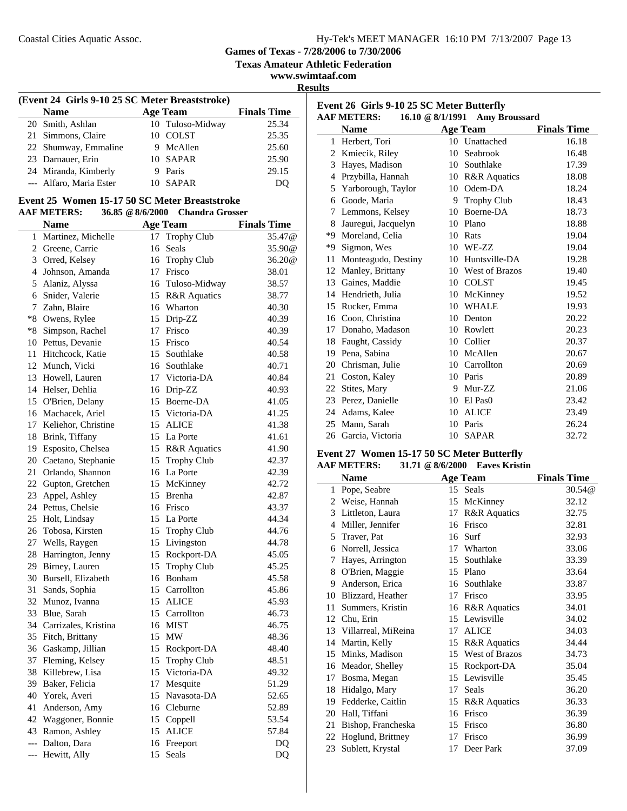**Games of Texas - 7/28/2006 to 7/30/2006**

**Texas Amateur Athletic Federation**

**www.swimtaaf.com Results**

| (Event 24 Girls 9-10 25 SC Meter Breaststroke) |  |                  |                    |  |  |  |
|------------------------------------------------|--|------------------|--------------------|--|--|--|
| <b>Name</b>                                    |  | Age Team         | <b>Finals Time</b> |  |  |  |
| 20 Smith, Ashlan                               |  | 10 Tuloso-Midway | 25.34              |  |  |  |
| 21 Simmons, Claire                             |  | 10 COLST         | 25.35              |  |  |  |
| 22 Shumway, Emmaline                           |  | 9 McAllen        | 25.60              |  |  |  |
| 23 Darnauer, Erin                              |  | 10 SAPAR         | 25.90              |  |  |  |
| 24 Miranda, Kimberly                           |  | 9 Paris          | 29.15              |  |  |  |
| --- Alfaro, Maria Ester                        |  | 10 SAPAR         | DU                 |  |  |  |

#### **Event 25 Women 15-17 50 SC Meter Breaststroke AAF METERS: 36.85 @8/6/2000 Chandra Grosser**

|             | <b>Name</b>             |    | <b>Age Team</b>    | <b>Finals Time</b> |
|-------------|-------------------------|----|--------------------|--------------------|
|             | 1 Martinez, Michelle    | 17 | <b>Trophy Club</b> | 35.47@             |
|             | 2 Greene, Carrie        | 16 | Seals              | 35.90@             |
|             | 3 Orred, Kelsey         | 16 | <b>Trophy Club</b> | 36.20@             |
|             | 4 Johnson, Amanda       | 17 | Frisco             | 38.01              |
| 5           | Alaniz, Alyssa          | 16 | Tuloso-Midway      | 38.57              |
| 6           | Snider, Valerie         |    | 15 R&R Aquatics    | 38.77              |
| $7^{\circ}$ | Zahn, Blaire            | 16 | Wharton            | 40.30              |
|             | *8 Owens, Rylee         | 15 | Drip-ZZ            | 40.39              |
|             | *8 Simpson, Rachel      | 17 | Frisco             | 40.39              |
|             | 10 Pettus, Devanie      | 15 | Frisco             | 40.54              |
|             | 11 Hitchcock, Katie     |    | 15 Southlake       | 40.58              |
|             | 12 Munch, Vicki         |    | 16 Southlake       | 40.71              |
|             | 13 Howell, Lauren       |    | 17 Victoria-DA     | 40.84              |
|             | 14 Helser, Dehlia       | 16 | Drip-ZZ            | 40.93              |
|             | 15 O'Brien, Delany      |    | 15 Boerne-DA       | 41.05              |
|             | 16 Machacek, Ariel      | 15 | Victoria-DA        | 41.25              |
|             | 17 Keliehor, Christine  | 15 | <b>ALICE</b>       | 41.38              |
|             | 18 Brink, Tiffany       | 15 | La Porte           | 41.61              |
|             | 19 Esposito, Chelsea    |    | 15 R&R Aquatics    | 41.90              |
|             | 20 Caetano, Stephanie   | 15 | <b>Trophy Club</b> | 42.37              |
| 21          | Orlando, Shannon        |    | 16 La Porte        | 42.39              |
|             | 22 Gupton, Gretchen     |    | 15 McKinney        | 42.72              |
|             | 23 Appel, Ashley        | 15 | Brenha             | 42.87              |
|             | 24 Pettus, Chelsie      |    | 16 Frisco          | 43.37              |
|             | 25 Holt, Lindsay        |    | 15 La Porte        | 44.34              |
|             | 26 Tobosa, Kirsten      | 15 | <b>Trophy Club</b> | 44.76              |
|             | 27 Wells, Raygen        | 15 | Livingston         | 44.78              |
|             | 28 Harrington, Jenny    | 15 | Rockport-DA        | 45.05              |
|             | 29 Birney, Lauren       | 15 | <b>Trophy Club</b> | 45.25              |
|             | 30 Bursell, Elizabeth   | 16 | Bonham             | 45.58              |
| 31          | Sands, Sophia           | 15 | Carrollton         | 45.86              |
|             | 32 Munoz, Ivanna        | 15 | <b>ALICE</b>       | 45.93              |
|             | 33 Blue, Sarah          | 15 | Carrollton         | 46.73              |
|             | 34 Carrizales, Kristina |    | 16 MIST            | 46.75              |
|             | 35 Fitch, Brittany      | 15 | MW                 | 48.36              |
|             | 36 Gaskamp, Jillian     |    | 15 Rockport-DA     | 48.40              |
|             | 37 Fleming, Kelsey      | 15 | <b>Trophy Club</b> | 48.51              |
|             | 38 Killebrew, Lisa      |    | 15 Victoria-DA     | 49.32              |
|             | 39 Baker, Felicia       | 17 | Mesquite           | 51.29              |
| 40          | Yorek, Averi            | 15 | Navasota-DA        | 52.65              |
| 41          | Anderson, Amy           | 16 | Cleburne           | 52.89              |
| 42          | Waggoner, Bonnie        | 15 | Coppell            | 53.54              |
| 43          | Ramon, Ashley           | 15 | <b>ALICE</b>       | 57.84              |
| $---$       | Dalton, Dara            | 16 | Freeport           | DQ                 |
| ---         | Hewitt, Ally            | 15 | Seals              | DQ                 |

| Event 26 Girls 9-10 25 SC Meter Butterfly |                     |    |                                |                    |  |  |
|-------------------------------------------|---------------------|----|--------------------------------|--------------------|--|--|
|                                           | <b>AAF METERS:</b>  |    | 16.10 @ 8/1/1991 Amy Broussard |                    |  |  |
|                                           | Name                |    | <b>Age Team</b>                | <b>Finals Time</b> |  |  |
| 1                                         | Herbert, Tori       |    | 10 Unattached                  | 16.18              |  |  |
| 2                                         | Kmiecik, Riley      | 10 | Seabrook                       | 16.48              |  |  |
| 3                                         | Haves, Madison      | 10 | Southlake                      | 17.39              |  |  |
| 4                                         | Przybilla, Hannah   | 10 | <b>R&amp;R</b> Aquatics        | 18.08              |  |  |
| 5                                         | Yarborough, Taylor  | 10 | Odem-DA                        | 18.24              |  |  |
| 6                                         | Goode, Maria        | 9  | <b>Trophy Club</b>             | 18.43              |  |  |
| 7                                         | Lemmons, Kelsey     | 10 | Boerne-DA                      | 18.73              |  |  |
| 8                                         | Jauregui, Jacquelyn | 10 | Plano                          | 18.88              |  |  |
| *9                                        | Moreland, Celia     | 10 | Rats                           | 19.04              |  |  |
| *9                                        | Sigmon, Wes         | 10 | WE-ZZ                          | 19.04              |  |  |
| 11                                        | Monteagudo, Destiny | 10 | Huntsville-DA                  | 19.28              |  |  |
| 12                                        | Manley, Brittany    |    | 10 West of Brazos              | 19.40              |  |  |
| 13                                        | Gaines, Maddie      | 10 | <b>COLST</b>                   | 19.45              |  |  |
| 14                                        | Hendrieth, Julia    | 10 | McKinney                       | 19.52              |  |  |
|                                           | 15 Rucker, Emma     | 10 | WHALE                          | 19.93              |  |  |
|                                           | 16 Coon, Christina  | 10 | Denton                         | 20.22              |  |  |
| 17                                        | Donaho, Madason     | 10 | Rowlett                        | 20.23              |  |  |
| 18                                        | Faught, Cassidy     | 10 | Collier                        | 20.37              |  |  |
| 19                                        | Pena, Sabina        | 10 | McAllen                        | 20.67              |  |  |
| 20                                        | Chrisman, Julie     | 10 | Carrollton                     | 20.69              |  |  |
| 21                                        | Coston, Kaley       | 10 | Paris                          | 20.89              |  |  |
| 22                                        | Stites, Mary        | 9  | Mur-ZZ                         | 21.06              |  |  |
| 23                                        | Perez, Danielle     | 10 | El Pas <sub>0</sub>            | 23.42              |  |  |
| 24                                        | Adams, Kalee        | 10 | <b>ALICE</b>                   | 23.49              |  |  |
| 25                                        | Mann, Sarah         | 10 | Paris                          | 26.24              |  |  |
|                                           | 26 Garcia, Victoria | 10 | <b>SAPAR</b>                   | 32.72              |  |  |

### **Event 27 Women 15-17 50 SC Meter Butterfly**

### **AAF METERS: 31.71 @8/6/2000 Eaves Kristin**

| <b>Name</b> |                     |    | <b>Age Team</b>         | <b>Finals Time</b> |
|-------------|---------------------|----|-------------------------|--------------------|
| 1           | Pope, Seabre        |    | 15 Seals                | 30.54@             |
| 2           | Weise, Hannah       | 15 | McKinney                | 32.12              |
| 3           | Littleton, Laura    | 17 | <b>R&amp;R</b> Aquatics | 32.75              |
| 4           | Miller, Jennifer    | 16 | Frisco                  | 32.81              |
| 5           | Traver, Pat         | 16 | Surf                    | 32.93              |
| 6           | Norrell, Jessica    | 17 | Wharton                 | 33.06              |
| 7           | Hayes, Arrington    | 15 | Southlake               | 33.39              |
| 8           | O'Brien, Maggie     | 15 | Plano                   | 33.64              |
| 9           | Anderson, Erica     | 16 | Southlake               | 33.87              |
| 10          | Blizzard, Heather   | 17 | Frisco                  | 33.95              |
| 11          | Summers, Kristin    | 16 | <b>R&amp;R</b> Aquatics | 34.01              |
| 12          | Chu, Erin           | 15 | Lewisville              | 34.02              |
| 13          | Villarreal, MiReina | 17 | <b>ALICE</b>            | 34.03              |
| 14          | Martin, Kelly       | 15 | <b>R&amp;R</b> Aquatics | 34.44              |
| 15          | Minks, Madison      | 15 | <b>West of Brazos</b>   | 34.73              |
| 16          | Meador, Shelley     | 15 | Rockport-DA             | 35.04              |
| 17          | Bosma, Megan        | 15 | Lewisville              | 35.45              |
| 18          | Hidalgo, Mary       | 17 | Seals                   | 36.20              |
| 19          | Fedderke, Caitlin   | 15 | <b>R&amp;R</b> Aquatics | 36.33              |
| 20          | Hall, Tiffani       | 16 | Frisco                  | 36.39              |
| 21          | Bishop, Francheska  | 15 | Frisco                  | 36.80              |
| 22          | Hoglund, Brittney   | 17 | Frisco                  | 36.99              |
| 23          | Sublett, Krystal    | 17 | Deer Park               | 37.09              |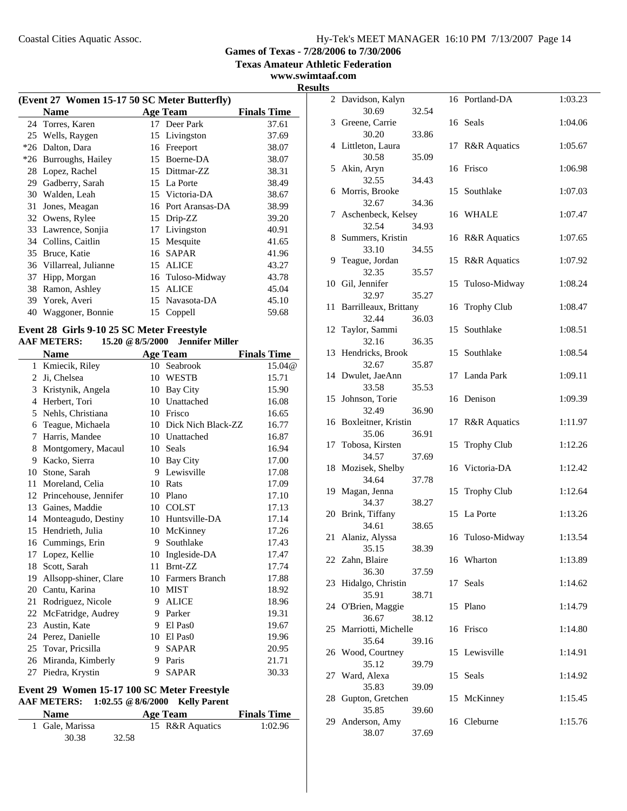**Texas Amateur Athletic Federation**

# **www.swimtaaf.com Results**

|       | (Event 27 Women 15-17 50 SC Meter Butterfly) |    |                  |                    |  |  |  |
|-------|----------------------------------------------|----|------------------|--------------------|--|--|--|
|       | Name                                         |    | <b>Age Team</b>  | <b>Finals Time</b> |  |  |  |
|       | 24 Torres, Karen                             |    | 17 Deer Park     | 37.61              |  |  |  |
| 25    | Wells, Raygen                                | 15 | Livingston       | 37.69              |  |  |  |
| $*26$ | Dalton, Dara                                 | 16 | Freeport         | 38.07              |  |  |  |
| $*26$ | Burroughs, Hailey                            | 15 | Boerne-DA        | 38.07              |  |  |  |
| 28    | Lopez, Rachel                                | 15 | Dittmar-ZZ       | 38.31              |  |  |  |
| 29    | Gadberry, Sarah                              | 15 | La Porte         | 38.49              |  |  |  |
| 30    | Walden, Leah                                 | 15 | Victoria-DA      | 38.67              |  |  |  |
| 31    | Jones, Meagan                                | 16 | Port Aransas-DA  | 38.99              |  |  |  |
| 32    | Owens, Rylee                                 | 15 | Drip-ZZ          | 39.20              |  |  |  |
| 33    | Lawrence, Sonjia                             | 17 | Livingston       | 40.91              |  |  |  |
| 34    | Collins, Caitlin                             | 15 | Mesquite         | 41.65              |  |  |  |
| 35    | Bruce, Katie                                 | 16 | <b>SAPAR</b>     | 41.96              |  |  |  |
| 36    | Villarreal, Julianne                         | 15 | <b>ALICE</b>     | 43.27              |  |  |  |
| 37    | Hipp, Morgan                                 |    | 16 Tuloso-Midway | 43.78              |  |  |  |
| 38    | Ramon, Ashley                                | 15 | <b>ALICE</b>     | 45.04              |  |  |  |
| 39    | Yorek, Averi                                 | 15 | Navasota-DA      | 45.10              |  |  |  |
| 40    | Waggoner, Bonnie                             |    | 15 Coppell       | 59.68              |  |  |  |
|       |                                              |    |                  |                    |  |  |  |

### **Event 28 Girls 9-10 25 SC Meter Freestyle**

#### **AAF METERS: 15.20 @8/5/2000 Jennifer Miller**

| Name |                       |    | <b>Age Team</b>     | <b>Finals Time</b> |  |
|------|-----------------------|----|---------------------|--------------------|--|
| 1    | Kmiecik, Riley        | 10 | Seabrook            | 15.04@             |  |
| 2    | Ji, Chelsea           | 10 | <b>WESTB</b>        | 15.71              |  |
| 3    | Kristynik, Angela     | 10 | Bay City            | 15.90              |  |
| 4    | Herbert, Tori         | 10 | Unattached          | 16.08              |  |
| 5    | Nehls, Christiana     | 10 | Frisco              | 16.65              |  |
| 6    | Teague, Michaela      | 10 | Dick Nich Black-ZZ  | 16.77              |  |
| 7    | Harris, Mandee        |    | 10 Unattached       | 16.87              |  |
| 8    | Montgomery, Macaul    | 10 | Seals               | 16.94              |  |
| 9    | Kacko, Sierra         | 10 | Bay City            | 17.00              |  |
| 10   | Stone, Sarah          | 9  | Lewisville          | 17.08              |  |
| 11   | Moreland, Celia       | 10 | Rats                | 17.09              |  |
| 12   | Princehouse, Jennifer | 10 | Plano               | 17.10              |  |
| 13   | Gaines, Maddie        | 10 | <b>COLST</b>        | 17.13              |  |
| 14   | Monteagudo, Destiny   | 10 | Huntsville-DA       | 17.14              |  |
| 15   | Hendrieth, Julia      | 10 | McKinney            | 17.26              |  |
| 16   | Cummings, Erin        | 9  | Southlake           | 17.43              |  |
| 17   | Lopez, Kellie         | 10 | Ingleside-DA        | 17.47              |  |
| 18   | Scott, Sarah          | 11 | Brnt-ZZ             | 17.74              |  |
| 19   | Allsopp-shiner, Clare | 10 | Farmers Branch      | 17.88              |  |
| 20   | Cantu, Karina         | 10 | MIST                | 18.92              |  |
| 21   | Rodriguez, Nicole     | 9  | <b>ALICE</b>        | 18.96              |  |
| 22   | McFatridge, Audrey    | 9  | Parker              | 19.31              |  |
| 23   | Austin, Kate          | 9  | El Pas <sub>0</sub> | 19.67              |  |
| 24   | Perez, Danielle       | 10 | El Pas <sub>0</sub> | 19.96              |  |
| 25   | Tovar, Pricsilla      | 9  | <b>SAPAR</b>        | 20.95              |  |
| 26   | Miranda, Kimberly     | 9  | Paris               | 21.71              |  |
| 27   | Piedra, Krystin       | 9  | <b>SAPAR</b>        | 30.33              |  |

### **Event 29 Women 15-17 100 SC Meter Freestyle AAF METERS: 1:02.55 @8/6/2000 Kelly Parent**

| <b>Name</b>     |       | <b>Age Team</b> | <b>Finals Time</b> |
|-----------------|-------|-----------------|--------------------|
| 1 Gale, Marissa |       | 15 R&R Aquatics | 1:02.96            |
| 30.38           | 32.58 |                 |                    |

| S  |                                |       |    |                         |         |
|----|--------------------------------|-------|----|-------------------------|---------|
|    | 2 Davidson, Kalyn<br>30.69     | 32.54 |    | 16 Portland-DA          | 1:03.23 |
|    | 3 Greene, Carrie               |       |    | 16 Seals                | 1:04.06 |
|    | 30.20<br>4 Littleton, Laura    | 33.86 | 17 | <b>R&amp;R</b> Aquatics | 1:05.67 |
|    | 30.58                          | 35.09 |    |                         |         |
|    | 5 Akin, Aryn<br>32.55          | 34.43 |    | 16 Frisco               | 1:06.98 |
|    | 6 Morris, Brooke               |       |    | 15 Southlake            | 1:07.03 |
| 7  | 32.67<br>Aschenbeck, Kelsey    | 34.36 |    | 16 WHALE                | 1:07.47 |
|    | 32.54<br>8 Summers, Kristin    | 34.93 |    | 16 R&R Aquatics         | 1:07.65 |
|    | 33.10                          | 34.55 |    |                         |         |
| 9  | Teague, Jordan<br>32.35        | 35.57 | 15 | <b>R&amp;R</b> Aquatics | 1:07.92 |
|    | 10 Gil, Jennifer               |       | 15 | Tuloso-Midway           | 1:08.24 |
| 11 | 32.97<br>Barrilleaux, Brittany | 35.27 | 16 | <b>Trophy Club</b>      | 1:08.47 |
|    | 32.44                          | 36.03 |    |                         |         |
|    | 12 Taylor, Sammi<br>32.16      | 36.35 | 15 | Southlake               | 1:08.51 |
| 13 | Hendricks, Brook               |       | 15 | Southlake               | 1:08.54 |
|    | 32.67<br>14 Dwulet, JaeAnn     | 35.87 | 17 | Landa Park              | 1:09.11 |
|    | 33.58                          | 35.53 |    |                         |         |
| 15 | Johnson, Torie<br>32.49        | 36.90 |    | 16 Denison              | 1:09.39 |
|    | 16 Boxleitner, Kristin         |       | 17 | <b>R&amp;R</b> Aquatics | 1:11.97 |
| 17 | 35.06<br>Tobosa, Kirsten       | 36.91 | 15 | <b>Trophy Club</b>      | 1:12.26 |
|    | 34.57<br>18 Mozisek, Shelby    | 37.69 |    | 16 Victoria-DA          | 1:12.42 |
|    | 34.64                          | 37.78 |    |                         |         |
| 19 | Magan, Jenna<br>34.37          | 38.27 | 15 | <b>Trophy Club</b>      | 1:12.64 |
| 20 | Brink, Tiffany                 |       | 15 | La Porte                | 1:13.26 |
|    | 34.61<br>21 Alaniz, Alyssa     | 38.65 |    | 16 Tuloso-Midway        | 1:13.54 |
|    | 35.15                          | 38.39 |    |                         |         |
|    | 22 Zahn, Blaire<br>36.30       | 37.59 |    | 16 Wharton              | 1:13.89 |
| 23 | Hidalgo, Christin              |       | 17 | Seals                   | 1:14.62 |
| 24 | 35.91<br>O'Brien, Maggie       | 38.71 | 15 | Plano                   | 1:14.79 |
|    | 36.67                          | 38.12 |    |                         |         |
| 25 | Marriotti, Michelle<br>35.64   | 39.16 |    | 16 Frisco               | 1:14.80 |
| 26 | Wood, Courtney                 |       |    | 15 Lewisville           | 1:14.91 |
| 27 | 35.12<br>Ward, Alexa           | 39.79 | 15 | Seals                   | 1:14.92 |
|    | 35.83                          | 39.09 |    |                         |         |
| 28 | Gupton, Gretchen<br>35.85      | 39.60 | 15 | McKinney                | 1:15.45 |
| 29 | Anderson, Amy<br>38.07         | 37.69 |    | 16 Cleburne             | 1:15.76 |
|    |                                |       |    |                         |         |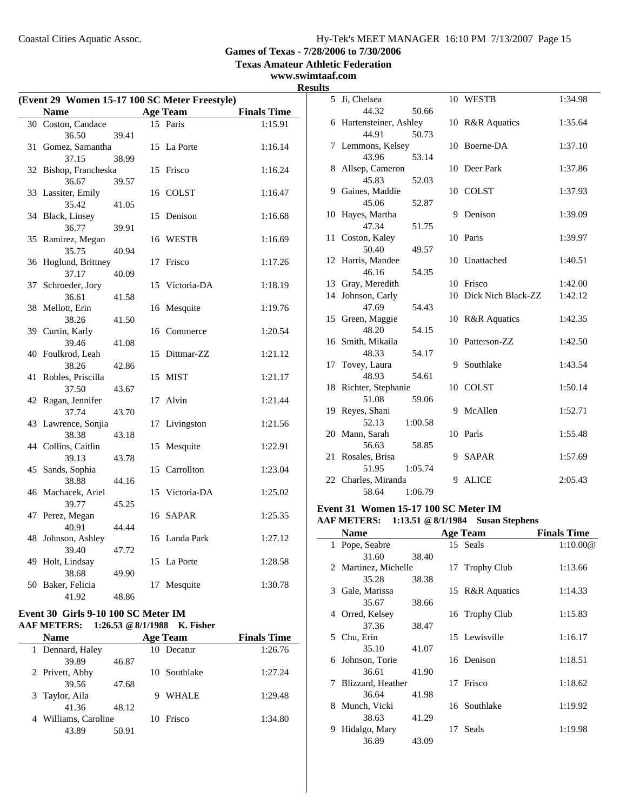**Texas Amateur Athletic Federation**

### **www.swimtaaf.com**

| (Event 29 Women 15-17 100 SC Meter Freestyle) |                        |       |    |                 |                    |
|-----------------------------------------------|------------------------|-------|----|-----------------|--------------------|
|                                               | Name                   |       |    | <b>Age Team</b> | <b>Finals Time</b> |
|                                               | 30 Coston, Candace     |       |    | 15 Paris        | 1:15.91            |
|                                               | 36.50                  | 39.41 |    |                 |                    |
| 31                                            | Gomez, Samantha        |       |    | 15 La Porte     | 1:16.14            |
|                                               | 37.15                  | 38.99 |    |                 |                    |
| 32                                            | Bishop, Francheska     |       | 15 | Frisco          | 1:16.24            |
|                                               | 36.67                  | 39.57 |    |                 |                    |
|                                               | 33 Lassiter, Emily     |       |    | 16 COLST        | 1:16.47            |
|                                               | 35.42                  | 41.05 |    |                 |                    |
|                                               | 34 Black, Linsey       |       | 15 | Denison         | 1:16.68            |
|                                               | 36.77                  | 39.91 |    |                 |                    |
| 35                                            | Ramirez, Megan         |       | 16 | <b>WESTB</b>    | 1:16.69            |
|                                               | 35.75                  | 40.94 |    |                 |                    |
| 36                                            | Hoglund, Brittney      |       | 17 | Frisco          | 1:17.26            |
|                                               | 37.17                  | 40.09 |    |                 |                    |
| 37                                            | Schroeder, Jory        |       | 15 | Victoria-DA     | 1:18.19            |
|                                               | 36.61                  | 41.58 |    |                 |                    |
| 38                                            | Mellott, Erin          |       |    | 16 Mesquite     | 1:19.76            |
| 39                                            | 38.26                  | 41.50 |    |                 |                    |
|                                               | Curtin, Karly<br>39.46 |       |    | 16 Commerce     | 1:20.54            |
|                                               | 40 Foulkrod, Leah      | 41.08 | 15 | Dittmar-ZZ      | 1:21.12            |
|                                               | 38.26                  | 42.86 |    |                 |                    |
| 41                                            | Robles, Priscilla      |       | 15 | <b>MIST</b>     | 1:21.17            |
|                                               | 37.50                  | 43.67 |    |                 |                    |
| 42                                            | Ragan, Jennifer        |       | 17 | Alvin           | 1:21.44            |
|                                               | 37.74                  | 43.70 |    |                 |                    |
|                                               | 43 Lawrence, Sonjia    |       | 17 | Livingston      | 1:21.56            |
|                                               | 38.38                  | 43.18 |    |                 |                    |
|                                               | 44 Collins, Caitlin    |       | 15 | Mesquite        | 1:22.91            |
|                                               | 39.13                  | 43.78 |    |                 |                    |
| 45                                            | Sands, Sophia          |       | 15 | Carrollton      | 1:23.04            |
|                                               | 38.88                  | 44.16 |    |                 |                    |
| 46                                            | Machacek, Ariel        |       | 15 | Victoria-DA     | 1:25.02            |
|                                               | 39.77                  | 45.25 |    |                 |                    |
| 47                                            | Perez, Megan           |       |    | 16 SAPAR        | 1:25.35            |
|                                               | 40.91                  | 44.44 |    |                 |                    |
| 48                                            | Johnson, Ashley        |       | 16 | Landa Park      | 1:27.12            |
|                                               | 39.40                  | 47.72 |    |                 |                    |
| 49                                            | Holt, Lindsay          |       | 15 | La Porte        | 1:28.58            |
|                                               | 38.68                  | 49.90 |    |                 |                    |
| 50                                            | Baker, Felicia         |       | 17 | Mesquite        | 1:30.78            |
|                                               | 41.92                  | 48.86 |    |                 |                    |

#### **Event 30 Girls 9-10 100 SC Meter IM AAF METERS: 1:26.53 @8/1/1988 K. Fisher**

| <b>Name</b>      |       |                      |              | <b>Finals Time</b>                                                                                   |  |  |
|------------------|-------|----------------------|--------------|------------------------------------------------------------------------------------------------------|--|--|
| 1 Dennard, Haley |       |                      |              | 1:26.76                                                                                              |  |  |
| 39.89            | 46.87 |                      |              |                                                                                                      |  |  |
| 2 Privett, Abby  |       |                      |              | 1:27.24                                                                                              |  |  |
| 39.56            | 47.68 |                      |              |                                                                                                      |  |  |
| 3 Taylor, Aila   |       |                      | <b>WHALE</b> | 1:29.48                                                                                              |  |  |
| 41.36            | 48.12 |                      |              |                                                                                                      |  |  |
|                  |       |                      |              | 1:34.80                                                                                              |  |  |
| 43.89            | 50.91 |                      |              |                                                                                                      |  |  |
|                  |       | 4 Williams, Caroline |              | $\sim$ $\omega$ $\sim$ $\sim$ $\omega$<br><b>Age Team</b><br>10 Decatur<br>10 Southlake<br>10 Frisco |  |  |

| <b>Results</b> |                                     |    |                       |         |
|----------------|-------------------------------------|----|-----------------------|---------|
|                | 5 Ji, Chelsea                       |    | 10 WESTB              | 1:34.98 |
|                | 44.32<br>50.66                      |    |                       |         |
|                | 6 Hartensteiner, Ashley             |    | 10 R&R Aquatics       | 1:35.64 |
|                | 44.91<br>50.73                      |    |                       |         |
|                | 7 Lemmons, Kelsey                   |    | 10 Boerne-DA          | 1:37.10 |
|                | 43.96<br>53.14                      |    |                       |         |
|                | 8 Allsep, Cameron                   |    | 10 Deer Park          | 1:37.86 |
|                | 45.83<br>52.03                      |    |                       |         |
|                | 9 Gaines, Maddie                    |    | 10 COLST              | 1:37.93 |
|                | 45.06<br>52.87                      |    |                       |         |
|                | 10 Hayes, Martha                    |    | 9 Denison             | 1:39.09 |
|                | 47.34<br>51.75                      |    |                       |         |
|                | 11 Coston, Kaley                    |    | 10 Paris              | 1:39.97 |
|                | 50.40<br>49.57                      |    |                       |         |
|                | 12 Harris, Mandee                   |    | 10 Unattached         | 1:40.51 |
|                | 54.35<br>46.16                      |    | 10 Frisco             |         |
|                | 13 Gray, Meredith                   |    | 10 Dick Nich Black-ZZ | 1:42.00 |
|                | 14 Johnson, Carly<br>54.43<br>47.69 |    |                       | 1:42.12 |
|                | 15 Green, Maggie                    |    | 10 R&R Aquatics       | 1:42.35 |
|                | 48.20<br>54.15                      |    |                       |         |
|                | 16 Smith, Mikaila                   | 10 | Patterson-ZZ          | 1:42.50 |
|                | 48.33<br>54.17                      |    |                       |         |
|                | 17 Tovey, Laura                     |    | 9 Southlake           | 1:43.54 |
|                | 48.93<br>54.61                      |    |                       |         |
|                | 18 Richter, Stephanie               |    | 10 COLST              | 1:50.14 |
|                | 51.08<br>59.06                      |    |                       |         |
|                | 19 Reyes, Shani                     |    | 9 McAllen             | 1:52.71 |
|                | 52.13<br>1:00.58                    |    |                       |         |
|                | 20 Mann, Sarah                      |    | 10 Paris              | 1:55.48 |
|                | 56.63<br>58.85                      |    |                       |         |
|                | 21 Rosales, Brisa                   | 9  | <b>SAPAR</b>          | 1:57.69 |
|                | 51.95<br>1:05.74                    |    |                       |         |
|                | 22 Charles, Miranda                 | 9  | <b>ALICE</b>          | 2:05.43 |
|                | 58.64<br>1:06.79                    |    |                       |         |

### **Event 31 Women 15-17 100 SC Meter IM AAF METERS: 1:13.51 @8/1/1984 Susan Stephens**

| <b>Name</b>            |       |    | <b>Age Team</b> | <b>Finals Time</b> |
|------------------------|-------|----|-----------------|--------------------|
| 1 Pope, Seabre         |       |    | 15 Seals        | 1:10.00@           |
| 31.60                  | 38.40 |    |                 |                    |
| 2 Martinez, Michelle   |       |    | 17 Trophy Club  | 1:13.66            |
| 35.28                  | 38.38 |    |                 |                    |
| 3 Gale, Marissa        |       |    | 15 R&R Aquatics | 1:14.33            |
| 35.67                  | 38.66 |    |                 |                    |
| 4 Orred, Kelsey        |       |    | 16 Trophy Club  | 1:15.83            |
| 37.36                  | 38.47 |    |                 |                    |
| 5 Chu, Erin            |       |    | 15 Lewisville   | 1:16.17            |
| 35.10                  | 41.07 |    |                 |                    |
| 6 Johnson, Torie       |       |    | 16 Denison      | 1:18.51            |
| 36.61                  | 41.90 |    |                 |                    |
| Blizzard, Heather<br>7 |       | 17 | Frisco          | 1:18.62            |
| 36.64                  | 41.98 |    |                 |                    |
| 8 Munch, Vicki         |       |    | 16 Southlake    | 1:19.92            |
| 38.63                  | 41.29 |    |                 |                    |
| Hidalgo, Mary<br>9     |       | 17 | Seals           | 1:19.98            |
| 36.89                  | 43.09 |    |                 |                    |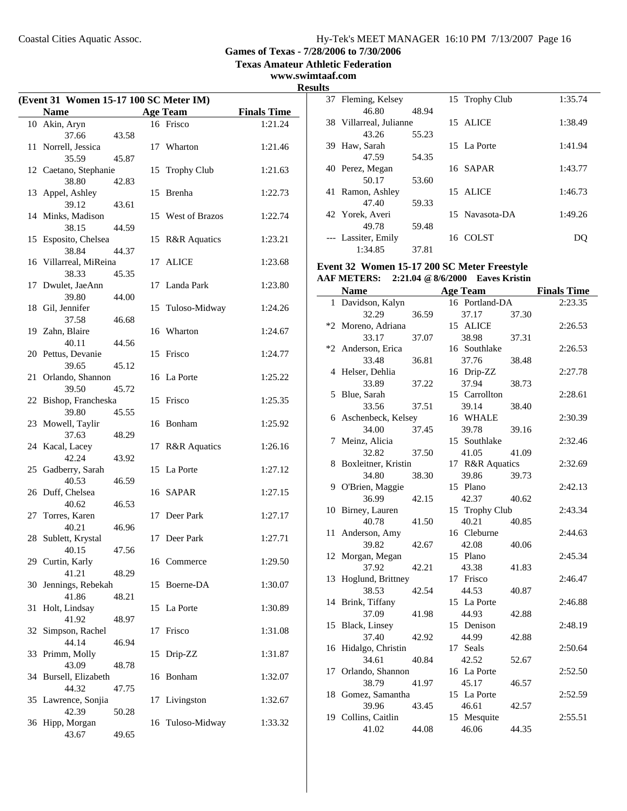**Texas Amateur Athletic Federation**

**www.swimtaaf.com Results**

| (Event 31 Women 15-17 100 SC Meter IM) |                            |       |    |                    |                    |
|----------------------------------------|----------------------------|-------|----|--------------------|--------------------|
|                                        | <b>Name</b>                |       |    | <b>Age Team</b>    | <b>Finals Time</b> |
|                                        | 10 Akin, Aryn              |       |    | 16 Frisco          | 1:21.24            |
|                                        | 37.66                      | 43.58 |    |                    |                    |
| 11                                     | Norrell, Jessica           |       |    | 17 Wharton         | 1:21.46            |
|                                        | 35.59                      | 45.87 |    |                    |                    |
|                                        | 12 Caetano, Stephanie      |       | 15 | <b>Trophy Club</b> | 1:21.63            |
|                                        | 38.80                      | 42.83 |    |                    |                    |
|                                        | 13 Appel, Ashley           |       |    | 15 Brenha          | 1:22.73            |
|                                        | 39.12<br>14 Minks, Madison | 43.61 |    | 15 West of Brazos  | 1:22.74            |
|                                        | 38.15                      | 44.59 |    |                    |                    |
|                                        | 15 Esposito, Chelsea       |       |    | 15 R&R Aquatics    | 1:23.21            |
|                                        | 38.84                      | 44.37 |    |                    |                    |
|                                        | 16 Villarreal, MiReina     |       |    | 17 ALICE           | 1:23.68            |
|                                        | 38.33                      | 45.35 |    |                    |                    |
|                                        | 17 Dwulet, JaeAnn          |       |    | 17 Landa Park      | 1:23.80            |
|                                        | 39.80                      | 44.00 |    |                    |                    |
|                                        | 18 Gil, Jennifer           |       | 15 | Tuloso-Midway      | 1:24.26            |
|                                        | 37.58<br>19 Zahn, Blaire   | 46.68 |    | 16 Wharton         | 1:24.67            |
|                                        | 40.11                      | 44.56 |    |                    |                    |
|                                        | 20 Pettus, Devanie         |       | 15 | Frisco             | 1:24.77            |
|                                        | 39.65                      | 45.12 |    |                    |                    |
| 21                                     | Orlando, Shannon           |       |    | 16 La Porte        | 1:25.22            |
|                                        | 39.50                      | 45.72 |    |                    |                    |
| 22                                     | Bishop, Francheska         |       |    | 15 Frisco          | 1:25.35            |
|                                        | 39.80                      | 45.55 |    |                    |                    |
|                                        | 23 Mowell, Taylir<br>37.63 | 48.29 |    | 16 Bonham          | 1:25.92            |
|                                        | 24 Kacal, Lacey            |       |    | 17 R&R Aquatics    | 1:26.16            |
|                                        | 42.24                      | 43.92 |    |                    |                    |
|                                        | 25 Gadberry, Sarah         |       |    | 15 La Porte        | 1:27.12            |
|                                        | 40.53                      | 46.59 |    |                    |                    |
|                                        | 26 Duff, Chelsea           |       |    | 16 SAPAR           | 1:27.15            |
|                                        | 40.62                      | 46.53 |    |                    |                    |
|                                        | 27 Torres, Karen<br>40.21  | 46.96 |    | 17 Deer Park       | 1:27.17            |
|                                        | 28 Sublett, Krystal        |       |    | 17 Deer Park       | 1:27.71            |
|                                        | 40.15                      | 47.56 |    |                    |                    |
|                                        | 29 Curtin, Karly           |       |    | 16 Commerce        | 1:29.50            |
|                                        | 41.21                      | 48.29 |    |                    |                    |
| 30                                     | Jennings, Rebekah          |       | 15 | Boerne-DA          | 1:30.07            |
|                                        | 41.86                      | 48.21 |    |                    |                    |
| 31                                     | Holt, Lindsay              |       |    | 15 La Porte        | 1:30.89            |
| 32                                     | 41.92<br>Simpson, Rachel   | 48.97 | 17 | Frisco             | 1:31.08            |
|                                        | 44.14                      | 46.94 |    |                    |                    |
|                                        | 33 Primm, Molly            |       | 15 | Drip-ZZ            | 1:31.87            |
|                                        | 43.09                      | 48.78 |    |                    |                    |
| 34                                     | Bursell, Elizabeth         |       | 16 | Bonham             | 1:32.07            |
|                                        | 44.32                      | 47.75 |    |                    |                    |
|                                        | 35 Lawrence, Sonjia        |       | 17 | Livingston         | 1:32.67            |
| 36                                     | 42.39<br>Hipp, Morgan      | 50.28 |    | 16 Tuloso-Midway   | 1:33.32            |
|                                        | 43.67                      | 49.65 |    |                    |                    |
|                                        |                            |       |    |                    |                    |

| 37 Fleming, Kelsey      |       | 15 Trophy Club | 1:35.74 |
|-------------------------|-------|----------------|---------|
| 46.80                   | 48.94 |                |         |
| 38 Villarreal, Julianne |       | 15 ALICE       | 1:38.49 |
| 43.26                   | 55.23 |                |         |
| 39 Haw, Sarah           |       | 15 La Porte    | 1:41.94 |
| 47.59                   | 54.35 |                |         |
| 40 Perez, Megan         |       | 16 SAPAR       | 1:43.77 |
| 50.17                   | 53.60 |                |         |
| 41 Ramon, Ashley        |       | 15 ALICE       | 1:46.73 |
| 47.40                   | 59.33 |                |         |
| 42 Yorek, Averi         |       | 15 Navasota-DA | 1:49.26 |
| 49.78                   | 59.48 |                |         |
| --- Lassiter, Emily     |       | 16 COLST       | DU      |
| 1:34.85                 | 37.81 |                |         |
|                         |       |                |         |

# **Event 32 Women 15-17 200 SC Meter Freestyle**

| <b>AAF METERS:</b> | 2:21.04 @ 8/6/2000 Eaves Kristin |  |
|--------------------|----------------------------------|--|
|--------------------|----------------------------------|--|

|    | <b>Name</b>          |       | <b>Age Team</b> |       | <b>Finals Time</b> |
|----|----------------------|-------|-----------------|-------|--------------------|
| 1  | Davidson, Kalyn      |       | 16 Portland-DA  |       | 2:23.35            |
|    | 32.29                | 36.59 | 37.17           | 37.30 |                    |
|    | *2 Moreno, Adriana   |       | 15 ALICE        |       | 2:26.53            |
|    | 33.17                | 37.07 | 38.98           | 37.31 |                    |
|    | *2 Anderson, Erica   |       | 16 Southlake    |       | 2:26.53            |
|    | 33.48                | 36.81 | 37.76           | 38.48 |                    |
|    | 4 Helser, Dehlia     |       | 16 Drip-ZZ      |       | 2:27.78            |
|    | 33.89                | 37.22 | 37.94           | 38.73 |                    |
|    | 5 Blue, Sarah        |       | 15 Carrollton   |       | 2:28.61            |
|    | 33.56                | 37.51 | 39.14           | 38.40 |                    |
|    | 6 Aschenbeck, Kelsey |       | 16 WHALE        |       | 2:30.39            |
|    | 34.00                | 37.45 | 39.78           | 39.16 |                    |
| 7  | Meinz, Alicia        |       | 15 Southlake    |       | 2:32.46            |
|    | 32.82                | 37.50 | 41.05           | 41.09 |                    |
| 8  | Boxleitner, Kristin  |       | 17 R&R Aquatics |       | 2:32.69            |
|    | 34.80                | 38.30 | 39.86           | 39.73 |                    |
|    | 9 O'Brien, Maggie    |       | 15 Plano        |       | 2:42.13            |
|    | 36.99                | 42.15 | 42.37           | 40.62 |                    |
| 10 | Birney, Lauren       |       | 15 Trophy Club  |       | 2:43.34            |
|    | 40.78                | 41.50 | 40.21           | 40.85 |                    |
| 11 | Anderson, Amy        |       | 16 Cleburne     |       | 2:44.63            |
|    | 39.82                | 42.67 | 42.08           | 40.06 |                    |
|    | 12 Morgan, Megan     |       | 15 Plano        |       | 2:45.34            |
|    | 37.92                | 42.21 | 43.38           | 41.83 |                    |
| 13 | Hoglund, Brittney    |       | 17 Frisco       |       | 2:46.47            |
|    | 38.53                | 42.54 | 44.53           | 40.87 |                    |
|    | 14 Brink, Tiffany    |       | 15 La Porte     |       | 2:46.88            |
|    | 37.09                | 41.98 | 44.93           | 42.88 |                    |
|    | 15 Black, Linsey     |       | 15 Denison      |       | 2:48.19            |
|    | 37.40                | 42.92 | 44.99           | 42.88 |                    |
|    | 16 Hidalgo, Christin |       | 17 Seals        |       | 2:50.64            |
|    | 34.61                | 40.84 | 42.52           | 52.67 |                    |
|    | 17 Orlando, Shannon  |       | 16 La Porte     |       | 2:52.50            |
|    | 38.79                | 41.97 | 45.17           | 46.57 |                    |
|    | 18 Gomez, Samantha   |       | 15 La Porte     |       | 2:52.59            |
|    | 39.96                | 43.45 | 46.61           | 42.57 |                    |
|    | 19 Collins, Caitlin  |       | 15 Mesquite     |       | 2:55.51            |
|    | 41.02                | 44.08 | 46.06           | 44.35 |                    |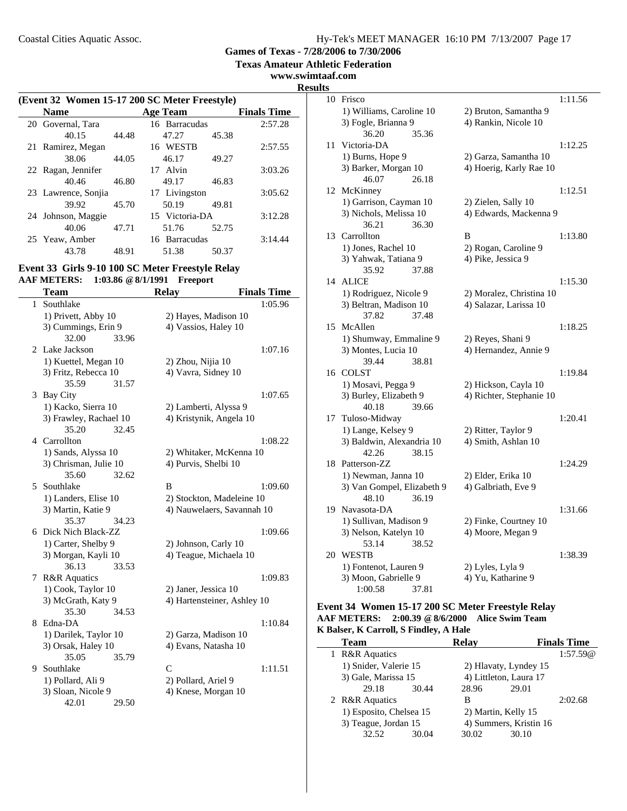**Texas Amateur Athletic Federation**

### **www.swimtaaf.com**

**Results**

 $\overline{\phantom{a}}$ 

| (Event 32 Women 15-17 200 SC Meter Freestyle) |       |                 |       |                    |  |  |
|-----------------------------------------------|-------|-----------------|-------|--------------------|--|--|
| <b>Name</b>                                   |       | <b>Age Team</b> |       | <b>Finals Time</b> |  |  |
| 20 Governal, Tara                             |       | 16 Barracudas   |       | 2:57.28            |  |  |
| 40.15                                         | 44.48 | 47.27           | 45.38 |                    |  |  |
| 21 Ramirez, Megan                             |       | 16 WESTB        |       | 2:57.55            |  |  |
| 38.06                                         | 44.05 | 46.17           | 49.27 |                    |  |  |
| 22 Ragan, Jennifer                            |       | 17 Alvin        |       | 3:03.26            |  |  |
| 40.46                                         | 46.80 | 49.17           | 46.83 |                    |  |  |
| 23 Lawrence, Sonjia                           |       | 17 Livingston   |       | 3:05.62            |  |  |
| 39.92                                         | 45.70 | 50.19           | 49.81 |                    |  |  |
| 24 Johnson, Maggie                            |       | 15 Victoria-DA  |       | 3:12.28            |  |  |
| 40.06                                         | 47.71 | 51.76           | 52.75 |                    |  |  |
| 25 Yeaw, Amber                                |       | 16 Barracudas   |       | 3:14.44            |  |  |
| 43.78                                         | 48.91 | 51.38           | 50.37 |                    |  |  |

#### **Event 33 Girls 9-10 100 SC Meter Freestyle Relay AAF METERS: 1:03.86 @8/1/1991 Freeport**

|              | <b>Team</b>                           | <b>Relay</b>                | <b>Finals Time</b> |
|--------------|---------------------------------------|-----------------------------|--------------------|
| $\mathbf{1}$ | Southlake                             |                             | 1:05.96            |
|              | 1) Privett, Abby 10                   | 2) Hayes, Madison 10        |                    |
|              | 3) Cummings, Erin 9                   | 4) Vassios, Haley 10        |                    |
|              | 32.00<br>33.96                        |                             |                    |
|              | 2 Lake Jackson                        |                             | 1:07.16            |
|              | 1) Kuettel, Megan 10                  | 2) Zhou, Nijia 10           |                    |
|              | 3) Fritz, Rebecca 10                  | 4) Vavra, Sidney 10         |                    |
|              | 35.59<br>31.57                        |                             |                    |
| 3            | Bay City                              |                             | 1:07.65            |
|              | 1) Kacko, Sierra 10                   | 2) Lamberti, Alyssa 9       |                    |
|              | 3) Frawley, Rachael 10                | 4) Kristynik, Angela 10     |                    |
|              | 35.20<br>32.45                        |                             |                    |
|              | 4 Carrollton                          |                             | 1:08.22            |
|              | 1) Sands, Alyssa 10                   | 2) Whitaker, McKenna 10     |                    |
|              | 3) Chrisman, Julie 10                 | 4) Purvis, Shelbi 10        |                    |
|              | 35.60<br>32.62                        |                             |                    |
| 5            | Southlake                             | B                           | 1:09.60            |
|              | 1) Landers, Elise 10                  | 2) Stockton, Madeleine 10   |                    |
|              | 3) Martin, Katie 9                    | 4) Nauwelaers, Savannah 10  |                    |
|              | 35.37<br>34.23                        |                             |                    |
|              | 6 Dick Nich Black-ZZ                  |                             | 1:09.66            |
|              | 1) Carter, Shelby 9                   | 2) Johnson, Carly 10        |                    |
|              | 3) Morgan, Kayli 10<br>36.13<br>33.53 | 4) Teague, Michaela 10      |                    |
| 7            | <b>R&amp;R</b> Aquatics               |                             | 1:09.83            |
|              | 1) Cook, Taylor 10                    | 2) Janer, Jessica 10        |                    |
|              | 3) McGrath, Katy 9                    | 4) Hartensteiner, Ashley 10 |                    |
|              | 35.30<br>34.53                        |                             |                    |
| 8            | Edna-DA                               |                             | 1:10.84            |
|              | 1) Darilek, Taylor 10                 | 2) Garza, Madison 10        |                    |
|              | 3) Orsak, Haley 10                    | 4) Evans, Natasha 10        |                    |
|              | 35.05<br>35.79                        |                             |                    |
| 9            | Southlake                             | $\mathsf{C}$                | 1:11.51            |
|              | 1) Pollard, Ali 9                     | 2) Pollard, Ariel 9         |                    |
|              | 3) Sloan, Nicole 9                    | 4) Knese, Morgan 10         |                    |
|              | 42.01<br>29.50                        |                             |                    |

| 10 | Frisco                     |                          | 1:11.56 |
|----|----------------------------|--------------------------|---------|
|    | 1) Williams, Caroline 10   | 2) Bruton, Samantha 9    |         |
|    | 3) Fogle, Brianna 9        | 4) Rankin, Nicole 10     |         |
|    | 36.20<br>35.36             |                          |         |
| 11 | Victoria-DA                |                          | 1:12.25 |
|    | 1) Burns, Hope 9           | 2) Garza, Samantha 10    |         |
|    | 3) Barker, Morgan 10       | 4) Hoerig, Karly Rae 10  |         |
|    | 46.07<br>26.18             |                          |         |
| 12 | McKinney                   |                          | 1:12.51 |
|    | 1) Garrison, Cayman 10     | 2) Zielen, Sally 10      |         |
|    | 3) Nichols, Melissa 10     | 4) Edwards, Mackenna 9   |         |
|    | 36.21<br>36.30             |                          |         |
| 13 | Carrollton                 | B                        | 1:13.80 |
|    | 1) Jones, Rachel 10        | 2) Rogan, Caroline 9     |         |
|    | 3) Yahwak, Tatiana 9       | 4) Pike, Jessica 9       |         |
|    | 35.92<br>37.88             |                          |         |
| 14 | <b>ALICE</b>               |                          | 1:15.30 |
|    | 1) Rodriguez, Nicole 9     | 2) Moralez, Christina 10 |         |
|    | 3) Beltran, Madison 10     | 4) Salazar, Larissa 10   |         |
|    | 37.82<br>37.48             |                          |         |
| 15 | McAllen                    |                          | 1:18.25 |
|    | 1) Shumway, Emmaline 9     | 2) Reyes, Shani 9        |         |
|    | 3) Montes, Lucia 10        | 4) Hernandez, Annie 9    |         |
|    | 39.44<br>38.81             |                          |         |
|    | 16 COLST                   |                          | 1:19.84 |
|    | 1) Mosavi, Pegga 9         | 2) Hickson, Cayla 10     |         |
|    | 3) Burley, Elizabeth 9     | 4) Richter, Stephanie 10 |         |
|    | 40.18<br>39.66             |                          |         |
| 17 | Tuloso-Midway              |                          | 1:20.41 |
|    | 1) Lange, Kelsey 9         | 2) Ritter, Taylor 9      |         |
|    | 3) Baldwin, Alexandria 10  | 4) Smith, Ashlan 10      |         |
|    | 42.26<br>38.15             |                          |         |
| 18 | Patterson-ZZ               |                          | 1:24.29 |
|    | 1) Newman, Janna 10        | 2) Elder, Erika 10       |         |
|    | 3) Van Gompel, Elizabeth 9 | 4) Galbriath, Eve 9      |         |
|    | 48.10<br>36.19             |                          |         |
| 19 | Navasota-DA                |                          | 1:31.66 |
|    | 1) Sullivan, Madison 9     | 2) Finke, Courtney 10    |         |
|    | 3) Nelson, Katelyn 10      | 4) Moore, Megan 9        |         |
|    | 53.14<br>38.52             |                          |         |
| 20 | <b>WESTB</b>               |                          | 1:38.39 |
|    | 1) Fontenot, Lauren 9      | 2) Lyles, Lyla 9         |         |
|    | 3) Moon, Gabrielle 9       | 4) Yu, Katharine 9       |         |
|    | 1:00.58<br>37.81           |                          |         |

#### **Event 34 Women 15-17 200 SC Meter Freestyle Relay AAF METERS: 2:00.39 @8/6/2000 Alice Swim Team K Balser, K Carroll, S Findley, A Hale**

| <b>Team</b>             |       | Relav |                        | <b>Finals Time</b> |
|-------------------------|-------|-------|------------------------|--------------------|
| <b>R&amp;R</b> Aquatics |       |       |                        | 1:57.59@           |
| 1) Snider, Valerie 15   |       |       | 2) Hlavaty, Lyndey 15  |                    |
| 3) Gale, Marissa 15     |       |       | 4) Littleton, Laura 17 |                    |
| 29.18                   | 30.44 | 28.96 | 29.01                  |                    |
| 2 R&R Aquatics          |       | в     |                        | 2:02.68            |
| 1) Esposito, Chelsea 15 |       |       | 2) Martin, Kelly 15    |                    |
| 3) Teague, Jordan 15    |       |       | 4) Summers, Kristin 16 |                    |
| 32.52                   | 30.04 | 30.02 | 30.10                  |                    |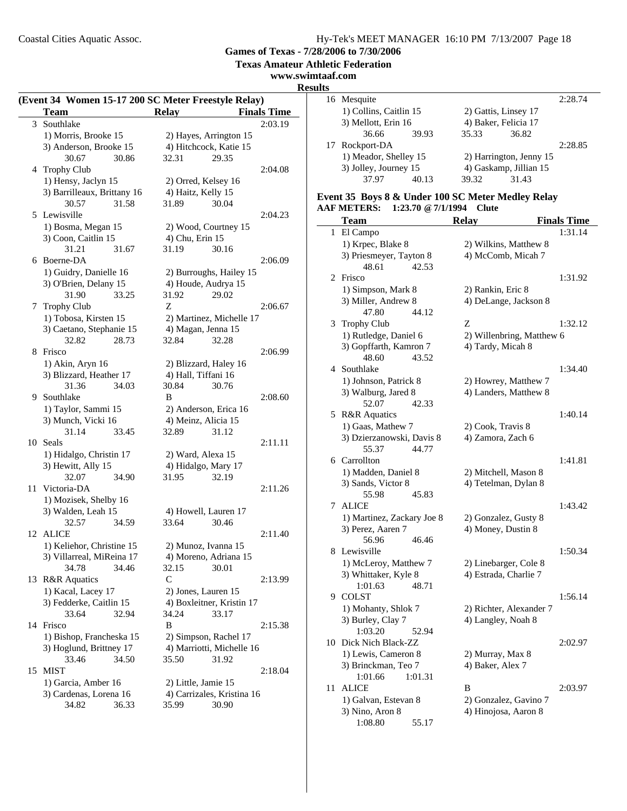**Games of Texas - 7/28/2006 to 7/30/2006**

**Texas Amateur Athletic Federation**

### **www.swimtaaf.com**

### **Results**

|                |                             | (Event 34 Women 15-17 200 SC Meter Freestyle Relay) |                    |
|----------------|-----------------------------|-----------------------------------------------------|--------------------|
|                | <b>Team</b>                 | <b>Relay</b>                                        | <b>Finals Time</b> |
| $\mathfrak{Z}$ | Southlake                   |                                                     | 2:03.19            |
|                | 1) Morris, Brooke 15        | 2) Hayes, Arrington 15                              |                    |
|                | 3) Anderson, Brooke 15      | 4) Hitchcock, Katie 15                              |                    |
|                | 30.67<br>30.86              | 32.31<br>29.35                                      |                    |
|                | 4 Trophy Club               |                                                     | 2:04.08            |
|                | 1) Hensy, Jaclyn 15         | 2) Orred, Kelsey 16                                 |                    |
|                | 3) Barrilleaux, Brittany 16 | 4) Haitz, Kelly 15                                  |                    |
|                | 30.57<br>31.58              | 31.89<br>30.04                                      |                    |
|                | 5 Lewisville                |                                                     | 2:04.23            |
|                | 1) Bosma, Megan 15          | 2) Wood, Courtney 15                                |                    |
|                | 3) Coon, Caitlin 15         | 4) Chu, Erin 15                                     |                    |
|                | 31.21<br>31.67              | 31.19<br>30.16                                      |                    |
| 6              | Boerne-DA                   |                                                     | 2:06.09            |
|                | 1) Guidry, Danielle 16      | 2) Burroughs, Hailey 15                             |                    |
|                | 3) O'Brien, Delany 15       | 4) Houde, Audrya 15                                 |                    |
|                | 31.90<br>33.25              | 31.92<br>29.02                                      |                    |
| 7              | Trophy Club                 | Z                                                   | 2:06.67            |
|                | 1) Tobosa, Kirsten 15       | 2) Martinez, Michelle 17                            |                    |
|                | 3) Caetano, Stephanie 15    | 4) Magan, Jenna 15                                  |                    |
|                | 32.82<br>28.73              | 32.84<br>32.28                                      |                    |
| 8              | Frisco                      |                                                     | 2:06.99            |
|                | 1) Akin, Aryn 16            | 2) Blizzard, Haley 16                               |                    |
|                | 3) Blizzard, Heather 17     | 4) Hall, Tiffani 16                                 |                    |
|                | 31.36<br>34.03              | 30.84<br>30.76                                      |                    |
|                | 9 Southlake                 | B                                                   | 2:08.60            |
|                | 1) Taylor, Sammi 15         | 2) Anderson, Erica 16                               |                    |
|                | 3) Munch, Vicki 16          | 4) Meinz, Alicia 15                                 |                    |
|                | 31.14<br>33.45              | 32.89<br>31.12                                      |                    |
| 10             | Seals                       |                                                     | 2:11.11            |
|                | 1) Hidalgo, Christin 17     | 2) Ward, Alexa 15                                   |                    |
|                | 3) Hewitt, Ally 15          | 4) Hidalgo, Mary 17                                 |                    |
|                | 32.07<br>34.90              | 31.95<br>32.19                                      |                    |
| 11             | Victoria-DA                 |                                                     | 2:11.26            |
|                | 1) Mozisek, Shelby 16       |                                                     |                    |
|                | 3) Walden, Leah 15          | 4) Howell, Lauren 17                                |                    |
|                | 32.57<br>34.59              | 33.64<br>30.46                                      |                    |
| 12             | ALICE                       |                                                     | 2:11.40            |
|                | 1) Keliehor, Christine 15   | 2) Munoz, Ivanna 15                                 |                    |
|                | 3) Villarreal, MiReina 17   | 4) Moreno, Adriana 15                               |                    |
|                | 34.78<br>34.46              | 32.15<br>30.01                                      |                    |
| 13             | <b>R&amp;R</b> Aquatics     | $\mathsf{C}$                                        | 2:13.99            |
|                | 1) Kacal, Lacey 17          | 2) Jones, Lauren 15                                 |                    |
|                | 3) Fedderke, Caitlin 15     | 4) Boxleitner, Kristin 17                           |                    |
|                | 33.64<br>32.94              | 34.24<br>33.17                                      |                    |
| 14             | Frisco                      | B                                                   | 2:15.38            |
|                | 1) Bishop, Francheska 15    | 2) Simpson, Rachel 17                               |                    |
|                | 3) Hoglund, Brittney 17     | 4) Marriotti, Michelle 16                           |                    |
|                | 33.46<br>34.50              | 35.50<br>31.92                                      |                    |
| 15             | <b>MIST</b>                 |                                                     | 2:18.04            |
|                | 1) Garcia, Amber 16         | 2) Little, Jamie 15                                 |                    |
|                | 3) Cardenas, Lorena 16      | 4) Carrizales, Kristina 16                          |                    |
|                | 34.82<br>36.33              | 35.99<br>30.90                                      |                    |
|                |                             |                                                     |                    |

|    | 16 Mesquite            |       |                      |                         | 2:28.74 |
|----|------------------------|-------|----------------------|-------------------------|---------|
|    | 1) Collins, Caitlin 15 |       | 2) Gattis, Linsey 17 |                         |         |
|    | 3) Mellott, Erin 16    |       | 4) Baker, Felicia 17 |                         |         |
|    | 36.66                  | 39.93 | 35.33                | 36.82                   |         |
| 17 | Rockport-DA            |       |                      |                         | 2:28.85 |
|    | 1) Meador, Shelley 15  |       |                      | 2) Harrington, Jenny 15 |         |
|    | 3) Jolley, Journey 15  |       |                      | 4) Gaskamp, Jillian 15  |         |
|    | 37.97                  | 40.13 | 39.32                | 31.43                   |         |
|    |                        |       |                      |                         |         |

#### **Event 35 Boys 8 & Under 100 SC Meter Medley Relay AAF METERS: 1:23.70 @7/1/1994 Clute**

| <b>Team</b><br><b>Relay</b>                    | <b>Finals Time</b>                            |
|------------------------------------------------|-----------------------------------------------|
| El Campo<br>1                                  | 1:31.14                                       |
| 1) Krpec, Blake 8                              | 2) Wilkins, Matthew 8                         |
| 3) Priesmeyer, Tayton 8                        | 4) McComb, Micah 7                            |
| 48.61<br>42.53                                 |                                               |
| Frisco<br>2                                    | 1:31.92                                       |
| 1) Simpson, Mark 8<br>2) Rankin, Eric 8        |                                               |
| 3) Miller, Andrew 8                            | 4) DeLange, Jackson 8                         |
| 44.12<br>47.80                                 |                                               |
| <b>Trophy Club</b><br>Z<br>3                   | 1:32.12                                       |
| 1) Rutledge, Daniel 6                          | 2) Willenbring, Matthew 6                     |
| 3) Gopffarth, Kamron 7<br>4) Tardy, Micah 8    |                                               |
| 48.60<br>43.52                                 |                                               |
| 4 Southlake                                    | 1:34.40                                       |
| 1) Johnson, Patrick 8                          | 2) Howrey, Matthew 7                          |
| 3) Walburg, Jared 8                            | 4) Landers, Matthew 8                         |
| 52.07<br>42.33                                 |                                               |
| <b>R&amp;R</b> Aquatics<br>5                   | 1:40.14                                       |
| 1) Gaas, Mathew 7<br>2) Cook, Travis 8         |                                               |
| 3) Dzierzanowski, Davis 8<br>4) Zamora, Zach 6 |                                               |
| 44.77<br>55.37                                 |                                               |
| 6 Carrollton                                   | 1:41.81                                       |
| 1) Madden, Daniel 8                            | 2) Mitchell, Mason 8                          |
| 3) Sands, Victor 8                             | 4) Tetelman, Dylan 8                          |
| 55.98<br>45.83                                 |                                               |
| <b>ALICE</b><br>7                              | 1:43.42                                       |
| 1) Martinez, Zackary Joe 8                     | 2) Gonzalez, Gusty 8                          |
| 3) Perez, Aaren 7                              | 4) Money, Dustin 8                            |
| 56.96<br>46.46                                 |                                               |
| Lewisville<br>8.                               | 1:50.34                                       |
| 1) McLeroy, Matthew 7                          | 2) Linebarger, Cole 8                         |
| 3) Whittaker, Kyle 8                           | 4) Estrada, Charlie 7                         |
| 1:01.63<br>48.71                               |                                               |
| 9 COLST                                        | 1:56.14                                       |
| 1) Mohanty, Shlok 7                            | 2) Richter, Alexander 7                       |
| 3) Burley, Clay 7<br>1:03.20<br>52.94          | 4) Langley, Noah 8                            |
| Dick Nich Black-ZZ<br>10                       | 2:02.97                                       |
| 1) Lewis, Cameron 8<br>2) Murray, Max 8        |                                               |
| 3) Brinckman, Teo 7<br>4) Baker, Alex 7        |                                               |
| 1:01.66<br>1:01.31                             |                                               |
| <b>ALICE</b><br>11<br>B                        |                                               |
| 1) Galvan, Estevan 8                           |                                               |
|                                                | 2:03.97                                       |
| 3) Nino, Aron 8                                | 2) Gonzalez, Gavino 7<br>4) Hinojosa, Aaron 8 |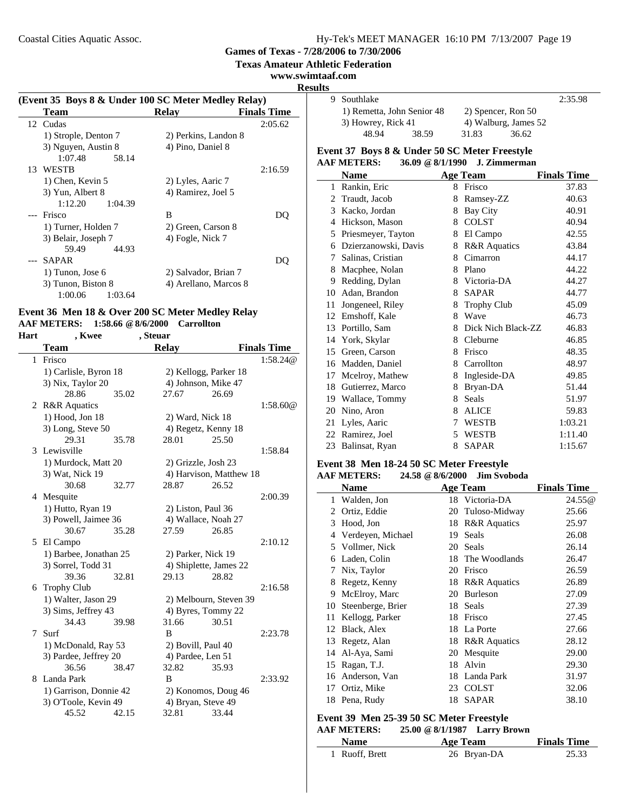**Games of Texas - 7/28/2006 to 7/30/2006**

**Texas Amateur Athletic Federation**

#### **www.swimtaaf.com**

**Results**

| (Event 35 Boys 8 & Under 100 SC Meter Medley Relay) |                       |                    |
|-----------------------------------------------------|-----------------------|--------------------|
| <b>Team</b>                                         | <b>Relav</b>          | <b>Finals Time</b> |
| 12 Cudas                                            |                       | 2:05.62            |
| 1) Strople, Denton 7                                | 2) Perkins, Landon 8  |                    |
| 3) Nguyen, Austin 8                                 | 4) Pino, Daniel 8     |                    |
| 1:07.48<br>58.14                                    |                       |                    |
| 13 WESTB                                            |                       | 2:16.59            |
| 1) Chen, Kevin 5                                    | 2) Lyles, Aaric 7     |                    |
| 3) Yun, Albert 8                                    | 4) Ramirez, Joel 5    |                    |
| 1:12.20<br>1:04.39                                  |                       |                    |
| Frisco                                              | B                     | DO.                |
| 1) Turner, Holden 7                                 | 2) Green, Carson 8    |                    |
| 3) Belair, Joseph 7                                 | 4) Fogle, Nick 7      |                    |
| 59.49<br>44.93                                      |                       |                    |
| SAPAR                                               |                       | DC.                |
| 1) Tunon, Jose 6                                    | 2) Salvador, Brian 7  |                    |
| 3) Tunon, Biston 8                                  | 4) Arellano, Marcos 8 |                    |
| 1:00.06<br>1:03.64                                  |                       |                    |

### **Event 36 Men 18 & Over 200 SC Meter Medley Relay AAF METERS: 1:58.66 @8/6/2000 Carrollton**

#### **Hart , Kwee , Steuar**

|              | Team                   |       | <b>Relay</b>          |                         | <b>Finals Time</b> |
|--------------|------------------------|-------|-----------------------|-------------------------|--------------------|
| $\mathbf{1}$ | Frisco                 |       |                       |                         | 1:58.24@           |
|              | 1) Carlisle, Byron 18  |       | 2) Kellogg, Parker 18 |                         |                    |
|              | 3) Nix, Taylor 20      |       | 4) Johnson, Mike 47   |                         |                    |
|              | 28.86                  | 35.02 | 27.67                 | 26.69                   |                    |
|              | 2 R&R Aquatics         |       |                       |                         | 1:58.60@           |
|              | 1) Hood, Jon 18        |       | 2) Ward, Nick 18      |                         |                    |
|              | 3) Long, Steve 50      |       | 4) Regetz, Kenny 18   |                         |                    |
|              | 29.31                  | 35.78 | 28.01                 | 25.50                   |                    |
|              | 3 Lewisville           |       |                       |                         | 1:58.84            |
|              | 1) Murdock, Matt 20    |       | 2) Grizzle, Josh 23   |                         |                    |
|              | 3) Wat, Nick 19        |       |                       | 4) Harvison, Matthew 18 |                    |
|              | 30.68                  | 32.77 | 28.87                 | 26.52                   |                    |
|              | 4 Mesquite             |       |                       |                         | 2:00.39            |
|              | 1) Hutto, Ryan 19      |       | 2) Liston, Paul 36    |                         |                    |
|              | 3) Powell, Jaimee 36   |       | 4) Wallace, Noah 27   |                         |                    |
|              | 30.67                  | 35.28 | 27.59                 | 26.85                   |                    |
|              | 5 El Campo             |       |                       |                         | 2:10.12            |
|              | 1) Barbee, Jonathan 25 |       | 2) Parker, Nick 19    |                         |                    |
|              | 3) Sorrel, Todd 31     |       |                       | 4) Shiplette, James 22  |                    |
|              | 39.36                  | 32.81 | 29.13                 | 28.82                   |                    |
|              | 6 Trophy Club          |       |                       |                         | 2:16.58            |
|              | 1) Walter, Jason 29    |       |                       | 2) Melbourn, Steven 39  |                    |
|              | 3) Sims, Jeffrey 43    |       | 4) Byres, Tommy 22    |                         |                    |
|              | 34.43                  | 39.98 | 31.66                 | 30.51                   |                    |
| $\tau$       | Surf                   |       | B                     |                         | 2:23.78            |
|              | 1) McDonald, Ray 53    |       | 2) Bovill, Paul 40    |                         |                    |
|              | 3) Pardee, Jeffrey 20  |       | 4) Pardee, Len 51     |                         |                    |
|              | 36.56                  | 38.47 | 32.82                 | 35.93                   |                    |
| 8            | Landa Park             |       | B                     |                         | 2:33.92            |
|              | 1) Garrison, Donnie 42 |       |                       | 2) Konomos, Doug 46     |                    |
|              | 3) O'Toole, Kevin 49   |       | 4) Bryan, Steve 49    |                         |                    |
|              | 45.52                  | 42.15 | 32.81                 | 33.44                   |                    |

|  | 9 Southlake                                      |       |       |                      | 2:35.98 |
|--|--------------------------------------------------|-------|-------|----------------------|---------|
|  | 1) Remetta, John Senior 48<br>3) Howrey, Rick 41 |       |       | 2) Spencer, Ron 50   |         |
|  |                                                  |       |       | 4) Walburg, James 52 |         |
|  | 48.94                                            | 38.59 | 31.83 | 36.62                |         |

### **Event 37 Boys 8 & Under 50 SC Meter Freestyle**

|    | <b>AAF METERS:</b>   | 36.09 @ 8/1/1990 | J. Zimmerman            |                    |
|----|----------------------|------------------|-------------------------|--------------------|
|    | <b>Name</b>          |                  | <b>Age Team</b>         | <b>Finals Time</b> |
| 1  | Rankin, Eric         | 8.               | Frisco                  | 37.83              |
| 2  | Traudt, Jacob        | 8                | Ramsey-ZZ               | 40.63              |
| 3  | Kacko, Jordan        | 8                | Bay City                | 40.91              |
| 4  | Hickson, Mason       | 8                | <b>COLST</b>            | 40.94              |
| 5  | Priesmeyer, Tayton   | 8                | El Campo                | 42.55              |
| 6  | Dzierzanowski, Davis | 8                | <b>R&amp;R</b> Aquatics | 43.84              |
| 7  | Salinas, Cristian    | 8                | Cimarron                | 44.17              |
| 8  | Macphee, Nolan       | 8                | Plano                   | 44.22              |
| 9  | Redding, Dylan       |                  | 8 Victoria-DA           | 44.27              |
| 10 | Adan, Brandon        | 8                | <b>SAPAR</b>            | 44.77              |
| 11 | Jongeneel, Riley     | 8                | <b>Trophy Club</b>      | 45.09              |
| 12 | Emshoff, Kale        | 8                | Wave                    | 46.73              |
| 13 | Portillo, Sam        | 8                | Dick Nich Black-ZZ      | 46.83              |
| 14 | York, Skylar         | 8                | Cleburne                | 46.85              |
| 15 | Green, Carson        | 8                | Frisco                  | 48.35              |
| 16 | Madden, Daniel       | 8                | Carrollton              | 48.97              |
| 17 | Mcelroy, Mathew      | 8                | Ingleside-DA            | 49.85              |
| 18 | Gutierrez, Marco     | 8                | Bryan-DA                | 51.44              |
|    | 19 Wallace, Tommy    | 8                | <b>Seals</b>            | 51.97              |
| 20 | Nino, Aron           | 8                | <b>ALICE</b>            | 59.83              |
| 21 | Lyles, Aaric         | 7                | WESTB                   | 1:03.21            |
| 22 | Ramirez, Joel        | 5                | <b>WESTB</b>            | 1:11.40            |
| 23 | Balinsat, Ryan       | 8                | <b>SAPAR</b>            | 1:15.67            |

### **Event 38 Men 18-24 50 SC Meter Freestyle**

### **AAF METERS: 24.58 @8/6/2000 Jim Svoboda**

|    | <b>Name</b>       |    | <b>Age Team</b>         | <b>Finals Time</b> |
|----|-------------------|----|-------------------------|--------------------|
| 1  | Walden, Jon       |    | 18 Victoria-DA          | 24.55@             |
| 2  | Ortiz, Eddie      | 20 | Tuloso-Midway           | 25.66              |
| 3  | Hood, Jon         | 18 | <b>R&amp;R</b> Aquatics | 25.97              |
| 4  | Verdeyen, Michael | 19 | Seals                   | 26.08              |
|    | 5 Vollmer, Nick   | 20 | Seals                   | 26.14              |
| 6  | Laden, Colin      | 18 | The Woodlands           | 26.47              |
| 7  | Nix, Taylor       | 20 | Frisco                  | 26.59              |
| 8  | Regetz, Kenny     | 18 | <b>R&amp;R</b> Aquatics | 26.89              |
| 9  | McElroy, Marc     | 20 | <b>Burleson</b>         | 27.09              |
| 10 | Steenberge, Brier | 18 | Seals                   | 27.39              |
| 11 | Kellogg, Parker   | 18 | Frisco                  | 27.45              |
| 12 | Black, Alex       | 18 | La Porte                | 27.66              |
| 13 | Regetz, Alan      | 18 | <b>R&amp;R</b> Aquatics | 28.12              |
| 14 | Al-Aya, Sami      | 20 | Mesquite                | 29.00              |
| 15 | Ragan, T.J.       | 18 | Alvin                   | 29.30              |
| 16 | Anderson, Van     | 18 | Landa Park              | 31.97              |
| 17 | Ortiz, Mike       | 23 | <b>COLST</b>            | 32.06              |
|    | 18 Pena, Rudy     | 18 | <b>SAPAR</b>            | 38.10              |

### **Event 39 Men 25-39 50 SC Meter Freestyle**

### **AAF METERS: 25.00 @8/1/1987 Larry Brown**

| Name           | Age Team    | <b>Finals Time</b> |
|----------------|-------------|--------------------|
| 1 Ruoff, Brett | 26 Bryan-DA | 25.33              |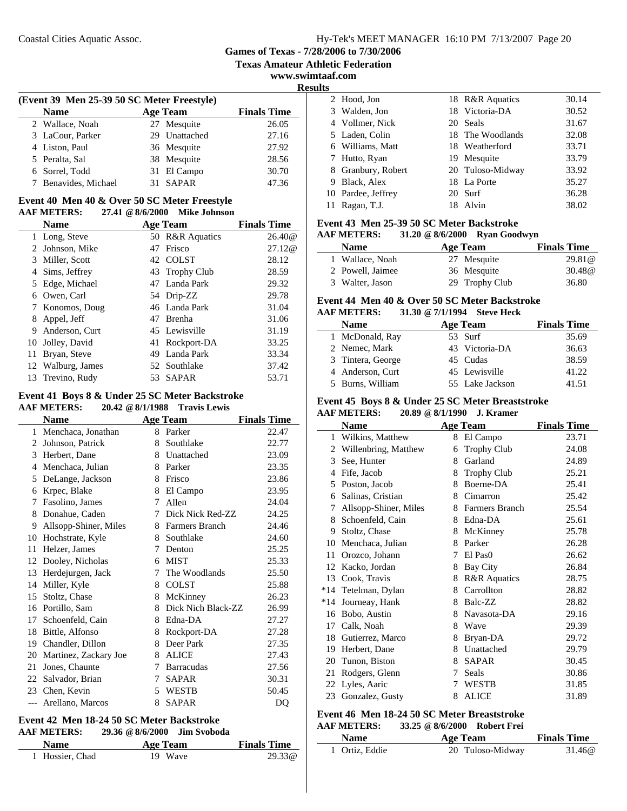**Texas Amateur Athletic Federation**

**www.swimtaaf.com**

| (Event 39 Men 25-39 50 SC Meter Freestyle) |                                                      |  |               |       |  |  |  |
|--------------------------------------------|------------------------------------------------------|--|---------------|-------|--|--|--|
|                                            | <b>Finals Time</b><br><b>Age Team</b><br><b>Name</b> |  |               |       |  |  |  |
|                                            | 2 Wallace, Noah                                      |  | 27 Mesquite   | 26.05 |  |  |  |
|                                            | 3 LaCour, Parker                                     |  | 29 Unattached | 27.16 |  |  |  |
|                                            | 4 Liston, Paul                                       |  | 36 Mesquite   | 27.92 |  |  |  |
|                                            | 5 Peralta, Sal                                       |  | 38 Mesquite   | 28.56 |  |  |  |
|                                            | 6 Sorrel, Todd                                       |  | 31 El Campo   | 30.70 |  |  |  |
|                                            | 7 Benavides, Michael                                 |  | 31 SAPAR      | 47.36 |  |  |  |

#### **Event 40 Men 40 & Over 50 SC Meter Freestyle AAF METERS: 27.41 @8/6/2000 Mike Johnson**

|    | <b>Name</b>       |    | <b>Age Team</b> | <b>Finals Time</b> |
|----|-------------------|----|-----------------|--------------------|
|    | 1 Long, Steve     |    | 50 R&R Aquatics | 26.40@             |
|    | 2 Johnson, Mike   | 47 | Frisco          | 27.12@             |
| 3  | Miller, Scott     |    | 42 COLST        | 28.12              |
|    | 4 Sims, Jeffrey   |    | 43 Trophy Club  | 28.59              |
|    | 5 Edge, Michael   |    | 47 Landa Park   | 29.32              |
| 6  | Owen, Carl        |    | 54 Drip-ZZ      | 29.78              |
|    | 7 Konomos, Doug   |    | 46 Landa Park   | 31.04              |
| 8  | Appel, Jeff       |    | 47 Brenha       | 31.06              |
| 9  | Anderson, Curt    |    | 45 Lewisville   | 31.19              |
| 10 | Jolley, David     |    | 41 Rockport-DA  | 33.25              |
| 11 | Bryan, Steve      |    | 49 Landa Park   | 33.34              |
|    | 12 Walburg, James |    | 52 Southlake    | 37.42              |
| 13 | Trevino, Rudy     |    | 53 SAPAR        | 53.71              |
|    |                   |    |                 |                    |

#### **Event 41 Boys 8 & Under 25 SC Meter Backstroke AAF METERS: 20.42 @8/1/1988 Travis Lewis**

| ми метено.            |    | <b>LLAVISLUVIS</b> |                                                                                         |
|-----------------------|----|--------------------|-----------------------------------------------------------------------------------------|
| <b>Name</b>           |    |                    | <b>Finals Time</b>                                                                      |
| 1 Menchaca, Jonathan  |    |                    | 22.47                                                                                   |
| Johnson, Patrick      | 8  | Southlake          | 22.77                                                                                   |
| Herbert, Dane         | 8  | Unattached         | 23.09                                                                                   |
| Menchaca, Julian      | 8  | Parker             | 23.35                                                                                   |
| DeLange, Jackson      | 8  | Frisco             | 23.86                                                                                   |
| Krpec, Blake          | 8  | El Campo           | 23.95                                                                                   |
| Fasolino, James       | 7  | Allen              | 24.04                                                                                   |
| Donahue, Caden        | 7  | Dick Nick Red-ZZ   | 24.25                                                                                   |
| Allsopp-Shiner, Miles | 8  |                    | 24.46                                                                                   |
| Hochstrate, Kyle      | 8  | Southlake          | 24.60                                                                                   |
| Helzer, James         | 7  | Denton             | 25.25                                                                                   |
| Dooley, Nicholas      | 6  | <b>MIST</b>        | 25.33                                                                                   |
| Herdejurgen, Jack     | 7  | The Woodlands      | 25.50                                                                                   |
| Miller, Kyle          | 8  | <b>COLST</b>       | 25.88                                                                                   |
| Stoltz, Chase         | 8  | McKinney           | 26.23                                                                                   |
| Portillo, Sam         | 8  | Dick Nich Black-ZZ | 26.99                                                                                   |
| Schoenfeld, Cain      | 8  | Edna-DA            | 27.27                                                                                   |
| Bittle, Alfonso       | 8  | Rockport-DA        | 27.28                                                                                   |
| Chandler, Dillon      | 8  | Deer Park          | 27.35                                                                                   |
| Martinez, Zackary Joe | 8  | <b>ALICE</b>       | 27.43                                                                                   |
| Jones, Chaunte        | 7  | <b>Barracudas</b>  | 27.56                                                                                   |
| Salvador, Brian       | 7  | <b>SAPAR</b>       | 30.31                                                                                   |
| 23 Chen, Kevin        | 5. |                    | 50.45                                                                                   |
| Arellano, Marcos      | 8  | <b>SAPAR</b>       | DQ                                                                                      |
|                       |    |                    | $20.72 \times 0.11200$<br><b>Age Team</b><br>8 Parker<br><b>Farmers Branch</b><br>WESTB |

#### **Event 42 Men 18-24 50 SC Meter Backstroke AAF METERS: 29.36 @8/6/2000 Jim Svoboda**

| <b>Name</b>     | Age Team | <b>Finals Time</b> |
|-----------------|----------|--------------------|
| 1 Hossier, Chad | 19 Wave  | 29.33@             |

| 115 |                    |                  |       |
|-----|--------------------|------------------|-------|
|     | 2 Hood, Jon        | 18 R&R Aquatics  | 30.14 |
|     | 3 Walden, Jon      | 18 Victoria-DA   | 30.52 |
|     | 4 Vollmer, Nick    | 20 Seals         | 31.67 |
|     | 5 Laden, Colin     | 18 The Woodlands | 32.08 |
|     | 6 Williams, Matt   | 18 Weatherford   | 33.71 |
|     | 7 Hutto, Ryan      | 19 Mesquite      | 33.79 |
|     | 8 Granbury, Robert | 20 Tuloso-Midway | 33.92 |
| 9   | Black, Alex        | 18 La Porte      | 35.27 |
|     | 10 Pardee, Jeffrey | 20 Surf          | 36.28 |
|     | Ragan, T.J.        | 18 Alvin         | 38.02 |
|     |                    |                  |       |

### **Event 43 Men 25-39 50 SC Meter Backstroke**

| <b>AAF METERS:</b> |          | 31.20 @ 8/6/2000 Ryan Goodwyn |                    |
|--------------------|----------|-------------------------------|--------------------|
| <b>Name</b>        | Age Team |                               | <b>Finals Time</b> |
| 1 Wallace, Noah    |          | 27 Mesquite                   | 29.81@             |
| 2 Powell, Jaimee   |          | 36 Mesquite                   | 30.48@             |
| 3 Walter, Jason    |          | 29 Trophy Club                | 36.80              |

### **Event 44 Men 40 & Over 50 SC Meter Backstroke**

### **AAF METERS: 31.30 @7/1/1994 Steve Heck**

| <b>Name</b>       | <b>Age Team</b> | <b>Finals Time</b> |
|-------------------|-----------------|--------------------|
| 1 McDonald, Ray   | 53 Surf         | 35.69              |
| 2 Nemec, Mark     | 43 Victoria-DA  | 36.63              |
| 3 Tintera, George | 45 Cudas        | 38.59              |
| 4 Anderson, Curt  | 45 Lewisville   | 41.22              |
| 5 Burns, William  | 55 Lake Jackson | 41.51              |

# **Event 45 Boys 8 & Under 25 SC Meter Breaststroke**

|  | <b>AAF METERS:</b> | 20.89 @ 8/1/1990 | <b>J. Kramer</b> |
|--|--------------------|------------------|------------------|
|--|--------------------|------------------|------------------|

|       | Name                  |   | <b>Age Team</b>         | <b>Finals Time</b> |
|-------|-----------------------|---|-------------------------|--------------------|
| 1     | Wilkins, Matthew      | 8 | El Campo                | 23.71              |
| 2     | Willenbring, Matthew  | 6 | <b>Trophy Club</b>      | 24.08              |
| 3     | See, Hunter           | 8 | Garland                 | 24.89              |
| 4     | Fife, Jacob           | 8 | <b>Trophy Club</b>      | 25.21              |
| 5     | Poston, Jacob         | 8 | Boerne-DA               | 25.41              |
| 6     | Salinas, Cristian     | 8 | Cimarron                | 25.42              |
| 7     | Allsopp-Shiner, Miles | 8 | <b>Farmers Branch</b>   | 25.54              |
| 8     | Schoenfeld, Cain      | 8 | Edna-DA                 | 25.61              |
| 9     | Stoltz, Chase         | 8 | McKinney                | 25.78              |
| 10    | Menchaca, Julian      | 8 | Parker                  | 26.28              |
| 11    | Orozco, Johann        | 7 | El Pas <sub>0</sub>     | 26.62              |
| 12    | Kacko, Jordan         | 8 | Bay City                | 26.84              |
| 13    | Cook, Travis          | 8 | <b>R&amp;R</b> Aquatics | 28.75              |
| $*14$ | Tetelman, Dylan       | 8 | Carrollton              | 28.82              |
| $*14$ | Journeay, Hank        | 8 | Balc-ZZ                 | 28.82              |
| 16    | Bobo, Austin          | 8 | Navasota-DA             | 29.16              |
| 17    | Calk, Noah            | 8 | Wave                    | 29.39              |
| 18    | Gutierrez, Marco      | 8 | Bryan-DA                | 29.72              |
| 19    | Herbert, Dane         | 8 | Unattached              | 29.79              |
| 20    | Tunon, Biston         | 8 | <b>SAPAR</b>            | 30.45              |
| 21    | Rodgers, Glenn        | 7 | Seals                   | 30.86              |
|       | 22 Lyles, Aaric       | 7 | <b>WESTB</b>            | 31.85              |
| 23    | Gonzalez, Gusty       | 8 | <b>ALICE</b>            | 31.89              |
|       |                       |   |                         |                    |

#### **Event 46 Men 18-24 50 SC Meter Breaststroke AAF METERS: 33.25 @8/6/2000 Robert Frei**

| <b>Name</b>    | Age Team         | <b>Finals Time</b> |
|----------------|------------------|--------------------|
| 1 Ortiz, Eddie | 20 Tuloso-Midway | 31.46@             |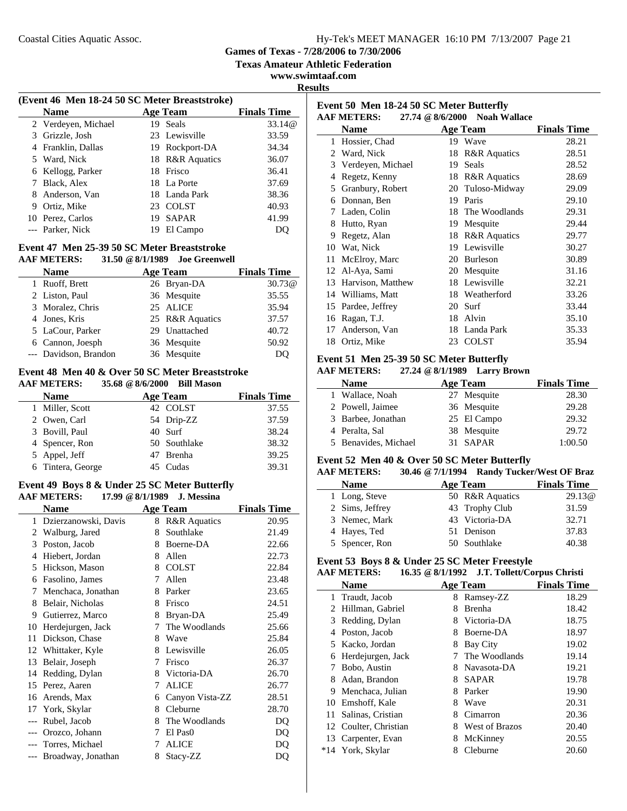**Games of Texas - 7/28/2006 to 7/30/2006**

**Texas Amateur Athletic Federation**

**www.swimtaaf.com Results**

 $\overline{a}$ 

|   | (Event 46 Men 18-24 50 SC Meter Breaststroke) |     |                 |                    |  |
|---|-----------------------------------------------|-----|-----------------|--------------------|--|
|   | <b>Name</b>                                   |     | <b>Age Team</b> | <b>Finals Time</b> |  |
|   | 2 Verdeyen, Michael                           | 19  | Seals           | 33.14@             |  |
| 3 | Grizzle, Josh                                 |     | 23 Lewisville   | 33.59              |  |
| 4 | Franklin, Dallas                              |     | 19 Rockport-DA  | 34.34              |  |
|   | 5 Ward, Nick                                  |     | 18 R&R Aquatics | 36.07              |  |
| 6 | Kellogg, Parker                               |     | 18 Frisco       | 36.41              |  |
|   | Black, Alex                                   |     | 18 La Porte     | 37.69              |  |
| 8 | Anderson, Van                                 |     | 18 Landa Park   | 38.36              |  |
| 9 | Ortiz, Mike                                   | 23. | <b>COLST</b>    | 40.93              |  |
|   | 10 Perez, Carlos                              | 19  | <b>SAPAR</b>    | 41.99              |  |
|   | --- Parker, Nick                              | 19  | El Campo        | DO                 |  |

# **Event 47 Men 25-39 50 SC Meter Breaststroke**

### **AAF METERS: 31.50 @8/1/1989 Joe Greenwell**

| <b>Name</b>           | <b>Age Team</b> | <b>Finals Time</b> |
|-----------------------|-----------------|--------------------|
| 1 Ruoff, Brett        | 26 Bryan-DA     | 30.73@             |
| 2 Liston, Paul        | 36 Mesquite     | 35.55              |
| 3 Moralez, Chris      | 25 ALICE        | 35.94              |
| 4 Jones, Kris         | 25 R&R Aquatics | 37.57              |
| 5 LaCour, Parker      | 29 Unattached   | 40.72              |
| 6 Cannon, Joesph      | 36 Mesquite     | 50.92              |
| --- Davidson, Brandon | 36 Mesquite     | DO                 |

### **Event 48 Men 40 & Over 50 SC Meter Breaststroke AAF METERS: 35.68 @8/6/2000 Bill Mason**

| <b>Name</b>       | Age Team     | <b>Finals Time</b> |
|-------------------|--------------|--------------------|
| 1 Miller, Scott   | 42 COLST     | 37.55              |
| 2 Owen, Carl      | 54 Drip-ZZ   | 37.59              |
| 3 Bovill, Paul    | 40 Surf      | 38.24              |
| 4 Spencer, Ron    | 50 Southlake | 38.32              |
| 5 Appel, Jeff     | 47 Brenha    | 39.25              |
| 6 Tintera, George | 45 Cudas     | 39.31              |

#### **Event 49 Boys 8 & Under 25 SC Meter Butterfly AAF METERS: 17.99 @8/1/1989 J. Messina**

|       | <b>Name</b>            |   | Age Team                | <b>Finals Time</b> |
|-------|------------------------|---|-------------------------|--------------------|
| 1     | Dzierzanowski, Davis   | 8 | <b>R&amp;R</b> Aquatics | 20.95              |
| 2     | Walburg, Jared         | 8 | Southlake               | 21.49              |
| 3     | Poston, Jacob          | 8 | Boerne-DA               | 22.66              |
| 4     | Hiebert, Jordan        | 8 | Allen                   | 22.73              |
| 5     | Hickson, Mason         | 8 | <b>COLST</b>            | 22.84              |
| 6     | Fasolino, James        | 7 | Allen                   | 23.48              |
| 7     | Menchaca, Jonathan     | 8 | Parker                  | 23.65              |
| 8     | Belair, Nicholas       | 8 | Frisco                  | 24.51              |
| 9     | Gutierrez, Marco       | 8 | Bryan-DA                | 25.49              |
| 10    | Herdejurgen, Jack      | 7 | The Woodlands           | 25.66              |
| 11    | Dickson, Chase         | 8 | Wave                    | 25.84              |
| 12    | Whittaker, Kyle        | 8 | Lewisville              | 26.05              |
| 13    | Belair, Joseph         | 7 | Frisco                  | 26.37              |
| 14    | Redding, Dylan         | 8 | Victoria-DA             | 26.70              |
| 15    | Perez, Aaren           | 7 | <b>ALICE</b>            | 26.77              |
| 16    | Arends, Max            | 6 | Canyon Vista-ZZ         | 28.51              |
|       | 17 York, Skylar        | 8 | Cleburne                | 28.70              |
| $---$ | Rubel, Jacob           | 8 | The Woodlands           | DQ                 |
|       | Orozco, Johann         | 7 | El Pas <sub>0</sub>     | DQ                 |
|       | --- Torres, Michael    | 7 | <b>ALICE</b>            | DQ                 |
|       | --- Broadway, Jonathan | 8 | Stacy-ZZ                | DQ                 |

### **Event 50 Men 18-24 50 SC Meter Butterfly**<br>AAF METERS: 27.74 @ 8/6/2000 Noob W **AAF METERS: 27.74 @8/6/2000 Noah Wallace**

|    | AAF MEILING.      | $21.74 \times 0.0200$ | TVOAII <i>wa</i> hace   |                    |
|----|-------------------|-----------------------|-------------------------|--------------------|
|    | <b>Name</b>       |                       | <b>Age Team</b>         | <b>Finals Time</b> |
| 1  | Hossier, Chad     |                       | 19 Wave                 | 28.21              |
|    | 2 Ward, Nick      | 18                    | <b>R&amp;R</b> Aquatics | 28.51              |
| 3  | Verdeyen, Michael | 19                    | Seals                   | 28.52              |
| 4  | Regetz, Kenny     | 18                    | <b>R&amp;R</b> Aquatics | 28.69              |
| 5  | Granbury, Robert  |                       | 20 Tuloso-Midway        | 29.09              |
| 6  | Donnan, Ben       | 19                    | Paris                   | 29.10              |
| 7  | Laden, Colin      | 18                    | The Woodlands           | 29.31              |
| 8  | Hutto, Ryan       | 19                    | Mesquite                | 29.44              |
| 9  | Regetz, Alan      | 18                    | <b>R&amp;R</b> Aquatics | 29.77              |
| 10 | Wat, Nick         | 19                    | Lewisville              | 30.27              |
| 11 | McElroy, Marc     | 20                    | <b>Burleson</b>         | 30.89              |
|    | 12 Al-Aya, Sami   |                       | 20 Mesquite             | 31.16              |
| 13 | Harvison, Matthew | 18                    | Lewisville              | 32.21              |
| 14 | Williams, Matt    | 18                    | Weatherford             | 33.26              |
| 15 | Pardee, Jeffrey   | 20                    | Surf                    | 33.44              |
| 16 | Ragan, T.J.       | 18                    | Alvin                   | 35.10              |
| 17 | Anderson, Van     |                       | 18 Landa Park           | 35.33              |
| 18 | Ortiz, Mike       | 23                    | <b>COLST</b>            | 35.94              |

# **Event 51 Men 25-39 50 SC Meter Butterfly**

### **AAF METERS: 27.24 @8/1/1989 Larry Brown**

| <b>Name</b>          | <b>Age Team</b> | <b>Finals Time</b> |
|----------------------|-----------------|--------------------|
| 1 Wallace, Noah      | 27 Mesquite     | 28.30              |
| 2 Powell, Jaimee     | 36 Mesquite     | 29.28              |
| 3 Barbee, Jonathan   | 25 El Campo     | 29.32              |
| 4 Peralta, Sal       | 38 Mesquite     | 29.72              |
| 5 Benavides, Michael | 31 SAPAR        | 1:00.50            |

### **Event 52 Men 40 & Over 50 SC Meter Butterfly**

| <b>AAF METERS:</b> |                 | 30.46 @ 7/1/1994 Randy Tucker/West OF Braz |
|--------------------|-----------------|--------------------------------------------|
| <b>Name</b>        | <b>Age Team</b> | <b>Finals Time</b>                         |
| 1 Long, Steve      | 50 R&R Aquatics | 29.13@                                     |
| 2 Sims, Jeffrey    | 43 Trophy Club  | 31.59                                      |
| 3 Nemec, Mark      | 43 Victoria-DA  | 32.71                                      |
| 4 Hayes, Ted       | 51 Denison      | 37.83                                      |
| 5 Spencer, Ron     | 50 Southlake    | 40.38                                      |

### **Event 53 Boys 8 & Under 25 SC Meter Freestyle**

| <b>Name</b> |                                                                                                                                                                                                                                                                      |                       |                                                 |
|-------------|----------------------------------------------------------------------------------------------------------------------------------------------------------------------------------------------------------------------------------------------------------------------|-----------------------|-------------------------------------------------|
|             |                                                                                                                                                                                                                                                                      | <b>Age Team</b>       | <b>Finals Time</b>                              |
|             | 8                                                                                                                                                                                                                                                                    | Ramsey-ZZ             | 18.29                                           |
|             | 8                                                                                                                                                                                                                                                                    | <b>Brenha</b>         | 18.42                                           |
|             | 8                                                                                                                                                                                                                                                                    |                       | 18.75                                           |
|             | 8                                                                                                                                                                                                                                                                    |                       | 18.97                                           |
|             | 8                                                                                                                                                                                                                                                                    | Bay City              | 19.02                                           |
|             |                                                                                                                                                                                                                                                                      | The Woodlands         | 19.14                                           |
|             | 8                                                                                                                                                                                                                                                                    |                       | 19.21                                           |
|             | 8                                                                                                                                                                                                                                                                    | <b>SAPAR</b>          | 19.78                                           |
|             | 8                                                                                                                                                                                                                                                                    | Parker                | 19.90                                           |
|             | 8                                                                                                                                                                                                                                                                    |                       | 20.31                                           |
|             | 8                                                                                                                                                                                                                                                                    | Cimarron              | 20.36                                           |
|             | 8                                                                                                                                                                                                                                                                    | <b>West of Brazos</b> | 20.40                                           |
|             | 8                                                                                                                                                                                                                                                                    | McKinney              | 20.55                                           |
|             | 8                                                                                                                                                                                                                                                                    | Cleburne              | 20.60                                           |
|             | Traudt, Jacob<br>Hillman, Gabriel<br>Redding, Dylan<br>Poston, Jacob<br>Kacko, Jordan<br>Herdejurgen, Jack<br>Bobo, Austin<br>Adan, Brandon<br>Menchaca, Julian<br>Emshoff, Kale<br>Salinas, Cristian<br>12 Coulter, Christian<br>13 Carpenter, Evan<br>York, Skylar |                       | Victoria-DA<br>Boerne-DA<br>Navasota-DA<br>Wave |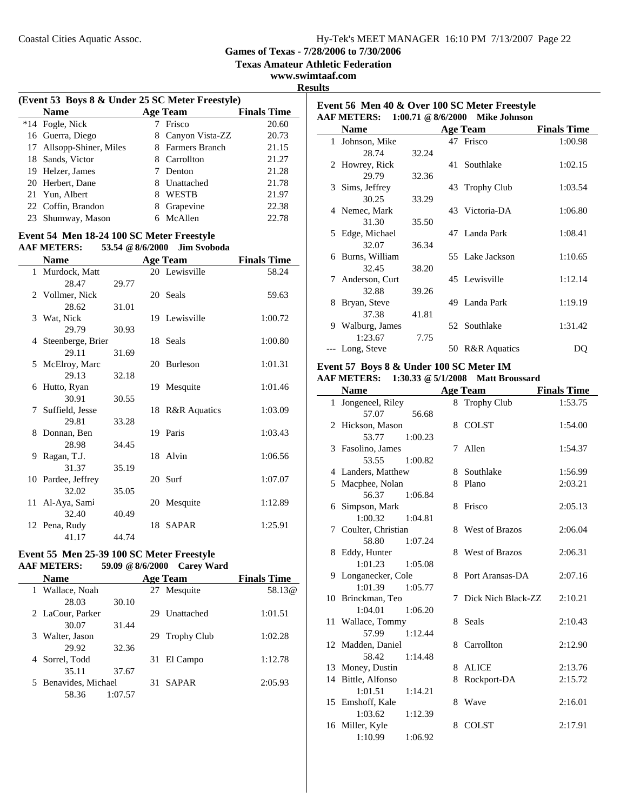**Event 56 Men 40 & Over 100 SC Meter Freestyle**

**Games of Texas - 7/28/2006 to 7/30/2006**

**Texas Amateur Athletic Federation**

**www.swimtaaf.com**

| 11 11<br>× |  |
|------------|--|
|            |  |

J.

 $\overline{\phantom{a}}$ 

| (Event 53 Boys 8 & Under 25 SC Meter Freestyle) |                          |   |                  |                    |
|-------------------------------------------------|--------------------------|---|------------------|--------------------|
|                                                 | <b>Name</b>              |   | <b>Age Team</b>  | <b>Finals Time</b> |
|                                                 | *14 Fogle, Nick          |   | Frisco           | 20.60              |
|                                                 | 16 Guerra, Diego         | 8 | Canyon Vista-ZZ  | 20.73              |
|                                                 | 17 Allsopp-Shiner, Miles |   | 8 Farmers Branch | 21.15              |
|                                                 | 18 Sands, Victor         | 8 | Carrollton       | 21.27              |
|                                                 | 19 Helzer, James         |   | Denton           | 21.28              |
|                                                 | 20 Herbert, Dane         | 8 | Unattached       | 21.78              |
|                                                 | 21 Yun, Albert           | 8 | <b>WESTB</b>     | 21.97              |
|                                                 | 22 Coffin, Brandon       | 8 | Grapevine        | 22.38              |
|                                                 | 23 Shumway, Mason        | 6 | McAllen          | 22.78              |
|                                                 |                          |   |                  |                    |

### **Event 54 Men 18-24 100 SC Meter Freestyle AAF METERS: 53.54 @8/6/2000 Jim Svoboda**

|    | <b>Name</b>         |       | <b>Age Team</b> | <b>Finals Time</b> |
|----|---------------------|-------|-----------------|--------------------|
|    | 1 Murdock, Matt     |       | 20 Lewisville   | 58.24              |
|    | 28.47               | 29.77 |                 |                    |
|    | 2 Vollmer, Nick     |       | 20 Seals        | 59.63              |
|    | 28.62               | 31.01 |                 |                    |
|    | 3 Wat, Nick         |       | 19 Lewisville   | 1:00.72            |
|    | 29.79               | 30.93 |                 |                    |
|    | 4 Steenberge, Brier |       | 18 Seals        | 1:00.80            |
|    | 29.11               | 31.69 |                 |                    |
|    | 5 McElroy, Marc     |       | 20 Burleson     | 1:01.31            |
|    | 29.13               | 32.18 |                 |                    |
|    | 6 Hutto, Ryan       |       | 19 Mesquite     | 1:01.46            |
|    | 30.91               | 30.55 |                 |                    |
|    | 7 Suffield, Jesse   |       | 18 R&R Aquatics | 1:03.09            |
|    | 29.81               | 33.28 |                 |                    |
|    | 8 Donnan, Ben       |       | 19 Paris        | 1:03.43            |
|    | 28.98               | 34.45 |                 |                    |
| 9. | Ragan, T.J.         |       | 18 Alvin        | 1:06.56            |
|    | 31.37               | 35.19 |                 |                    |
|    | 10 Pardee, Jeffrey  |       | 20 Surf         | 1:07.07            |
|    | 32.02               | 35.05 |                 |                    |
|    | 11 Al-Aya, Sami     |       | 20 Mesquite     | 1:12.89            |
|    | 32.40               | 40.49 |                 |                    |
|    | 12 Pena, Rudy       |       | 18 SAPAR        | 1:25.91            |
|    | 41.17               | 44.74 |                 |                    |

### **Event 55 Men 25-39 100 SC Meter Freestyle AAF METERS:** 59.09 @ 8/6/2000 Carey Wa **AAF METERS: 59.09 @8/6/2000 Carey Ward**

| <b>Name</b>          |         |     | <b>Age Team</b> | <b>Finals Time</b> |
|----------------------|---------|-----|-----------------|--------------------|
| Wallace, Noah        |         |     | 27 Mesquite     | 58.13 <sub>@</sub> |
| 28.03                | 30.10   |     |                 |                    |
| 2 LaCour, Parker     |         |     | 29 Unattached   | 1:01.51            |
| 30.07                | 31.44   |     |                 |                    |
| 3 Walter, Jason      |         |     | 29 Trophy Club  | 1:02.28            |
| 29.92                | 32.36   |     |                 |                    |
| 4 Sorrel, Todd       |         | 31  | El Campo        | 1:12.78            |
| 35.11                | 37.67   |     |                 |                    |
| 5 Benavides, Michael |         | 31. | SAPAR           | 2:05.93            |
| 58.36                | 1:07.57 |     |                 |                    |

|              | <b>AAF METERS:</b> | $1:00.71 \ @ 8/6/2000$ |    | <b>Mike Johnson</b> |                    |
|--------------|--------------------|------------------------|----|---------------------|--------------------|
|              | <b>Name</b>        |                        |    | <b>Age Team</b>     | <b>Finals Time</b> |
| $\mathbf{1}$ | Johnson, Mike      |                        | 47 | Frisco              | 1:00.98            |
|              | 28.74              | 32.24                  |    |                     |                    |
|              | 2 Howrey, Rick     |                        | 41 | Southlake           | 1:02.15            |
|              | 29.79              | 32.36                  |    |                     |                    |
|              | 3 Sims, Jeffrey    |                        |    | 43 Trophy Club      | 1:03.54            |
|              | 30.25              | 33.29                  |    |                     |                    |
|              | 4 Nemec, Mark      |                        |    | 43 Victoria-DA      | 1:06.80            |
|              | 31.30              | 35.50                  |    |                     |                    |
|              | 5 Edge, Michael    |                        |    | 47 Landa Park       | 1:08.41            |
|              | 32.07              | 36.34                  |    |                     |                    |
| 6            | Burns, William     |                        |    | 55 Lake Jackson     | 1:10.65            |
|              | 32.45              | 38.20                  |    |                     |                    |
|              | 7 Anderson, Curt   |                        |    | 45 Lewisville       | 1:12.14            |
|              | 32.88              | 39.26                  |    |                     |                    |
| 8            | Bryan, Steve       |                        |    | 49 Landa Park       | 1:19.19            |
|              | 37.38              | 41.81                  |    |                     |                    |
| 9            | Walburg, James     |                        |    | 52 Southlake        | 1:31.42            |
|              | 1:23.67            | 7.75                   |    |                     |                    |
|              | --- Long, Steve    |                        |    | 50 R&R Aquatics     | DQ                 |

### **Event 57 Boys 8 & Under 100 SC Meter IM**

### **AAF METERS: 1:30.33 @5/1/2008 Matt Broussard**

|    | <b>Name</b>          |   | <b>Age Team</b>       | <b>Finals Time</b> |
|----|----------------------|---|-----------------------|--------------------|
|    | 1 Jongeneel, Riley   |   | 8 Trophy Club         | 1:53.75            |
|    | 57.07<br>56.68       |   |                       |                    |
|    | 2 Hickson, Mason     | 8 | <b>COLST</b>          | 1:54.00            |
|    | 53.77<br>1:00.23     |   |                       |                    |
|    | 3 Fasolino, James    | 7 | Allen                 | 1:54.37            |
|    | 53.55<br>1:00.82     |   |                       |                    |
|    | 4 Landers, Matthew   | 8 | Southlake             | 1:56.99            |
|    | 5 Macphee, Nolan     | 8 | Plano                 | 2:03.21            |
|    | 56.37<br>1:06.84     |   |                       |                    |
|    | 6 Simpson, Mark      | 8 | Frisco                | 2:05.13            |
|    | 1:00.32<br>1:04.81   |   |                       |                    |
|    | 7 Coulter, Christian | 8 | <b>West of Brazos</b> | 2:06.04            |
|    | 58.80<br>1:07.24     |   |                       |                    |
|    | 8 Eddy, Hunter       |   | 8 West of Brazos      | 2:06.31            |
|    | 1:01.23<br>1:05.08   |   |                       |                    |
|    | 9 Longanecker, Cole  | 8 | Port Aransas-DA       | 2:07.16            |
|    | 1:01.39<br>1:05.77   |   |                       |                    |
|    | 10 Brinckman, Teo    | 7 | Dick Nich Black-ZZ    | 2:10.21            |
|    | 1:04.01<br>1:06.20   |   |                       |                    |
|    | 11 Wallace, Tommy    | 8 | Seals                 | 2:10.43            |
|    | 57.99<br>1:12.44     |   |                       |                    |
|    | 12 Madden, Daniel    | 8 | Carrollton            | 2:12.90            |
|    | 58.42<br>1:14.48     |   |                       |                    |
|    | 13 Money, Dustin     | 8 | <b>ALICE</b>          | 2:13.76            |
| 14 | Bittle, Alfonso      | 8 | Rockport-DA           | 2:15.72            |
|    | 1:01.51<br>1:14.21   |   |                       |                    |
|    | 15 Emshoff, Kale     | 8 | Wave                  | 2:16.01            |
|    | 1:03.62<br>1:12.39   |   |                       |                    |
|    | 16 Miller, Kyle      | 8 | <b>COLST</b>          | 2:17.91            |
|    | 1:10.99<br>1:06.92   |   |                       |                    |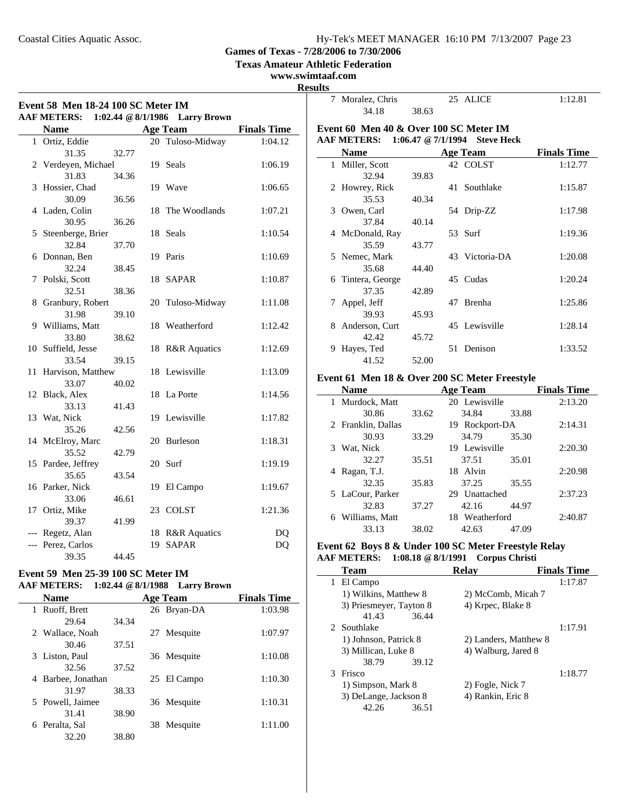**Texas Amateur Athletic Federation**

### **www.swimtaaf.com**

 $\overline{\phantom{a}}$ 

| Event 58 Men 18-24 100 SC Meter IM<br><b>AAF METERS:</b><br>1:02.44 $@ 8/1/1986$<br><b>Larry Brown</b> |                      |       |    |                                 |                    |
|--------------------------------------------------------------------------------------------------------|----------------------|-------|----|---------------------------------|--------------------|
|                                                                                                        | <b>Name</b>          |       |    | <b>Age Team</b>                 | <b>Finals Time</b> |
| $\mathbf{1}$                                                                                           | Ortiz, Eddie         |       |    | 20 Tuloso-Midway                | 1:04.12            |
|                                                                                                        | 31.35                | 32.77 |    |                                 |                    |
|                                                                                                        | 2 Verdeyen, Michael  |       | 19 | <b>Seals</b>                    | 1:06.19            |
|                                                                                                        | 31.83                | 34.36 |    |                                 |                    |
| 3                                                                                                      | Hossier, Chad        |       | 19 | Wave                            | 1:06.65            |
|                                                                                                        | 30.09                | 36.56 |    |                                 |                    |
|                                                                                                        | 4 Laden, Colin       |       | 18 | The Woodlands                   | 1:07.21            |
|                                                                                                        | 30.95                | 36.26 |    |                                 |                    |
| 5                                                                                                      | Steenberge, Brier    |       | 18 | Seals                           | 1:10.54            |
|                                                                                                        | 32.84                | 37.70 |    |                                 |                    |
| 6                                                                                                      | Donnan, Ben          |       | 19 | Paris                           | 1:10.69            |
|                                                                                                        | 32.24                | 38.45 |    |                                 |                    |
| 7                                                                                                      | Polski, Scott        |       | 18 | SAPAR                           | 1:10.87            |
|                                                                                                        | 32.51                | 38.36 |    |                                 |                    |
| 8                                                                                                      | Granbury, Robert     |       | 20 | Tuloso-Midway                   | 1:11.08            |
|                                                                                                        | 31.98                | 39.10 |    |                                 |                    |
|                                                                                                        | 9 Williams, Matt     |       | 18 | Weatherford                     | 1:12.42            |
|                                                                                                        | 33.80                | 38.62 |    |                                 |                    |
|                                                                                                        | 10 Suffield, Jesse   |       | 18 | <b>R&amp;R</b> Aquatics         | 1:12.69            |
|                                                                                                        | 33.54                | 39.15 |    |                                 |                    |
|                                                                                                        | 11 Harvison, Matthew |       |    | 18 Lewisville                   | 1:13.09            |
|                                                                                                        | 33.07                | 40.02 |    |                                 |                    |
|                                                                                                        | 12 Black, Alex       |       | 18 | La Porte                        | 1:14.56            |
|                                                                                                        | 33.13                | 41.43 |    |                                 |                    |
|                                                                                                        | 13 Wat, Nick         |       |    | 19 Lewisville                   | 1:17.82            |
|                                                                                                        | 35.26                | 42.56 |    |                                 |                    |
|                                                                                                        | 14 McElroy, Marc     |       | 20 | <b>Burleson</b>                 | 1:18.31            |
|                                                                                                        | 35.52                | 42.79 |    |                                 |                    |
|                                                                                                        | 15 Pardee, Jeffrey   |       |    | 20 Surf                         | 1:19.19            |
|                                                                                                        | 35.65                | 43.54 |    |                                 |                    |
|                                                                                                        | 16 Parker, Nick      |       | 19 | El Campo                        | 1:19.67            |
|                                                                                                        | 33.06                | 46.61 |    |                                 |                    |
|                                                                                                        | 17 Ortiz, Mike       |       |    | 23 COLST                        | 1:21.36            |
|                                                                                                        | 39.37                | 41.99 |    |                                 |                    |
|                                                                                                        | --- Regetz, Alan     |       | 19 | 18 R&R Aquatics<br><b>SAPAR</b> | DQ                 |
|                                                                                                        | --- Perez, Carlos    |       |    |                                 | DQ                 |
|                                                                                                        | 39.35                | 44.45 |    |                                 |                    |

### **Event 59 Men 25-39 100 SC Meter IM AAF METERS: 1:02.44 @8/1/1988 Larry Brown**

Ĭ.

| <b>Name</b>           |       |    | <b>Age Team</b> | <b>Finals Time</b> |
|-----------------------|-------|----|-----------------|--------------------|
| Ruoff, Brett<br>1     |       |    | 26 Bryan-DA     | 1:03.98            |
| 29.64                 | 34.34 |    |                 |                    |
| 2 Wallace, Noah       |       | 27 | Mesquite        | 1:07.97            |
| 30.46                 | 37.51 |    |                 |                    |
| 3 Liston, Paul        |       |    | 36 Mesquite     | 1:10.08            |
| 32.56                 | 37.52 |    |                 |                    |
| Barbee, Jonathan<br>4 |       |    | 25 El Campo     | 1:10.30            |
| 31.97                 | 38.33 |    |                 |                    |
| 5 Powell, Jaimee      |       |    | 36 Mesquite     | 1:10.31            |
| 31.41                 | 38.90 |    |                 |                    |
| Peralta, Sal          |       | 38 | Mesquite        | 1:11.00            |
| 32.20                 | 38.80 |    |                 |                    |

|   | 7 Moralez, Chris                       |       | 25 ALICE                      | 1:12.81            |
|---|----------------------------------------|-------|-------------------------------|--------------------|
|   | 34.18                                  | 38.63 |                               |                    |
|   | Event 60 Men 40 & Over 100 SC Meter IM |       |                               |                    |
|   | AAF METERS:                            |       | 1:06.47 @ 7/1/1994 Steve Heck |                    |
|   | <b>Name</b>                            |       | <b>Age Team</b>               | <b>Finals Time</b> |
|   | 1 Miller, Scott                        |       | 42 COLST                      | 1:12.77            |
|   | 32.94                                  | 39.83 |                               |                    |
|   | 2 Howrey, Rick                         |       | 41 Southlake                  | 1:15.87            |
|   | 35.53                                  | 40.34 |                               |                    |
|   | 3 Owen, Carl                           |       | 54 Drip-ZZ                    | 1:17.98            |
|   | 37.84                                  | 40.14 |                               |                    |
|   | 4 McDonald, Ray                        |       | 53 Surf                       | 1:19.36            |
|   | 35.59                                  | 43.77 |                               |                    |
|   | 5 Nemec, Mark                          |       | 43 Victoria-DA                | 1:20.08            |
|   | 35.68                                  | 44.40 |                               |                    |
|   | 6 Tintera, George                      |       | 45 Cudas                      | 1:20.24            |
|   | 37.35                                  | 42.89 |                               |                    |
| 7 | Appel, Jeff                            |       | 47 Brenha                     | 1:25.86            |
|   | 39.93                                  | 45.93 |                               |                    |
|   | 8 Anderson, Curt                       |       | 45 Lewisville                 | 1:28.14            |
|   | 42.42                                  | 45.72 |                               |                    |
| 9 | Hayes, Ted                             |       | 51 Denison                    | 1:33.52            |
|   | 41.52                                  | 52.00 |                               |                    |

### **Event 61 Men 18 & Over 200 SC Meter Freestyle**

| <b>Name</b>         |       | <b>Age Team</b>   |       | <b>Finals Time</b> |
|---------------------|-------|-------------------|-------|--------------------|
| 1 Murdock, Matt     |       | 20 Lewisville     |       | 2:13.20            |
| 30.86               | 33.62 | 34.84             | 33.88 |                    |
| 2 Franklin, Dallas  |       | 19 Rockport-DA    |       | 2:14.31            |
| 30.93               | 33.29 | 34.79             | 35.30 |                    |
| 3 Wat, Nick         |       | 19 Lewisville     |       | 2:20.30            |
| 32.27               | 35.51 | 37.51             | 35.01 |                    |
| Ragan, T.J.<br>4    |       | 18 Alvin          |       | 2:20.98            |
| 32.35               | 35.83 | 37.25             | 35.55 |                    |
| 5 LaCour, Parker    |       | Unattached<br>29. |       | 2:37.23            |
| 32.83               | 37.27 | 42.16             | 44.97 |                    |
| Williams, Matt<br>6 |       | 18 Weatherford    |       | 2:40.87            |
| 33.13               | 38.02 | 42.63             | 47.09 |                    |

### **Event 62 Boys 8 & Under 100 SC Meter Freestyle Relay AAF METERS: 1:08.18 @8/1/1991 Corpus Christi**

|   | <b>Team</b>             | <b>Relav</b>          | <b>Finals Time</b> |
|---|-------------------------|-----------------------|--------------------|
| 1 | El Campo                |                       | 1:17.87            |
|   | 1) Wilkins, Matthew 8   | 2) McComb, Micah 7    |                    |
|   | 3) Priesmeyer, Tayton 8 | 4) Krpec, Blake 8     |                    |
|   | 41.43<br>36.44          |                       |                    |
|   | 2 Southlake             |                       | 1:17.91            |
|   | 1) Johnson, Patrick 8   | 2) Landers, Matthew 8 |                    |
|   | 3) Millican, Luke 8     | 4) Walburg, Jared 8   |                    |
|   | 38.79<br>39.12          |                       |                    |
| 3 | Frisco                  |                       | 1:18.77            |
|   | 1) Simpson, Mark 8      | 2) Fogle, Nick 7      |                    |
|   | 3) DeLange, Jackson 8   | 4) Rankin, Eric 8     |                    |
|   | 36.51<br>42.26          |                       |                    |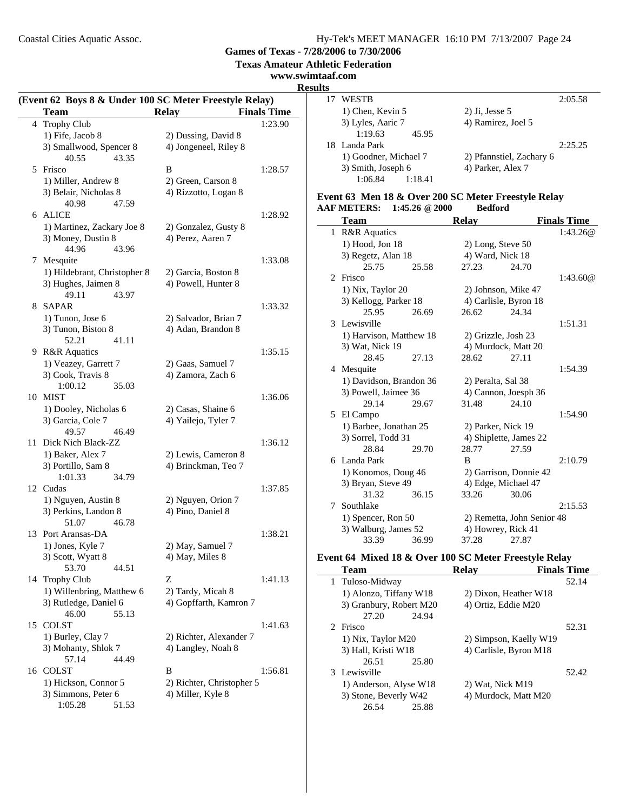**Games of Texas - 7/28/2006 to 7/30/2006**

**Texas Amateur Athletic Federation**

**www.swimtaaf.com**

**Results**

 $\sim$ 

| (Event 62 Boys 8 & Under 100 SC Meter Freestyle Relay) |                                             |                                                |                    |  |  |
|--------------------------------------------------------|---------------------------------------------|------------------------------------------------|--------------------|--|--|
|                                                        | <b>Team</b>                                 | <b>Relay</b>                                   | <b>Finals Time</b> |  |  |
| 4                                                      | <b>Trophy Club</b>                          |                                                | 1:23.90            |  |  |
|                                                        | 1) Fife, Jacob 8                            | 2) Dussing, David 8                            |                    |  |  |
|                                                        | 3) Smallwood, Spencer 8                     | 4) Jongeneel, Riley 8                          |                    |  |  |
|                                                        | 40.55<br>43.35                              |                                                |                    |  |  |
|                                                        | 5 Frisco                                    | B                                              | 1:28.57            |  |  |
|                                                        | 1) Miller, Andrew 8                         | 2) Green, Carson 8                             |                    |  |  |
|                                                        | 3) Belair, Nicholas 8                       | 4) Rizzotto, Logan 8                           |                    |  |  |
|                                                        | 40.98<br>47.59                              |                                                |                    |  |  |
|                                                        | 6 ALICE                                     |                                                | 1:28.92            |  |  |
|                                                        | 1) Martinez, Zackary Joe 8                  | 2) Gonzalez, Gusty 8                           |                    |  |  |
|                                                        | 3) Money, Dustin 8                          | 4) Perez, Aaren 7                              |                    |  |  |
|                                                        | 44.96<br>43.96                              |                                                |                    |  |  |
|                                                        | 7 Mesquite                                  |                                                | 1:33.08            |  |  |
|                                                        | 1) Hildebrant, Christopher 8                | 2) Garcia, Boston 8                            |                    |  |  |
|                                                        | 3) Hughes, Jaimen 8                         | 4) Powell, Hunter 8                            |                    |  |  |
|                                                        | 49.11<br>43.97                              |                                                |                    |  |  |
| 8                                                      | SAPAR                                       |                                                | 1:33.32            |  |  |
|                                                        | 1) Tunon, Jose 6                            | 2) Salvador, Brian 7                           |                    |  |  |
|                                                        | 3) Tunon, Biston 8                          | 4) Adan, Brandon 8                             |                    |  |  |
|                                                        | 52.21<br>41.11                              |                                                |                    |  |  |
|                                                        | 9 R&R Aquatics<br>1) Veazey, Garrett 7      | 2) Gaas, Samuel 7                              | 1:35.15            |  |  |
|                                                        | 3) Cook, Travis 8                           | 4) Zamora, Zach 6                              |                    |  |  |
|                                                        | 1:00.12<br>35.03                            |                                                |                    |  |  |
|                                                        | 10 MIST                                     |                                                | 1:36.06            |  |  |
|                                                        | 1) Dooley, Nicholas 6                       | 2) Casas, Shaine 6                             |                    |  |  |
|                                                        | 3) Garcia, Cole 7                           | 4) Yailejo, Tyler 7                            |                    |  |  |
|                                                        | 49.57<br>46.49                              |                                                |                    |  |  |
| 11                                                     | Dick Nich Black-ZZ                          |                                                | 1:36.12            |  |  |
|                                                        | 1) Baker, Alex 7                            | 2) Lewis, Cameron 8                            |                    |  |  |
|                                                        | 3) Portillo, Sam 8                          | 4) Brinckman, Teo 7                            |                    |  |  |
|                                                        | 1:01.33<br>34.79                            |                                                |                    |  |  |
|                                                        | 12 Cudas                                    |                                                | 1:37.85            |  |  |
|                                                        | 1) Nguyen, Austin 8                         | 2) Nguyen, Orion 7                             |                    |  |  |
|                                                        | 3) Perkins, Landon 8                        | 4) Pino, Daniel 8                              |                    |  |  |
|                                                        | 46.78<br>51.07                              |                                                |                    |  |  |
| 13                                                     | Port Aransas-DA                             |                                                | 1:38.21            |  |  |
|                                                        | 1) Jones, Kyle 7                            | 2) May, Samuel 7                               |                    |  |  |
|                                                        | 3) Scott, Wyatt 8                           | 4) May, Miles 8                                |                    |  |  |
|                                                        | 53.70<br>44.51                              |                                                |                    |  |  |
| 14                                                     | <b>Trophy Club</b>                          | Z                                              | 1:41.13            |  |  |
|                                                        | 1) Willenbring, Matthew 6                   | 2) Tardy, Micah 8                              |                    |  |  |
|                                                        | 3) Rutledge, Daniel 6                       | 4) Gopffarth, Kamron 7                         |                    |  |  |
|                                                        | 46.00<br>55.13                              |                                                |                    |  |  |
| 15                                                     | <b>COLST</b>                                |                                                | 1:41.63            |  |  |
|                                                        | 1) Burley, Clay 7                           | 2) Richter, Alexander 7                        |                    |  |  |
|                                                        | 3) Mohanty, Shlok 7<br>57.14                | 4) Langley, Noah 8                             |                    |  |  |
|                                                        | 44.49<br>16 COLST                           |                                                |                    |  |  |
|                                                        |                                             | B                                              | 1:56.81            |  |  |
|                                                        | 1) Hickson, Connor 5<br>3) Simmons, Peter 6 | 2) Richter, Christopher 5<br>4) Miller, Kyle 8 |                    |  |  |
|                                                        | 1:05.28<br>51.53                            |                                                |                    |  |  |
|                                                        |                                             |                                                |                    |  |  |

| כט |                       |                          |
|----|-----------------------|--------------------------|
|    | <b>WESTB</b>          | 2:05.58                  |
|    | 1) Chen, Kevin 5      | $2)$ Ji, Jesse 5         |
|    | 3) Lyles, Aaric 7     | 4) Ramirez, Joel 5       |
|    | 1:19.63<br>45.95      |                          |
|    | 18 Landa Park         | 2:25.25                  |
|    | 1) Goodner, Michael 7 | 2) Pfannstiel, Zachary 6 |
|    | 3) Smith, Joseph 6    | 4) Parker, Alex 7        |
|    | 1:06.84<br>1:18.41    |                          |
|    |                       |                          |

### **Event 63 Men 18 & Over 200 SC Meter Freestyle Relay AAF METERS:** 1:45.26 @ 2000

|                             | Team                    |       | <b>Relay</b>        |                            | <b>Finals Time</b> |
|-----------------------------|-------------------------|-------|---------------------|----------------------------|--------------------|
| 1                           | <b>R&amp;R</b> Aquatics |       |                     |                            | 1:43.26@           |
|                             | 1) Hood, Jon 18         |       | 2) Long, Steve 50   |                            |                    |
|                             | 3) Regetz, Alan 18      |       | 4) Ward, Nick 18    |                            |                    |
|                             | 25.75                   | 25.58 | 27.23               | 24.70                      |                    |
| $\mathcal{D}_{\mathcal{L}}$ | Frisco                  |       |                     |                            | 1:43.60@           |
|                             | 1) Nix, Taylor 20       |       |                     | 2) Johnson, Mike 47        |                    |
|                             | 3) Kellogg, Parker 18   |       |                     | 4) Carlisle, Byron 18      |                    |
|                             | 25.95                   | 26.69 | 26.62               | 24.34                      |                    |
| 3                           | Lewisville              |       |                     |                            | 1:51.31            |
|                             | 1) Harvison, Matthew 18 |       | 2) Grizzle, Josh 23 |                            |                    |
|                             | 3) Wat, Nick 19         |       |                     | 4) Murdock, Matt 20        |                    |
|                             | 28.45                   | 27.13 | 28.62               | 27.11                      |                    |
|                             | 4 Mesquite              |       |                     |                            | 1:54.39            |
|                             | 1) Davidson, Brandon 36 |       | 2) Peralta, Sal 38  |                            |                    |
|                             | 3) Powell, Jaimee 36    |       |                     | 4) Cannon, Joesph 36       |                    |
|                             | 29.14                   | 29.67 | 31.48               | 24.10                      |                    |
|                             | 5 El Campo              |       |                     |                            | 1:54.90            |
|                             | 1) Barbee, Jonathan 25  |       | 2) Parker, Nick 19  |                            |                    |
|                             | 3) Sorrel, Todd 31      |       |                     | 4) Shiplette, James 22     |                    |
|                             | 28.84                   | 29.70 | 28.77               | 27.59                      |                    |
|                             | 6 Landa Park            |       | B                   |                            | 2:10.79            |
|                             | 1) Konomos, Doug 46     |       |                     | 2) Garrison, Donnie 42     |                    |
|                             | 3) Bryan, Steve 49      |       |                     | 4) Edge, Michael 47        |                    |
|                             | 31.32                   | 36.15 | 33.26               | 30.06                      |                    |
| 7                           | Southlake               |       |                     |                            | 2:15.53            |
|                             | 1) Spencer, Ron 50      |       |                     | 2) Remetta, John Senior 48 |                    |
|                             | 3) Walburg, James 52    |       |                     | 4) Howrey, Rick 41         |                    |
|                             | 33.39                   | 36.99 | 37.28               | 27.87                      |                    |

### **Event 64 Mixed 18 & Over 100 SC Meter Freestyle Relay**

| <b>Team</b>             | Relav                  | <b>Finals Time</b> |
|-------------------------|------------------------|--------------------|
| 1 Tuloso-Midway         |                        | 52.14              |
| 1) Alonzo, Tiffany W18  | 2) Dixon, Heather W18  |                    |
| 3) Granbury, Robert M20 | 4) Ortiz, Eddie M20    |                    |
| 27.20<br>24.94          |                        |                    |
| 2 Frisco                |                        | 52.31              |
| 1) Nix, Taylor M20      | 2) Simpson, Kaelly W19 |                    |
| 3) Hall, Kristi W18     | 4) Carlisle, Byron M18 |                    |
| 26.51<br>25.80          |                        |                    |
| 3 Lewisville            |                        | 52.42              |
| 1) Anderson, Alyse W18  | 2) Wat, Nick M19       |                    |
| 3) Stone, Beverly W42   | 4) Murdock, Matt M20   |                    |
| 25.88<br>26.54          |                        |                    |
|                         |                        |                    |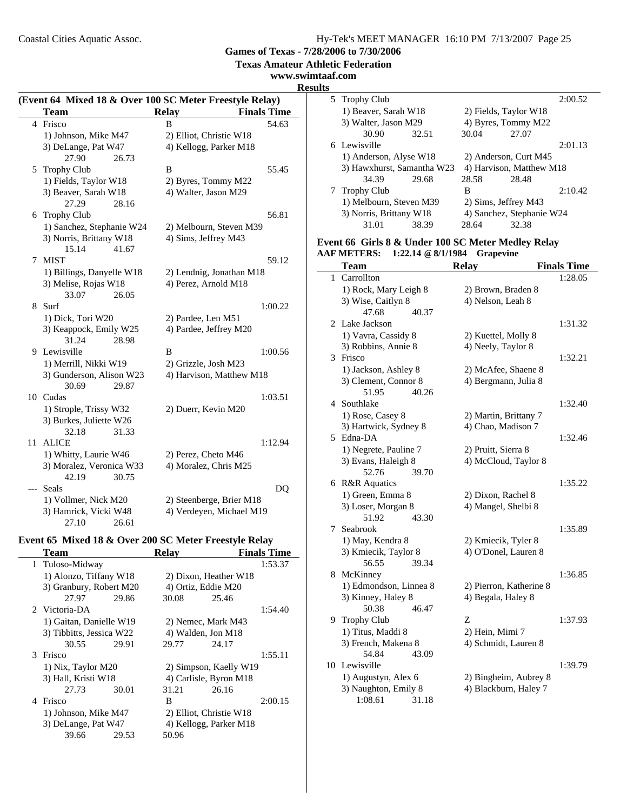**Texas Amateur Athletic Federation**

### **www.swimtaaf.com**

#### **Results**

|       | (Event 64 Mixed 18 & Over 100 SC Meter Freestyle Relay) |                          |                    |  |
|-------|---------------------------------------------------------|--------------------------|--------------------|--|
|       | Team                                                    | <b>Relay</b>             | <b>Finals Time</b> |  |
|       | 4 Frisco                                                | B                        | 54.63              |  |
|       | 1) Johnson, Mike M47                                    | 2) Elliot, Christie W18  |                    |  |
|       | 3) DeLange, Pat W47                                     | 4) Kellogg, Parker M18   |                    |  |
|       | 27.90<br>26.73                                          |                          |                    |  |
| 5     | <b>Trophy Club</b>                                      | B                        | 55.45              |  |
|       | 1) Fields, Taylor W18                                   | 2) Byres, Tommy M22      |                    |  |
|       | 3) Beaver, Sarah W18                                    | 4) Walter, Jason M29     |                    |  |
|       | 27.29<br>28.16                                          |                          |                    |  |
| 6     | <b>Trophy Club</b>                                      |                          | 56.81              |  |
|       | 1) Sanchez, Stephanie W24                               | 2) Melbourn, Steven M39  |                    |  |
|       | 3) Norris, Brittany W18                                 | 4) Sims, Jeffrey M43     |                    |  |
|       | 15.14<br>41.67                                          |                          |                    |  |
| 7     | <b>MIST</b>                                             |                          | 59.12              |  |
|       | 1) Billings, Danyelle W18                               | 2) Lendnig, Jonathan M18 |                    |  |
|       | 3) Melise, Rojas W18                                    | 4) Perez, Arnold M18     |                    |  |
|       | 33.07<br>26.05                                          |                          |                    |  |
| 8     | Surf                                                    |                          | 1:00.22            |  |
|       | 1) Dick, Tori W20                                       | 2) Pardee, Len M51       |                    |  |
|       | 3) Keappock, Emily W25                                  | 4) Pardee, Jeffrey M20   |                    |  |
|       | 31.24<br>28.98                                          |                          |                    |  |
| 9     | Lewisville                                              | B                        | 1:00.56            |  |
|       | 1) Merrill, Nikki W19                                   | 2) Grizzle, Josh M23     |                    |  |
|       | 3) Gunderson, Alison W23                                | 4) Harvison, Matthew M18 |                    |  |
|       | 30.69<br>29.87                                          |                          |                    |  |
|       | 10 Cudas                                                |                          | 1:03.51            |  |
|       | 1) Strople, Trissy W32<br>3) Burkes, Juliette W26       | 2) Duerr, Kevin M20      |                    |  |
|       | 32.18<br>31.33                                          |                          |                    |  |
| 11    | <b>ALICE</b>                                            |                          | 1:12.94            |  |
|       | 1) Whitty, Laurie W46                                   | 2) Perez, Cheto M46      |                    |  |
|       | 3) Moralez, Veronica W33                                | 4) Moralez, Chris M25    |                    |  |
|       | 42.19<br>30.75                                          |                          |                    |  |
| $---$ | Seals                                                   |                          | DQ                 |  |
|       | 1) Vollmer, Nick M20                                    | 2) Steenberge, Brier M18 |                    |  |
|       | 3) Hamrick, Vicki W48                                   | 4) Verdeyen, Michael M19 |                    |  |
|       | 27.10<br>26.61                                          |                          |                    |  |
|       |                                                         |                          |                    |  |

### **Event 65 Mixed 18 & Over 200 SC Meter Freestyle Relay**

|   | Team                     |       | <b>Relav</b> |                         | <b>Finals Time</b> |
|---|--------------------------|-------|--------------|-------------------------|--------------------|
|   | 1 Tuloso-Midway          |       |              |                         | 1:53.37            |
|   | 1) Alonzo, Tiffany W18   |       |              | 2) Dixon, Heather W18   |                    |
|   | 3) Granbury, Robert M20  |       |              | 4) Ortiz, Eddie M20     |                    |
|   | 27.97                    | 29.86 | 30.08        | 25.46                   |                    |
|   | 2 Victoria-DA            |       |              |                         | 1:54.40            |
|   | 1) Gaitan, Danielle W19  |       |              | 2) Nemec, Mark M43      |                    |
|   | 3) Tibbitts, Jessica W22 |       |              | 4) Walden, Jon M18      |                    |
|   | 30.55                    | 29.91 | 29.77        | 24.17                   |                    |
| 3 | Frisco                   |       |              |                         | 1:55.11            |
|   | 1) Nix, Taylor M20       |       |              | 2) Simpson, Kaelly W19  |                    |
|   | 3) Hall, Kristi W18      |       |              | 4) Carlisle, Byron M18  |                    |
|   | 27.73                    | 30.01 | 31.21        | 26.16                   |                    |
|   | 4 Frisco                 |       | B            |                         | 2:00.15            |
|   | 1) Johnson, Mike M47     |       |              | 2) Elliot, Christie W18 |                    |
|   | 3) DeLange, Pat W47      |       |              | 4) Kellogg, Parker M18  |                    |
|   | 39.66                    | 29.53 | 50.96        |                         |                    |
|   |                          |       |              |                         |                    |

| 5 Trophy Club              |       |                           |                       | 2:00.52 |
|----------------------------|-------|---------------------------|-----------------------|---------|
| 1) Beaver, Sarah W18       |       | 2) Fields, Taylor W18     |                       |         |
| 3) Walter, Jason M29       |       |                           | 4) Byres, Tommy M22   |         |
| 30.90                      | 32.51 | 30.04                     | 27.07                 |         |
| 6 Lewisville               |       |                           |                       | 2:01.13 |
| 1) Anderson, Alyse W18     |       |                           | 2) Anderson, Curt M45 |         |
| 3) Hawxhurst, Samantha W23 |       | 4) Harvison, Matthew M18  |                       |         |
| 34.39                      | 29.68 | 28.58                     | 28.48                 |         |
| 7 Trophy Club              |       | В                         |                       | 2:10.42 |
| 1) Melbourn, Steven M39    |       | 2) Sims, Jeffrey M43      |                       |         |
| 3) Norris, Brittany W18    |       | 4) Sanchez, Stephanie W24 |                       |         |
| 31.01                      | 38.39 | 28.64                     | 32.38                 |         |

#### **Event 66 Girls 8 & Under 100 SC Meter Medley Relay AAF METERS: 1:22.14 @8/1/1984 Grapevine**

|    | <b>Team</b>            | <b>Relay</b>            | <b>Finals Time</b> |
|----|------------------------|-------------------------|--------------------|
| 1  | Carrollton             |                         | 1:28.05            |
|    | 1) Rock, Mary Leigh 8  | 2) Brown, Braden 8      |                    |
|    | 3) Wise, Caitlyn 8     | 4) Nelson, Leah 8       |                    |
|    | 47.68<br>40.37         |                         |                    |
| 2  | Lake Jackson           |                         | 1:31.32            |
|    | 1) Vavra, Cassidy 8    | 2) Kuettel, Molly 8     |                    |
|    | 3) Robbins, Annie 8    | 4) Neely, Taylor 8      |                    |
| 3  | Frisco                 |                         | 1:32.21            |
|    | 1) Jackson, Ashley 8   | 2) McAfee, Shaene 8     |                    |
|    | 3) Clement, Connor 8   | 4) Bergmann, Julia 8    |                    |
|    | 40.26<br>51.95         |                         |                    |
|    | 4 Southlake            |                         | 1:32.40            |
|    | 1) Rose, Casey 8       | 2) Martin, Brittany 7   |                    |
|    | 3) Hartwick, Sydney 8  | 4) Chao, Madison 7      |                    |
| 5. | Edna-DA                |                         | 1:32.46            |
|    | 1) Negrete, Pauline 7  | 2) Pruitt, Sierra 8     |                    |
|    | 3) Evans, Haleigh 8    | 4) McCloud, Taylor 8    |                    |
|    | 52.76<br>39.70         |                         |                    |
|    | 6 R&R Aquatics         |                         | 1:35.22            |
|    | 1) Green, Emma 8       | 2) Dixon, Rachel 8      |                    |
|    | 3) Loser, Morgan 8     | 4) Mangel, Shelbi 8     |                    |
|    | 51.92<br>43.30         |                         |                    |
| 7  | Seabrook               |                         | 1:35.89            |
|    | 1) May, Kendra 8       | 2) Kmiecik, Tyler 8     |                    |
|    | 3) Kmiecik, Taylor 8   | 4) O'Donel, Lauren 8    |                    |
|    | 56.55<br>39.34         |                         |                    |
| 8  | McKinney               |                         | 1:36.85            |
|    | 1) Edmondson, Linnea 8 | 2) Pierron, Katherine 8 |                    |
|    | 3) Kinney, Haley 8     | 4) Begala, Haley 8      |                    |
|    | 50.38<br>46.47         |                         |                    |
| 9  | <b>Trophy Club</b>     | Z                       | 1:37.93            |
|    | 1) Titus, Maddi 8      | 2) Hein, Mimi 7         |                    |
|    | 3) French, Makena 8    | 4) Schmidt, Lauren 8    |                    |
|    | 54.84<br>43.09         |                         |                    |
| 10 | Lewisville             |                         | 1:39.79            |
|    | 1) Augustyn, Alex 6    | 2) Bingheim, Aubrey 8   |                    |
|    | 3) Naughton, Emily 8   | 4) Blackburn, Haley 7   |                    |
|    | 1:08.61<br>31.18       |                         |                    |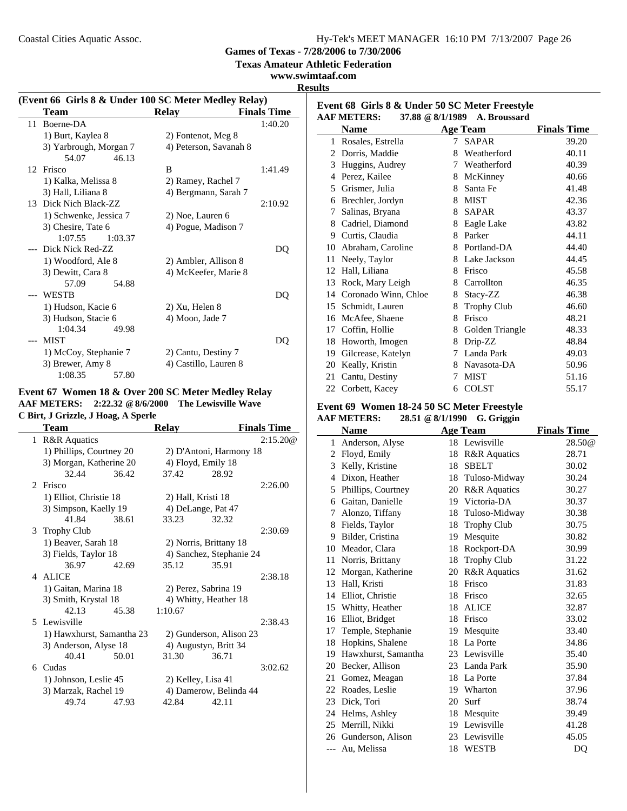**Games of Texas - 7/28/2006 to 7/30/2006**

**Texas Amateur Athletic Federation**

**www.swimtaaf.com Results**

|    | (Event 66 Girls 8 & Under 100 SC Meter Medley Relay) |                        |                    |
|----|------------------------------------------------------|------------------------|--------------------|
|    | Team                                                 | Relay                  | <b>Finals Time</b> |
| 11 | Boerne-DA                                            |                        | 1:40.20            |
|    | 1) Burt, Kaylea 8                                    | 2) Fontenot, Meg 8     |                    |
|    | 3) Yarbrough, Morgan 7                               | 4) Peterson, Savanah 8 |                    |
|    | 54.07<br>46.13                                       |                        |                    |
|    | 12 Frisco                                            | B                      | 1:41.49            |
|    | 1) Kalka, Melissa 8                                  | 2) Ramey, Rachel 7     |                    |
|    | 3) Hall, Liliana 8                                   | 4) Bergmann, Sarah 7   |                    |
|    | 13 Dick Nich Black-ZZ                                |                        | 2:10.92            |
|    | 1) Schwenke, Jessica 7                               | 2) Noe, Lauren 6       |                    |
|    | 3) Chesire, Tate 6                                   | 4) Pogue, Madison 7    |                    |
|    | 1:07.55<br>1:03.37                                   |                        |                    |
|    | --- Dick Nick Red-ZZ                                 |                        | DQ                 |
|    | 1) Woodford, Ale 8                                   | 2) Ambler, Allison 8   |                    |
|    | 3) Dewitt, Cara 8                                    | 4) McKeefer, Marie 8   |                    |
|    | 57.09<br>54.88                                       |                        |                    |
|    | WESTB                                                |                        | DQ                 |
|    | 1) Hudson, Kacie 6                                   | 2) Xu, Helen 8         |                    |
|    | 3) Hudson, Stacie 6                                  | 4) Moon, Jade 7        |                    |
|    | 1:04.34<br>49.98                                     |                        |                    |
|    | MIST                                                 |                        | DO                 |
|    | 1) McCoy, Stephanie 7                                | 2) Cantu, Destiny 7    |                    |
|    | 3) Brewer, Amy 8                                     | 4) Castillo, Lauren 8  |                    |
|    | 1:08.35<br>57.80                                     |                        |                    |

### **Event 67 Women 18 & Over 200 SC Meter Medley Relay AAF METERS: 2:22.32 @8/6/2000 The Lewisville Wave C Birt, J Grizzle, J Hoag, A Sperle**

|   | Team                      |       | <b>Relay</b>       |                          | <b>Finals Time</b> |
|---|---------------------------|-------|--------------------|--------------------------|--------------------|
| 1 | <b>R&amp;R</b> Aquatics   |       |                    |                          | 2:15.20@           |
|   | 1) Phillips, Courtney 20  |       |                    | 2) D'Antoni, Harmony 18  |                    |
|   | 3) Morgan, Katherine 20   |       | 4) Floyd, Emily 18 |                          |                    |
|   | 32.44                     | 36.42 | 37.42              | 28.92                    |                    |
|   | 2 Frisco                  |       |                    |                          | 2:26.00            |
|   | 1) Elliot, Christie 18    |       | 2) Hall, Kristi 18 |                          |                    |
|   | 3) Simpson, Kaelly 19     |       |                    | 4) DeLange, Pat 47       |                    |
|   | 41.84                     | 38.61 | 33.23              | 32.32                    |                    |
|   | 3 Trophy Club             |       |                    |                          | 2:30.69            |
|   | 1) Beaver, Sarah 18       |       |                    | 2) Norris, Brittany 18   |                    |
|   | 3) Fields, Taylor 18      |       |                    | 4) Sanchez, Stephanie 24 |                    |
|   | 36.97                     | 42.69 | 35.12              | 35.91                    |                    |
|   | 4 ALICE                   |       |                    |                          | 2:38.18            |
|   | 1) Gaitan, Marina 18      |       |                    | 2) Perez, Sabrina 19     |                    |
|   | 3) Smith, Krystal 18      |       |                    | 4) Whitty, Heather 18    |                    |
|   | 42.13                     | 45.38 | 1:10.67            |                          |                    |
|   | 5 Lewisville              |       |                    |                          | 2:38.43            |
|   | 1) Hawxhurst, Samantha 23 |       |                    | 2) Gunderson, Alison 23  |                    |
|   | 3) Anderson, Alyse 18     |       |                    | 4) Augustyn, Britt 34    |                    |
|   | 40.41                     | 50.01 | 31.30              | 36.71                    |                    |
|   | 6 Cudas                   |       |                    |                          | 3:02.62            |
|   | 1) Johnson, Leslie 45     |       | 2) Kelley, Lisa 41 |                          |                    |
|   | 3) Marzak, Rachel 19      |       |                    | 4) Damerow, Belinda 44   |                    |
|   | 49.74                     | 47.93 | 42.84              | 42.11                    |                    |
|   |                           |       |                    |                          |                    |

| Event 68 Girls 8 & Under 50 SC Meter Freestyle<br><b>AAF METERS:</b><br>37.88 @ 8/1/1989<br>A. Broussard |                      |    |                    |                    |
|----------------------------------------------------------------------------------------------------------|----------------------|----|--------------------|--------------------|
|                                                                                                          | <b>Name</b>          |    | Age Team           | <b>Finals Time</b> |
| 1                                                                                                        | Rosales, Estrella    | 7  | <b>SAPAR</b>       | 39.20              |
| 2                                                                                                        | Dorris, Maddie       | 8  | Weatherford        | 40.11              |
| 3                                                                                                        | Huggins, Audrey      | 7  | Weatherford        | 40.39              |
| 4                                                                                                        | Perez, Kailee        | 8  | McKinney           | 40.66              |
| 5                                                                                                        | Grismer, Julia       | 8  | Santa Fe           | 41.48              |
| 6                                                                                                        | Brechler, Jordyn     | 8  | <b>MIST</b>        | 42.36              |
| 7                                                                                                        | Salinas, Bryana      | 8. | <b>SAPAR</b>       | 43.37              |
| 8                                                                                                        | Cadriel, Diamond     | 8  | Eagle Lake         | 43.82              |
| 9                                                                                                        | Curtis, Claudia      | 8  | Parker             | 44.11              |
| 10                                                                                                       | Abraham, Caroline    | 8  | Portland-DA        | 44.40              |
| 11                                                                                                       | Neely, Taylor        | 8  | Lake Jackson       | 44.45              |
| 12                                                                                                       | Hall, Liliana        | 8  | Frisco             | 45.58              |
| 13                                                                                                       | Rock, Mary Leigh     | 8  | Carrollton         | 46.35              |
| 14                                                                                                       | Coronado Winn, Chloe | 8  | Stacy-ZZ           | 46.38              |
| 15                                                                                                       | Schmidt, Lauren      | 8  | <b>Trophy Club</b> | 46.60              |
| 16                                                                                                       | McAfee, Shaene       | 8  | Frisco             | 48.21              |
| 17                                                                                                       | Coffin, Hollie       | 8  | Golden Triangle    | 48.33              |
| 18                                                                                                       | Howorth, Imogen      | 8  | Drip-ZZ            | 48.84              |
| 19                                                                                                       | Gilcrease, Katelyn   | 7  | Landa Park         | 49.03              |
| 20                                                                                                       | Keally, Kristin      | 8  | Navasota-DA        | 50.96              |

21 51.16 Cantu, Destiny 7 MIST 22 Corbett, Kacey 6 COLST 55.17

# **Event 69 Women 18-24 50 SC Meter Freestyle**

| $\frac{1}{2}$<br><b>AAF METERS:</b><br>28.51 @ 8/1/1990 G. Griggin |                     |    |                    |                    |
|--------------------------------------------------------------------|---------------------|----|--------------------|--------------------|
|                                                                    | <b>Name</b>         |    | <b>Age Team</b>    | <b>Finals Time</b> |
| 1                                                                  | Anderson, Alyse     |    | 18 Lewisville      | 28.50@             |
|                                                                    | 2 Floyd, Emily      |    | 18 R&R Aquatics    | 28.71              |
| 3                                                                  | Kelly, Kristine     | 18 | <b>SBELT</b>       | 30.02              |
| 4                                                                  | Dixon, Heather      |    | 18 Tuloso-Midway   | 30.24              |
| 5                                                                  | Phillips, Courtney  |    | 20 R&R Aquatics    | 30.27              |
| 6                                                                  | Gaitan, Danielle    |    | 19 Victoria-DA     | 30.37              |
| 7                                                                  | Alonzo, Tiffany     |    | 18 Tuloso-Midway   | 30.38              |
| 8                                                                  | Fields, Taylor      |    | 18 Trophy Club     | 30.75              |
| 9                                                                  | Bilder, Cristina    |    | 19 Mesquite        | 30.82              |
| 10                                                                 | Meador, Clara       | 18 | Rockport-DA        | 30.99              |
| 11                                                                 | Norris, Brittany    | 18 | <b>Trophy Club</b> | 31.22              |
| 12                                                                 | Morgan, Katherine   | 20 | R&R Aquatics       | 31.62              |
| 13                                                                 | Hall, Kristi        | 18 | Frisco             | 31.83              |
| 14                                                                 | Elliot, Christie    | 18 | Frisco             | 32.65              |
|                                                                    | 15 Whitty, Heather  |    | 18 ALICE           | 32.87              |
| 16                                                                 | Elliot, Bridget     |    | 18 Frisco          | 33.02              |
| 17                                                                 | Temple, Stephanie   | 19 | Mesquite           | 33.40              |
| 18                                                                 | Hopkins, Shalene    |    | 18 La Porte        | 34.86              |
| 19                                                                 | Hawxhurst, Samantha |    | 23 Lewisville      | 35.40              |
| 20                                                                 | Becker, Allison     |    | 23 Landa Park      | 35.90              |
| 21                                                                 | Gomez, Meagan       |    | 18 La Porte        | 37.84              |
|                                                                    | 22 Roades, Leslie   |    | 19 Wharton         | 37.96              |
| 23                                                                 | Dick, Tori          |    | 20 Surf            | 38.74              |
| 24                                                                 | Helms, Ashley       |    | 18 Mesquite        | 39.49              |
|                                                                    | 25 Merrill, Nikki   |    | 19 Lewisville      | 41.28              |
| 26                                                                 | Gunderson, Alison   |    | 23 Lewisville      | 45.05              |
|                                                                    | --- Au, Melissa     | 18 | <b>WESTB</b>       | DO                 |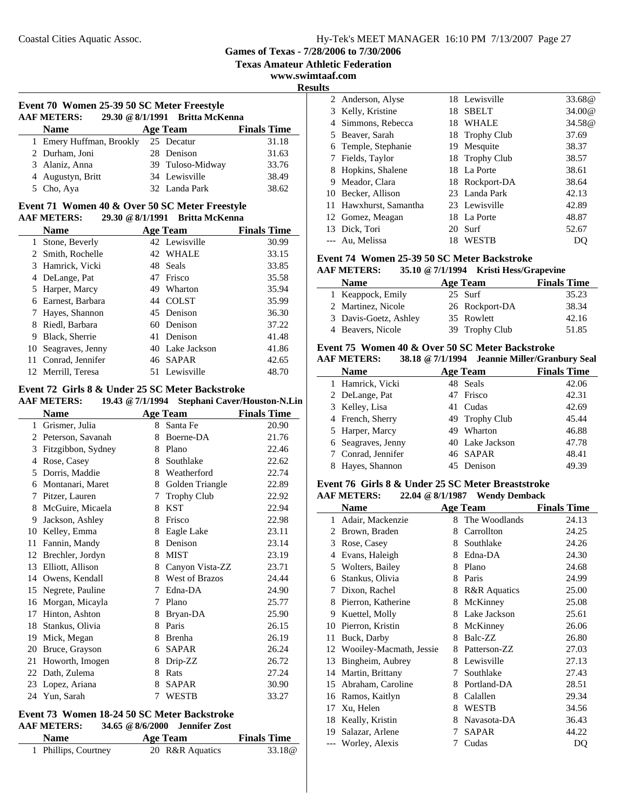**Texas Amateur Athletic Federation**

**www.swimtaaf.com**

**Results**

| Event 70 Women 25-39 50 SC Meter Freestyle |                                 |  |  |
|--------------------------------------------|---------------------------------|--|--|
| <b>AAF METERS:</b>                         | 29.30 @ 8/1/1991 Britta McKenna |  |  |
|                                            |                                 |  |  |

| <b>Name</b>              | <b>Age Team</b> |                  | <b>Finals Time</b> |
|--------------------------|-----------------|------------------|--------------------|
| 1 Emery Huffman, Brookly | 25 Decatur      |                  | 31.18              |
| 2 Durham, Joni           | 28 Denison      |                  | 31.63              |
| 3 Alaniz, Anna           |                 | 39 Tuloso-Midway | 33.76              |
| 4 Augustyn, Britt        | 34 Lewisville   |                  | 38.49              |
| 5 Cho, Aya               | 32 Landa Park   |                  | 38.62              |

#### **Event 71 Women 40 & Over 50 SC Meter Freestyle AAF METERS: 29.30 @8/1/1991 Britta McKenna**

|    | <b>Name</b>         |     | <b>Age Team</b> | <b>Finals Time</b> |
|----|---------------------|-----|-----------------|--------------------|
| 1  | Stone, Beverly      |     | 42 Lewisville   | 30.99              |
|    | 2 Smith, Rochelle   |     | 42 WHALE        | 33.15              |
|    | 3 Hamrick, Vicki    | 48. | Seals           | 33.85              |
|    | 4 DeLange, Pat      |     | 47 Frisco       | 35.58              |
|    | 5 Harper, Marcy     | 49  | Wharton         | 35.94              |
| 6  | Earnest, Barbara    |     | 44 COLST        | 35.99              |
| -7 | Hayes, Shannon      |     | 45 Denison      | 36.30              |
| 8  | Riedl, Barbara      |     | 60 Denison      | 37.22              |
| 9  | Black, Sherrie      |     | 41 Denison      | 41.48              |
|    | 10 Seagraves, Jenny |     | 40 Lake Jackson | 41.86              |
|    | Conrad, Jennifer    |     | 46 SAPAR        | 42.65              |
|    | Merrill. Teresa     |     | 51 Lewisville   | 48.70              |

#### **Event 72 Girls 8 & Under 25 SC Meter Backstroke**

**AAF METERS: 19.43 @7/1/1994 Stephani Caver/Houston-N.Lin**

|    | Name               |   | <b>Age Team</b>       | <b>Finals Time</b> |
|----|--------------------|---|-----------------------|--------------------|
| 1  | Grismer, Julia     | 8 | Santa Fe              | 20.90              |
| 2  | Peterson, Savanah  | 8 | Boerne-DA             | 21.76              |
| 3  | Fitzgibbon, Sydney | 8 | Plano                 | 22.46              |
| 4  | Rose, Casey        | 8 | Southlake             | 22.62              |
| 5  | Dorris, Maddie     | 8 | Weatherford           | 22.74              |
| 6  | Montanari, Maret   | 8 | Golden Triangle       | 22.89              |
| 7  | Pitzer, Lauren     | 7 | <b>Trophy Club</b>    | 22.92              |
| 8  | McGuire, Micaela   | 8 | <b>KST</b>            | 22.94              |
| 9  | Jackson, Ashley    | 8 | Frisco                | 22.98              |
| 10 | Kelley, Emma       | 8 | Eagle Lake            | 23.11              |
| 11 | Fannin, Mandy      | 8 | Denison               | 23.14              |
| 12 | Brechler, Jordyn   | 8 | <b>MIST</b>           | 23.19              |
| 13 | Elliott, Allison   | 8 | Canyon Vista-ZZ       | 23.71              |
| 14 | Owens, Kendall     | 8 | <b>West of Brazos</b> | 24.44              |
| 15 | Negrete, Pauline   | 7 | Edna-DA               | 24.90              |
| 16 | Morgan, Micayla    | 7 | Plano                 | 25.77              |
| 17 | Hinton, Ashton     | 8 | Bryan-DA              | 25.90              |
| 18 | Stankus, Olivia    | 8 | Paris                 | 26.15              |
| 19 | Mick, Megan        | 8 | <b>Brenha</b>         | 26.19              |
| 20 | Bruce, Grayson     | 6 | <b>SAPAR</b>          | 26.24              |
| 21 | Howorth, Imogen    | 8 | Drip-ZZ               | 26.72              |
| 22 | Dath, Zulema       | 8 | Rats                  | 27.24              |
| 23 | Lopez, Ariana      | 8 | <b>SAPAR</b>          | 30.90              |
|    | 24 Yun, Sarah      | 7 | <b>WESTB</b>          | 33.27              |

### **Event 73 Women 18-24 50 SC Meter Backstroke AAF METERS: 34.65 @8/6/2000 Jennifer Zost**

| <b>Name</b>          | Age Team        | <b>Finals Time</b> |
|----------------------|-----------------|--------------------|
| 1 Phillips, Courtney | 20 R&R Aquatics | 33.18 <sup>@</sup> |

|   | 2 Anderson, Alyse      |     | 18 Lewisville  | 33.68@ |
|---|------------------------|-----|----------------|--------|
|   | 3 Kelly, Kristine      | 18  | <b>SBELT</b>   | 34.00@ |
|   | 4 Simmons, Rebecca     | 18  | WHALE          | 34.58@ |
|   | 5 Beaver, Sarah        |     | 18 Trophy Club | 37.69  |
|   | 6 Temple, Stephanie    | 19. | Mesquite       | 38.37  |
|   | 7 Fields, Taylor       |     | 18 Trophy Club | 38.57  |
| 8 | Hopkins, Shalene       |     | 18 La Porte    | 38.61  |
| 9 | Meador, Clara          |     | 18 Rockport-DA | 38.64  |
|   | 10 Becker, Allison     |     | 23 Landa Park  | 42.13  |
|   | 11 Hawxhurst, Samantha |     | 23 Lewisville  | 42.89  |
|   | 12 Gomez, Meagan       |     | 18 La Porte    | 48.87  |
|   | 13 Dick, Tori          | 20  | Surf           | 52.67  |
|   | --- Au, Melissa        | 18  | <b>WESTB</b>   | DO     |

### **Event 74 Women 25-39 50 SC Meter Backstroke**

### **AAF METERS: 35.10 @7/1/1994 Kristi Hess/Grapevine**

| <b>Name</b>           | Age Team       | <b>Finals Time</b> |
|-----------------------|----------------|--------------------|
| 1 Keappock, Emily     | 25 Surf        | 35.23              |
| 2 Martinez, Nicole    | 26 Rockport-DA | 38.34              |
| 3 Davis-Goetz, Ashley | 35 Rowlett     | 42.16              |
| 4 Beavers, Nicole     | 39 Trophy Club | 51.85              |

### **Event 75 Women 40 & Over 50 SC Meter Backstroke**

| <b>AAF METERS:</b> | 38.18 @ 7/1/1994 Jeannie Miller/Granbury Seal |                    |
|--------------------|-----------------------------------------------|--------------------|
| <b>Name</b>        | Age Team                                      | <b>Finals Time</b> |
| 1 Hamrick, Vicki   | 48 Seals                                      | 42.06              |
| 2 DeLange, Pat     | 47 Frisco                                     | 42.31              |
| 3 Kelley, Lisa     | 41 Cudas                                      | 42.69              |
| 4 French, Sherry   | 49 Trophy Club                                | 45.44              |
| 5 Harper, Marcy    | 49 Wharton                                    | 46.88              |
| 6 Seagraves, Jenny | 40 Lake Jackson                               | 47.78              |
| 7 Conrad, Jennifer | 46 SAPAR                                      | 48.41              |
| Hayes, Shannon     | 45 Denison                                    | 49.39              |

#### **Event 76 Girls 8 & Under 25 SC Meter Breaststroke AAF METERS: 22.04 @8/1/1987 Wendy Demback**

|       | Name                    |   | <b>Age Team</b>         | <b>Finals Time</b> |
|-------|-------------------------|---|-------------------------|--------------------|
| 1     | Adair, Mackenzie        | 8 | The Woodlands           | 24.13              |
| 2     | Brown, Braden           | 8 | Carrollton              | 24.25              |
| 3     | Rose, Casey             | 8 | Southlake               | 24.26              |
| 4     | Evans, Haleigh          | 8 | Edna-DA                 | 24.30              |
| 5     | Wolters, Bailey         | 8 | Plano                   | 24.68              |
| 6     | Stankus, Olivia         | 8 | Paris                   | 24.99              |
| 7     | Dixon, Rachel           | 8 | <b>R&amp;R</b> Aquatics | 25.00              |
| 8     | Pierron, Katherine      | 8 | McKinney                | 25.08              |
| 9     | Kuettel, Molly          | 8 | Lake Jackson            | 25.61              |
| 10    | Pierron, Kristin        | 8 | McKinney                | 26.06              |
| 11    | Buck, Darby             | 8 | Balc-ZZ                 | 26.80              |
| 12    | Wooiley-Macmath, Jessie | 8 | Patterson-ZZ            | 27.03              |
| 13    | Bingheim, Aubrey        | 8 | Lewisville              | 27.13              |
| 14    | Martin, Brittany        | 7 | Southlake               | 27.43              |
| 15    | Abraham, Caroline       | 8 | Portland-DA             | 28.51              |
| 16    | Ramos, Kaitlyn          | 8 | Calallen                | 29.34              |
| 17    | Xu, Helen               | 8 | <b>WESTB</b>            | 34.56              |
| 18    | Keally, Kristin         | 8 | Navasota-DA             | 36.43              |
| 19    | Salazar, Arlene         | 7 | <b>SAPAR</b>            | 44.22              |
| $---$ | Worley, Alexis          | 7 | Cudas                   | DO                 |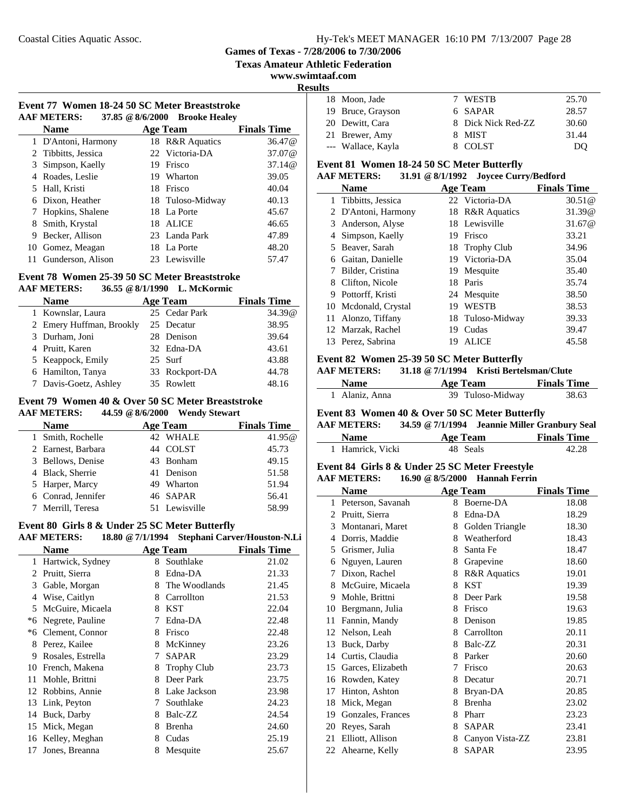**Texas Amateur Athletic Federation**

#### **www.swimtaaf.com**

i.

**Results**

|                    |  | Event 77 Women 18-24 50 SC Meter Breaststroke |
|--------------------|--|-----------------------------------------------|
| <b>AAF METERS:</b> |  | 37.85 @ 8/6/2000 Brooke Healey                |

|     | <b>Name</b>         |    | <b>Age Team</b>  | <b>Finals Time</b> |
|-----|---------------------|----|------------------|--------------------|
|     | 1 D'Antoni, Harmony |    | 18 R&R Aquatics  | 36.47@             |
|     | 2 Tibbitts, Jessica |    | 22 Victoria-DA   | 37.07@             |
|     | 3 Simpson, Kaelly   | 19 | Frisco           | 37.14@             |
|     | 4 Roades, Leslie    | 19 | Wharton          | 39.05              |
|     | 5 Hall, Kristi      | 18 | Frisco           | 40.04              |
|     | 6 Dixon, Heather    |    | 18 Tuloso-Midway | 40.13              |
|     | 7 Hopkins, Shalene  |    | 18 La Porte      | 45.67              |
|     | Smith, Krystal      | 18 | <b>ALICE</b>     | 46.65              |
| 9   | Becker, Allison     |    | 23 Landa Park    | 47.89              |
| 10  | Gomez, Meagan       | 18 | La Porte         | 48.20              |
| 11. | Gunderson, Alison   |    | 23 Lewisville    | 57.47              |

#### **Event 78 Women 25-39 50 SC Meter Breaststroke AAF METERS: 36.55 @8/1/1990 L. McKormic**

| AAF MEILKS:              | $30.33 \times 0/1/1990$ L. MCNOFINC |                    |
|--------------------------|-------------------------------------|--------------------|
| <b>Name</b>              | Age Team                            | <b>Finals Time</b> |
| 1 Kownslar, Laura        | 25 Cedar Park                       | 34.39@             |
| 2 Emery Huffman, Brookly | 25 Decatur                          | 38.95              |
| 3 Durham, Joni           | 28 Denison                          | 39.64              |
| 4 Pruitt, Karen          | 32 Edna-DA                          | 43.61              |
| 5 Keappock, Emily        | 25 Surf                             | 43.88              |
| 6 Hamilton, Tanya        | 33 Rockport-DA                      | 44.78              |
| 7 Davis-Goetz, Ashley    | 35 Rowlett                          | 48.16              |

# **Event 79 Women 40 & Over 50 SC Meter Breaststroke**

**AAF METERS: 44.59 @8/6/2000 Wendy Stewart**

| <b>Name</b>        | <b>Age Team</b> | <b>Finals Time</b> |
|--------------------|-----------------|--------------------|
| 1 Smith, Rochelle  | 42 WHALE        | 41.95@             |
| 2 Earnest, Barbara | 44 COLST        | 45.73              |
| 3 Bellows, Denise  | 43 Bonham       | 49.15              |
| 4 Black, Sherrie   | 41 Denison      | 51.58              |
| 5 Harper, Marcy    | 49 Wharton      | 51.94              |
| 6 Conrad, Jennifer | 46 SAPAR        | 56.41              |
| 7 Merrill, Teresa  | 51 Lewisville   | 58.99              |

# **Event 80 Girls 8 & Under 25 SC Meter Butterfly**

|      | <b>AAF METERS:</b> |   |                    | 18.80 @ 7/1/1994 Stephani Carver/Houston-N.Li |
|------|--------------------|---|--------------------|-----------------------------------------------|
|      | Name               |   | <b>Age Team</b>    | <b>Finals Time</b>                            |
| 1    | Hartwick, Sydney   | 8 | Southlake          | 21.02                                         |
| 2    | Pruitt, Sierra     | 8 | Edna-DA            | 21.33                                         |
| 3    | Gable, Morgan      | 8 | The Woodlands      | 21.45                                         |
| 4    | Wise, Caitlyn      | 8 | Carrollton         | 21.53                                         |
| 5    | McGuire, Micaela   | 8 | <b>KST</b>         | 22.04                                         |
| *6   | Negrete, Pauline   | 7 | Edna-DA            | 22.48                                         |
| $*6$ | Clement, Connor    | 8 | Frisco             | 22.48                                         |
| 8    | Perez, Kailee      | 8 | McKinney           | 23.26                                         |
| 9    | Rosales, Estrella  | 7 | <b>SAPAR</b>       | 23.29                                         |
| 10   | French, Makena     | 8 | <b>Trophy Club</b> | 23.73                                         |
| 11   | Mohle, Brittni     | 8 | Deer Park          | 23.75                                         |
| 12   | Robbins, Annie     | 8 | Lake Jackson       | 23.98                                         |
| 13   | Link, Peyton       | 7 | Southlake          | 24.23                                         |
| 14   | Buck, Darby        | 8 | Balc-ZZ            | 24.54                                         |
| 15   | Mick, Megan        | 8 | Brenha             | 24.60                                         |
|      | 16 Kelley, Meghan  | 8 | Cudas              | 25.19                                         |
| 17   | Jones, Breanna     | 8 | Mesquite           | 25.67                                         |

| э |                    |                    |       |
|---|--------------------|--------------------|-------|
|   | 18 Moon, Jade      | 7 WESTB            | 25.70 |
|   | 19 Bruce, Grayson  | 6 SAPAR            | 28.57 |
|   | 20 Dewitt, Cara    | 8 Dick Nick Red-ZZ | 30.60 |
|   | 21 Brewer, Amy     | 8 MIST             | 31.44 |
|   | --- Wallace, Kayla | 8 COLST            | DO    |

### **Event 81 Women 18-24 50 SC Meter Butterfly**

### **AAF METERS: 31.91 @8/1/1992 Joycee Curry/Bedford**

|    | <b>Name</b>         |    | <b>Age Team</b>  | <b>Finals Time</b> |
|----|---------------------|----|------------------|--------------------|
|    | 1 Tibbitts, Jessica |    | 22 Victoria-DA   | 30.51@             |
|    | 2 D'Antoni, Harmony |    | 18 R&R Aquatics  | 31.39@             |
| 3  | Anderson, Alyse     |    | 18 Lewisville    | 31.67@             |
|    | Simpson, Kaelly     | 19 | Frisco           | 33.21              |
|    | 5 Beaver, Sarah     |    | 18 Trophy Club   | 34.96              |
| 6  | Gaitan, Danielle    |    | 19 Victoria-DA   | 35.04              |
|    | Bilder, Cristina    | 19 | Mesquite         | 35.40              |
| 8  | Clifton, Nicole     | 18 | Paris            | 35.74              |
| 9  | Pottorff, Kristi    |    | 24 Mesquite      | 38.50              |
| 10 | Mcdonald, Crystal   | 19 | <b>WESTB</b>     | 38.53              |
| 11 | Alonzo, Tiffany     |    | 18 Tuloso-Midway | 39.33              |
|    | 12 Marzak, Rachel   | 19 | Cudas            | 39.47              |
|    | 13 Perez, Sabrina   | 19 | <b>ALICE</b>     | 45.58              |

### **Event 82 Women 25-39 50 SC Meter Butterfly**

**AAF METERS: 31.18 @7/1/1994 Kristi Bertelsman/Clute**

| <b>Name</b>    | Age Team         | <b>Finals Time</b> |
|----------------|------------------|--------------------|
| 1 Alaniz, Anna | 39 Tuloso-Midway | 38.63              |

### **Event 83 Women 40 & Over 50 SC Meter Butterfly**

| <b>AAF METERS:</b> | 34.59 @ 7/1/1994 Jeannie Miller Granbury Seal |                    |
|--------------------|-----------------------------------------------|--------------------|
| <b>Name</b>        | Age Team                                      | <b>Finals Time</b> |

| .                | $1 - 1$ $1 - 1$ | $\mathbf{r}$ in the state of $\mathbf{r}$ |
|------------------|-----------------|-------------------------------------------|
| 1 Hamrick, Vicki | 48 Seals        | 42.28                                     |
|                  |                 |                                           |

### **Event 84 Girls 8 & Under 25 SC Meter Freestyle**

**AAF METERS: 16.90 @8/5/2000 Hannah Ferrin**

|              | <b>Name</b>       |   | <b>Age Team</b>         | <b>Finals Time</b> |
|--------------|-------------------|---|-------------------------|--------------------|
| $\mathbf{1}$ | Peterson, Savanah | 8 | Boerne-DA               | 18.08              |
| 2            | Pruitt, Sierra    | 8 | Edna-DA                 | 18.29              |
| 3            | Montanari, Maret  | 8 | Golden Triangle         | 18.30              |
| 4            | Dorris, Maddie    | 8 | Weatherford             | 18.43              |
| 5            | Grismer, Julia    | 8 | Santa Fe                | 18.47              |
| 6            | Nguyen, Lauren    | 8 | Grapevine               | 18.60              |
| 7            | Dixon, Rachel     | 8 | <b>R&amp;R</b> Aquatics | 19.01              |
| 8            | McGuire, Micaela  | 8 | <b>KST</b>              | 19.39              |
| 9            | Mohle, Brittni    | 8 | Deer Park               | 19.58              |
| 10           | Bergmann, Julia   | 8 | Frisco                  | 19.63              |
| 11           | Fannin, Mandy     | 8 | Denison                 | 19.85              |
| 12           | Nelson, Leah      | 8 | Carrollton              | 20.11              |
| 13           | Buck, Darby       | 8 | Balc-ZZ                 | 20.31              |
| 14           | Curtis, Claudia   | 8 | Parker                  | 20.60              |
| 15           | Garces, Elizabeth | 7 | Frisco                  | 20.63              |
| 16           | Rowden, Katey     | 8 | Decatur                 | 20.71              |
| 17           | Hinton, Ashton    | 8 | Bryan-DA                | 20.85              |
| 18           | Mick, Megan       | 8 | Brenha                  | 23.02              |
| 19           | Gonzales, Frances | 8 | Pharr                   | 23.23              |
| 20           | Reyes, Sarah      | 8 | <b>SAPAR</b>            | 23.41              |
| 21           | Elliott, Allison  | 8 | Canyon Vista-ZZ         | 23.81              |
| 22           | Ahearne, Kelly    | 8 | <b>SAPAR</b>            | 23.95              |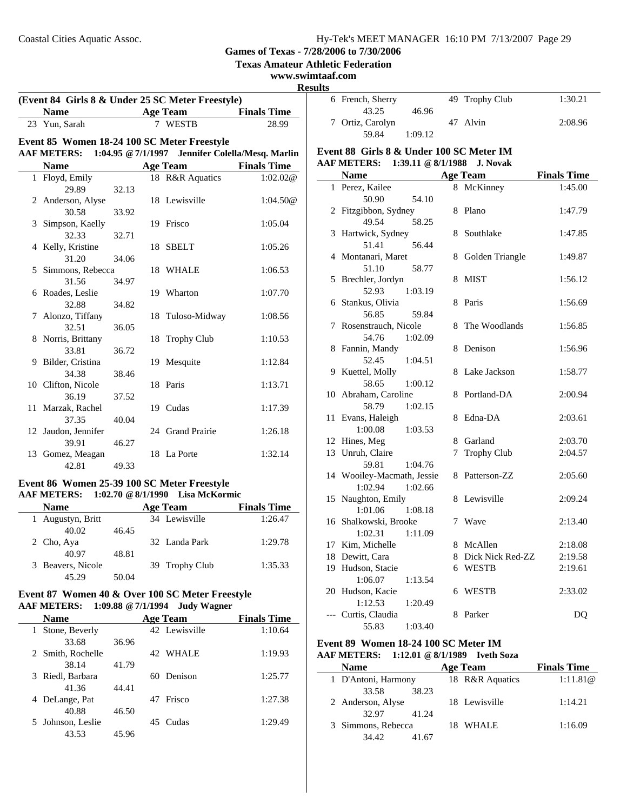**Texas Amateur Athletic Federation**

#### **www.swimtaaf.com**

**Results**

| (Event 84 Girls 8 & Under 25 SC Meter Freestyle) |                                             |       |  |                                                  |                    |
|--------------------------------------------------|---------------------------------------------|-------|--|--------------------------------------------------|--------------------|
|                                                  | <b>Name</b>                                 |       |  | Age Team                                         | <b>Finals Time</b> |
|                                                  | 23 Yun, Sarah                               |       |  | 7 WESTB                                          | 28.99              |
|                                                  | Event 85 Women 18-24 100 SC Meter Freestyle |       |  |                                                  |                    |
|                                                  | <b>AAF METERS:</b>                          |       |  | 1:04.95 @ 7/1/1997 Jennifer Colella/Mesq. Marlin |                    |
|                                                  | <b>Name</b>                                 |       |  | <b>Age Team</b>                                  | <b>Finals Time</b> |
|                                                  | 1 Floyd, Emily                              |       |  | 18 R&R Aquatics                                  | 1:02.02@           |
|                                                  | 29.89                                       | 32.13 |  |                                                  |                    |
|                                                  | 2 Anderson, Alyse                           |       |  | 18 Lewisville                                    | 1:04.50@           |
|                                                  | 30.58                                       | 33.92 |  |                                                  |                    |
|                                                  | 3 Simpson, Kaelly                           |       |  | 19 Frisco                                        | 1:05.04            |
|                                                  | 32.33                                       | 32.71 |  |                                                  |                    |
|                                                  | 4 Kelly, Kristine                           |       |  | 18 SBELT                                         | 1:05.26            |
|                                                  | 31.20                                       | 34.06 |  |                                                  |                    |
|                                                  | 5 Simmons, Rebecca                          |       |  | 18 WHALE                                         | 1:06.53            |
|                                                  | 31.56                                       | 34.97 |  |                                                  |                    |
|                                                  | 6 Roades, Leslie                            |       |  | 19 Wharton                                       | 1:07.70            |
|                                                  | 32.88                                       | 34.82 |  |                                                  |                    |
|                                                  | 7 Alonzo, Tiffany                           |       |  | 18 Tuloso-Midway                                 | 1:08.56            |
|                                                  | 32.51                                       | 36.05 |  |                                                  |                    |
|                                                  | 8 Norris, Brittany                          |       |  | 18 Trophy Club                                   | 1:10.53            |
|                                                  | 33.81                                       | 36.72 |  |                                                  |                    |
|                                                  | 9 Bilder, Cristina                          |       |  | 19 Mesquite                                      | 1:12.84            |
|                                                  | 34.38                                       | 38.46 |  |                                                  |                    |
|                                                  | 10 Clifton, Nicole                          |       |  | 18 Paris                                         | 1:13.71            |
|                                                  | 36.19                                       | 37.52 |  |                                                  |                    |
|                                                  | 11 Marzak, Rachel                           |       |  | 19 Cudas                                         | 1:17.39            |
|                                                  | 37.35                                       | 40.04 |  |                                                  |                    |
|                                                  | 12 Jaudon, Jennifer                         |       |  | 24 Grand Prairie                                 | 1:26.18            |
|                                                  | 39.91                                       | 46.27 |  |                                                  |                    |
|                                                  | 13 Gomez, Meagan                            |       |  | 18 La Porte                                      | 1:32.14            |
|                                                  | 42.81                                       | 49.33 |  |                                                  |                    |

### **Event 86 Women 25-39 100 SC Meter Freestyle AAF METERS: 1:02.70 @8/1/1990 Lisa McKormic**

| <b>Name</b>       | <b>Age Team</b> | <b>Finals Time</b> |
|-------------------|-----------------|--------------------|
| 1 Augustyn, Britt | 34 Lewisville   | 1:26.47            |
| 40.02             | 46.45           |                    |
| 2 Cho, Aya        | 32 Landa Park   | 1:29.78            |
| 40.97             | 48.81           |                    |
| 3 Beavers, Nicole | 39 Trophy Club  | 1:35.33            |
| 45.29             | 50.04           |                    |

### **Event 87 Women 40 & Over 100 SC Meter Freestyle AAF METERS: 1:09.88 @7/1/1994 Judy Wagner**

| <b>Name</b>         |       |    | <b>Age Team</b> | <b>Finals Time</b> |
|---------------------|-------|----|-----------------|--------------------|
| Stone, Beverly      |       |    | 42 Lewisville   | 1:10.64            |
| 33.68               | 36.96 |    |                 |                    |
| 2 Smith, Rochelle   |       |    | 42 WHALE        | 1:19.93            |
| 38.14               | 41.79 |    |                 |                    |
| Riedl, Barbara<br>3 |       | 60 | Denison         | 1:25.77            |
| 41.36               | 44.41 |    |                 |                    |
| DeLange, Pat        |       | 47 | Frisco          | 1:27.38            |
| 40.88               | 46.50 |    |                 |                    |
| Johnson, Leslie     |       | 45 | - Cudas         | 1:29.49            |
| 43.53               | 45.96 |    |                 |                    |

| 6 French, Sherry |         | 49 Trophy Club | 1:30.21 |
|------------------|---------|----------------|---------|
| 43.25            | 46.96   |                |         |
| 7 Ortiz, Carolyn |         | 47 Alvin       | 2:08.96 |
| 59.84            | 1:09.12 |                |         |

#### **Event 88 Girls 8 & Under 100 SC Meter IM AAF METERS: 1:39.11 @8/1/1988 J. Novak**

|    | <b>Name</b>                |         |   | <b>Age Team</b>    | <b>Finals Time</b> |
|----|----------------------------|---------|---|--------------------|--------------------|
|    | 1 Perez, Kailee            |         |   | 8 McKinney         | 1:45.00            |
|    | 50.90                      | 54.10   |   |                    |                    |
| 2  | Fitzgibbon, Sydney         |         | 8 | Plano              | 1:47.79            |
|    | 49.54                      | 58.25   |   |                    |                    |
| 3  | Hartwick, Sydney           |         |   | 8 Southlake        | 1:47.85            |
|    | 51.41                      | 56.44   |   |                    |                    |
|    | 4 Montanari, Maret         |         |   | 8 Golden Triangle  | 1:49.87            |
|    | 51.10                      | 58.77   |   |                    |                    |
|    | 5 Brechler, Jordyn         |         | 8 | <b>MIST</b>        | 1:56.12            |
|    | 52.93                      | 1:03.19 |   |                    |                    |
|    | 6 Stankus, Olivia          |         |   | 8 Paris            | 1:56.69            |
|    | 56.85                      | 59.84   |   |                    |                    |
|    | 7 Rosenstrauch, Nicole     |         | 8 | The Woodlands      | 1:56.85            |
|    | 54.76                      | 1:02.09 |   |                    |                    |
|    | 8 Fannin, Mandy            |         |   | 8 Denison          | 1:56.96            |
|    | 52.45                      | 1:04.51 |   |                    |                    |
|    | 9 Kuettel, Molly           |         |   | 8 Lake Jackson     | 1:58.77            |
|    | 58.65                      | 1:00.12 |   |                    |                    |
|    | 10 Abraham, Caroline       |         |   | 8 Portland-DA      | 2:00.94            |
|    | 58.79                      | 1:02.15 |   |                    |                    |
| 11 | Evans, Haleigh             |         | 8 | Edna-DA            | 2:03.61            |
|    | 1:00.08                    | 1:03.53 |   |                    |                    |
|    | 12 Hines, Meg              |         |   | 8 Garland          | 2:03.70            |
|    | 13 Unruh, Claire           |         | 7 | <b>Trophy Club</b> | 2:04.57            |
|    | 59.81                      | 1:04.76 |   |                    |                    |
|    | 14 Wooiley-Macmath, Jessie |         |   | 8 Patterson-ZZ     | 2:05.60            |
|    | 1:02.94                    | 1:02.66 |   |                    |                    |
| 15 | Naughton, Emily            |         |   | 8 Lewisville       | 2:09.24            |
|    | 1:01.06                    | 1:08.18 |   |                    |                    |
|    | 16 Shalkowski, Brooke      |         |   | 7 Wave             | 2:13.40            |
|    | 1:02.31                    | 1:11.09 |   |                    |                    |
|    | 17 Kim, Michelle           |         |   | 8 McAllen          | 2:18.08            |
|    | 18 Dewitt, Cara            |         |   | 8 Dick Nick Red-ZZ | 2:19.58            |
|    | 19 Hudson, Stacie          |         |   | 6 WESTB            | 2:19.61            |
|    | 1:06.07                    | 1:13.54 |   |                    |                    |
|    | 20 Hudson, Kacie           |         |   | 6 WESTB            | 2:33.02            |
|    | 1:12.53                    | 1:20.49 |   |                    |                    |
|    | Curtis, Claudia            |         | 8 | Parker             | DQ                 |
|    | 55.83                      | 1:03.40 |   |                    |                    |

#### **Event 89 Women 18-24 100 SC Meter IM AAF METERS: 1:12.01 @8/1/1989 Iveth Soza**

| <b>Name</b>         | <b>Age Team</b> | <b>Finals Time</b> |
|---------------------|-----------------|--------------------|
| 1 D'Antoni, Harmony | 18 R&R Aquatics | 1:11.81@           |
| 38.23<br>33.58      |                 |                    |
| 2 Anderson, Alyse   | 18 Lewisville   | 1:14.21            |
| 32.97<br>41.24      |                 |                    |
| 3 Simmons, Rebecca  | 18 WHALE        | 1:16.09            |
| 34.42<br>41.67      |                 |                    |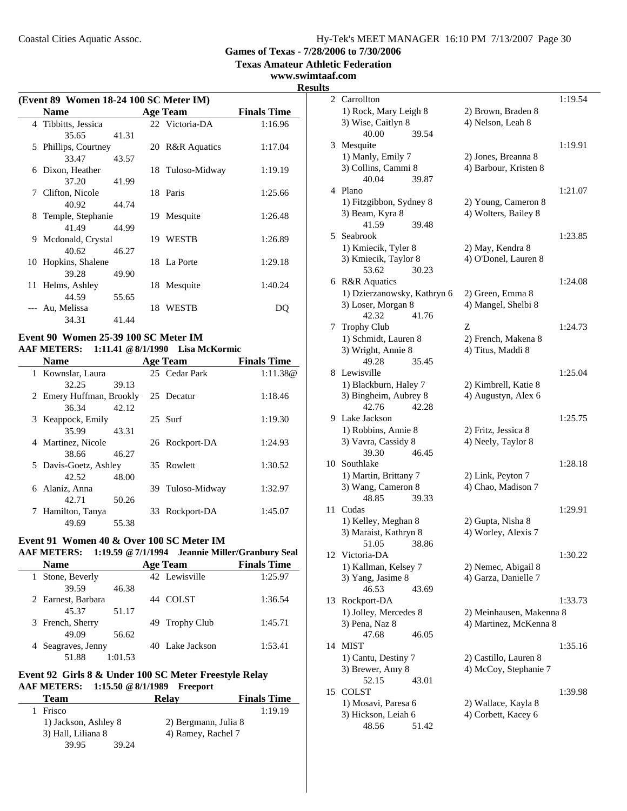**Texas Amateur Athletic Federation**

**www.swimtaaf.com**

**Results**

### **(Event 89 Women 18-24 100 SC Meter IM) Name**<br> **Age Team Finals Time**<br> **Tibbitts, Jessica Physica Physica Physica Physica Physica Physica Physica Physica Physica Physica Physica Physica Physica Physica Physica P** 4 Tibbitts, Jessica 35.65 41.31 5 Phillips, Courtney 20 R&R Aquatics 1:17.04 33.47 43.57 6 1:19.19 Dixon, Heather 18 Tuloso-Midway 37.20 41.99 7 Clifton, Nicole 18 Paris 1:25.66 40.92 44.74 8 1:26.48 Temple, Stephanie 19 Mesquite 41.49 44.99 9 Mcdonald, Crystal 19 WESTB 1:26.89 40.62 46.27 10 Hopkins, Shalene 18 La Porte 1:29.18 39.28 49.90 11 Helms, Ashley 18 Mesquite 1:40.24 44.59 55.65 --- Au, Melissa 18 WESTB DO 34.31 41.44

### **Event 90 Women 25-39 100 SC Meter IM AAF METERS: 1:11.41 @8/1/1990 Lisa McKormic**

| <b>Name</b>              |       | <b>Age Team</b>  | <b>Finals Time</b> |
|--------------------------|-------|------------------|--------------------|
| 1 Kownslar, Laura        |       | 25 Cedar Park    | 1:11.38@           |
| 32.25                    | 39.13 |                  |                    |
| 2 Emery Huffman, Brookly |       | 25 Decatur       | 1:18.46            |
| 36.34                    | 42.12 |                  |                    |
| 3 Keappock, Emily        |       | $25$ Surf        | 1:19.30            |
| 35.99                    | 43.31 |                  |                    |
| 4 Martinez, Nicole       |       | 26 Rockport-DA   | 1:24.93            |
| 38.66                    | 46.27 |                  |                    |
| 5 Davis-Goetz, Ashley    |       | 35 Rowlett       | 1:30.52            |
| 42.52                    | 48.00 |                  |                    |
| 6 Alaniz, Anna           |       | 39 Tuloso-Midway | 1:32.97            |
| 42.71                    | 50.26 |                  |                    |
| Hamilton, Tanya          |       | 33 Rockport-DA   | 1:45.07            |
| 49.69                    | 55.38 |                  |                    |

# **Event 91 Women 40 & Over 100 SC Meter IM**

|              | <b>AAF METERS:</b> |         |    | 1:19.59 @ 7/1/1994 Jeannie Miller/Granbury Seal |                    |
|--------------|--------------------|---------|----|-------------------------------------------------|--------------------|
|              | <b>Name</b>        |         |    | <b>Age Team</b>                                 | <b>Finals Time</b> |
| $\mathbf{I}$ | Stone, Beverly     |         |    | 42 Lewisville                                   | 1:25.97            |
|              | 39.59              | 46.38   |    |                                                 |                    |
|              | 2 Earnest, Barbara |         | 44 | <b>COLST</b>                                    | 1:36.54            |
|              | 45.37              | 51.17   |    |                                                 |                    |
|              | 3 French, Sherry   |         |    | 49 Trophy Club                                  | 1:45.71            |
|              | 49.09              | 56.62   |    |                                                 |                    |
|              | 4 Seagraves, Jenny |         |    | 40 Lake Jackson                                 | 1:53.41            |
|              | 51.88              | 1:01.53 |    |                                                 |                    |

#### **Event 92 Girls 8 & Under 100 SC Meter Freestyle Relay AAF METERS: 1:15.50 @8/1/1989 Freeport**

| <b>Team</b>          |       | Relav                | <b>Finals Time</b> |
|----------------------|-------|----------------------|--------------------|
| Frisco               |       |                      | 1:19.19            |
| 1) Jackson, Ashley 8 |       | 2) Bergmann, Julia 8 |                    |
| 3) Hall, Liliana 8   |       | 4) Ramey, Rachel 7   |                    |
| 39.95                | 39.24 |                      |                    |

| S  |                                       |                          |         |
|----|---------------------------------------|--------------------------|---------|
|    | 2 Carrollton                          |                          | 1:19.54 |
|    | 1) Rock, Mary Leigh 8                 | 2) Brown, Braden 8       |         |
|    | 3) Wise, Caitlyn 8                    | 4) Nelson, Leah 8        |         |
|    | 40.00<br>39.54                        |                          |         |
| 3  | Mesquite                              |                          | 1:19.91 |
|    | 1) Manly, Emily 7                     | 2) Jones, Breanna 8      |         |
|    | 3) Collins, Cammi 8                   | 4) Barbour, Kristen 8    |         |
|    | 40.04<br>39.87                        |                          |         |
|    | 4 Plano                               |                          | 1:21.07 |
|    | 1) Fitzgibbon, Sydney 8               | 2) Young, Cameron 8      |         |
|    | 3) Beam, Kyra 8                       | 4) Wolters, Bailey 8     |         |
|    | 41.59<br>39.48                        |                          |         |
| 5. | Seabrook                              |                          | 1:23.85 |
|    | 1) Kmiecik, Tyler 8                   | 2) May, Kendra 8         |         |
|    | 3) Kmiecik, Taylor 8                  | 4) O'Donel, Lauren 8     |         |
|    | 53.62<br>30.23                        |                          |         |
|    | 6 R&R Aquatics                        |                          | 1:24.08 |
|    | 1) Dzierzanowsky, Kathryn 6           | 2) Green, Emma 8         |         |
|    | 3) Loser, Morgan 8                    | 4) Mangel, Shelbi 8      |         |
|    | 42.32<br>41.76                        |                          |         |
| 7  | <b>Trophy Club</b>                    | Z                        | 1:24.73 |
|    | 1) Schmidt, Lauren 8                  | 2) French, Makena 8      |         |
|    | 3) Wright, Annie 8                    | 4) Titus, Maddi 8        |         |
|    | 49.28<br>35.45                        |                          |         |
| 8  | Lewisville                            |                          | 1:25.04 |
|    | 1) Blackburn, Haley 7                 | 2) Kimbrell, Katie 8     |         |
|    | 3) Bingheim, Aubrey 8                 | 4) Augustyn, Alex 6      |         |
|    | 42.76<br>42.28                        |                          |         |
| 9. | Lake Jackson                          |                          | 1:25.75 |
|    | 1) Robbins, Annie 8                   | 2) Fritz, Jessica 8      |         |
|    | 3) Vavra, Cassidy 8<br>39.30<br>46.45 | 4) Neely, Taylor 8       |         |
| 10 | Southlake                             |                          | 1:28.18 |
|    | 1) Martin, Brittany 7                 | 2) Link, Peyton 7        |         |
|    | 3) Wang, Cameron 8                    | 4) Chao, Madison 7       |         |
|    | 48.85<br>39.33                        |                          |         |
| 11 | Cudas                                 |                          | 1:29.91 |
|    | 1) Kelley, Meghan 8                   | 2) Gupta, Nisha 8        |         |
|    | 3) Maraist, Kathryn 8                 | 4) Worley, Alexis 7      |         |
|    | 51.05 38.86                           |                          |         |
|    | 12 Victoria-DA                        |                          | 1:30.22 |
|    | 1) Kallman, Kelsey 7                  | 2) Nemec, Abigail 8      |         |
|    | 3) Yang, Jasime 8                     | 4) Garza, Danielle 7     |         |
|    | 46.53<br>43.69                        |                          |         |
| 13 | Rockport-DA                           |                          | 1:33.73 |
|    | 1) Jolley, Mercedes 8                 | 2) Meinhausen, Makenna 8 |         |
|    | 3) Pena, Naz 8                        | 4) Martinez, McKenna 8   |         |
|    | 47.68<br>46.05                        |                          |         |
| 14 | <b>MIST</b>                           |                          | 1:35.16 |
|    | 1) Cantu, Destiny 7                   | 2) Castillo, Lauren 8    |         |
|    | 3) Brewer, Amy 8                      | 4) McCoy, Stephanie 7    |         |
|    | 52.15<br>43.01                        |                          |         |
| 15 | <b>COLST</b>                          |                          | 1:39.98 |
|    | 1) Mosavi, Paresa 6                   | 2) Wallace, Kayla 8      |         |
|    | 3) Hickson, Leiah 6                   | 4) Corbett, Kacey 6      |         |
|    | 48.56<br>51.42                        |                          |         |
|    |                                       |                          |         |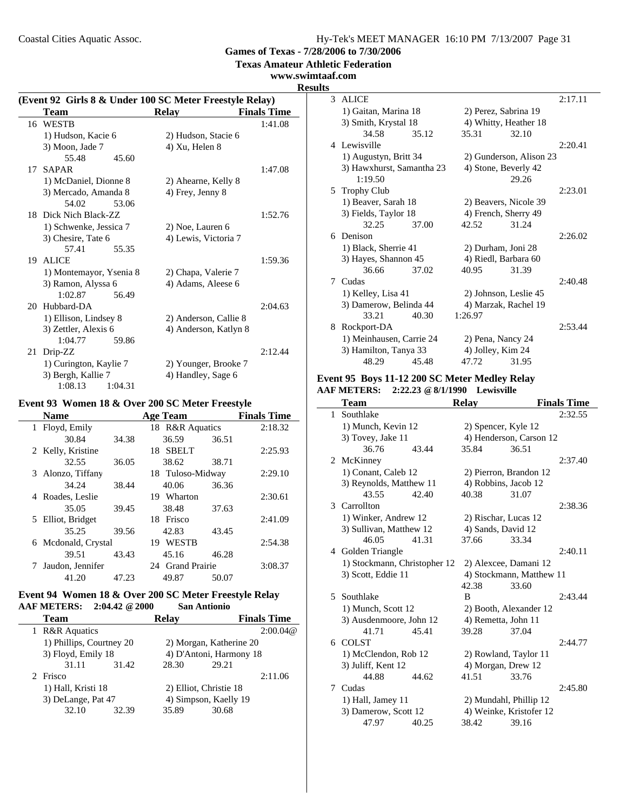Coastal Cities Aquatic Assoc.

|  |  | Hy-Tek's MEET MANAGER 16:10 PM 7/13/2007 Page 31 |  |  |  |
|--|--|--------------------------------------------------|--|--|--|
|--|--|--------------------------------------------------|--|--|--|

**Games of Texas - 7/28/2006 to 7/30/2006**

**Texas Amateur Athletic Federation**

**www.swimtaaf.com**

#### **Results**

 $\sim$ 

|    | (Event 92 Girls 8 & Under 100 SC Meter Freestyle Relay) |                       |                    |  |  |  |
|----|---------------------------------------------------------|-----------------------|--------------------|--|--|--|
|    | <b>Team</b>                                             | <b>Relay</b>          | <b>Finals Time</b> |  |  |  |
|    | 16 WESTB                                                |                       | 1:41.08            |  |  |  |
|    | 1) Hudson, Kacie 6                                      | 2) Hudson, Stacie 6   |                    |  |  |  |
|    | 3) Moon, Jade 7                                         | 4) Xu, Helen 8        |                    |  |  |  |
|    | 55.48<br>45.60                                          |                       |                    |  |  |  |
| 17 | <b>SAPAR</b>                                            |                       | 1:47.08            |  |  |  |
|    | 1) McDaniel, Dionne 8                                   | 2) Ahearne, Kelly 8   |                    |  |  |  |
|    | 3) Mercado, Amanda 8                                    | 4) Frey, Jenny 8      |                    |  |  |  |
|    | 53.06<br>54.02                                          |                       |                    |  |  |  |
|    | 18 Dick Nich Black-ZZ                                   |                       | 1:52.76            |  |  |  |
|    | 1) Schwenke, Jessica 7                                  | 2) Noe, Lauren 6      |                    |  |  |  |
|    | 3) Chesire, Tate 6                                      | 4) Lewis, Victoria 7  |                    |  |  |  |
|    | 57.41<br>55.35                                          |                       |                    |  |  |  |
|    | 19 ALICE                                                |                       | 1:59.36            |  |  |  |
|    | 1) Montemayor, Ysenia 8                                 | 2) Chapa, Valerie 7   |                    |  |  |  |
|    | 3) Ramon, Alyssa 6                                      | 4) Adams, Aleese 6    |                    |  |  |  |
|    | 1:02.87<br>56.49                                        |                       |                    |  |  |  |
|    | 20 Hubbard-DA                                           |                       | 2:04.63            |  |  |  |
|    | 1) Ellison, Lindsey 8                                   | 2) Anderson, Callie 8 |                    |  |  |  |
|    | 3) Zettler, Alexis 6                                    | 4) Anderson, Katlyn 8 |                    |  |  |  |
|    | 1:04.77<br>59.86                                        |                       |                    |  |  |  |
| 21 | Drip-ZZ                                                 |                       | 2:12.44            |  |  |  |
|    | 1) Curington, Kaylie 7                                  | 2) Younger, Brooke 7  |                    |  |  |  |
|    | 3) Bergh, Kallie 7                                      | 4) Handley, Sage 6    |                    |  |  |  |
|    | 1:08.13<br>1:04.31                                      |                       |                    |  |  |  |

### **Event 93 Women 18 & Over 200 SC Meter Freestyle**

| <b>Name</b>         |       | <b>Age Team</b>    |       | <b>Finals Time</b> |
|---------------------|-------|--------------------|-------|--------------------|
| 1 Floyd, Emily      |       | 18 R&R Aquatics    |       | 2:18.32            |
| 30.84               | 34.38 | 36.59              | 36.51 |                    |
| 2 Kelly, Kristine   |       | <b>SBELT</b><br>18 |       | 2:25.93            |
| 32.55               | 36.05 | 38.62              | 38.71 |                    |
| 3 Alonzo, Tiffany   |       | 18 Tuloso-Midway   |       | 2:29.10            |
| 34.24               | 38.44 | 40.06              | 36.36 |                    |
| 4 Roades, Leslie    |       | Wharton<br>19.     |       | 2:30.61            |
| 35.05               | 39.45 | 38.48              | 37.63 |                    |
| 5 Elliot, Bridget   |       | 18 Frisco          |       | 2:41.09            |
| 35.25               | 39.56 | 42.83              | 43.45 |                    |
| 6 Mcdonald, Crystal |       | <b>WESTB</b><br>19 |       | 2:54.38            |
| 39.51               | 43.43 | 45.16              | 46.28 |                    |
| Jaudon, Jennifer    |       | 24 Grand Prairie   |       | 3:08.37            |
| 41.20               | 47.23 | 49.87              | 50.07 |                    |

### **Event 94 Women 18 & Over 200 SC Meter Freestyle Relay AAF METERS: 2:04.42 @2000 San Antionio**

| <b>Team</b>              |       | <b>Relav</b>            |                         | <b>Finals Time</b> |
|--------------------------|-------|-------------------------|-------------------------|--------------------|
| <b>R&amp;R</b> Aquatics  |       |                         |                         | 2:00.04@           |
| 1) Phillips, Courtney 20 |       |                         | 2) Morgan, Katherine 20 |                    |
| 3) Floyd, Emily 18       |       | 4) D'Antoni, Harmony 18 |                         |                    |
| 31.11                    | 31.42 | 28.30                   | 29.21                   |                    |
| 2 Frisco                 |       |                         |                         | 2:11.06            |
| 1) Hall, Kristi 18       |       |                         | 2) Elliot, Christie 18  |                    |
| 3) DeLange, Pat 47       |       |                         | 4) Simpson, Kaelly 19   |                    |
| 32.10                    | 32.39 | 35.89                   | 30.68                   |                    |
|                          |       |                         |                         |                    |

| J |                           |       |                   |                         |         |
|---|---------------------------|-------|-------------------|-------------------------|---------|
|   | 3 ALICE                   |       |                   |                         | 2:17.11 |
|   | 1) Gaitan, Marina 18      |       |                   | 2) Perez, Sabrina 19    |         |
|   | 3) Smith, Krystal 18      |       |                   | 4) Whitty, Heather 18   |         |
|   | 34.58                     | 35.12 | 35.31             | 32.10                   |         |
|   | 4 Lewisville              |       |                   |                         | 2:20.41 |
|   | 1) Augustyn, Britt 34     |       |                   | 2) Gunderson, Alison 23 |         |
|   | 3) Hawxhurst, Samantha 23 |       |                   | 4) Stone, Beverly 42    |         |
|   | 1:19.50                   |       |                   | 29.26                   |         |
|   | 5 Trophy Club             |       |                   |                         | 2:23.01 |
|   | 1) Beaver, Sarah 18       |       |                   | 2) Beavers, Nicole 39   |         |
|   | 3) Fields, Taylor 18      |       |                   | 4) French, Sherry 49    |         |
|   | 32.25                     | 37.00 | 42.52             | 31.24                   |         |
| 6 | Denison                   |       |                   |                         | 2:26.02 |
|   | 1) Black, Sherrie 41      |       |                   | 2) Durham, Joni 28      |         |
|   | 3) Hayes, Shannon 45      |       |                   | 4) Riedl, Barbara 60    |         |
|   | 36.66                     | 37.02 | 40.95             | 31.39                   |         |
|   | 7 Cudas                   |       |                   |                         | 2:40.48 |
|   | 1) Kelley, Lisa 41        |       |                   | 2) Johnson, Leslie 45   |         |
|   | 3) Damerow, Belinda 44    |       |                   | 4) Marzak, Rachel 19    |         |
|   | 33.21                     | 40.30 | 1:26.97           |                         |         |
| 8 | Rockport-DA               |       |                   |                         | 2:53.44 |
|   | 1) Meinhausen, Carrie 24  |       | 2) Pena, Nancy 24 |                         |         |
|   | 3) Hamilton, Tanya 33     |       | 4) Jolley, Kim 24 |                         |         |
|   | 48.29                     | 45.48 | 47.72             | 31.95                   |         |

#### **Event 95 Boys 11-12 200 SC Meter Medley Relay AAF METERS: 2:22.23 @8/1/1990 Lewisville**

|              | Team                         |       | <b>Relay</b>         |                          | <b>Finals Time</b> |
|--------------|------------------------------|-------|----------------------|--------------------------|--------------------|
| $\mathbf{1}$ | Southlake                    |       |                      |                          | 2:32.55            |
|              | 1) Munch, Kevin 12           |       | 2) Spencer, Kyle 12  |                          |                    |
|              | 3) Tovey, Jake 11            |       |                      | 4) Henderson, Carson 12  |                    |
|              | 36.76                        | 43.44 | 35.84                | 36.51                    |                    |
|              | 2 McKinney                   |       |                      |                          | 2:37.40            |
|              | 1) Conant, Caleb 12          |       |                      | 2) Pierron, Brandon 12   |                    |
|              | 3) Reynolds, Matthew 11      |       | 4) Robbins, Jacob 12 |                          |                    |
|              | 43.55                        | 42.40 | 40.38                | 31.07                    |                    |
| 3            | Carrollton                   |       |                      |                          | 2:38.36            |
|              | 1) Winker, Andrew 12         |       | 2) Rischar, Lucas 12 |                          |                    |
|              | 3) Sullivan, Matthew 12      |       | 4) Sands, David 12   |                          |                    |
|              | 46.05                        | 41.31 | 37.66                | 33.34                    |                    |
|              | 4 Golden Triangle            |       |                      |                          | 2:40.11            |
|              | 1) Stockmann, Christopher 12 |       |                      | 2) Alexcee, Damani 12    |                    |
|              | 3) Scott, Eddie 11           |       |                      | 4) Stockmann, Matthew 11 |                    |
|              |                              |       | 42.38                | 33.60                    |                    |
| 5            | Southlake                    |       | B                    |                          | 2:43.44            |
|              | 1) Munch, Scott 12           |       |                      | 2) Booth, Alexander 12   |                    |
|              | 3) Ausdenmoore, John 12      |       | 4) Remetta, John 11  |                          |                    |
|              | 41.71                        | 45.41 | 39.28                | 37.04                    |                    |
|              | 6 COLST                      |       |                      |                          | 2:44.77            |
|              | 1) McClendon, Rob 12         |       |                      | 2) Rowland, Taylor 11    |                    |
|              | 3) Juliff, Kent 12           |       | 4) Morgan, Drew 12   |                          |                    |
|              | 44.88                        | 44.62 | 41.51                | 33.76                    |                    |
|              | 7 Cudas                      |       |                      |                          | 2:45.80            |
|              | 1) Hall, Jamey 11            |       |                      | 2) Mundahl, Phillip 12   |                    |
|              | 3) Damerow, Scott 12         |       |                      | 4) Weinke, Kristofer 12  |                    |
|              | 47.97                        | 40.25 | 38.42                | 39.16                    |                    |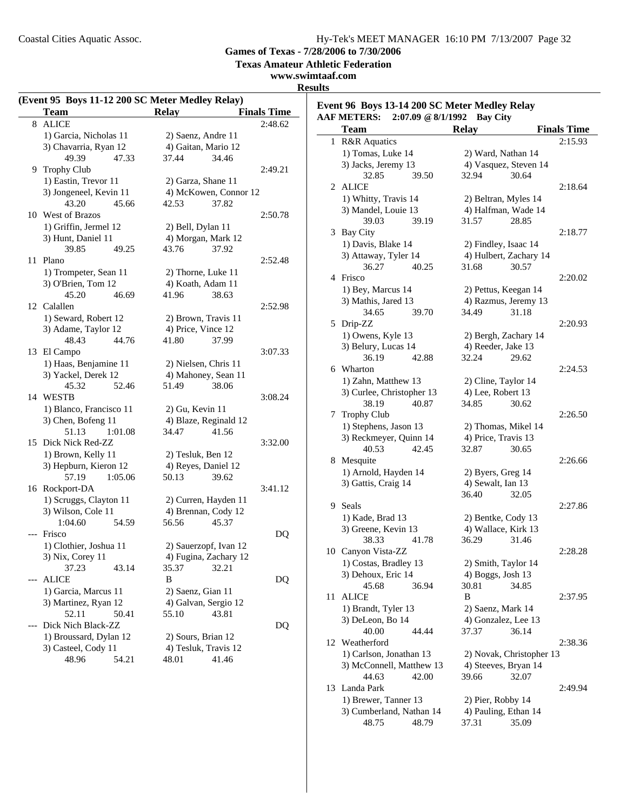**Event 96 Boys 13-14 200 SC Meter Medley Relay**

**Games of Texas - 7/28/2006 to 7/30/2006**

**Texas Amateur Athletic Federation**

### **www.swimtaaf.com Results**

 $\sim$ 

|    | (Event 95 Boys 11-12 200 SC Meter Medley Relay) |                       |                    |
|----|-------------------------------------------------|-----------------------|--------------------|
|    | <b>Team</b>                                     | <b>Relay</b>          | <b>Finals Time</b> |
| 8  | <b>ALICE</b>                                    |                       | 2:48.62            |
|    | 1) Garcia, Nicholas 11                          | 2) Saenz, Andre 11    |                    |
|    | 3) Chavarria, Ryan 12                           | 4) Gaitan, Mario 12   |                    |
|    | 49.39<br>47.33                                  | 37.44<br>34.46        |                    |
|    | 9 Trophy Club                                   |                       | 2:49.21            |
|    | 1) Eastin, Trevor 11                            | 2) Garza, Shane 11    |                    |
|    | 3) Jongeneel, Kevin 11                          | 4) McKowen, Connor 12 |                    |
|    | 43.20<br>45.66                                  | 42.53<br>37.82        |                    |
|    | 10 West of Brazos                               |                       | 2:50.78            |
|    | 1) Griffin, Jermel 12                           | 2) Bell, Dylan 11     |                    |
|    | 3) Hunt, Daniel 11                              | 4) Morgan, Mark 12    |                    |
|    | 39.85<br>49.25                                  | 43.76<br>37.92        |                    |
| 11 | Plano                                           |                       | 2:52.48            |
|    | 1) Trompeter, Sean 11                           | 2) Thorne, Luke 11    |                    |
|    | 3) O'Brien, Tom 12                              | 4) Koath, Adam 11     |                    |
|    | 45.20<br>46.69                                  | 41.96<br>38.63        |                    |
| 12 | Calallen                                        |                       | 2:52.98            |
|    | 1) Seward, Robert 12                            | 2) Brown, Travis 11   |                    |
|    | 3) Adame, Taylor 12                             | 4) Price, Vince 12    |                    |
|    | 48.43<br>44.76                                  | 41.80<br>37.99        |                    |
|    | 13 El Campo                                     |                       | 3:07.33            |
|    | 1) Haas, Benjamine 11                           | 2) Nielsen, Chris 11  |                    |
|    | 3) Yackel, Derek 12                             | 4) Mahoney, Sean 11   |                    |
|    |                                                 |                       |                    |
|    | 45.32<br>52.46<br>14 WESTB                      | 51.49<br>38.06        | 3:08.24            |
|    |                                                 |                       |                    |
|    | 1) Blanco, Francisco 11                         | $2)$ Gu, Kevin 11     |                    |
|    | 3) Chen, Bofeng 11                              | 4) Blaze, Reginald 12 |                    |
|    | 51.13<br>1:01.08                                | 34.47<br>41.56        |                    |
| 15 | Dick Nick Red-ZZ                                |                       | 3:32.00            |
|    | 1) Brown, Kelly 11                              | 2) Tesluk, Ben 12     |                    |
|    | 3) Hepburn, Kieron 12                           | 4) Reyes, Daniel 12   |                    |
|    | 57.19<br>1:05.06                                | 50.13<br>39.62        |                    |
|    | 16 Rockport-DA                                  |                       | 3:41.12            |
|    | 1) Scruggs, Clayton 11                          | 2) Curren, Hayden 11  |                    |
|    | 3) Wilson, Cole 11                              | 4) Brennan, Cody 12   |                    |
|    | 1:04.60<br>54.59                                | 56.56<br>45.37        |                    |
|    | --- Frisco                                      |                       | DQ                 |
|    | 1) Clothier, Joshua 11                          | 2) Sauerzopf, Ivan 12 |                    |
|    | 3) Nix, Corey 11                                | 4) Fugina, Zachary 12 |                    |
|    | 37.23<br>43.14                                  | 35.37<br>32.21        |                    |
|    | <b>ALICE</b>                                    | B                     | DQ                 |
|    | 1) Garcia, Marcus 11                            | 2) Saenz, Gian 11     |                    |
|    | 3) Martinez, Ryan 12                            | 4) Galvan, Sergio 12  |                    |
|    | 52.11<br>50.41                                  | 55.10<br>43.81        |                    |
|    | Dick Nich Black-ZZ                              |                       | DQ                 |
|    | 1) Broussard, Dylan 12                          | 2) Sours, Brian 12    |                    |
|    | 3) Casteel, Cody 11                             | 4) Tesluk, Travis 12  |                    |
|    | 48.96<br>54.21                                  | 48.01<br>41.46        |                    |

|    | <b>AAF METERS:</b>        | 2:07.09 @ 8/1/1992 | <b>Bay City</b>          |                    |  |
|----|---------------------------|--------------------|--------------------------|--------------------|--|
|    | <b>Team</b>               | <b>Relay</b>       |                          | <b>Finals Time</b> |  |
|    | 1 R&R Aquatics            |                    |                          | 2:15.93            |  |
|    | 1) Tomas, Luke 14         |                    | 2) Ward, Nathan 14       |                    |  |
|    | 3) Jacks, Jeremy 13       |                    | 4) Vasquez, Steven 14    |                    |  |
|    | 32.85                     | 39.50<br>32.94     |                          | 30.64              |  |
|    | 2 ALICE                   |                    |                          | 2:18.64            |  |
|    | 1) Whitty, Travis 14      |                    | 2) Beltran, Myles 14     |                    |  |
|    | 3) Mandel, Louie 13       |                    | 4) Halfman, Wade 14      |                    |  |
|    | 39.03                     | 39.19<br>31.57     | 28.85                    |                    |  |
|    | 3 Bay City                |                    |                          | 2:18.77            |  |
|    | 1) Davis, Blake 14        |                    | 2) Findley, Isaac 14     |                    |  |
|    | 3) Attaway, Tyler 14      |                    | 4) Hulbert, Zachary 14   |                    |  |
|    | 36.27                     | 40.25<br>31.68     |                          | 30.57              |  |
|    | 4 Frisco                  |                    |                          | 2:20.02            |  |
|    |                           |                    |                          |                    |  |
|    | 1) Bey, Marcus 14         |                    | 2) Pettus, Keegan 14     |                    |  |
|    | 3) Mathis, Jared 13       |                    | 4) Razmus, Jeremy 13     |                    |  |
|    | 34.65                     | 39.70<br>34.49     |                          | 31.18              |  |
|    | 5 Drip-ZZ                 |                    |                          | 2:20.93            |  |
|    | 1) Owens, Kyle 13         |                    | 2) Bergh, Zachary 14     |                    |  |
|    | 3) Belury, Lucas 14       |                    | 4) Reeder, Jake 13       |                    |  |
|    | 36.19                     | 42.88<br>32.24     |                          | 29.62              |  |
|    | 6 Wharton                 |                    |                          | 2:24.53            |  |
|    | 1) Zahn, Matthew 13       |                    | 2) Cline, Taylor 14      |                    |  |
|    | 3) Curlee, Christopher 13 |                    | 4) Lee, Robert 13        |                    |  |
|    | 38.19                     | 40.87<br>34.85     |                          | 30.62              |  |
|    | 7 Trophy Club             |                    |                          | 2:26.50            |  |
|    | 1) Stephens, Jason 13     |                    | 2) Thomas, Mikel 14      |                    |  |
|    | 3) Reckmeyer, Quinn 14    |                    | 4) Price, Travis 13      |                    |  |
|    | 40.53                     | 42.45<br>32.87     |                          | 30.65              |  |
|    | 8 Mesquite                |                    |                          | 2:26.66            |  |
|    | 1) Arnold, Hayden 14      |                    | 2) Byers, Greg 14        |                    |  |
|    | 3) Gattis, Craig 14       |                    | 4) Sewalt, Ian 13        |                    |  |
|    |                           | 36.40              |                          | 32.05              |  |
|    | 9 Seals                   |                    |                          | 2:27.86            |  |
|    | 1) Kade, Brad 13          |                    | 2) Bentke, Cody 13       |                    |  |
|    | 3) Greene, Kevin 13       |                    | 4) Wallace, Kirk 13      |                    |  |
|    | 38.33                     | 36.29<br>41.78     |                          | 31.46              |  |
|    | 10 Canyon Vista-ZZ        |                    |                          | 2:28.28            |  |
|    | 1) Costas, Bradley 13     |                    | 2) Smith, Taylor 14      |                    |  |
|    | 3) Dehoux, Eric 14        |                    | 4) Boggs, Josh 13        |                    |  |
|    | 45.68                     | 36.94<br>30.81     |                          | 34.85              |  |
| 11 | <b>ALICE</b>              | B                  |                          | 2:37.95            |  |
|    | 1) Brandt, Tyler 13       |                    | 2) Saenz, Mark 14        |                    |  |
|    | 3) DeLeon, Bo 14          |                    | 4) Gonzalez, Lee 13      |                    |  |
|    | 40.00                     | 44.44<br>37.37     |                          | 36.14              |  |
| 12 | Weatherford               |                    |                          | 2:38.36            |  |
|    | 1) Carlson, Jonathan 13   |                    | 2) Novak, Christopher 13 |                    |  |
|    | 3) McConnell, Matthew 13  |                    | 4) Steeves, Bryan 14     |                    |  |
|    | 44.63                     | 42.00<br>39.66     |                          | 32.07              |  |
|    | 13 Landa Park             |                    |                          | 2:49.94            |  |
|    | 1) Brewer, Tanner 13      |                    | 2) Pier, Robby 14        |                    |  |
|    | 3) Cumberland, Nathan 14  |                    | 4) Pauling, Ethan 14     |                    |  |
|    | 48.75                     | 48.79<br>37.31     |                          | 35.09              |  |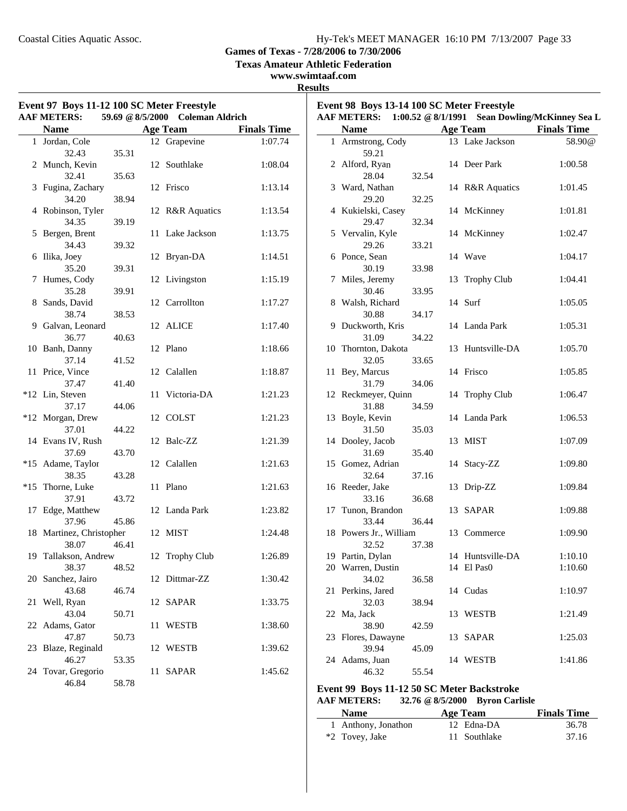$\overline{\phantom{0}}$ 

**Games of Texas - 7/28/2006 to 7/30/2006**

**Texas Amateur Athletic Federation**

### **www.swimtaaf.com Results**

| <b>AAF METERS:</b>                |       | 59.69 @ 8/5/2000 Coleman Aldrich |                    |                                       |       |                                | AAF METERS: 1:00.52 @ 8/1/1991 Sean Dowling/McKinney Sea L |
|-----------------------------------|-------|----------------------------------|--------------------|---------------------------------------|-------|--------------------------------|------------------------------------------------------------|
| <b>Name</b>                       |       | <b>Age Team</b>                  | <b>Finals Time</b> | <b>Name</b>                           |       | <b>Age Team</b>                | <b>Finals Time</b>                                         |
| 1 Jordan, Cole<br>32.43           | 35.31 | 12 Grapevine                     | 1:07.74            | 1 Armstrong, Cody<br>59.21            |       | 13 Lake Jackson                | 58.90@                                                     |
| 2 Munch, Kevin<br>32.41           | 35.63 | 12 Southlake                     | 1:08.04            | 2 Alford, Ryan<br>28.04               | 32.54 | 14 Deer Park                   | 1:00.58                                                    |
| 3 Fugina, Zachary<br>34.20        | 38.94 | 12 Frisco                        | 1:13.14            | 3 Ward, Nathan<br>29.20               | 32.25 | 14 R&R Aquatics                | 1:01.45                                                    |
| 4 Robinson, Tyler<br>34.35        | 39.19 | 12 R&R Aquatics                  | 1:13.54            | 4 Kukielski, Casey<br>29.47           | 32.34 | 14 McKinney                    | 1:01.81                                                    |
| 5 Bergen, Brent<br>34.43          | 39.32 | 11 Lake Jackson                  | 1:13.75            | 5 Vervalin, Kyle<br>29.26             | 33.21 | 14 McKinney                    | 1:02.47                                                    |
| 6 Ilika, Joey<br>35.20            | 39.31 | 12 Bryan-DA                      | 1:14.51            | 6 Ponce, Sean<br>30.19                | 33.98 | 14 Wave                        | 1:04.17                                                    |
| 7 Humes, Cody<br>35.28            | 39.91 | 12 Livingston                    | 1:15.19            | 7 Miles, Jeremy<br>30.46              | 33.95 | 13 Trophy Club                 | 1:04.41                                                    |
| 8 Sands, David<br>38.74           | 38.53 | 12 Carrollton                    | 1:17.27            | 8 Walsh, Richard<br>30.88             | 34.17 | 14 Surf                        | 1:05.05                                                    |
| 9 Galvan, Leonard<br>36.77        | 40.63 | 12 ALICE                         | 1:17.40            | 9 Duckworth, Kris<br>31.09            | 34.22 | 14 Landa Park                  | 1:05.31                                                    |
| 10 Banh, Danny<br>37.14           | 41.52 | 12 Plano                         | 1:18.66            | 10 Thornton, Dakota<br>32.05          | 33.65 | 13 Huntsville-DA               | 1:05.70                                                    |
| 11 Price, Vince<br>37.47          | 41.40 | 12 Calallen                      | 1:18.87            | 11 Bey, Marcus<br>31.79               | 34.06 | 14 Frisco                      | 1:05.85                                                    |
| *12 Lin, Steven<br>37.17          | 44.06 | 11 Victoria-DA                   | 1:21.23            | 12 Reckmeyer, Quinn<br>31.88          | 34.59 | 14 Trophy Club                 | 1:06.47                                                    |
| *12 Morgan, Drew<br>37.01         | 44.22 | 12 COLST                         | 1:21.23            | 13 Boyle, Kevin<br>31.50              | 35.03 | 14 Landa Park                  | 1:06.53                                                    |
| 14 Evans IV, Rush<br>37.69        | 43.70 | 12 Balc-ZZ                       | 1:21.39            | 14 Dooley, Jacob<br>31.69             | 35.40 | 13 MIST                        | 1:07.09                                                    |
| *15 Adame, Taylor<br>38.35        | 43.28 | 12 Calallen                      | 1:21.63            | 15 Gomez, Adrian<br>32.64             | 37.16 | 14 Stacy-ZZ                    | 1:09.80                                                    |
| *15 Thorne, Luke<br>37.91         | 43.72 | 11 Plano                         | 1:21.63            | 16 Reeder, Jake<br>33.16              | 36.68 | 13 Drip-ZZ                     | 1:09.84                                                    |
| 17 Edge, Matthew<br>37.96         | 45.86 | 12 Landa Park                    | 1:23.82            | 17 Tunon, Brandon<br>33.44            | 36.44 | 13 SAPAR                       | 1:09.88                                                    |
| 18 Martinez, Christopher<br>38.07 | 46.41 | 12 MIST                          | 1:24.48            | 18 Powers Jr., William<br>32.52       | 37.38 | 13 Commerce                    | 1:09.90                                                    |
| 19 Tallakson, Andrew<br>38.37     | 48.52 | 12 Trophy Club                   | 1:26.89            | 19 Partin, Dylan<br>20 Warren, Dustin |       | 14 Huntsville-DA<br>14 El Pas0 | 1:10.10<br>1:10.60                                         |
| 20 Sanchez, Jairo<br>43.68        | 46.74 | 12 Dittmar-ZZ                    | 1:30.42            | 34.02<br>21 Perkins, Jared            | 36.58 | 14 Cudas                       | 1:10.97                                                    |
| 21 Well, Ryan<br>43.04            | 50.71 | 12 SAPAR                         | 1:33.75            | 32.03<br>22 Ma, Jack                  | 38.94 | 13 WESTB                       | 1:21.49                                                    |
| 22 Adams, Gator<br>47.87          | 50.73 | 11 WESTB                         | 1:38.60            | 38.90<br>23 Flores, Dawayne           | 42.59 | 13 SAPAR                       | 1:25.03                                                    |
| 23 Blaze, Reginald<br>46.27       | 53.35 | 12 WESTB                         | 1:39.62            | 39.94<br>24 Adams, Juan               | 45.09 | 14 WESTB                       | 1:41.86                                                    |
| 24 Tovar, Gregorio                |       | 11 SAPAR                         | 1:45.62            | 46.32                                 | 55.54 |                                |                                                            |

### **AAF METERS: 32.76 @8/5/2000 Byron Carlisle**

| <b>Name</b>         | Age Team     | <b>Finals Time</b> |
|---------------------|--------------|--------------------|
| 1 Anthony, Jonathon | 12 Edna-DA   | 36.78              |
| *2 Tovey, Jake      | 11 Southlake | 37.16              |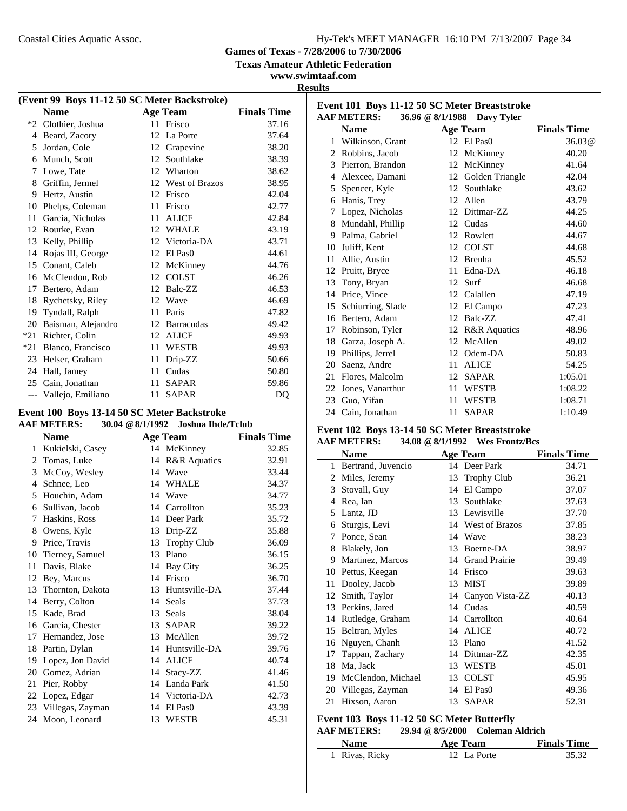**Event 101 Boys 11-12 50 SC Meter Breaststroke**

**Games of Texas - 7/28/2006 to 7/30/2006**

**Texas Amateur Athletic Federation**

### **www.swimtaaf.com Results**

| (Event 99 Boys 11-12 50 SC Meter Backstroke) |                    |    |                       |                    |  |
|----------------------------------------------|--------------------|----|-----------------------|--------------------|--|
|                                              | <b>Name</b>        |    | <b>Age Team</b>       | <b>Finals Time</b> |  |
| $*2$                                         | Clothier, Joshua   |    | 11 Frisco             | 37.16              |  |
| 4                                            | Beard, Zacory      | 12 | La Porte              | 37.64              |  |
| 5                                            | Jordan, Cole       | 12 | Grapevine             | 38.20              |  |
| 6                                            | Munch, Scott       | 12 | Southlake             | 38.39              |  |
| 7                                            | Lowe, Tate         | 12 | Wharton               | 38.62              |  |
| 8                                            | Griffin, Jermel    | 12 | <b>West of Brazos</b> | 38.95              |  |
| 9                                            | Hertz, Austin      | 12 | Frisco                | 42.04              |  |
| 10                                           | Phelps, Coleman    | 11 | Frisco                | 42.77              |  |
| 11                                           | Garcia, Nicholas   | 11 | <b>ALICE</b>          | 42.84              |  |
| 12                                           | Rourke, Evan       | 12 | <b>WHALE</b>          | 43.19              |  |
| 13                                           | Kelly, Phillip     | 12 | Victoria-DA           | 43.71              |  |
| 14                                           | Rojas III, George  | 12 | El Pas <sub>0</sub>   | 44.61              |  |
| 15                                           | Conant, Caleb      | 12 | McKinney              | 44.76              |  |
| 16                                           | McClendon, Rob     |    | 12 COLST              | 46.26              |  |
| 17                                           | Bertero, Adam      | 12 | Balc-ZZ               | 46.53              |  |
| 18                                           | Rychetsky, Riley   | 12 | Wave                  | 46.69              |  |
| 19                                           | Tyndall, Ralph     | 11 | Paris                 | 47.82              |  |
| 20                                           | Baisman, Alejandro | 12 | <b>Barracudas</b>     | 49.42              |  |
| $*21$                                        | Richter, Colin     | 12 | <b>ALICE</b>          | 49.93              |  |
| $*21$                                        | Blanco, Francisco  | 11 | <b>WESTB</b>          | 49.93              |  |
| 23                                           | Helser, Graham     | 11 | Drip-ZZ               | 50.66              |  |
| 24                                           | Hall, Jamey        | 11 | Cudas                 | 50.80              |  |
| 25                                           | Cain, Jonathan     | 11 | <b>SAPAR</b>          | 59.86              |  |
| $---$                                        | Vallejo, Emiliano  | 11 | <b>SAPAR</b>          | D <sub>O</sub>     |  |

#### **Event 100 Boys 13-14 50 SC Meter Backstroke AAF METERS: 30.04 @8/1/1992 Joshua Ihde/Tclub**

|    | <b>Name</b>         |    | <b>Age Team</b>         | <b>Finals Time</b> |
|----|---------------------|----|-------------------------|--------------------|
| 1  | Kukielski, Casey    |    | 14 McKinney             | 32.85              |
| 2  | Tomas, Luke         | 14 | <b>R&amp;R</b> Aquatics | 32.91              |
| 3  | McCoy, Wesley       | 14 | Wave                    | 33.44              |
| 4  | Schnee, Leo         |    | 14 WHALE                | 34.37              |
| 5  | Houchin, Adam       | 14 | Wave                    | 34.77              |
| 6  | Sullivan, Jacob     |    | 14 Carrollton           | 35.23              |
| 7  | Haskins, Ross       | 14 | Deer Park               | 35.72              |
| 8  | Owens, Kyle         | 13 | Drip-ZZ                 | 35.88              |
| 9  | Price, Travis       | 13 | <b>Trophy Club</b>      | 36.09              |
| 10 | Tierney, Samuel     | 13 | Plano                   | 36.15              |
| 11 | Davis, Blake        | 14 | Bay City                | 36.25              |
| 12 | Bey, Marcus         | 14 | Frisco                  | 36.70              |
| 13 | Thornton, Dakota    | 13 | Huntsville-DA           | 37.44              |
| 14 | Berry, Colton       | 14 | Seals                   | 37.73              |
| 15 | Kade, Brad          | 13 | Seals                   | 38.04              |
| 16 | Garcia, Chester     | 13 | <b>SAPAR</b>            | 39.22              |
| 17 | Hernandez, Jose     | 13 | McAllen                 | 39.72              |
| 18 | Partin, Dylan       | 14 | Huntsville-DA           | 39.76              |
| 19 | Lopez, Jon David    | 14 | <b>ALICE</b>            | 40.74              |
| 20 | Gomez, Adrian       | 14 | Stacy-ZZ                | 41.46              |
| 21 | Pier, Robby         |    | 14 Landa Park           | 41.50              |
| 22 | Lopez, Edgar        |    | 14 Victoria-DA          | 42.73              |
|    | 23 Villegas, Zayman | 14 | El Pas <sub>0</sub>     | 43.39              |
| 24 | Moon, Leonard       | 13 | <b>WESTB</b>            | 45.31              |
|    |                     |    |                         |                    |

|    | <b>AAF METERS:</b> |    | 36.96 @ 8/1/1988 Davy Tyler |                    |
|----|--------------------|----|-----------------------------|--------------------|
|    | <b>Name</b>        |    | <b>Age Team</b>             | <b>Finals Time</b> |
|    | 1 Wilkinson, Grant |    | 12 El Pas0                  | 36.03@             |
| 2  | Robbins, Jacob     | 12 | McKinney                    | 40.20              |
|    | 3 Pierron, Brandon | 12 | McKinney                    | 41.64              |
| 4  | Alexcee, Damani    | 12 | Golden Triangle             | 42.04              |
| 5  | Spencer, Kyle      | 12 | Southlake                   | 43.62              |
| 6  | Hanis, Trey        | 12 | Allen                       | 43.79              |
| 7  | Lopez, Nicholas    | 12 | Dittmar-ZZ                  | 44.25              |
| 8  | Mundahl, Phillip   | 12 | Cudas                       | 44.60              |
| 9  | Palma, Gabriel     | 12 | Rowlett                     | 44.67              |
| 10 | Juliff, Kent       | 12 | <b>COLST</b>                | 44.68              |
| 11 | Allie, Austin      | 12 | Brenha                      | 45.52              |
| 12 | Pruitt, Bryce      | 11 | Edna-DA                     | 46.18              |
| 13 | Tony, Bryan        | 12 | Surf                        | 46.68              |
| 14 | Price, Vince       | 12 | Calallen                    | 47.19              |
| 15 | Schiurring, Slade  | 12 | El Campo                    | 47.23              |
| 16 | Bertero, Adam      | 12 | Balc-ZZ                     | 47.41              |
| 17 | Robinson, Tyler    | 12 | <b>R&amp;R</b> Aquatics     | 48.96              |
| 18 | Garza, Joseph A.   | 12 | McAllen                     | 49.02              |
| 19 | Phillips, Jerrel   | 12 | Odem-DA                     | 50.83              |
| 20 | Saenz, Andre       | 11 | <b>ALICE</b>                | 54.25              |
| 21 | Flores, Malcolm    | 12 | <b>SAPAR</b>                | 1:05.01            |
| 22 | Jones, Vanarthur   | 11 | <b>WESTB</b>                | 1:08.22            |
| 23 | Guo, Yifan         | 11 | <b>WESTB</b>                | 1:08.71            |
|    | 24 Cain, Jonathan  | 11 | <b>SAPAR</b>                | 1:10.49            |

### **Event 102 Boys 13-14 50 SC Meter Breaststroke**

| <b>AAF METERS:</b> | 34.08 @ 8/1/1992 Wes Frontz/Bcs |  |
|--------------------|---------------------------------|--|
| $\blacksquare$     | $\blacksquare$                  |  |

|    | Name               |    | Age Team              | <b>Finals Time</b> |
|----|--------------------|----|-----------------------|--------------------|
| 1  | Bertrand, Juvencio | 14 | Deer Park             | 34.71              |
| 2  | Miles, Jeremy      | 13 | <b>Trophy Club</b>    | 36.21              |
| 3  | Stovall, Guy       | 14 | El Campo              | 37.07              |
| 4  | Rea, Ian           | 13 | Southlake             | 37.63              |
| 5  | Lantz, JD          | 13 | Lewisville            | 37.70              |
| 6  | Sturgis, Levi      | 14 | <b>West of Brazos</b> | 37.85              |
| 7  | Ponce, Sean        | 14 | Wave                  | 38.23              |
| 8  | Blakely, Jon       | 13 | Boerne-DA             | 38.97              |
| 9  | Martinez, Marcos   | 14 | <b>Grand Prairie</b>  | 39.49              |
| 10 | Pettus, Keegan     | 14 | Frisco                | 39.63              |
| 11 | Dooley, Jacob      | 13 | <b>MIST</b>           | 39.89              |
| 12 | Smith, Taylor      |    | 14 Canyon Vista-ZZ    | 40.13              |
| 13 | Perkins, Jared     |    | 14 Cudas              | 40.59              |
| 14 | Rutledge, Graham   | 14 | Carrollton            | 40.64              |
| 15 | Beltran, Myles     | 14 | <b>ALICE</b>          | 40.72              |
| 16 | Nguyen, Chanh      | 13 | Plano                 | 41.52              |
| 17 | Tappan, Zachary    | 14 | Dittmar-ZZ            | 42.35              |
| 18 | Ma, Jack           | 13 | <b>WESTB</b>          | 45.01              |
| 19 | McClendon, Michael | 13 | <b>COLST</b>          | 45.95              |
| 20 | Villegas, Zayman   | 14 | El Pas <sub>0</sub>   | 49.36              |
| 21 | Hixson, Aaron      | 13 | <b>SAPAR</b>          | 52.31              |
|    |                    |    |                       |                    |

### **Event 103 Boys 11-12 50 SC Meter Butterfly**

### **AAF METERS: 29.94 @8/5/2000 Coleman Aldrich**

| Name           | Age Team    | <b>Finals Time</b> |
|----------------|-------------|--------------------|
| 1 Rivas, Ricky | 12 La Porte | 35.32              |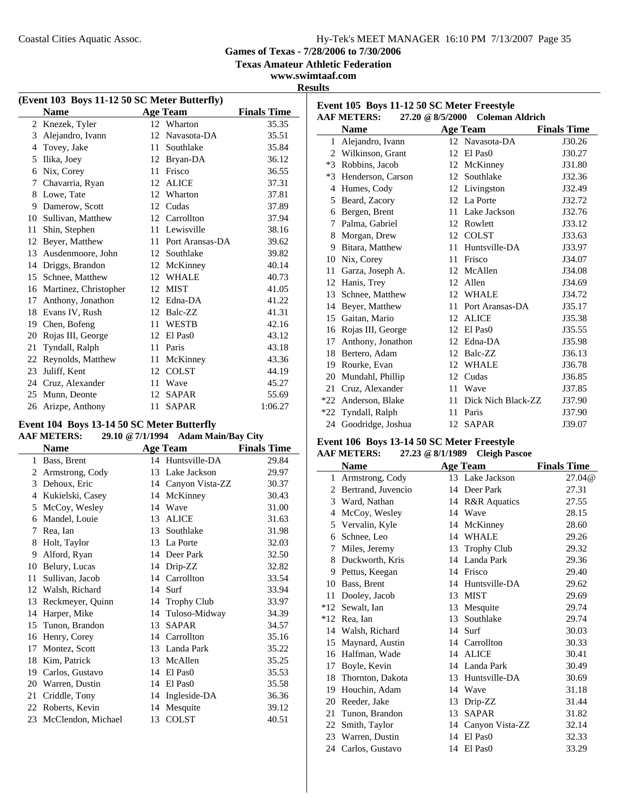**Games of Texas - 7/28/2006 to 7/30/2006**

**Texas Amateur Athletic Federation**

### **www.swimtaaf.com Results**

 $\overline{a}$ 

| (Event 103 Boys 11-12 50 SC Meter Butterfly) |                       |     |                     |                    |  |
|----------------------------------------------|-----------------------|-----|---------------------|--------------------|--|
|                                              | <b>Name</b>           |     | <b>Age Team</b>     | <b>Finals Time</b> |  |
| 2                                            | Knezek, Tyler         |     | 12 Wharton          | 35.35              |  |
| 3                                            | Alejandro, Ivann      | 12  | Navasota-DA         | 35.51              |  |
| 4                                            | Tovey, Jake           | 11  | Southlake           | 35.84              |  |
| 5                                            | Ilika, Joey           | 12  | Bryan-DA            | 36.12              |  |
| 6                                            | Nix, Corey            | 11  | Frisco              | 36.55              |  |
| 7                                            | Chavarria, Ryan       | 12  | <b>ALICE</b>        | 37.31              |  |
| 8                                            | Lowe, Tate            | 12  | Wharton             | 37.81              |  |
| 9                                            | Damerow, Scott        | 12  | Cudas               | 37.89              |  |
| 10                                           | Sullivan, Matthew     |     | 12 Carrollton       | 37.94              |  |
| 11                                           | Shin, Stephen         | 11. | Lewisville          | 38.16              |  |
| 12                                           | Beyer, Matthew        | 11  | Port Aransas-DA     | 39.62              |  |
| 13                                           | Ausdenmoore, John     | 12  | Southlake           | 39.82              |  |
| 14                                           | Driggs, Brandon       | 12  | McKinney            | 40.14              |  |
| 15                                           | Schnee, Matthew       | 12  | <b>WHALE</b>        | 40.73              |  |
| 16                                           | Martinez, Christopher | 12  | <b>MIST</b>         | 41.05              |  |
| 17                                           | Anthony, Jonathon     | 12  | Edna-DA             | 41.22              |  |
| 18                                           | Evans IV, Rush        | 12  | Balc-ZZ             | 41.31              |  |
| 19                                           | Chen, Bofeng          | 11  | <b>WESTB</b>        | 42.16              |  |
| 20                                           | Rojas III, George     | 12  | El Pas <sub>0</sub> | 43.12              |  |
| 21                                           | Tyndall, Ralph        | 11  | Paris               | 43.18              |  |
| 22                                           | Reynolds, Matthew     | 11  | McKinney            | 43.36              |  |
| 23                                           | Juliff, Kent          | 12  | <b>COLST</b>        | 44.19              |  |
| 24                                           | Cruz, Alexander       | 11  | Wave                | 45.27              |  |
| 25                                           | Munn, Deonte          | 12  | <b>SAPAR</b>        | 55.69              |  |
| 26                                           | Arizpe, Anthony       | 11  | <b>SAPAR</b>        | 1:06.27            |  |

# **Event 104 Boys 13-14 50 SC Meter Butterfly**<br>A AE METERS. 20.10 @ 7/1/1004 Adem Meir/Pey

|                       | <b>AAF METERS:</b> |    | 29.10 @ 7/1/1994 Adam Main/Bay City |                    |
|-----------------------|--------------------|----|-------------------------------------|--------------------|
|                       | <b>Name</b>        |    | <b>Age Team</b>                     | <b>Finals Time</b> |
| 1                     | Bass, Brent        |    | 14 Huntsville-DA                    | 29.84              |
| $\mathbf{2}^{\prime}$ | Armstrong, Cody    |    | 13 Lake Jackson                     | 29.97              |
| 3                     | Dehoux, Eric       |    | 14 Canyon Vista-ZZ                  | 30.37              |
| 4                     | Kukielski, Casey   |    | 14 McKinney                         | 30.43              |
| 5                     | McCoy, Wesley      | 14 | Wave                                | 31.00              |
| 6                     | Mandel, Louie      | 13 | <b>ALICE</b>                        | 31.63              |
| 7                     | Rea, Ian           | 13 | Southlake                           | 31.98              |
| 8                     | Holt, Taylor       | 13 | La Porte                            | 32.03              |
| 9                     | Alford, Ryan       |    | 14 Deer Park                        | 32.50              |
| 10                    | Belury, Lucas      |    | 14 Drip-ZZ                          | 32.82              |
| 11                    | Sullivan, Jacob    |    | 14 Carrollton                       | 33.54              |
| 12                    | Walsh, Richard     | 14 | Surf                                | 33.94              |
| 13                    | Reckmeyer, Quinn   |    | 14 Trophy Club                      | 33.97              |
| 14                    | Harper, Mike       |    | 14 Tuloso-Midway                    | 34.39              |
|                       | 15 Tunon, Brandon  | 13 | <b>SAPAR</b>                        | 34.57              |
| 16                    | Henry, Corey       |    | 14 Carrollton                       | 35.16              |
| 17                    | Montez, Scott      |    | 13 Landa Park                       | 35.22              |
| 18                    | Kim, Patrick       | 13 | McAllen                             | 35.25              |
| 19                    | Carlos, Gustavo    | 14 | El Pas <sub>0</sub>                 | 35.53              |
| 20                    | Warren, Dustin     | 14 | El Pas <sub>0</sub>                 | 35.58              |
| 21                    | Criddle, Tony      | 14 | Ingleside-DA                        | 36.36              |
|                       | 22 Roberts, Kevin  |    | 14 Mesquite                         | 39.12              |
| 23                    | McClendon, Michael | 13 | <b>COLST</b>                        | 40.51              |

| Event 105 Boys 11-12 50 SC Meter Freestyle<br><b>AAF METERS:</b><br>27.20 @ 8/5/2000 Coleman Aldrich |                    |    |                     |                    |  |
|------------------------------------------------------------------------------------------------------|--------------------|----|---------------------|--------------------|--|
|                                                                                                      | <b>Name</b>        |    | Age Team            | <b>Finals Time</b> |  |
| $\mathbf{1}$                                                                                         | Alejandro, Ivann   |    | 12 Navasota-DA      | J30.26             |  |
|                                                                                                      | 2 Wilkinson, Grant | 12 | El Pas <sub>0</sub> | J30.27             |  |
|                                                                                                      | *3 Robbins, Jacob  |    | 12 McKinney         | J31.80             |  |
| $*3$                                                                                                 | Henderson, Carson  | 12 | Southlake           | J32.36             |  |
| 4                                                                                                    | Humes, Cody        | 12 | Livingston          | J32.49             |  |
| 5                                                                                                    | Beard, Zacory      |    | 12 La Porte         | J32.72             |  |
| 6                                                                                                    | Bergen, Brent      | 11 | Lake Jackson        | J32.76             |  |
| 7                                                                                                    | Palma, Gabriel     | 12 | Rowlett             | J33.12             |  |
| 8                                                                                                    | Morgan, Drew       |    | 12 COLST            | J33.63             |  |
| 9                                                                                                    | Bitara, Matthew    | 11 | Huntsville-DA       | J33.97             |  |
| 10                                                                                                   | Nix, Corey         | 11 | Frisco              | J34.07             |  |
| 11                                                                                                   | Garza, Joseph A.   |    | 12 McAllen          | J34.08             |  |
| 12                                                                                                   | Hanis, Trey        |    | 12 Allen            | J34.69             |  |
| 13                                                                                                   | Schnee, Matthew    | 12 | <b>WHALE</b>        | J34.72             |  |
| 14                                                                                                   | Beyer, Matthew     | 11 | Port Aransas-DA     | J35.17             |  |
|                                                                                                      | 15 Gaitan, Mario   | 12 | <b>ALICE</b>        | J35.38             |  |
| 16                                                                                                   | Rojas III, George  | 12 | El Pas <sub>0</sub> | J35.55             |  |
| 17                                                                                                   | Anthony, Jonathon  | 12 | Edna-DA             | J35.98             |  |
| 18                                                                                                   | Bertero, Adam      | 12 | Balc-ZZ             | J36.13             |  |
| 19                                                                                                   | Rourke, Evan       | 12 | <b>WHALE</b>        | J36.78             |  |
| 20                                                                                                   | Mundahl, Phillip   |    | 12 Cudas            | J36.85             |  |
| 21                                                                                                   | Cruz, Alexander    | 11 | Wave                | J37.85             |  |
| $*22$                                                                                                | Anderson, Blake    | 11 | Dick Nich Black-ZZ  | J37.90             |  |
|                                                                                                      | *22 Tyndall, Ralph | 11 | Paris               | J37.90             |  |
| 24                                                                                                   | Goodridge, Joshua  | 12 | <b>SAPAR</b>        | J39.07             |  |

#### **Event 106 Boys 13-14 50 SC Meter Freestyle AAF METERS: 27.23 @8/1/1989 Cleigh Pascoe**

|                | ААГ ІЛЕТЕІЛЭ.<br>$21.23 \approx 0.111707$ Citigu I ascot |    |                         |                    |  |  |
|----------------|----------------------------------------------------------|----|-------------------------|--------------------|--|--|
|                | <b>Name</b>                                              |    | <b>Age Team</b>         | <b>Finals Time</b> |  |  |
|                | 1 Armstrong, Cody                                        |    | 13 Lake Jackson         | 27.04@             |  |  |
| $\mathfrak{D}$ | Bertrand, Juvencio                                       |    | 14 Deer Park            | 27.31              |  |  |
|                | 3 Ward, Nathan                                           | 14 | <b>R&amp;R</b> Aquatics | 27.55              |  |  |
| 4              | McCoy, Wesley                                            | 14 | Wave                    | 28.15              |  |  |
|                | 5 Vervalin, Kyle                                         | 14 | McKinney                | 28.60              |  |  |
| 6              | Schnee, Leo                                              | 14 | <b>WHALE</b>            | 29.26              |  |  |
| 7              | Miles, Jeremy                                            | 13 | <b>Trophy Club</b>      | 29.32              |  |  |
| 8              | Duckworth, Kris                                          | 14 | Landa Park              | 29.36              |  |  |
| 9              | Pettus, Keegan                                           |    | 14 Frisco               | 29.40              |  |  |
| 10             | Bass, Brent                                              | 14 | Huntsville-DA           | 29.62              |  |  |
| 11             | Dooley, Jacob                                            | 13 | <b>MIST</b>             | 29.69              |  |  |
| $*12$          | Sewalt, Ian                                              | 13 | Mesquite                | 29.74              |  |  |
| $*12$          | Rea, Ian                                                 | 13 | Southlake               | 29.74              |  |  |
|                | 14 Walsh, Richard                                        | 14 | Surf                    | 30.03              |  |  |
| 15             | Maynard, Austin                                          |    | 14 Carrollton           | 30.33              |  |  |
| 16             | Halfman, Wade                                            |    | 14 ALICE                | 30.41              |  |  |
| 17             | Boyle, Kevin                                             |    | 14 Landa Park           | 30.49              |  |  |
| 18             | Thornton, Dakota                                         |    | 13 Huntsville-DA        | 30.69              |  |  |
| 19             | Houchin, Adam                                            | 14 | Wave                    | 31.18              |  |  |
| 20             | Reeder, Jake                                             | 13 | Drip-ZZ                 | 31.44              |  |  |
| 21             | Tunon, Brandon                                           | 13 | <b>SAPAR</b>            | 31.82              |  |  |
| 22             | Smith, Taylor                                            | 14 | Canyon Vista-ZZ         | 32.14              |  |  |
| 23             | Warren, Dustin                                           | 14 | El Pas <sub>0</sub>     | 32.33              |  |  |
|                | 24 Carlos, Gustavo                                       | 14 | El Pas <sub>0</sub>     | 33.29              |  |  |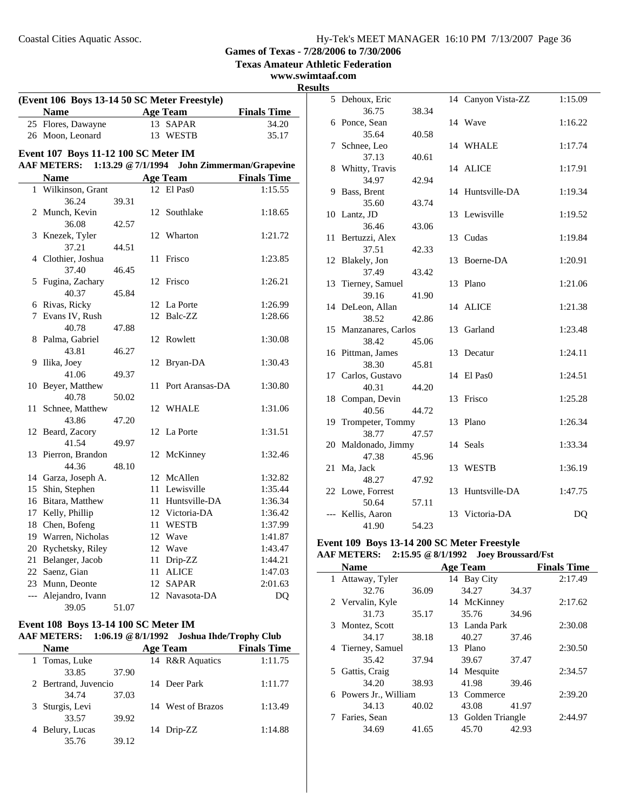**Texas Amateur Athletic Federation**

### **www.swimtaaf.com**

J.

| (Event 106 Boys 13-14 50 SC Meter Freestyle) |                                      |                    |    |                  |                                 |
|----------------------------------------------|--------------------------------------|--------------------|----|------------------|---------------------------------|
|                                              | Name                                 |                    |    | <b>Age Team</b>  | <b>Finals Time</b>              |
|                                              | 25 Flores, Dawayne                   |                    |    | 13 SAPAR         | 34.20                           |
|                                              | 26 Moon, Leonard                     |                    |    | 13 WESTB         | 35.17                           |
|                                              | Event 107 Boys 11-12 100 SC Meter IM |                    |    |                  |                                 |
|                                              | <b>AAF METERS:</b>                   | 1:13.29 @ 7/1/1994 |    |                  | <b>John Zimmerman/Grapevine</b> |
|                                              | <b>Name</b>                          |                    |    | <b>Age Team</b>  | <b>Finals Time</b>              |
| $\mathbf{1}$                                 | Wilkinson, Grant                     |                    |    | 12 El Pas0       | 1:15.55                         |
|                                              | 36.24                                | 39.31              |    |                  |                                 |
| 2                                            | Munch, Kevin                         |                    | 12 | Southlake        | 1:18.65                         |
|                                              | 36.08                                | 42.57              |    |                  |                                 |
| 3                                            | Knezek, Tyler                        |                    | 12 | Wharton          | 1:21.72                         |
|                                              | 37.21                                | 44.51              |    |                  |                                 |
| 4                                            | Clothier, Joshua                     |                    | 11 | Frisco           | 1:23.85                         |
|                                              | 37.40                                | 46.45              |    |                  |                                 |
| 5                                            | Fugina, Zachary                      |                    | 12 | Frisco           | 1:26.21                         |
|                                              | 40.37                                | 45.84              |    |                  |                                 |
| 6                                            | Rivas, Ricky                         |                    | 12 | La Porte         | 1:26.99                         |
| 7                                            | Evans IV, Rush                       |                    | 12 | Balc-ZZ          | 1:28.66                         |
|                                              | 40.78                                | 47.88              |    |                  |                                 |
| 8                                            | Palma, Gabriel                       |                    | 12 | Rowlett          | 1:30.08                         |
|                                              | 43.81                                | 46.27              |    |                  |                                 |
| 9                                            | Ilika, Joey                          |                    | 12 | Bryan-DA         | 1:30.43                         |
|                                              | 41.06                                | 49.37              |    |                  |                                 |
| 10                                           | Beyer, Matthew                       |                    | 11 | Port Aransas-DA  | 1:30.80                         |
|                                              | 40.78                                | 50.02              |    |                  |                                 |
| 11                                           | Schnee, Matthew                      |                    | 12 | <b>WHALE</b>     | 1:31.06                         |
| 12                                           | 43.86<br>Beard, Zacory               | 47.20              | 12 | La Porte         | 1:31.51                         |
|                                              | 41.54                                | 49.97              |    |                  |                                 |
|                                              | 13 Pierron, Brandon                  |                    | 12 | McKinney         | 1:32.46                         |
|                                              | 44.36                                | 48.10              |    |                  |                                 |
|                                              | 14 Garza, Joseph A.                  |                    |    | 12 McAllen       | 1:32.82                         |
| 15                                           | Shin, Stephen                        |                    |    | 11 Lewisville    | 1:35.44                         |
| 16                                           | Bitara, Matthew                      |                    |    | 11 Huntsville-DA | 1:36.34                         |
| 17                                           | Kelly, Phillip                       |                    |    | 12 Victoria-DA   | 1:36.42                         |
| 18                                           | Chen, Bofeng                         |                    | 11 | <b>WESTB</b>     | 1:37.99                         |
| 19                                           | Warren, Nicholas                     |                    |    | 12 Wave          | 1:41.87                         |
| 20                                           | Rychetsky, Riley                     |                    |    | 12 Wave          | 1:43.47                         |
| 21                                           | Belanger, Jacob                      |                    | 11 | Drip-ZZ          | 1:44.21                         |
| 22                                           | Saenz, Gian                          |                    | 11 | <b>ALICE</b>     | 1:47.03                         |
| 23                                           | Munn, Deonte                         |                    | 12 | <b>SAPAR</b>     | 2:01.63                         |
| $\overline{\phantom{a}}$                     | Alejandro, Ivann                     |                    |    | 12 Navasota-DA   | DQ                              |
|                                              | 39.05                                | 51.07              |    |                  |                                 |

### **Event 108 Boys 13-14 100 SC Meter IM AAF METERS: 1:06.19 @8/1/1992 Joshua Ihde/Trophy Club**

| <b>Name</b>          |       | <b>Age Team</b>   | <b>Finals Time</b> |
|----------------------|-------|-------------------|--------------------|
| 1 Tomas, Luke        |       | 14 R&R Aquatics   | 1:11.75            |
| 33.85                | 37.90 |                   |                    |
| 2 Bertrand, Juvencio |       | 14 Deer Park      | 1:11.77            |
| 34.74                | 37.03 |                   |                    |
| 3 Sturgis, Levi      |       | 14 West of Brazos | 1:13.49            |
| 33.57                | 39.92 |                   |                    |
| 4 Belury, Lucas      |       | 14 Drip-ZZ        | 1:14.88            |
| 35.76                | 39.12 |                   |                    |

| <b>Results</b> |                              |       |    |                    |                |
|----------------|------------------------------|-------|----|--------------------|----------------|
|                | 5 Dehoux, Eric               |       |    | 14 Canyon Vista-ZZ | 1:15.09        |
|                | 36.75                        | 38.34 |    |                    |                |
|                | 6 Ponce, Sean                |       |    | 14 Wave            | 1:16.22        |
|                | 35.64                        | 40.58 |    |                    |                |
|                | 7 Schnee, Leo                |       |    | 14 WHALE           | 1:17.74        |
|                | 37.13                        | 40.61 |    |                    |                |
|                | 8 Whitty, Travis             |       |    | 14 ALICE           | 1:17.91        |
|                | 34.97                        | 42.94 |    |                    |                |
|                | 9 Bass, Brent                |       |    | 14 Huntsville-DA   | 1:19.34        |
|                | 35.60                        | 43.74 |    |                    |                |
|                | 10 Lantz, JD                 |       |    | 13 Lewisville      | 1:19.52        |
|                | 36.46                        | 43.06 |    |                    |                |
|                | 11 Bertuzzi, Alex            |       |    | 13 Cudas           | 1:19.84        |
|                | 37.51                        | 42.33 |    |                    |                |
|                | 12 Blakely, Jon              |       |    | 13 Boerne-DA       | 1:20.91        |
|                | 37.49                        | 43.42 |    |                    |                |
|                | 13 Tierney, Samuel           |       |    | 13 Plano           | 1:21.06        |
|                | 39.16                        | 41.90 |    |                    |                |
|                | 14 DeLeon, Allan             |       |    | 14 ALICE           | 1:21.38        |
|                | 38.52                        | 42.86 |    |                    |                |
|                | 15 Manzanares, Carlos        |       | 13 | Garland            | 1:23.48        |
|                | 38.42                        | 45.06 |    |                    |                |
|                | 16 Pittman, James            |       |    | 13 Decatur         | 1:24.11        |
|                | 38.30                        | 45.81 |    |                    |                |
|                | 17 Carlos, Gustavo           |       |    | 14 El Pas0         | 1:24.51        |
|                | 40.31                        | 44.20 |    |                    |                |
|                | 18 Compan, Devin             |       |    | 13 Frisco          | 1:25.28        |
|                | 40.56                        | 44.72 |    |                    | 1:26.34        |
|                | 19 Trompeter, Tommy          |       |    | 13 Plano           |                |
|                | 38.77                        | 47.57 |    | 14 Seals           | 1:33.34        |
|                | 20 Maldonado, Jimmy<br>47.38 | 45.96 |    |                    |                |
|                | 21 Ma, Jack                  |       |    | 13 WESTB           | 1:36.19        |
|                | 48.27                        | 47.92 |    |                    |                |
|                | 22 Lowe, Forrest             |       |    | 13 Huntsville-DA   | 1:47.75        |
|                | 50.64                        | 57.11 |    |                    |                |
|                | --- Kellis, Aaron            |       |    | 13 Victoria-DA     | D <sub>O</sub> |
|                | 41.90                        | 54.23 |    |                    |                |
|                |                              |       |    |                    |                |

# **Event 109 Boys 13-14 200 SC Meter Freestyle**

|   | <b>AAF METERS:</b>    |       | 2:15.95 @ 8/1/1992    Joev Broussard/Fst |       |                    |
|---|-----------------------|-------|------------------------------------------|-------|--------------------|
|   | <b>Name</b>           |       | <b>Age Team</b>                          |       | <b>Finals Time</b> |
|   | 1 Attaway, Tyler      |       | 14 Bay City                              |       | 2:17.49            |
|   | 32.76                 | 36.09 | 34.27                                    | 34.37 |                    |
|   | 2 Vervalin, Kyle      |       | 14 McKinney                              |       | 2:17.62            |
|   | 31.73                 | 35.17 | 35.76                                    | 34.96 |                    |
|   | 3 Montez, Scott       |       | 13 Landa Park                            |       | 2:30.08            |
|   | 34.17                 | 38.18 | 40.27                                    | 37.46 |                    |
|   | 4 Tierney, Samuel     |       | 13 Plano                                 |       | 2:30.50            |
|   | 35.42                 | 37.94 | 39.67                                    | 37.47 |                    |
|   | 5 Gattis, Craig       |       | 14 Mesquite                              |       | 2:34.57            |
|   | 34.20                 | 38.93 | 41.98                                    | 39.46 |                    |
|   | 6 Powers Jr., William |       | 13 Commerce                              |       | 2:39.20            |
|   | 34.13                 | 40.02 | 43.08                                    | 41.97 |                    |
| 7 | Faries, Sean          |       | 13 Golden Triangle                       |       | 2:44.97            |
|   | 34.69                 | 41.65 | 45.70                                    | 42.93 |                    |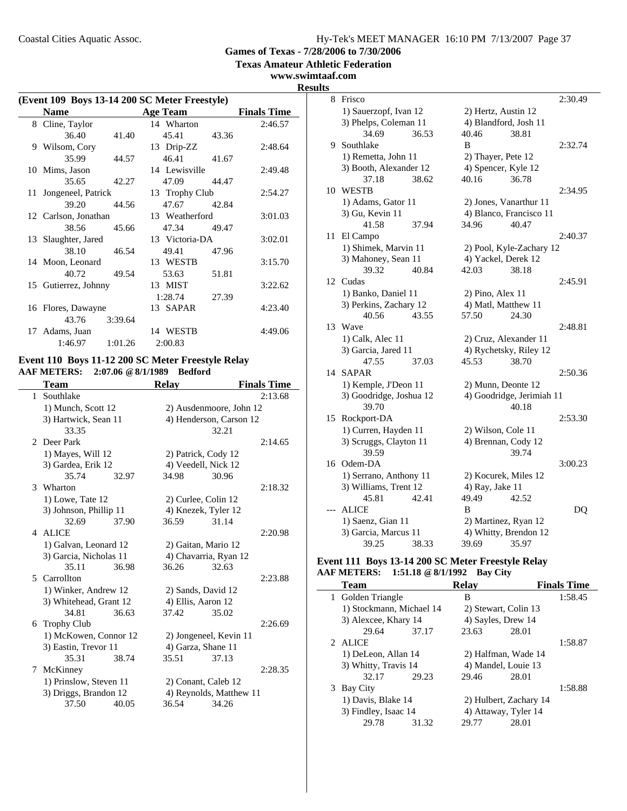**Texas Amateur Athletic Federation**

**www.swimtaaf.com**

| (Event 109 Boys 13-14 200 SC Meter Freestyle) |                       |         |                 |       |                    |
|-----------------------------------------------|-----------------------|---------|-----------------|-------|--------------------|
|                                               | <b>Name</b>           |         | <b>Age Team</b> |       | <b>Finals Time</b> |
|                                               | 8 Cline, Taylor       |         | 14 Wharton      |       | 2:46.57            |
|                                               | 36.40                 | 41.40   | 45.41 43.36     |       |                    |
|                                               | 9 Wilsom, Cory        |         | 13 Drip-ZZ      |       | 2:48.64            |
|                                               | 35.99                 | 44.57   | 46.41 41.67     |       |                    |
|                                               | 10 Mims, Jason        |         | 14 Lewisville   |       | 2:49.48            |
|                                               | 35.65                 | 42.27   | 47.09           | 44.47 |                    |
|                                               | 11 Jongeneel, Patrick |         | 13 Trophy Club  |       | 2:54.27            |
|                                               | 39.20                 | 44.56   | 47.67 42.84     |       |                    |
|                                               | 12 Carlson, Jonathan  |         | 13 Weatherford  |       | 3:01.03            |
|                                               | 38.56                 | 45.66   | 47.34 49.47     |       |                    |
|                                               | 13 Slaughter, Jared   |         | 13 Victoria-DA  |       | 3:02.01            |
|                                               | 38.10 46.54           |         | 49.41 47.96     |       |                    |
|                                               | 14 Moon, Leonard      |         | 13 WESTB        |       | 3:15.70            |
|                                               | 40.72                 | 49.54   | 53.63           | 51.81 |                    |
|                                               | 15 Gutierrez, Johnny  |         | 13 MIST         |       | 3:22.62            |
|                                               |                       |         | 1:28.74         | 27.39 |                    |
|                                               | 16 Flores, Dawayne    |         | 13 SAPAR        |       | 4:23.40            |
|                                               | 43.76                 | 3:39.64 |                 |       |                    |
|                                               | 17 Adams, Juan        |         | 14 WESTB        |       | 4:49.06            |
|                                               | 1:46.97               | 1:01.26 | 2:00.83         |       |                    |

# **Event 110 Boys 11-12 200 SC Meter Freestyle Relay AAF METERS: 2:07.06 @8/1/1989 Bedford**

|              | Team                   |       | <b>Relay</b>        |                         | <b>Finals Time</b> |
|--------------|------------------------|-------|---------------------|-------------------------|--------------------|
| $\mathbf{1}$ | Southlake              |       |                     |                         | 2:13.68            |
|              | 1) Munch, Scott 12     |       |                     | 2) Ausdenmoore, John 12 |                    |
|              | 3) Hartwick, Sean 11   |       |                     | 4) Henderson, Carson 12 |                    |
|              | 33.35                  |       |                     | 32.21                   |                    |
|              | 2 Deer Park            |       |                     |                         | 2:14.65            |
|              | 1) Mayes, Will 12      |       | 2) Patrick, Cody 12 |                         |                    |
|              | 3) Gardea, Erik 12     |       | 4) Veedell, Nick 12 |                         |                    |
|              | 35.74                  | 32.97 | 34.98               | 30.96                   |                    |
|              | 3 Wharton              |       |                     |                         | 2:18.32            |
|              | 1) Lowe, Tate 12       |       | 2) Curlee, Colin 12 |                         |                    |
|              | 3) Johnson, Phillip 11 |       | 4) Knezek, Tyler 12 |                         |                    |
|              | 32.69                  | 37.90 | 36.59               | 31.14                   |                    |
|              | 4 ALICE                |       |                     |                         | 2:20.98            |
|              | 1) Galvan, Leonard 12  |       | 2) Gaitan, Mario 12 |                         |                    |
|              | 3) Garcia, Nicholas 11 |       |                     | 4) Chavarria, Ryan 12   |                    |
|              | 35.11                  | 36.98 | 36.26               | 32.63                   |                    |
|              | 5 Carrollton           |       |                     |                         | 2:23.88            |
|              | 1) Winker, Andrew 12   |       | 2) Sands, David 12  |                         |                    |
|              | 3) Whitehead, Grant 12 |       | 4) Ellis, Aaron 12  |                         |                    |
|              | 34.81                  | 36.63 | 37.42               | 35.02                   |                    |
|              | 6 Trophy Club          |       |                     |                         | 2:26.69            |
|              | 1) McKowen, Connor 12  |       |                     | 2) Jongeneel, Kevin 11  |                    |
|              | 3) Eastin, Trevor 11   |       | 4) Garza, Shane 11  |                         |                    |
|              | 35.31                  | 38.74 | 35.51               | 37.13                   |                    |
|              | 7 McKinney             |       |                     |                         | 2:28.35            |
|              | 1) Prinslow, Steven 11 |       | 2) Conant, Caleb 12 |                         |                    |
|              | 3) Driggs, Brandon 12  |       |                     | 4) Reynolds, Matthew 11 |                    |
|              | 37.50                  | 40.05 | 36.54               | 34.26                   |                    |
|              |                        |       |                     |                         |                    |

| ts    |                         |                           |         |
|-------|-------------------------|---------------------------|---------|
| 8     | Frisco                  |                           | 2:30.49 |
|       | 1) Sauerzopf, Ivan 12   | 2) Hertz, Austin 12       |         |
|       | 3) Phelps, Coleman 11   | 4) Blandford, Josh 11     |         |
|       | 34.69<br>36.53          | 40.46<br>38.81            |         |
|       | 9 Southlake             | B                         | 2:32.74 |
|       | 1) Remetta, John 11     | 2) Thayer, Pete 12        |         |
|       | 3) Booth, Alexander 12  | 4) Spencer, Kyle 12       |         |
|       | 38.62<br>37.18          | 40.16<br>36.78            |         |
|       | 10 WESTB                |                           | 2:34.95 |
|       | 1) Adams, Gator 11      | 2) Jones, Vanarthur 11    |         |
|       | 3) Gu, Kevin 11         | 4) Blanco, Francisco 11   |         |
|       | 41.58<br>37.94          | 34.96<br>40.47            |         |
| 11    | El Campo                |                           | 2:40.37 |
|       | 1) Shimek, Marvin 11    | 2) Pool, Kyle-Zachary 12  |         |
|       | 3) Mahoney, Sean 11     | 4) Yackel, Derek 12       |         |
|       | 39.32<br>40.84          | 42.03<br>38.18            |         |
|       | 12 Cudas                |                           | 2:45.91 |
|       | 1) Banko, Daniel 11     | 2) Pino, Alex 11          |         |
|       | 3) Perkins, Zachary 12  | 4) Matl, Matthew 11       |         |
|       | 40.56<br>43.55          | 57.50<br>24.30            |         |
|       | 13 Wave                 |                           | 2:48.81 |
|       | 1) Calk, Alec 11        | 2) Cruz, Alexander 11     |         |
|       | 3) Garcia, Jared 11     | 4) Rychetsky, Riley 12    |         |
|       | 47.55<br>37.03          | 45.53<br>38.70            |         |
|       | 14 SAPAR                |                           | 2:50.36 |
|       | 1) Kemple, J'Deon 11    | 2) Munn, Deonte 12        |         |
|       | 3) Goodridge, Joshua 12 | 4) Goodridge, Jerimiah 11 |         |
|       | 39.70                   | 40.18                     |         |
| 15    | Rockport-DA             |                           | 2:53.30 |
|       | 1) Curren, Hayden 11    | 2) Wilson, Cole 11        |         |
|       | 3) Scruggs, Clayton 11  | 4) Brennan, Cody 12       |         |
|       | 39.59                   | 39.74                     |         |
|       | 16 Odem-DA              |                           | 3:00.23 |
|       | 1) Serrano, Anthony 11  | 2) Kocurek, Miles 12      |         |
|       | 3) Williams, Trent 12   | 4) Ray, Jake 11           |         |
|       | 45.81<br>42.41          | 49.49<br>42.52            |         |
| $---$ | <b>ALICE</b>            | B                         | DQ      |
|       | 1) Saenz, Gian 11       | 2) Martinez, Ryan 12      |         |
|       | 3) Garcia, Marcus 11    | 4) Whitty, Brendon 12     |         |
|       | 39.25<br>38.33          | 39.69<br>35.97            |         |

### **Event 111 Boys 13-14 200 SC Meter Freestyle Relay AAF METERS: 1:51.18 @8/1/1992 Bay City**

| <b>Team</b>              |       | <b>Relav</b>       |                        | <b>Finals Time</b> |
|--------------------------|-------|--------------------|------------------------|--------------------|
| 1 Golden Triangle        |       | B                  |                        | 1:58.45            |
| 1) Stockmann, Michael 14 |       |                    | 2) Stewart, Colin 13   |                    |
| 3) Alexcee, Khary 14     |       | 4) Sayles, Drew 14 |                        |                    |
| 29.64                    | 37.17 | 23.63              | 28.01                  |                    |
| $2$ ALICE                |       |                    |                        | 1:58.87            |
| 1) DeLeon, Allan 14      |       |                    | 2) Halfman, Wade 14    |                    |
| 3) Whitty, Travis 14     |       |                    | 4) Mandel, Louie 13    |                    |
| 32.17                    | 29.23 | 29.46              | 28.01                  |                    |
| 3 Bay City               |       |                    |                        | 1:58.88            |
| 1) Davis, Blake 14       |       |                    | 2) Hulbert, Zachary 14 |                    |
| 3) Findley, Isaac 14     |       |                    | 4) Attaway, Tyler 14   |                    |
| 29.78                    | 31.32 | 29.77              | 28.01                  |                    |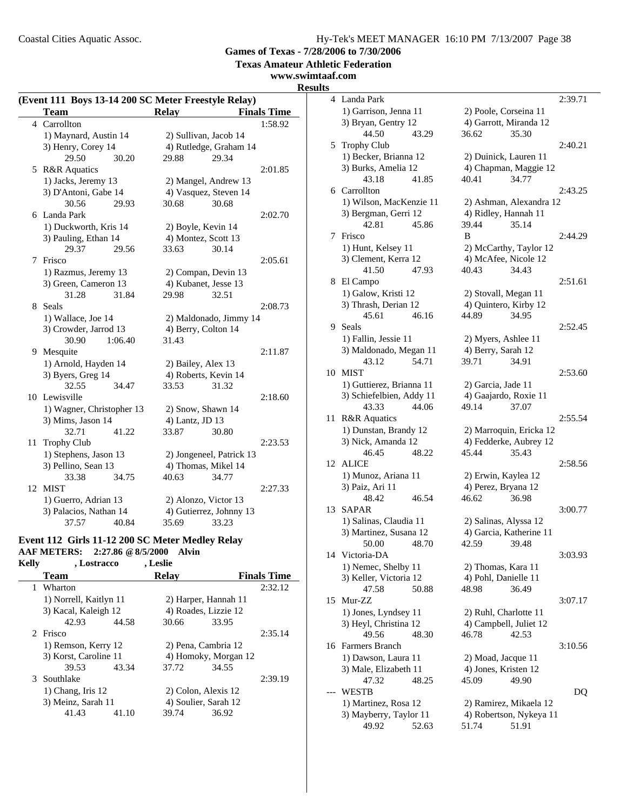**Games of Texas - 7/28/2006 to 7/30/2006**

**Texas Amateur Athletic Federation**

#### **www.swimtaaf.com**

#### **Results**

| (Event 111 Boys 13-14 200 SC Meter Freestyle Relay) |                           |                          |                    |  |
|-----------------------------------------------------|---------------------------|--------------------------|--------------------|--|
|                                                     | <b>Team</b>               | <b>Relay</b>             | <b>Finals Time</b> |  |
|                                                     | 4 Carrollton              |                          | 1:58.92            |  |
|                                                     | 1) Maynard, Austin 14     | 2) Sullivan, Jacob 14    |                    |  |
|                                                     | 3) Henry, Corey 14        | 4) Rutledge, Graham 14   |                    |  |
|                                                     | 29.50<br>30.20            | 29.88<br>29.34           |                    |  |
| 5                                                   | <b>R&amp;R</b> Aquatics   |                          | 2:01.85            |  |
|                                                     | 1) Jacks, Jeremy 13       | 2) Mangel, Andrew 13     |                    |  |
|                                                     | 3) D'Antoni, Gabe 14      | 4) Vasquez, Steven 14    |                    |  |
|                                                     | 30.56<br>29.93            | 30.68<br>30.68           |                    |  |
|                                                     | 6 Landa Park              |                          | 2:02.70            |  |
|                                                     | 1) Duckworth, Kris 14     | 2) Boyle, Kevin 14       |                    |  |
|                                                     | 3) Pauling, Ethan 14      | 4) Montez, Scott 13      |                    |  |
|                                                     | 29.37<br>29.56            | 33.63<br>30.14           |                    |  |
| 7                                                   | Frisco                    |                          | 2:05.61            |  |
|                                                     | 1) Razmus, Jeremy 13      | 2) Compan, Devin 13      |                    |  |
|                                                     | 3) Green, Cameron 13      | 4) Kubanet, Jesse 13     |                    |  |
|                                                     | 31.28<br>31.84            | 29.98<br>32.51           |                    |  |
| 8.                                                  | <b>Seals</b>              |                          | 2:08.73            |  |
|                                                     | 1) Wallace, Joe 14        | 2) Maldonado, Jimmy 14   |                    |  |
|                                                     | 3) Crowder, Jarrod 13     | 4) Berry, Colton 14      |                    |  |
|                                                     | 30.90<br>1:06.40          | 31.43                    |                    |  |
| 9                                                   | Mesquite                  |                          | 2:11.87            |  |
|                                                     | 1) Arnold, Hayden 14      | 2) Bailey, Alex 13       |                    |  |
|                                                     | 3) Byers, Greg 14         | 4) Roberts, Kevin 14     |                    |  |
|                                                     | 32.55<br>34.47            | 33.53<br>31.32           |                    |  |
| 10                                                  | Lewisville                |                          | 2:18.60            |  |
|                                                     | 1) Wagner, Christopher 13 | 2) Snow, Shawn 14        |                    |  |
|                                                     | 3) Mims, Jason 14         | 4) Lantz, JD 13          |                    |  |
|                                                     | 32.71<br>41.22            | 33.87<br>30.80           |                    |  |
| 11                                                  | <b>Trophy Club</b>        |                          | 2:23.53            |  |
|                                                     | 1) Stephens, Jason 13     | 2) Jongeneel, Patrick 13 |                    |  |
|                                                     | 3) Pellino, Sean 13       | 4) Thomas, Mikel 14      |                    |  |
|                                                     | 33.38<br>34.75            | 40.63<br>34.77           |                    |  |
| 12                                                  | <b>MIST</b>               |                          | 2:27.33            |  |
|                                                     | 1) Guerro, Adrian 13      | 2) Alonzo, Victor 13     |                    |  |
|                                                     | 3) Palacios, Nathan 14    | 4) Gutierrez, Johnny 13  |                    |  |
|                                                     | 37.57<br>40.84            | 35.69<br>33.23           |                    |  |

### **Event 112 Girls 11-12 200 SC Meter Medley Relay AAF METERS: 2:27.86 @8/5/2000 Alvin**

**Kelly , Lostracco , Leslie Team Relay Finals Time** 1 2:32.12 Wharton 1) Norrell, Kaitlyn 11 2) Harper, Hannah 11 3) Kacal, Kaleigh 12 4) Roades, Lizzie 12 42.93 44.58 30.66 33.95 2:35.14 **Prisco** 1) Remson, Kerry 12 2) Pena, Cambria 12 3) Korst, Caroline 11 4) Homoky, Morgan 12 39.53 43.34 37.72 34.55 3 2:39.19 Southlake 1) Chang, Iris 12 2) Colon, Alexis 12 3) Meinz, Sarah 11 4) Soulier, Sarah 12 41.43 41.10 39.74 36.92

4 2:39.71 Landa Park 1) Garrison, Jenna 11 2) Poole, Corseina 11 3) Bryan, Gentry 12 4) Garrott, Miranda 12 44.50 43.29 36.62 35.30 5 2:40.21 Trophy Club 1) Becker, Brianna 12 2) Duinick, Lauren 11 3) Burks, Amelia 12 4) Chapman, Maggie 12 43.18 41.85 40.41 34.77 6 2:43.25 Carrollton 1) Wilson, MacKenzie 11 2) Ashman, Alexandra 12 3) Bergman, Gerri 12 4) Ridley, Hannah 11 42.81 45.86 39.44 35.14 7 2:44.29 Frisco B 1) Hunt, Kelsey 11 2) McCarthy, Taylor 12 3) Clement, Kerra 12 4) McAfee, Nicole 12 41.50 47.93 40.43 34.43 8 El Campo 2:51.61 1) Galow, Kristi 12 2) Stovall, Megan 11 3) Thrash, Derian 12 4) Quintero, Kirby 12 45.61 46.16 44.89 34.95 9 Seals 2:52.45 1) Fallin, Jessie 11 2) Myers, Ashlee 11 3) Maldonado, Megan 11 4) Berry, Sarah 12 43.12 54.71 39.71 34.91 10 MIST 2:53.60 1) Guttierez, Brianna 11 2) Garcia, Jade 11 3) Schiefelbien, Addy 11 4) Gaajardo, Roxie 11 43.33 44.06 49.14 37.07 11 R&R Aquatics 2:55.54 1) Dunstan, Brandy 12 2) Marroquin, Ericka 12 3) Nick, Amanda 12 4) Fedderke, Aubrey 12 46.45 48.22 45.44 35.43 12 ALICE 2:58.56 1) Munoz, Ariana 11 2) Erwin, Kaylea 12 3) Paiz, Ari 11 4) Perez, Brvana 12 48.42 46.54 46.62 36.98 13 SAPAR 3:00.77 1) Salinas, Claudia 11 2) Salinas, Alyssa 12 3) Martinez, Susana 12 4) Garcia, Katherine 11 50.00 48.70 42.59 39.48 14 Victoria-DA 3:03.93 1) Nemec, Shelby 11 2) Thomas, Kara 11 3) Keller, Victoria 12 4) Pohl, Danielle 11 47.58 50.88 48.98 36.49 15 3:07.17 Mur-ZZ 1) Jones, Lyndsey 11 2) Ruhl, Charlotte 11 3) Heyl, Christina 12 4) Campbell, Juliet 12 49.56 48.30 46.78 42.53 16 3:10.56 Farmers Branch 1) Dawson, Laura 11 2) Moad, Jacque 11 3) Male, Elizabeth 11 4) Jones, Kristen 12 47.32 48.25 45.09 49.90 --- DQ WESTB 1) Martinez, Rosa 12 2) Ramirez, Mikaela 12 3) Mayberry, Taylor 11 4) Robertson, Nykeya 11<br>49.92 52.63 51.74 51.91 52.63 51.74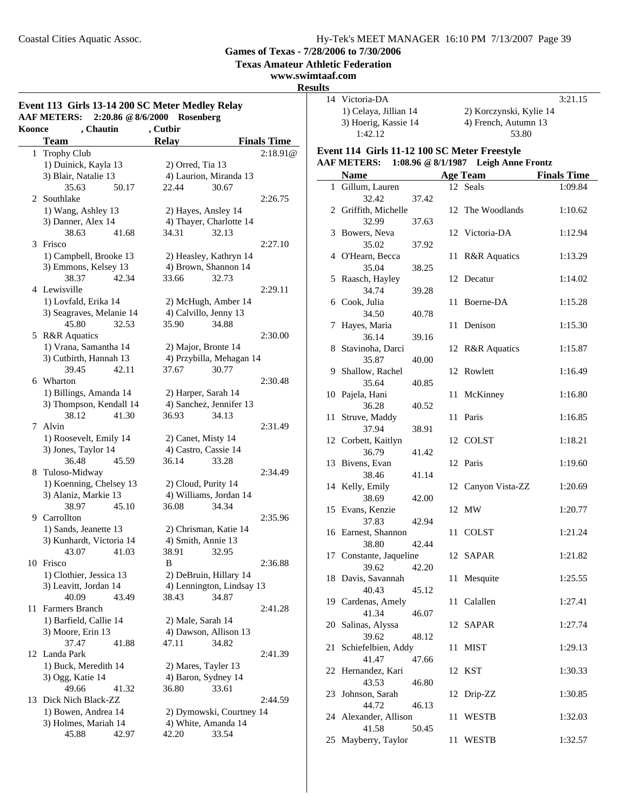**Texas Amateur Athletic Federation**

### **www.swimtaaf.com**

**Results**

 $\equiv$ 

| Event 113 Girls 13-14 200 SC Meter Medley Relay<br><b>AAF METERS:</b><br>2:20.86 @ 8/6/2000<br>Rosenberg |                          |                           |                    |  |
|----------------------------------------------------------------------------------------------------------|--------------------------|---------------------------|--------------------|--|
| Koonce                                                                                                   | , Chautin                | , Cutbir                  |                    |  |
|                                                                                                          | <b>Team</b>              | <b>Relay</b>              | <b>Finals Time</b> |  |
| $\mathbf{1}$                                                                                             | <b>Trophy Club</b>       |                           | 2:18.91@           |  |
|                                                                                                          | 1) Duinick, Kayla 13     | 2) Orred, Tia 13          |                    |  |
|                                                                                                          | 3) Blair, Natalie 13     | 4) Laurion, Miranda 13    |                    |  |
|                                                                                                          | 35.63<br>50.17           | 22.44                     | 30.67              |  |
|                                                                                                          | 2 Southlake              |                           | 2:26.75            |  |
|                                                                                                          | 1) Wang, Ashley 13       | 2) Hayes, Ansley 14       |                    |  |
|                                                                                                          | 3) Danner, Alex 14       | 4) Thayer, Charlotte 14   |                    |  |
|                                                                                                          | 38.63<br>41.68           | 34.31                     | 32.13              |  |
| 3                                                                                                        | Frisco                   |                           | 2:27.10            |  |
|                                                                                                          | 1) Campbell, Brooke 13   | 2) Heasley, Kathryn 14    |                    |  |
|                                                                                                          | 3) Emmons, Kelsey 13     | 4) Brown, Shannon 14      |                    |  |
|                                                                                                          | 38.37<br>42.34           | 33.66                     | 32.73              |  |
|                                                                                                          | 4 Lewisville             |                           | 2:29.11            |  |
|                                                                                                          | 1) Lovfald, Erika 14     | 2) McHugh, Amber 14       |                    |  |
|                                                                                                          | 3) Seagraves, Melanie 14 | 4) Calvillo, Jenny 13     |                    |  |
|                                                                                                          | 45.80<br>32.53           | 35.90                     | 34.88              |  |
|                                                                                                          | 5 R&R Aquatics           |                           | 2:30.00            |  |
|                                                                                                          | 1) Vrana, Samantha 14    | 2) Major, Bronte 14       |                    |  |
|                                                                                                          | 3) Cutbirth, Hannah 13   | 4) Przybilla, Mehagan 14  |                    |  |
|                                                                                                          | 39.45<br>42.11           | 37.67                     | 30.77              |  |
| 6                                                                                                        | Wharton                  |                           | 2:30.48            |  |
|                                                                                                          | 1) Billings, Amanda 14   | 2) Harper, Sarah 14       |                    |  |
|                                                                                                          | 3) Thompson, Kendall 14  | 4) Sanchez, Jennifer 13   |                    |  |
|                                                                                                          | 38.12<br>41.30           | 36.93                     | 34.13              |  |
| 7                                                                                                        | Alvin                    |                           | 2:31.49            |  |
|                                                                                                          | 1) Roosevelt, Emily 14   | 2) Canet, Misty 14        |                    |  |
|                                                                                                          | 3) Jones, Taylor 14      | 4) Castro, Cassie 14      |                    |  |
|                                                                                                          | 36.48<br>45.59           | 36.14                     | 33.28              |  |
| 8                                                                                                        | Tuloso-Midway            |                           | 2:34.49            |  |
|                                                                                                          | 1) Koenning, Chelsey 13  | 2) Cloud, Purity 14       |                    |  |
|                                                                                                          | 3) Alaniz, Markie 13     | 4) Williams, Jordan 14    |                    |  |
|                                                                                                          | 38.97<br>45.10           | 36.08                     | 34.34              |  |
| 9                                                                                                        | Carrollton               |                           | 2:35.96            |  |
|                                                                                                          | 1) Sands, Jeanette 13    | 2) Chrisman, Katie 14     |                    |  |
|                                                                                                          | 3) Kunhardt, Victoria 14 | 4) Smith, Annie 13        |                    |  |
|                                                                                                          | 43.07 41.03              | 38.91 32.95               |                    |  |
|                                                                                                          | 10 Frisco                | В                         | 2:36.88            |  |
|                                                                                                          | 1) Clothier, Jessica 13  | 2) DeBruin, Hillary 14    |                    |  |
|                                                                                                          | 3) Leavitt, Jordan 14    | 4) Lennington, Lindsay 13 |                    |  |
|                                                                                                          | 40.09<br>43.49           | 38.43                     | 34.87              |  |
| 11                                                                                                       | Farmers Branch           |                           | 2:41.28            |  |
|                                                                                                          | 1) Barfield, Callie 14   | 2) Male, Sarah 14         |                    |  |
|                                                                                                          | 3) Moore, Erin 13        | 4) Dawson, Allison 13     |                    |  |
|                                                                                                          | 37.47<br>41.88           | 47.11                     | 34.82              |  |
| 12                                                                                                       | Landa Park               |                           | 2:41.39            |  |
|                                                                                                          | 1) Buck, Meredith 14     | 2) Mares, Tayler 13       |                    |  |
|                                                                                                          | 3) Ogg, Katie 14         | 4) Baron, Sydney 14       |                    |  |
|                                                                                                          | 49.66<br>41.32           | 36.80                     | 33.61              |  |
| 13                                                                                                       | Dick Nich Black-ZZ       |                           | 2:44.59            |  |
|                                                                                                          | 1) Bowen, Andrea 14      | 2) Dymowski, Courtney 14  |                    |  |
|                                                                                                          | 3) Holmes, Mariah 14     | 4) White, Amanda 14       |                    |  |
|                                                                                                          | 45.88<br>42.97           | 42.20                     | 33.54              |  |
|                                                                                                          |                          |                           |                    |  |

| ılts |                                              |       |     |                                      |                    |
|------|----------------------------------------------|-------|-----|--------------------------------------|--------------------|
|      | 14 Victoria-DA                               |       |     |                                      | 3:21.15            |
|      | 1) Celaya, Jillian 14                        |       |     | 2) Korczynski, Kylie 14              |                    |
|      | 3) Hoerig, Kassie 14<br>1:42.12              |       |     | 4) French, Autumn 13<br>53.80        |                    |
|      | Event 114 Girls 11-12 100 SC Meter Freestyle |       |     |                                      |                    |
|      | <b>AAF METERS:</b>                           |       |     | 1:08.96 @ 8/1/1987 Leigh Anne Frontz |                    |
|      | <b>Name</b>                                  |       |     | Age Team                             | <b>Finals Time</b> |
|      | 1 Gillum, Lauren                             |       |     | 12 Seals                             | 1:09.84            |
|      | 32.42<br>2 Griffith, Michelle                | 37.42 |     | 12 The Woodlands                     | 1:10.62            |
| 3    | 32.99<br>Bowers, Neva                        | 37.63 |     | 12 Victoria-DA                       | 1:12.94            |
|      | 35.02                                        | 37.92 |     |                                      |                    |
|      | 4 O'Hearn, Becca                             |       | 11  | <b>R&amp;R</b> Aquatics              | 1:13.29            |
| 5    | 35.04<br>Raasch, Hayley                      | 38.25 |     | 12 Decatur                           | 1:14.02            |
|      | 34.74                                        | 39.28 |     |                                      |                    |
|      | 6 Cook, Julia                                |       | 11  | Boerne-DA                            | 1:15.28            |
|      | 34.50                                        | 40.78 |     |                                      |                    |
| 7    | Hayes, Maria                                 |       | 11- | Denison                              | 1:15.30            |
|      | 36.14                                        | 39.16 |     |                                      |                    |
| 8    | Stavinoha, Darci                             |       |     | 12 R&R Aquatics                      | 1:15.87            |
|      | 35.87                                        | 40.00 |     |                                      |                    |
| 9    | Shallow, Rachel                              |       |     | 12 Rowlett                           | 1:16.49            |
|      | 35.64                                        | 40.85 |     |                                      |                    |
|      | 10 Pajela, Hani                              |       | 11  | McKinney                             | 1:16.80            |
|      | 36.28                                        | 40.52 |     |                                      |                    |
|      | 11 Struve, Maddy                             |       |     | 11 Paris                             | 1:16.85            |
|      | 37.94                                        | 38.91 |     | 12 COLST                             |                    |
|      | 12 Corbett, Kaitlyn<br>36.79                 | 41.42 |     |                                      | 1:18.21            |
|      | 13 Bivens, Evan                              |       |     | 12 Paris                             | 1:19.60            |
|      | 38.46                                        | 41.14 |     |                                      |                    |
|      | 14 Kelly, Emily                              |       |     | 12 Canyon Vista-ZZ                   | 1:20.69            |
|      | 38.69                                        | 42.00 |     |                                      |                    |
|      | 15 Evans, Kenzie                             |       |     | 12 MW                                | 1:20.77            |
|      | 37.83                                        | 42.94 |     |                                      |                    |
|      | 16 Earnest, Shannon                          |       | 11  | <b>COLST</b>                         | 1:21.24            |
|      | 38.80                                        | 42.44 |     |                                      |                    |
|      | 17 Constante, Jaqueline                      |       |     | 12 SAPAR                             | 1:21.82            |
|      | 39.62                                        | 42.20 |     |                                      |                    |
|      | 18 Davis, Savannah                           |       | 11  | Mesquite                             | 1:25.55            |
|      | 40.43                                        | 45.12 |     |                                      |                    |
|      | 19 Cardenas, Amely<br>41.34                  |       | 11  | Calallen                             | 1:27.41            |
|      | 20 Salinas, Alyssa                           | 46.07 |     | 12 SAPAR                             | 1:27.74            |
|      | 39.62                                        | 48.12 |     |                                      |                    |
| 21   | Schiefelbien, Addy                           |       | 11  | <b>MIST</b>                          | 1:29.13            |
|      | 41.47                                        | 47.66 |     |                                      |                    |
|      | 22 Hernandez, Kari                           |       |     | 12 KST                               | 1:30.33            |
|      | 43.53                                        | 46.80 |     |                                      |                    |
| 23   | Johnson, Sarah                               |       |     | 12 Drip-ZZ                           | 1:30.85            |
|      | 44.72                                        | 46.13 |     |                                      |                    |
|      | 24 Alexander, Allison                        |       | 11  | <b>WESTB</b>                         | 1:32.03            |
|      | 41.58                                        | 50.45 |     |                                      |                    |
| 25   | Mayberry, Taylor                             |       | 11  | WESTB                                | 1:32.57            |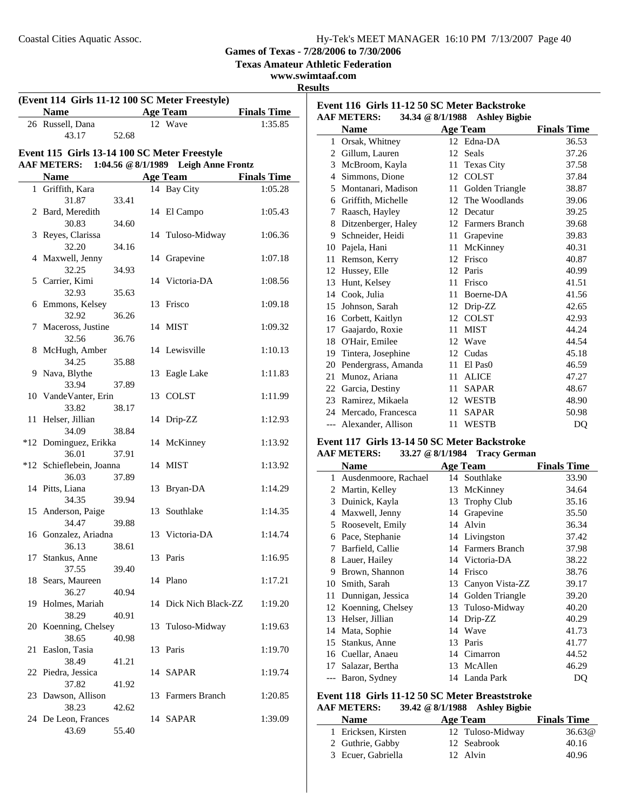**Texas Amateur Athletic Federation**

**www.swimtaaf.com**

### **Results**

| <b>Age Team</b><br><b>Name</b><br><b>Finals Time</b><br>12 Wave<br>26 Russell, Dana<br>1:35.85<br>43.17<br>52.68<br>Event 115 Girls 13-14 100 SC Meter Freestyle<br>1:04.56 @ 8/1/1989<br><b>Leigh Anne Frontz</b><br><b>AAF METERS:</b><br><b>Name</b><br><b>Age Team</b><br><b>Finals Time</b><br>1 Griffith, Kara<br>14 Bay City<br>1:05.28<br>31.87<br>33.41<br>2 Bard, Meredith<br>14 El Campo<br>1:05.43<br>30.83<br>34.60<br>Reyes, Clarissa<br>14 Tuloso-Midway<br>3<br>1:06.36<br>32.20<br>34.16<br>4 Maxwell, Jenny<br>14 Grapevine<br>1:07.18<br>32.25<br>34.93<br>5 Carrier, Kimi<br>14 Victoria-DA<br>1:08.56<br>32.93<br>35.63<br>6 Emmons, Kelsey<br>13 Frisco<br>1:09.18<br>32.92<br>36.26<br>7 Maceross, Justine<br>14 MIST<br>1:09.32<br>32.56<br>36.76<br>14 Lewisville<br>8 McHugh, Amber<br>1:10.13<br>34.25<br>35.88<br>9 Nava, Blythe<br>13 Eagle Lake<br>1:11.83<br>33.94<br>37.89<br>10 VandeVanter, Erin<br>13 COLST<br>1:11.99<br>33.82<br>38.17<br>Helser, Jillian<br>14 Drip-ZZ<br>1:12.93<br>11<br>34.09<br>38.84<br>*12 Dominguez, Erikka<br>14 McKinney<br>1:13.92<br>36.01<br>37.91<br>*12 Schieflebein, Joanna<br>14 MIST<br>1:13.92<br>36.03<br>37.89<br>14 Pitts, Liana<br>13 Bryan-DA<br>1:14.29<br>34.35<br>39.94<br>15 Anderson, Paige<br>13 Southlake<br>1:14.35<br>34.47<br>39.88<br>16 Gonzalez, Ariadna<br>13 Victoria-DA<br>1:14.74<br>36.13<br>38.61<br>13 Paris<br>1:16.95<br>17 Stankus, Anne<br>37.55<br>39.40<br>14 Plano<br>18 Sears, Maureen<br>1:17.21<br>36.27<br>40.94<br>14 Dick Nich Black-ZZ<br>19 Holmes, Mariah<br>1:19.20<br>38.29<br>40.91<br>20 Koenning, Chelsey<br>Tuloso-Midway<br>13<br>1:19.63<br>38.65<br>40.98<br>21 Easlon, Tasia<br>13 Paris<br>1:19.70<br>38.49<br>41.21<br>22 Piedra, Jessica<br>14 SAPAR<br>1:19.74<br>37.82<br>41.92<br>23 Dawson, Allison<br>13 Farmers Branch<br>1:20.85<br>38.23<br>42.62<br>14 SAPAR<br>24 De Leon, Frances<br>1:39.09<br>43.69<br>55.40 | (Event 114 Girls 11-12 100 SC Meter Freestyle) |  |  |  |  |  |
|---------------------------------------------------------------------------------------------------------------------------------------------------------------------------------------------------------------------------------------------------------------------------------------------------------------------------------------------------------------------------------------------------------------------------------------------------------------------------------------------------------------------------------------------------------------------------------------------------------------------------------------------------------------------------------------------------------------------------------------------------------------------------------------------------------------------------------------------------------------------------------------------------------------------------------------------------------------------------------------------------------------------------------------------------------------------------------------------------------------------------------------------------------------------------------------------------------------------------------------------------------------------------------------------------------------------------------------------------------------------------------------------------------------------------------------------------------------------------------------------------------------------------------------------------------------------------------------------------------------------------------------------------------------------------------------------------------------------------------------------------------------------------------------------------------------------------------------------------------------------------------------------------------------------------------------------------------|------------------------------------------------|--|--|--|--|--|
|                                                                                                                                                                                                                                                                                                                                                                                                                                                                                                                                                                                                                                                                                                                                                                                                                                                                                                                                                                                                                                                                                                                                                                                                                                                                                                                                                                                                                                                                                                                                                                                                                                                                                                                                                                                                                                                                                                                                                         |                                                |  |  |  |  |  |
|                                                                                                                                                                                                                                                                                                                                                                                                                                                                                                                                                                                                                                                                                                                                                                                                                                                                                                                                                                                                                                                                                                                                                                                                                                                                                                                                                                                                                                                                                                                                                                                                                                                                                                                                                                                                                                                                                                                                                         |                                                |  |  |  |  |  |
|                                                                                                                                                                                                                                                                                                                                                                                                                                                                                                                                                                                                                                                                                                                                                                                                                                                                                                                                                                                                                                                                                                                                                                                                                                                                                                                                                                                                                                                                                                                                                                                                                                                                                                                                                                                                                                                                                                                                                         |                                                |  |  |  |  |  |
|                                                                                                                                                                                                                                                                                                                                                                                                                                                                                                                                                                                                                                                                                                                                                                                                                                                                                                                                                                                                                                                                                                                                                                                                                                                                                                                                                                                                                                                                                                                                                                                                                                                                                                                                                                                                                                                                                                                                                         |                                                |  |  |  |  |  |
|                                                                                                                                                                                                                                                                                                                                                                                                                                                                                                                                                                                                                                                                                                                                                                                                                                                                                                                                                                                                                                                                                                                                                                                                                                                                                                                                                                                                                                                                                                                                                                                                                                                                                                                                                                                                                                                                                                                                                         |                                                |  |  |  |  |  |
|                                                                                                                                                                                                                                                                                                                                                                                                                                                                                                                                                                                                                                                                                                                                                                                                                                                                                                                                                                                                                                                                                                                                                                                                                                                                                                                                                                                                                                                                                                                                                                                                                                                                                                                                                                                                                                                                                                                                                         |                                                |  |  |  |  |  |
|                                                                                                                                                                                                                                                                                                                                                                                                                                                                                                                                                                                                                                                                                                                                                                                                                                                                                                                                                                                                                                                                                                                                                                                                                                                                                                                                                                                                                                                                                                                                                                                                                                                                                                                                                                                                                                                                                                                                                         |                                                |  |  |  |  |  |
|                                                                                                                                                                                                                                                                                                                                                                                                                                                                                                                                                                                                                                                                                                                                                                                                                                                                                                                                                                                                                                                                                                                                                                                                                                                                                                                                                                                                                                                                                                                                                                                                                                                                                                                                                                                                                                                                                                                                                         |                                                |  |  |  |  |  |
|                                                                                                                                                                                                                                                                                                                                                                                                                                                                                                                                                                                                                                                                                                                                                                                                                                                                                                                                                                                                                                                                                                                                                                                                                                                                                                                                                                                                                                                                                                                                                                                                                                                                                                                                                                                                                                                                                                                                                         |                                                |  |  |  |  |  |
|                                                                                                                                                                                                                                                                                                                                                                                                                                                                                                                                                                                                                                                                                                                                                                                                                                                                                                                                                                                                                                                                                                                                                                                                                                                                                                                                                                                                                                                                                                                                                                                                                                                                                                                                                                                                                                                                                                                                                         |                                                |  |  |  |  |  |
|                                                                                                                                                                                                                                                                                                                                                                                                                                                                                                                                                                                                                                                                                                                                                                                                                                                                                                                                                                                                                                                                                                                                                                                                                                                                                                                                                                                                                                                                                                                                                                                                                                                                                                                                                                                                                                                                                                                                                         |                                                |  |  |  |  |  |
|                                                                                                                                                                                                                                                                                                                                                                                                                                                                                                                                                                                                                                                                                                                                                                                                                                                                                                                                                                                                                                                                                                                                                                                                                                                                                                                                                                                                                                                                                                                                                                                                                                                                                                                                                                                                                                                                                                                                                         |                                                |  |  |  |  |  |
|                                                                                                                                                                                                                                                                                                                                                                                                                                                                                                                                                                                                                                                                                                                                                                                                                                                                                                                                                                                                                                                                                                                                                                                                                                                                                                                                                                                                                                                                                                                                                                                                                                                                                                                                                                                                                                                                                                                                                         |                                                |  |  |  |  |  |
|                                                                                                                                                                                                                                                                                                                                                                                                                                                                                                                                                                                                                                                                                                                                                                                                                                                                                                                                                                                                                                                                                                                                                                                                                                                                                                                                                                                                                                                                                                                                                                                                                                                                                                                                                                                                                                                                                                                                                         |                                                |  |  |  |  |  |
|                                                                                                                                                                                                                                                                                                                                                                                                                                                                                                                                                                                                                                                                                                                                                                                                                                                                                                                                                                                                                                                                                                                                                                                                                                                                                                                                                                                                                                                                                                                                                                                                                                                                                                                                                                                                                                                                                                                                                         |                                                |  |  |  |  |  |
|                                                                                                                                                                                                                                                                                                                                                                                                                                                                                                                                                                                                                                                                                                                                                                                                                                                                                                                                                                                                                                                                                                                                                                                                                                                                                                                                                                                                                                                                                                                                                                                                                                                                                                                                                                                                                                                                                                                                                         |                                                |  |  |  |  |  |
|                                                                                                                                                                                                                                                                                                                                                                                                                                                                                                                                                                                                                                                                                                                                                                                                                                                                                                                                                                                                                                                                                                                                                                                                                                                                                                                                                                                                                                                                                                                                                                                                                                                                                                                                                                                                                                                                                                                                                         |                                                |  |  |  |  |  |
|                                                                                                                                                                                                                                                                                                                                                                                                                                                                                                                                                                                                                                                                                                                                                                                                                                                                                                                                                                                                                                                                                                                                                                                                                                                                                                                                                                                                                                                                                                                                                                                                                                                                                                                                                                                                                                                                                                                                                         |                                                |  |  |  |  |  |
|                                                                                                                                                                                                                                                                                                                                                                                                                                                                                                                                                                                                                                                                                                                                                                                                                                                                                                                                                                                                                                                                                                                                                                                                                                                                                                                                                                                                                                                                                                                                                                                                                                                                                                                                                                                                                                                                                                                                                         |                                                |  |  |  |  |  |
|                                                                                                                                                                                                                                                                                                                                                                                                                                                                                                                                                                                                                                                                                                                                                                                                                                                                                                                                                                                                                                                                                                                                                                                                                                                                                                                                                                                                                                                                                                                                                                                                                                                                                                                                                                                                                                                                                                                                                         |                                                |  |  |  |  |  |
|                                                                                                                                                                                                                                                                                                                                                                                                                                                                                                                                                                                                                                                                                                                                                                                                                                                                                                                                                                                                                                                                                                                                                                                                                                                                                                                                                                                                                                                                                                                                                                                                                                                                                                                                                                                                                                                                                                                                                         |                                                |  |  |  |  |  |
|                                                                                                                                                                                                                                                                                                                                                                                                                                                                                                                                                                                                                                                                                                                                                                                                                                                                                                                                                                                                                                                                                                                                                                                                                                                                                                                                                                                                                                                                                                                                                                                                                                                                                                                                                                                                                                                                                                                                                         |                                                |  |  |  |  |  |
|                                                                                                                                                                                                                                                                                                                                                                                                                                                                                                                                                                                                                                                                                                                                                                                                                                                                                                                                                                                                                                                                                                                                                                                                                                                                                                                                                                                                                                                                                                                                                                                                                                                                                                                                                                                                                                                                                                                                                         |                                                |  |  |  |  |  |
|                                                                                                                                                                                                                                                                                                                                                                                                                                                                                                                                                                                                                                                                                                                                                                                                                                                                                                                                                                                                                                                                                                                                                                                                                                                                                                                                                                                                                                                                                                                                                                                                                                                                                                                                                                                                                                                                                                                                                         |                                                |  |  |  |  |  |
|                                                                                                                                                                                                                                                                                                                                                                                                                                                                                                                                                                                                                                                                                                                                                                                                                                                                                                                                                                                                                                                                                                                                                                                                                                                                                                                                                                                                                                                                                                                                                                                                                                                                                                                                                                                                                                                                                                                                                         |                                                |  |  |  |  |  |
|                                                                                                                                                                                                                                                                                                                                                                                                                                                                                                                                                                                                                                                                                                                                                                                                                                                                                                                                                                                                                                                                                                                                                                                                                                                                                                                                                                                                                                                                                                                                                                                                                                                                                                                                                                                                                                                                                                                                                         |                                                |  |  |  |  |  |
|                                                                                                                                                                                                                                                                                                                                                                                                                                                                                                                                                                                                                                                                                                                                                                                                                                                                                                                                                                                                                                                                                                                                                                                                                                                                                                                                                                                                                                                                                                                                                                                                                                                                                                                                                                                                                                                                                                                                                         |                                                |  |  |  |  |  |
|                                                                                                                                                                                                                                                                                                                                                                                                                                                                                                                                                                                                                                                                                                                                                                                                                                                                                                                                                                                                                                                                                                                                                                                                                                                                                                                                                                                                                                                                                                                                                                                                                                                                                                                                                                                                                                                                                                                                                         |                                                |  |  |  |  |  |
|                                                                                                                                                                                                                                                                                                                                                                                                                                                                                                                                                                                                                                                                                                                                                                                                                                                                                                                                                                                                                                                                                                                                                                                                                                                                                                                                                                                                                                                                                                                                                                                                                                                                                                                                                                                                                                                                                                                                                         |                                                |  |  |  |  |  |
|                                                                                                                                                                                                                                                                                                                                                                                                                                                                                                                                                                                                                                                                                                                                                                                                                                                                                                                                                                                                                                                                                                                                                                                                                                                                                                                                                                                                                                                                                                                                                                                                                                                                                                                                                                                                                                                                                                                                                         |                                                |  |  |  |  |  |
|                                                                                                                                                                                                                                                                                                                                                                                                                                                                                                                                                                                                                                                                                                                                                                                                                                                                                                                                                                                                                                                                                                                                                                                                                                                                                                                                                                                                                                                                                                                                                                                                                                                                                                                                                                                                                                                                                                                                                         |                                                |  |  |  |  |  |
|                                                                                                                                                                                                                                                                                                                                                                                                                                                                                                                                                                                                                                                                                                                                                                                                                                                                                                                                                                                                                                                                                                                                                                                                                                                                                                                                                                                                                                                                                                                                                                                                                                                                                                                                                                                                                                                                                                                                                         |                                                |  |  |  |  |  |
|                                                                                                                                                                                                                                                                                                                                                                                                                                                                                                                                                                                                                                                                                                                                                                                                                                                                                                                                                                                                                                                                                                                                                                                                                                                                                                                                                                                                                                                                                                                                                                                                                                                                                                                                                                                                                                                                                                                                                         |                                                |  |  |  |  |  |
|                                                                                                                                                                                                                                                                                                                                                                                                                                                                                                                                                                                                                                                                                                                                                                                                                                                                                                                                                                                                                                                                                                                                                                                                                                                                                                                                                                                                                                                                                                                                                                                                                                                                                                                                                                                                                                                                                                                                                         |                                                |  |  |  |  |  |
|                                                                                                                                                                                                                                                                                                                                                                                                                                                                                                                                                                                                                                                                                                                                                                                                                                                                                                                                                                                                                                                                                                                                                                                                                                                                                                                                                                                                                                                                                                                                                                                                                                                                                                                                                                                                                                                                                                                                                         |                                                |  |  |  |  |  |
|                                                                                                                                                                                                                                                                                                                                                                                                                                                                                                                                                                                                                                                                                                                                                                                                                                                                                                                                                                                                                                                                                                                                                                                                                                                                                                                                                                                                                                                                                                                                                                                                                                                                                                                                                                                                                                                                                                                                                         |                                                |  |  |  |  |  |
|                                                                                                                                                                                                                                                                                                                                                                                                                                                                                                                                                                                                                                                                                                                                                                                                                                                                                                                                                                                                                                                                                                                                                                                                                                                                                                                                                                                                                                                                                                                                                                                                                                                                                                                                                                                                                                                                                                                                                         |                                                |  |  |  |  |  |
|                                                                                                                                                                                                                                                                                                                                                                                                                                                                                                                                                                                                                                                                                                                                                                                                                                                                                                                                                                                                                                                                                                                                                                                                                                                                                                                                                                                                                                                                                                                                                                                                                                                                                                                                                                                                                                                                                                                                                         |                                                |  |  |  |  |  |
|                                                                                                                                                                                                                                                                                                                                                                                                                                                                                                                                                                                                                                                                                                                                                                                                                                                                                                                                                                                                                                                                                                                                                                                                                                                                                                                                                                                                                                                                                                                                                                                                                                                                                                                                                                                                                                                                                                                                                         |                                                |  |  |  |  |  |
|                                                                                                                                                                                                                                                                                                                                                                                                                                                                                                                                                                                                                                                                                                                                                                                                                                                                                                                                                                                                                                                                                                                                                                                                                                                                                                                                                                                                                                                                                                                                                                                                                                                                                                                                                                                                                                                                                                                                                         |                                                |  |  |  |  |  |
|                                                                                                                                                                                                                                                                                                                                                                                                                                                                                                                                                                                                                                                                                                                                                                                                                                                                                                                                                                                                                                                                                                                                                                                                                                                                                                                                                                                                                                                                                                                                                                                                                                                                                                                                                                                                                                                                                                                                                         |                                                |  |  |  |  |  |
|                                                                                                                                                                                                                                                                                                                                                                                                                                                                                                                                                                                                                                                                                                                                                                                                                                                                                                                                                                                                                                                                                                                                                                                                                                                                                                                                                                                                                                                                                                                                                                                                                                                                                                                                                                                                                                                                                                                                                         |                                                |  |  |  |  |  |
|                                                                                                                                                                                                                                                                                                                                                                                                                                                                                                                                                                                                                                                                                                                                                                                                                                                                                                                                                                                                                                                                                                                                                                                                                                                                                                                                                                                                                                                                                                                                                                                                                                                                                                                                                                                                                                                                                                                                                         |                                                |  |  |  |  |  |
|                                                                                                                                                                                                                                                                                                                                                                                                                                                                                                                                                                                                                                                                                                                                                                                                                                                                                                                                                                                                                                                                                                                                                                                                                                                                                                                                                                                                                                                                                                                                                                                                                                                                                                                                                                                                                                                                                                                                                         |                                                |  |  |  |  |  |
|                                                                                                                                                                                                                                                                                                                                                                                                                                                                                                                                                                                                                                                                                                                                                                                                                                                                                                                                                                                                                                                                                                                                                                                                                                                                                                                                                                                                                                                                                                                                                                                                                                                                                                                                                                                                                                                                                                                                                         |                                                |  |  |  |  |  |
|                                                                                                                                                                                                                                                                                                                                                                                                                                                                                                                                                                                                                                                                                                                                                                                                                                                                                                                                                                                                                                                                                                                                                                                                                                                                                                                                                                                                                                                                                                                                                                                                                                                                                                                                                                                                                                                                                                                                                         |                                                |  |  |  |  |  |
|                                                                                                                                                                                                                                                                                                                                                                                                                                                                                                                                                                                                                                                                                                                                                                                                                                                                                                                                                                                                                                                                                                                                                                                                                                                                                                                                                                                                                                                                                                                                                                                                                                                                                                                                                                                                                                                                                                                                                         |                                                |  |  |  |  |  |
|                                                                                                                                                                                                                                                                                                                                                                                                                                                                                                                                                                                                                                                                                                                                                                                                                                                                                                                                                                                                                                                                                                                                                                                                                                                                                                                                                                                                                                                                                                                                                                                                                                                                                                                                                                                                                                                                                                                                                         |                                                |  |  |  |  |  |
|                                                                                                                                                                                                                                                                                                                                                                                                                                                                                                                                                                                                                                                                                                                                                                                                                                                                                                                                                                                                                                                                                                                                                                                                                                                                                                                                                                                                                                                                                                                                                                                                                                                                                                                                                                                                                                                                                                                                                         |                                                |  |  |  |  |  |
|                                                                                                                                                                                                                                                                                                                                                                                                                                                                                                                                                                                                                                                                                                                                                                                                                                                                                                                                                                                                                                                                                                                                                                                                                                                                                                                                                                                                                                                                                                                                                                                                                                                                                                                                                                                                                                                                                                                                                         |                                                |  |  |  |  |  |
|                                                                                                                                                                                                                                                                                                                                                                                                                                                                                                                                                                                                                                                                                                                                                                                                                                                                                                                                                                                                                                                                                                                                                                                                                                                                                                                                                                                                                                                                                                                                                                                                                                                                                                                                                                                                                                                                                                                                                         |                                                |  |  |  |  |  |

### **Event 116 Girls 11-12 50 SC Meter Backstroke AAF METERS: 34.34 @8/1/1988 Ashley Bigbie**

| <b>Name</b> |                        |    | <b>Age Team</b>   | <b>Finals Time</b> |
|-------------|------------------------|----|-------------------|--------------------|
| 1           | Orsak, Whitney         |    | 12 Edna-DA        | 36.53              |
| 2           | Gillum, Lauren         | 12 | Seals             | 37.26              |
| 3           | McBroom, Kayla         | 11 | <b>Texas City</b> | 37.58              |
| 4           | Simmons, Dione         | 12 | <b>COLST</b>      | 37.84              |
| 5           | Montanari, Madison     | 11 | Golden Triangle   | 38.87              |
| 6           | Griffith, Michelle     | 12 | The Woodlands     | 39.06              |
| 7           | Raasch, Hayley         | 12 | Decatur           | 39.25              |
| 8           | Ditzenberger, Haley    | 12 | Farmers Branch    | 39.68              |
| 9           | Schneider, Heidi       | 11 | Grapevine         | 39.83              |
| 10          | Pajela, Hani           | 11 | McKinney          | 40.31              |
| 11          | Remson, Kerry          | 12 | Frisco            | 40.87              |
| 12          | Hussey, Elle           | 12 | Paris             | 40.99              |
| 13          | Hunt, Kelsey           | 11 | Frisco            | 41.51              |
| 14          | Cook, Julia            | 11 | Boerne-DA         | 41.56              |
| 15          | Johnson, Sarah         | 12 | Drip-ZZ           | 42.65              |
| 16          | Corbett, Kaitlyn       | 12 | <b>COLST</b>      | 42.93              |
| 17          | Gaajardo, Roxie        | 11 | <b>MIST</b>       | 44.24              |
| 18          | O'Hair, Emilee         | 12 | Wave              | 44.54              |
| 19          | Tintera, Josephine     | 12 | Cudas             | 45.18              |
| 20          | Pendergrass, Amanda    | 11 | El Pas0           | 46.59              |
| 21          | Munoz, Ariana          | 11 | <b>ALICE</b>      | 47.27              |
| 22          | Garcia, Destiny        | 11 | <b>SAPAR</b>      | 48.67              |
|             | 23 Ramirez, Mikaela    | 12 | <b>WESTB</b>      | 48.90              |
| 24          | Mercado, Francesca     | 11 | <b>SAPAR</b>      | 50.98              |
|             | --- Alexander, Allison | 11 | <b>WESTB</b>      | DO                 |

#### **Event 117 Girls 13-14 50 SC Meter Backstroke**<br>AAF METERS: 33.27 @ 8/1/1984 Tracy Germs **A**  $33.27$  @  $8/1/1984$  **Tracy German**

| AAF MEILKS:<br>$33.21 \oplus 0/1/1904$ Let in the Letter Letter S |                      |    |                    |                    |
|-------------------------------------------------------------------|----------------------|----|--------------------|--------------------|
|                                                                   | <b>Name</b>          |    | Age Team           | <b>Finals Time</b> |
| 1                                                                 | Ausdenmoore, Rachael |    | 14 Southlake       | 33.90              |
| 2                                                                 | Martin, Kelley       | 13 | McKinney           | 34.64              |
| 3                                                                 | Duinick, Kayla       | 13 | <b>Trophy Club</b> | 35.16              |
| 4                                                                 | Maxwell, Jenny       | 14 | Grapevine          | 35.50              |
| 5                                                                 | Roosevelt, Emily     | 14 | Alvin              | 36.34              |
| 6                                                                 | Pace, Stephanie      | 14 | Livingston         | 37.42              |
| 7                                                                 | Barfield, Callie     | 14 | Farmers Branch     | 37.98              |
| 8                                                                 | Lauer, Hailey        | 14 | Victoria-DA        | 38.22              |
| 9                                                                 | Brown, Shannon       | 14 | Frisco             | 38.76              |
| 10                                                                | Smith, Sarah         | 13 | Canyon Vista-ZZ    | 39.17              |
| 11                                                                | Dunnigan, Jessica    | 14 | Golden Triangle    | 39.20              |
| 12                                                                | Koenning, Chelsey    |    | 13 Tuloso-Midway   | 40.20              |
| 13                                                                | Helser, Jillian      | 14 | Drip-ZZ            | 40.29              |
| 14                                                                | Mata, Sophie         | 14 | Wave               | 41.73              |
| 15                                                                | Stankus, Anne        | 13 | Paris              | 41.77              |
|                                                                   | 16 Cuellar, Anaeu    | 14 | Cimarron           | 44.52              |
| 17                                                                | Salazar, Bertha      | 13 | McAllen            | 46.29              |
|                                                                   | Baron, Sydney        |    | 14 Landa Park      | DQ                 |

### **Event 118 Girls 11-12 50 SC Meter Breaststroke AAF METERS: 39.42 @8/1/1988 Ashley Bigbie**

| <b>Name</b>         | Age Team         | <b>Finals Time</b> |
|---------------------|------------------|--------------------|
| 1 Ericksen, Kirsten | 12 Tuloso-Midway | 36.63@             |
| 2 Guthrie, Gabby    | 12 Seabrook      | 40.16              |
| 3 Ecuer, Gabriella  | 12. Alvin        | 40.96              |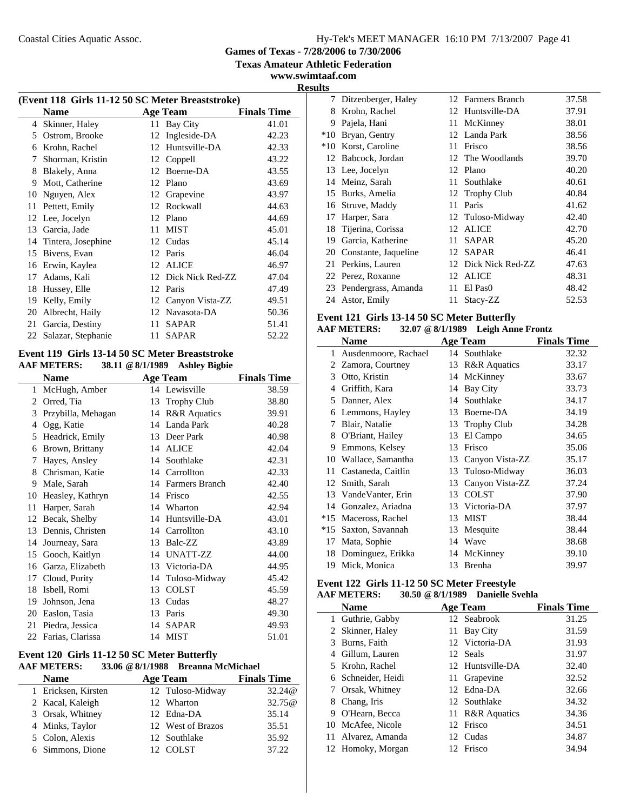**Games of Texas - 7/28/2006 to 7/30/2006**

**Texas Amateur Athletic Federation**

**www.swimtaaf.com**

 $\overline{a}$ 

|    | (Event 118 Girls 11-12 50 SC Meter Breaststroke) |                 |                    |       |  |  |
|----|--------------------------------------------------|-----------------|--------------------|-------|--|--|
|    | <b>Name</b>                                      | <b>Age Team</b> | <b>Finals Time</b> |       |  |  |
| 4  | Skinner, Haley                                   | 11              | Bay City           | 41.01 |  |  |
| 5  | Ostrom, Brooke                                   | 12              | Ingleside-DA       | 42.23 |  |  |
| 6  | Krohn, Rachel                                    | 12              | Huntsville-DA      | 42.33 |  |  |
| 7  | Shorman, Kristin                                 | 12              | Coppell            | 43.22 |  |  |
| 8  | Blakely, Anna                                    | 12              | Boerne-DA          | 43.55 |  |  |
| 9  | Mott, Catherine                                  | 12              | Plano              | 43.69 |  |  |
| 10 | Nguyen, Alex                                     | 12              | Grapevine          | 43.97 |  |  |
| 11 | Pettett, Emily                                   | 12              | Rockwall           | 44.63 |  |  |
| 12 | Lee, Jocelyn                                     | 12              | Plano              | 44.69 |  |  |
| 13 | Garcia, Jade                                     | 11              | <b>MIST</b>        | 45.01 |  |  |
| 14 | Tintera, Josephine                               | 12              | Cudas              | 45.14 |  |  |
| 15 | Bivens, Evan                                     | 12              | Paris              | 46.04 |  |  |
| 16 | Erwin, Kaylea                                    | 12              | <b>ALICE</b>       | 46.97 |  |  |
| 17 | Adams, Kali                                      | 12              | Dick Nick Red-ZZ   | 47.04 |  |  |
| 18 | Hussey, Elle                                     | 12              | Paris              | 47.49 |  |  |
| 19 | Kelly, Emily                                     | 12              | Canyon Vista-ZZ    | 49.51 |  |  |
| 20 | Albrecht, Haily                                  | 12              | Navasota-DA        | 50.36 |  |  |
| 21 | Garcia, Destiny                                  | 11              | <b>SAPAR</b>       | 51.41 |  |  |
| 22 | Salazar, Stephanie                               | 11              | <b>SAPAR</b>       | 52.22 |  |  |

### **Event 119 Girls 13-14 50 SC Meter Breaststroke AAF METERS: 38.11 @8/1/1989 Ashley Bigbie**

|              | <b>Name</b>        |    | <b>Age Team</b>         | <b>Finals Time</b> |
|--------------|--------------------|----|-------------------------|--------------------|
| $\mathbf{1}$ | McHugh, Amber      |    | 14 Lewisville           | 38.59              |
| 2            | Orred, Tia         | 13 | <b>Trophy Club</b>      | 38.80              |
| 3            | Przybilla, Mehagan | 14 | <b>R&amp;R</b> Aquatics | 39.91              |
| 4            | Ogg, Katie         | 14 | Landa Park              | 40.28              |
| 5            | Headrick, Emily    | 13 | Deer Park               | 40.98              |
| 6            | Brown, Brittany    | 14 | <b>ALICE</b>            | 42.04              |
| 7            | Hayes, Ansley      | 14 | Southlake               | 42.31              |
| 8            | Chrisman, Katie    |    | 14 Carrollton           | 42.33              |
| 9            | Male, Sarah        | 14 | <b>Farmers Branch</b>   | 42.40              |
| 10           | Heasley, Kathryn   | 14 | Frisco                  | 42.55              |
| 11           | Harper, Sarah      |    | 14 Wharton              | 42.94              |
| 12           | Becak, Shelby      | 14 | Huntsville-DA           | 43.01              |
| 13           | Dennis, Christen   |    | 14 Carrollton           | 43.10              |
| 14           | Journeay, Sara     | 13 | Balc-ZZ                 | 43.89              |
| 15           | Gooch, Kaitlyn     | 14 | UNATT-ZZ                | 44.00              |
| 16           | Garza, Elizabeth   | 13 | Victoria-DA             | 44.95              |
| 17           | Cloud, Purity      | 14 | Tuloso-Midway           | 45.42              |
| 18           | Isbell, Romi       | 13 | <b>COLST</b>            | 45.59              |
| 19           | Johnson, Jena      | 13 | Cudas                   | 48.27              |
| 20           | Easlon, Tasia      | 13 | Paris                   | 49.30              |
| 21           | Piedra, Jessica    | 14 | <b>SAPAR</b>            | 49.93              |
| 22           | Farias, Clarissa   | 14 | <b>MIST</b>             | 51.01              |
|              |                    |    |                         |                    |

#### **Event 120 Girls 11-12 50 SC Meter Butterfly AAF METERS: 33.06 @8/1/1988 Breanna McMichael**

| .<br>ртсаниа втевнешен |                     |  |                   |                    |
|------------------------|---------------------|--|-------------------|--------------------|
|                        | <b>Name</b>         |  | <b>Age Team</b>   | <b>Finals Time</b> |
|                        | 1 Ericksen, Kirsten |  | 12 Tuloso-Midway  | 32.24@             |
|                        | 2 Kacal, Kaleigh    |  | 12 Wharton        | 32.75@             |
|                        | 3 Orsak, Whitney    |  | 12 Edna-DA        | 35.14              |
|                        | 4 Minks, Taylor     |  | 12 West of Brazos | 35.51              |
|                        | 5 Colon, Alexis     |  | 12 Southlake      | 35.92              |
|                        | 6 Simmons, Dione    |  | 12 COLST          | 37.22              |
|                        |                     |  |                   |                    |

| <b>Results</b> |                         |    |                     |       |
|----------------|-------------------------|----|---------------------|-------|
|                | 7 Ditzenberger, Haley   |    | 12 Farmers Branch   | 37.58 |
| 8.             | Krohn, Rachel           |    | 12 Huntsville-DA    | 37.91 |
| 9.             | Pajela, Hani            |    | 11 McKinney         | 38.01 |
| $*10$          | Bryan, Gentry           |    | 12 Landa Park       | 38.56 |
|                | *10 Korst, Caroline     |    | 11 Frisco           | 38.56 |
|                | 12 Babcock, Jordan      |    | 12 The Woodlands    | 39.70 |
|                | 13 Lee, Jocelyn         |    | 12 Plano            | 40.20 |
|                | 14 Meinz, Sarah         |    | 11 Southlake        | 40.61 |
| 15             | Burks, Amelia           |    | 12 Trophy Club      | 40.84 |
|                | 16 Struve, Maddy        | 11 | Paris               | 41.62 |
| 17             | Harper, Sara            |    | 12 Tuloso-Midway    | 42.40 |
|                | 18 Tijerina, Corissa    |    | 12 ALICE            | 42.70 |
| 19             | Garcia, Katherine       | 11 | <b>SAPAR</b>        | 45.20 |
|                | 20 Constante, Jaqueline |    | 12 SAPAR            | 46.41 |
|                | 21 Perkins, Lauren      |    | 12 Dick Nick Red-ZZ | 47.63 |
|                | 22 Perez, Roxanne       |    | 12 ALICE            | 48.31 |
|                | 23 Pendergrass, Amanda  |    | 11 El Pas0          | 48.42 |
|                | 24 Astor, Emily         | 11 | Stacy-ZZ            | 52.53 |
|                |                         |    |                     |       |

# **Event 121 Girls 13-14 50 SC Meter Butterfly AAF METERS:** 32.07 @ 8/1/1989 Leigh Ann

# **AAF METERS: 32.07 @8/1/1989 Leigh Anne Frontz**

|       | Name                 |    | <b>Age Team</b>         | <b>Finals Time</b> |
|-------|----------------------|----|-------------------------|--------------------|
| 1     | Ausdenmoore, Rachael |    | 14 Southlake            | 32.32              |
|       | 2 Zamora, Courtney   | 13 | <b>R&amp;R</b> Aquatics | 33.17              |
| 3     | Otto, Kristin        | 14 | McKinney                | 33.67              |
| 4     | Griffith, Kara       | 14 | <b>Bay City</b>         | 33.73              |
| 5     | Danner, Alex         | 14 | Southlake               | 34.17              |
| 6     | Lemmons, Hayley      | 13 | Boerne-DA               | 34.19              |
| 7     | Blair, Natalie       | 13 | <b>Trophy Club</b>      | 34.28              |
| 8     | O'Briant, Hailey     | 13 | El Campo                | 34.65              |
| 9     | Emmons, Kelsey       | 13 | Frisco                  | 35.06              |
| 10    | Wallace, Samantha    | 13 | Canyon Vista-ZZ         | 35.17              |
| 11    | Castaneda, Caitlin   | 13 | Tuloso-Midway           | 36.03              |
| 12    | Smith, Sarah         | 13 | Canyon Vista-ZZ         | 37.24              |
| 13    | VandeVanter, Erin    | 13 | <b>COLST</b>            | 37.90              |
| 14    | Gonzalez, Ariadna    | 13 | Victoria-DA             | 37.97              |
| $*15$ | Maceross, Rachel     | 13 | <b>MIST</b>             | 38.44              |
| $*15$ | Saxton, Savannah     | 13 | Mesquite                | 38.44              |
| 17    | Mata, Sophie         | 14 | Wave                    | 38.68              |
| 18    | Dominguez, Erikka    | 14 | McKinney                | 39.10              |
| 19    | Mick, Monica         | 13 | Brenha                  | 39.97              |

#### **Event 122 Girls 11-12 50 SC Meter Freestyle AAF METERS: 30.50 @8/1/1989 Danielle Svehla**

|    | .<br>рашене этепа       |    |                  |                    |  |  |
|----|-------------------------|----|------------------|--------------------|--|--|
|    | <b>Age Team</b><br>Name |    |                  | <b>Finals Time</b> |  |  |
|    | 1 Guthrie, Gabby        |    | 12 Seabrook      | 31.25              |  |  |
|    | 2 Skinner, Haley        | 11 | <b>Bay City</b>  | 31.59              |  |  |
|    | 3 Burns, Faith          |    | 12 Victoria-DA   | 31.93              |  |  |
|    | 4 Gillum, Lauren        |    | 12 Seals         | 31.97              |  |  |
|    | 5 Krohn, Rachel         |    | 12 Huntsville-DA | 32.40              |  |  |
|    | 6 Schneider, Heidi      |    | 11 Grapevine     | 32.52              |  |  |
|    | 7 Orsak, Whitney        |    | 12 Edna-DA       | 32.66              |  |  |
| 8. | Chang, Iris             |    | 12 Southlake     | 34.32              |  |  |
|    | 9 O'Hearn, Becca        |    | 11 R&R Aquatics  | 34.36              |  |  |
|    | 10 McAfee, Nicole       |    | 12 Frisco        | 34.51              |  |  |
|    | 11 Alvarez, Amanda      |    | 12 Cudas         | 34.87              |  |  |
|    | 12 Homoky, Morgan       |    | 12 Frisco        | 34.94              |  |  |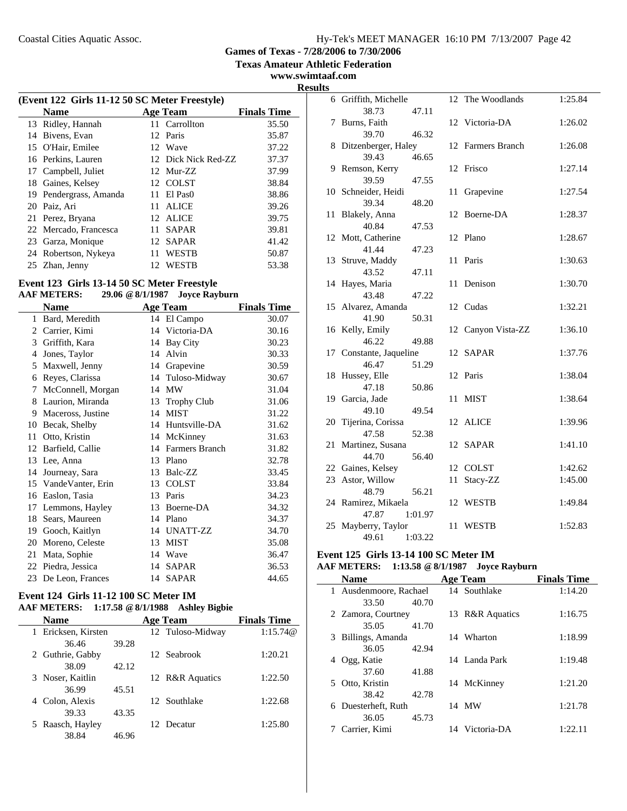**Games of Texas - 7/28/2006 to 7/30/2006**

**Texas Amateur Athletic Federation**

**www.swimtaaf.com**

| (Event 122 Girls 11-12 50 SC Meter Freestyle) |                 |                    |
|-----------------------------------------------|-----------------|--------------------|
| <b>Name</b>                                   | <b>Age Team</b> | <b>Finals Time</b> |
| 13 Ridley, Hannah                             | 11 Carrollton   | 35.50              |
| 14 Bivens, Evan                               | 12 Paris        | 35.87              |
| 15 O'Hair, Emilee                             | 12 Wave         | 37.22              |

| 15 O'Hair, Emilee      | 12 Wave             | 37.22 |
|------------------------|---------------------|-------|
| 16 Perkins, Lauren     | 12 Dick Nick Red-ZZ | 37.37 |
| 17 Campbell, Juliet    | 12 Mur-ZZ           | 37.99 |
| 18 Gaines, Kelsey      | 12 COLST            | 38.84 |
| 19 Pendergrass, Amanda | 11 El Pas0          | 38.86 |
| 20 Paiz, Ari           | ALICE<br>11.        | 39.26 |
| 21 Perez, Bryana       | 12 ALICE            | 39.75 |
| 22 Mercado, Francesca  | SAPAR<br>11.        | 39.81 |
| 23 Garza, Monique      | 12 SAPAR            | 41.42 |
| 24 Robertson, Nykeya   | <b>WESTB</b><br>11  | 50.87 |
| 25 Zhan, Jenny         | <b>WESTB</b><br>12. | 53.38 |

### **Event 123 Girls 13-14 50 SC Meter Freestyle**

### **AAF METERS: 29.06 @8/1/1987 Joyce Rayburn**

|    | <b>Name</b>          |    | <b>Age Team</b>    | <b>Finals Time</b> |
|----|----------------------|----|--------------------|--------------------|
| 1  | Bard, Meredith       |    | 14 El Campo        | 30.07              |
|    | 2 Carrier, Kimi      | 14 | Victoria-DA        | 30.16              |
| 3  | Griffith, Kara       | 14 | <b>Bay City</b>    | 30.23              |
| 4  | Jones, Taylor        | 14 | Alvin              | 30.33              |
| 5  | Maxwell, Jenny       | 14 | Grapevine          | 30.59              |
| 6  | Reyes, Clarissa      | 14 | Tuloso-Midway      | 30.67              |
| 7  | McConnell, Morgan    | 14 | <b>MW</b>          | 31.04              |
| 8  | Laurion, Miranda     | 13 | <b>Trophy Club</b> | 31.06              |
| 9  | Maceross, Justine    | 14 | <b>MIST</b>        | 31.22              |
| 10 | Becak, Shelby        | 14 | Huntsville-DA      | 31.62              |
| 11 | Otto, Kristin        | 14 | McKinney           | 31.63              |
| 12 | Barfield, Callie     | 14 | Farmers Branch     | 31.82              |
| 13 | Lee, Anna            | 13 | Plano              | 32.78              |
| 14 | Journeay, Sara       | 13 | Balc-ZZ            | 33.45              |
|    | 15 VandeVanter, Erin | 13 | <b>COLST</b>       | 33.84              |
| 16 | Easlon, Tasia        | 13 | Paris              | 34.23              |
| 17 | Lemmons, Hayley      | 13 | Boerne-DA          | 34.32              |
| 18 | Sears, Maureen       | 14 | Plano              | 34.37              |
| 19 | Gooch, Kaitlyn       | 14 | UNATT-ZZ           | 34.70              |
| 20 | Moreno, Celeste      | 13 | <b>MIST</b>        | 35.08              |
| 21 | Mata, Sophie         | 14 | Wave               | 36.47              |
| 22 | Piedra, Jessica      | 14 | SAPAR              | 36.53              |
| 23 | De Leon, Frances     |    | 14 SAPAR           | 44.65              |

#### **Event 124 Girls 11-12 100 SC Meter IM AAF METERS: 1:17.58 @8/1/1988 Ashley Bigbie**

|   | <b>Name</b>       |       | <b>Age Team</b>  | <b>Finals Time</b> |
|---|-------------------|-------|------------------|--------------------|
| 1 | Ericksen, Kirsten |       | 12 Tuloso-Midway | 1:15.74@           |
|   | 36.46             | 39.28 |                  |                    |
|   | 2 Guthrie, Gabby  |       | 12 Seabrook      | 1:20.21            |
|   | 38.09             | 42.12 |                  |                    |
|   | 3 Noser, Kaitlin  |       | 12 R&R Aquatics  | 1:22.50            |
|   | 36.99             | 45.51 |                  |                    |
| 4 | Colon, Alexis     |       | 12 Southlake     | 1:22.68            |
|   | 39.33             | 43.35 |                  |                    |
|   | 5 Raasch, Hayley  |       | Decatur          | 1:25.80            |
|   | 38.84             | 46.96 |                  |                    |

|   | <b>Results</b> |                                      |                    |         |
|---|----------------|--------------------------------------|--------------------|---------|
|   |                | 6 Griffith, Michelle                 | 12 The Woodlands   | 1:25.84 |
|   |                | 38.73<br>47.11                       |                    |         |
| - |                | 7 Burns, Faith                       | 12 Victoria-DA     | 1:26.02 |
|   |                | 39.70<br>46.32                       |                    |         |
|   |                | 8 Ditzenberger, Haley                | 12 Farmers Branch  | 1:26.08 |
|   |                | 39.43<br>46.65                       |                    |         |
|   |                | 9 Remson, Kerry                      | 12 Frisco          | 1:27.14 |
|   |                | 39.59<br>47.55                       |                    |         |
|   |                | 10 Schneider, Heidi                  | 11 Grapevine       | 1:27.54 |
|   |                | 39.34<br>48.20                       |                    |         |
|   |                | 11 Blakely, Anna                     | 12 Boerne-DA       | 1:28.37 |
|   |                | 40.84<br>47.53                       |                    |         |
|   |                | 12 Mott, Catherine                   | 12 Plano           | 1:28.67 |
|   |                | 41.44<br>47.23                       |                    |         |
|   |                | 13 Struve, Maddy                     | 11<br>Paris        | 1:30.63 |
|   |                | 43.52<br>47.11                       |                    |         |
|   |                | 14 Hayes, Maria                      | 11<br>Denison      | 1:30.70 |
|   |                | 43.48<br>47.22<br>15 Alvarez, Amanda | 12 Cudas           | 1:32.21 |
|   |                | 41.90<br>50.31                       |                    |         |
|   |                | 16 Kelly, Emily                      | 12 Canyon Vista-ZZ | 1:36.10 |
|   |                | 46.22<br>49.88                       |                    |         |
|   |                | 17 Constante, Jaqueline              | 12 SAPAR           | 1:37.76 |
|   |                | 46.47<br>51.29                       |                    |         |
|   |                | 18 Hussey, Elle                      | 12 Paris           | 1:38.04 |
|   |                | 47.18<br>50.86                       |                    |         |
|   |                | 19 Garcia, Jade                      | MIST<br>11         | 1:38.64 |
|   |                | 49.10<br>49.54                       |                    |         |
|   |                | 20 Tijerina, Corissa                 | 12 ALICE           | 1:39.96 |
|   |                | 47.58<br>52.38                       |                    |         |
|   |                | 21 Martinez, Susana                  | 12 SAPAR           | 1:41.10 |
|   |                | 44.70<br>56.40                       |                    |         |
|   |                | 22 Gaines, Kelsey                    | 12 COLST           | 1:42.62 |
|   |                | 23 Astor, Willow                     | Stacy-ZZ<br>11     | 1:45.00 |
|   |                | 56.21<br>48.79                       |                    |         |
|   |                | 24 Ramirez, Mikaela                  | 12 WESTB           | 1:49.84 |
|   |                | 47.87<br>1:01.97                     |                    |         |
|   |                | 25 Mayberry, Taylor                  | 11<br>WESTB        | 1:52.83 |
|   |                | 1:03.22<br>49.61                     |                    |         |

### **Event 125 Girls 13-14 100 SC Meter IM**

### **AAF METERS: 1:13.58 @8/1/1987 Joyce Rayburn**

| <b>Name</b>            |       | <b>Age Team</b> | <b>Finals Time</b> |
|------------------------|-------|-----------------|--------------------|
| 1 Ausdenmoore, Rachael |       | 14 Southlake    | 1:14.20            |
| 33.50                  | 40.70 |                 |                    |
| 2 Zamora, Courtney     |       | 13 R&R Aquatics | 1:16.75            |
| 35.05                  | 41.70 |                 |                    |
| 3 Billings, Amanda     |       | 14 Wharton      | 1:18.99            |
| 36.05                  | 42.94 |                 |                    |
| 4 Ogg, Katie           |       | 14 Landa Park   | 1:19.48            |
| 37.60                  | 41.88 |                 |                    |
| 5 Otto, Kristin        |       | 14 McKinney     | 1:21.20            |
| 38.42                  | 42.78 |                 |                    |
| 6 Duesterheft, Ruth    |       | 14 MW           | 1:21.78            |
| 36.05                  | 45.73 |                 |                    |
| Carrier, Kimi          |       | 14 Victoria-DA  | 1:22.11            |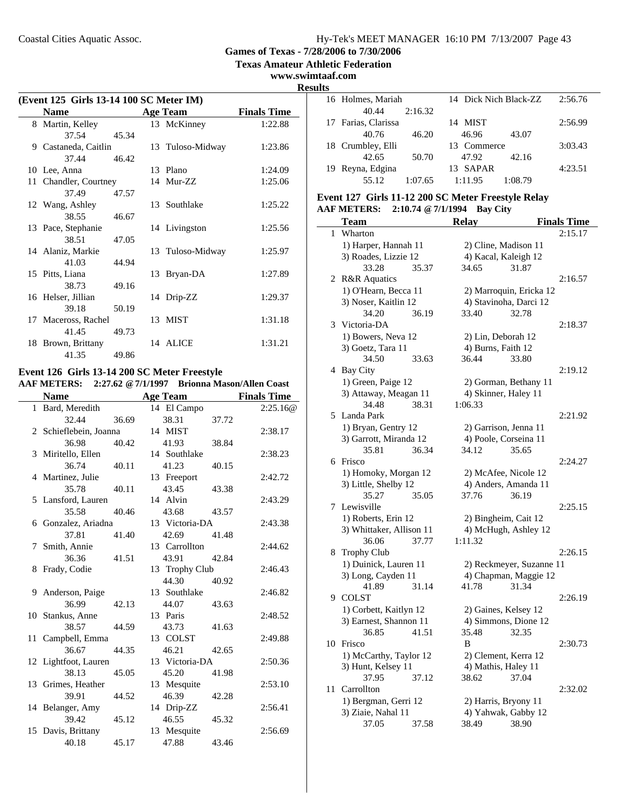**Texas Amateur Athletic Federation**

**www.swimtaaf.com**

**Results**

| (Event 125 Girls 13-14 100 SC Meter IM) |                 |                    |                  |         |
|-----------------------------------------|-----------------|--------------------|------------------|---------|
| <b>Name</b>                             | <b>Age Team</b> | <b>Finals Time</b> |                  |         |
| 8 Martin, Kelley                        |                 |                    | 13 McKinney      | 1:22.88 |
| 37.54                                   | 45.34           |                    |                  |         |
| 9 Castaneda, Caitlin                    |                 |                    | 13 Tuloso-Midway | 1:23.86 |
| 37.44                                   | 46.42           |                    |                  |         |
| 10 Lee, Anna                            |                 |                    | 13 Plano         | 1:24.09 |
| 11 Chandler, Courtney                   |                 |                    | 14 Mur-ZZ        | 1:25.06 |
| 37.49                                   | 47.57           |                    |                  |         |
| 12 Wang, Ashley                         |                 |                    | 13 Southlake     | 1:25.22 |
| 38.55                                   | 46.67           |                    |                  |         |
| 13 Pace, Stephanie                      |                 |                    | 14 Livingston    | 1:25.56 |
| 38.51                                   | 47.05           |                    |                  |         |
| 14 Alaniz, Markie                       |                 |                    | 13 Tuloso-Midway | 1:25.97 |
| 41.03                                   | 44.94           |                    |                  |         |
| 15 Pitts, Liana                         |                 |                    | 13 Bryan-DA      | 1:27.89 |
| 38.73                                   | 49.16           |                    |                  |         |
| 16 Helser, Jillian                      |                 |                    | 14 Drip-ZZ       | 1:29.37 |
| 39.18                                   | 50.19           |                    |                  |         |
| 17 Maceross, Rachel                     |                 |                    | 13 MIST          | 1:31.18 |
| 41.45                                   | 49.73           |                    |                  |         |
| 18 Brown, Brittany                      |                 |                    | 14 ALICE         | 1:31.21 |
| 41.35                                   | 49.86           |                    |                  |         |

### **Event 126 Girls 13-14 200 SC Meter Freestyle**

|   | <b>AAF METERS:</b>     |       |                 |                |       | 2:27.62 @ 7/1/1997 Brionna Mason/Allen Coast |
|---|------------------------|-------|-----------------|----------------|-------|----------------------------------------------|
|   | <b>Name</b>            |       | <b>Age Team</b> |                |       | <b>Finals Time</b>                           |
|   | 1 Bard, Meredith       |       |                 | 14 El Campo    |       | 2:25.16@                                     |
|   | 32.44                  | 36.69 |                 | 38.31          | 37.72 |                                              |
|   | 2 Schieflebein, Joanna |       | 14 MIST         |                |       | 2:38.17                                      |
|   | 36.98                  | 40.42 |                 | 41.93          | 38.84 |                                              |
|   | 3 Miritello, Ellen     |       |                 | 14 Southlake   |       | 2:38.23                                      |
|   | 36.74                  | 40.11 |                 | 41.23          | 40.15 |                                              |
|   | 4 Martinez, Julie      |       |                 | 13 Freeport    |       | 2:42.72                                      |
|   | 35.78                  | 40.11 |                 | 43.45          | 43.38 |                                              |
|   | 5 Lansford, Lauren     |       | 14 Alvin        |                |       | 2:43.29                                      |
|   | 35.58                  | 40.46 |                 | 43.68          | 43.57 |                                              |
|   | 6 Gonzalez, Ariadna    |       |                 | 13 Victoria-DA |       | 2:43.38                                      |
|   | 37.81                  | 41.40 |                 | 42.69          | 41.48 |                                              |
|   | 7 Smith, Annie         |       |                 | 13 Carrollton  |       | 2:44.62                                      |
|   | 36.36                  | 41.51 |                 | 43.91          | 42.84 |                                              |
| 8 | Frady, Codie           |       |                 | 13 Trophy Club |       | 2:46.43                                      |
|   |                        |       |                 | 44.30          | 40.92 |                                              |
|   | 9 Anderson, Paige      |       |                 | 13 Southlake   |       | 2:46.82                                      |
|   | 36.99                  | 42.13 |                 | 44.07          | 43.63 |                                              |
|   | 10 Stankus, Anne       |       | 13 Paris        |                |       | 2:48.52                                      |
|   | 38.57                  | 44.59 |                 | 43.73          | 41.63 |                                              |
|   | 11 Campbell, Emma      |       |                 | 13 COLST       |       | 2:49.88                                      |
|   | 36.67                  | 44.35 |                 | 46.21          | 42.65 |                                              |
|   | 12 Lightfoot, Lauren   |       |                 | 13 Victoria-DA |       | 2:50.36                                      |
|   | 38.13                  | 45.05 |                 | 45.20          | 41.98 |                                              |
|   | 13 Grimes, Heather     |       |                 | 13 Mesquite    |       | 2:53.10                                      |
|   | 39.91                  | 44.52 |                 | 46.39          | 42.28 |                                              |
|   | 14 Belanger, Amy       |       |                 | 14 Drip-ZZ     |       | 2:56.41                                      |
|   | 39.42                  | 45.12 |                 | 46.55          | 45.32 |                                              |
|   | 15 Davis, Brittany     |       |                 | 13 Mesquite    |       | 2:56.69                                      |
|   | 40.18                  | 45.17 |                 | 47.88          | 43.46 |                                              |
|   |                        |       |                 |                |       |                                              |

| 16 Holmes, Mariah   |         | 14 Dick Nich Black-ZZ |         | 2:56.76 |
|---------------------|---------|-----------------------|---------|---------|
| 40.44               | 2:16.32 |                       |         |         |
| 17 Farias, Clarissa |         | 14 MIST               |         | 2:56.99 |
| 40.76               | 46.20   | 46.96                 | 43.07   |         |
| 18 Crumbley, Elli   |         | 13 Commerce           |         | 3:03.43 |
| 42.65               | 50.70   | 47.92                 | 42.16   |         |
| 19 Reyna, Edgina    |         | 13 SAPAR              |         | 4:23.51 |
| 55.12               | 1:07.65 | 1:11.95               | 1:08.79 |         |

# **Event 127 Girls 11-12 200 SC Meter Freestyle Relay**

|    | <b>AAF METERS:</b>       | 2:10.74 @ 7/1/1994 |              | <b>Bay City</b>      |                          |                    |
|----|--------------------------|--------------------|--------------|----------------------|--------------------------|--------------------|
|    | <b>Team</b>              |                    | <b>Relay</b> |                      |                          | <b>Finals Time</b> |
| 1  | Wharton                  |                    |              |                      |                          | 2:15.17            |
|    | 1) Harper, Hannah 11     |                    |              | 2) Cline, Madison 11 |                          |                    |
|    | 3) Roades, Lizzie 12     |                    |              | 4) Kacal, Kaleigh 12 |                          |                    |
|    | 33.28                    | 35.37              | 34.65        |                      | 31.87                    |                    |
|    | 2 R&R Aquatics           |                    |              |                      |                          | 2:16.57            |
|    | 1) O'Hearn, Becca 11     |                    |              |                      | 2) Marroquin, Ericka 12  |                    |
|    | 3) Noser, Kaitlin 12     |                    |              |                      | 4) Stavinoha, Darci 12   |                    |
|    | 34.20                    | 36.19              | 33.40        |                      | 32.78                    |                    |
| 3  | Victoria-DA              |                    |              |                      |                          | 2:18.37            |
|    | 1) Bowers, Neva 12       |                    |              | 2) Lin, Deborah 12   |                          |                    |
|    | 3) Goetz, Tara 11        |                    |              | 4) Burns, Faith 12   |                          |                    |
|    | 34.50                    | 33.63              | 36.44        |                      | 33.80                    |                    |
|    | 4 Bay City               |                    |              |                      |                          | 2:19.12            |
|    | 1) Green, Paige 12       |                    |              |                      | 2) Gorman, Bethany 11    |                    |
|    | 3) Attaway, Meagan 11    |                    |              | 4) Skinner, Haley 11 |                          |                    |
|    | 34.48                    | 38.31              | 1:06.33      |                      |                          |                    |
| 5  | Landa Park               |                    |              |                      |                          | 2:21.92            |
|    | 1) Bryan, Gentry 12      |                    |              |                      | 2) Garrison, Jenna 11    |                    |
|    | 3) Garrott, Miranda 12   |                    |              |                      | 4) Poole, Corseina 11    |                    |
|    | 35.81                    | 36.34              | 34.12        |                      | 35.65                    |                    |
|    | 6 Frisco                 |                    |              |                      |                          | 2:24.27            |
|    | 1) Homoky, Morgan 12     |                    |              |                      | 2) McAfee, Nicole 12     |                    |
|    | 3) Little, Shelby 12     |                    |              |                      | 4) Anders, Amanda 11     |                    |
|    | 35.27                    | 35.05              | 37.76        |                      | 36.19                    |                    |
|    | 7 Lewisville             |                    |              |                      |                          | 2:25.15            |
|    | 1) Roberts, Erin 12      |                    |              | 2) Bingheim, Cait 12 |                          |                    |
|    | 3) Whittaker, Allison 11 |                    |              |                      | 4) McHugh, Ashley 12     |                    |
|    | 36.06                    | 37.77              | 1:11.32      |                      |                          |                    |
| 8  | <b>Trophy Club</b>       |                    |              |                      |                          | 2:26.15            |
|    | 1) Duinick, Lauren 11    |                    |              |                      | 2) Reckmeyer, Suzanne 11 |                    |
|    | 3) Long, Cayden 11       |                    |              |                      | 4) Chapman, Maggie 12    |                    |
|    | 41.89                    | 31.14              | 41.78        |                      | 31.34                    |                    |
|    | 9 COLST                  |                    |              |                      |                          | 2:26.19            |
|    | 1) Corbett, Kaitlyn 12   |                    |              | 2) Gaines, Kelsey 12 |                          |                    |
|    | 3) Earnest, Shannon 11   |                    |              |                      | 4) Simmons, Dione 12     |                    |
|    | 36.85                    | 41.51              | 35.48        |                      | 32.35                    |                    |
|    | 10 Frisco                |                    | B            |                      |                          | 2:30.73            |
|    | 1) McCarthy, Taylor 12   |                    |              | 2) Clement, Kerra 12 |                          |                    |
|    | 3) Hunt, Kelsey 11       |                    |              | 4) Mathis, Haley 11  |                          |                    |
|    | 37.95                    | 37.12              | 38.62        |                      | 37.04                    |                    |
| 11 | Carrollton               |                    |              |                      |                          | 2:32.02            |
|    | 1) Bergman, Gerri 12     |                    |              | 2) Harris, Bryony 11 |                          |                    |
|    | 3) Ziaie, Nahal 11       |                    |              |                      | 4) Yahwak, Gabby 12      |                    |
|    | 37.05                    | 37.58              | 38.49        |                      | 38.90                    |                    |